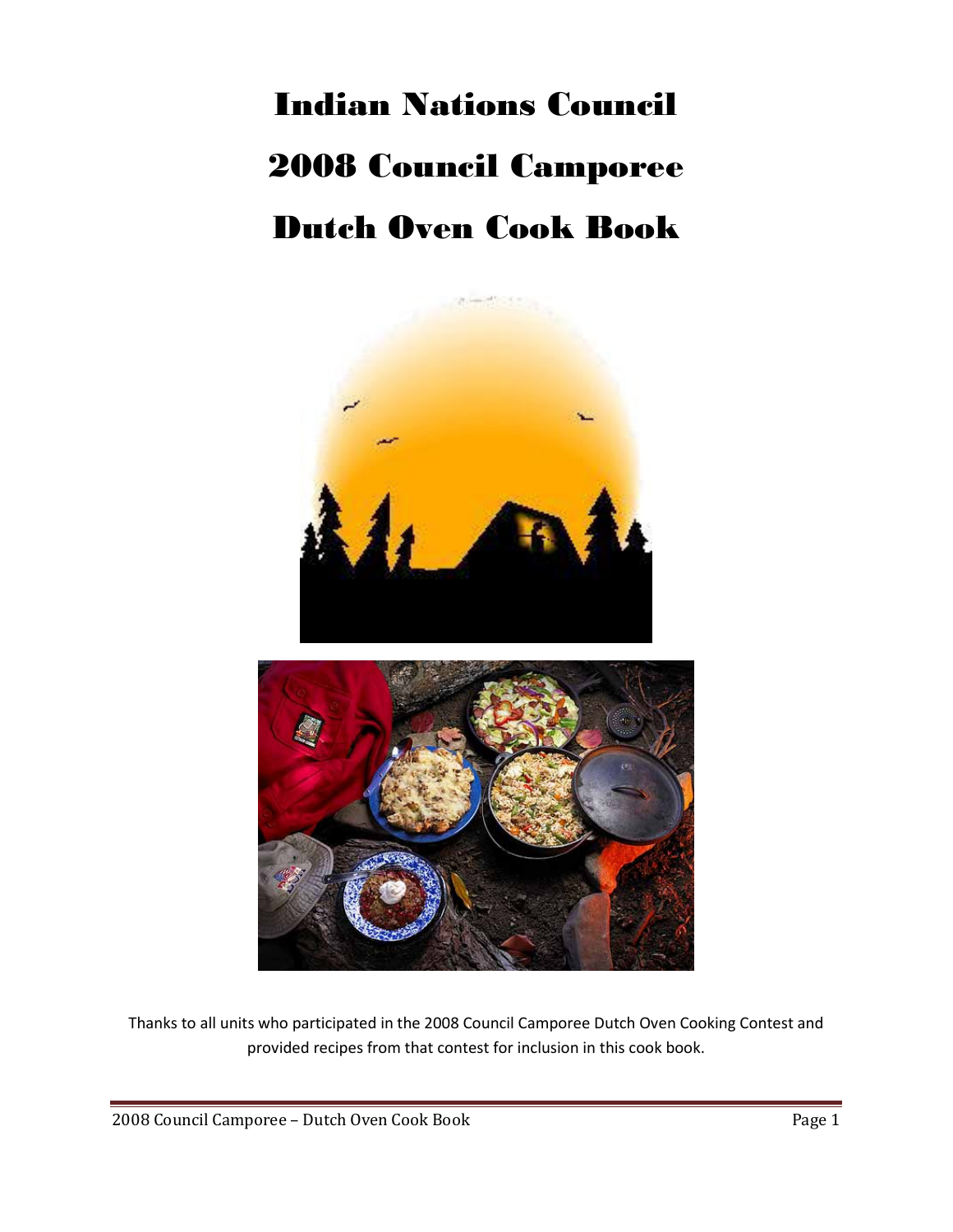## Indian Nations Council 2008 Council Camporee Dutch Oven Cook Book



Thanks to all units who participated in the 2008 Council Camporee Dutch Oven Cooking Contest and provided recipes from that contest for inclusion in this cook book.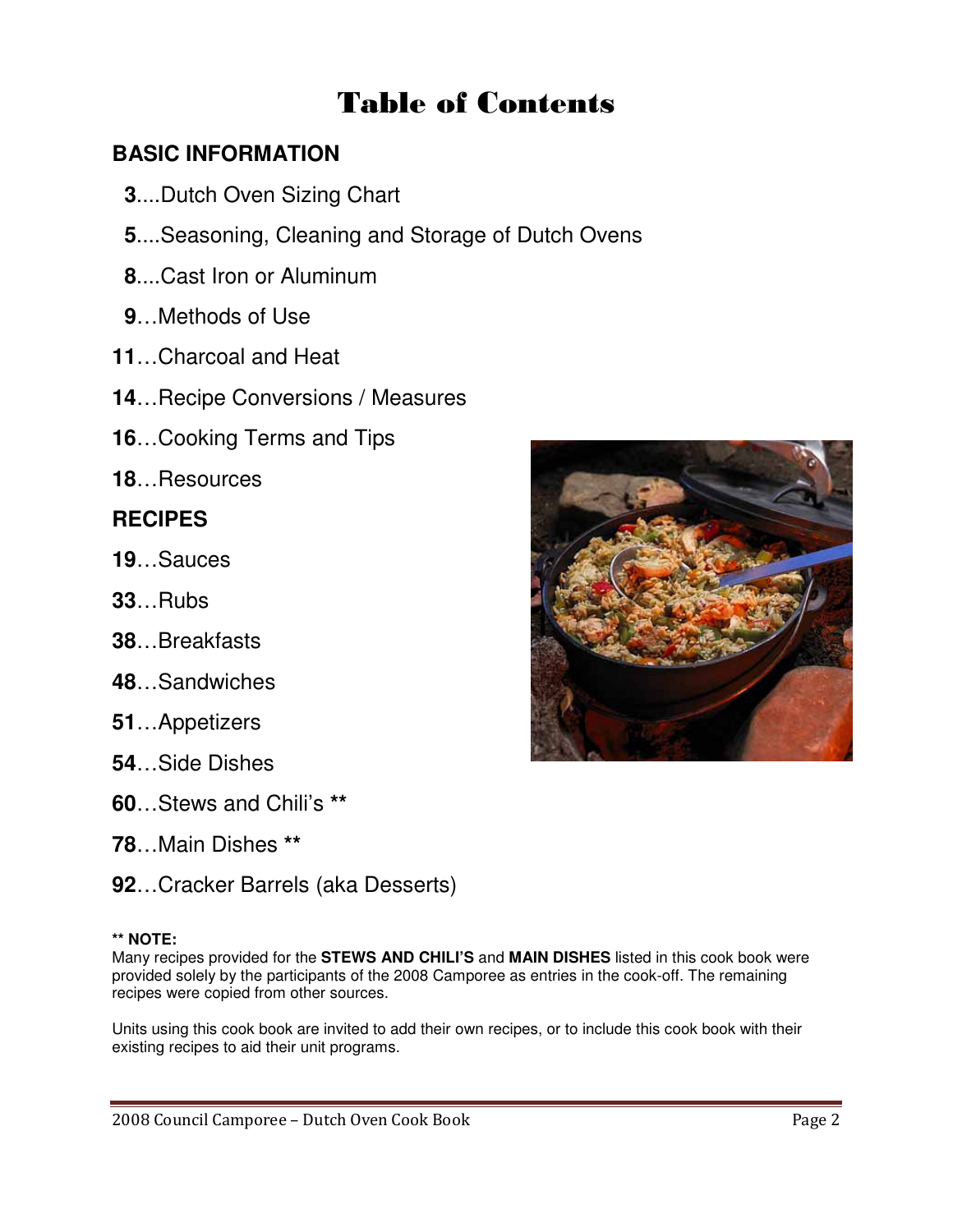## Table of Contents

#### **BASIC INFORMATION**

- **3**....Dutch Oven Sizing Chart
- **5**....Seasoning, Cleaning and Storage of Dutch Ovens
- **8**....Cast Iron or Aluminum
- **9**…Methods of Use
- **11**…Charcoal and Heat
- **14**…Recipe Conversions / Measures
- **16**…Cooking Terms and Tips
- **18**…Resources

#### **RECIPES**

- **19**…Sauces
- **33**…Rubs
- **38**…Breakfasts
- **48**…Sandwiches
- **51**…Appetizers
- **54**…Side Dishes
- **60**…Stews and Chili's **\*\***
- **78**…Main Dishes **\*\***
- **92**…Cracker Barrels (aka Desserts)

#### **\*\* NOTE:**

Many recipes provided for the **STEWS AND CHILI'S** and **MAIN DISHES** listed in this cook book were provided solely by the participants of the 2008 Camporee as entries in the cook-off. The remaining recipes were copied from other sources.

Units using this cook book are invited to add their own recipes, or to include this cook book with their existing recipes to aid their unit programs.

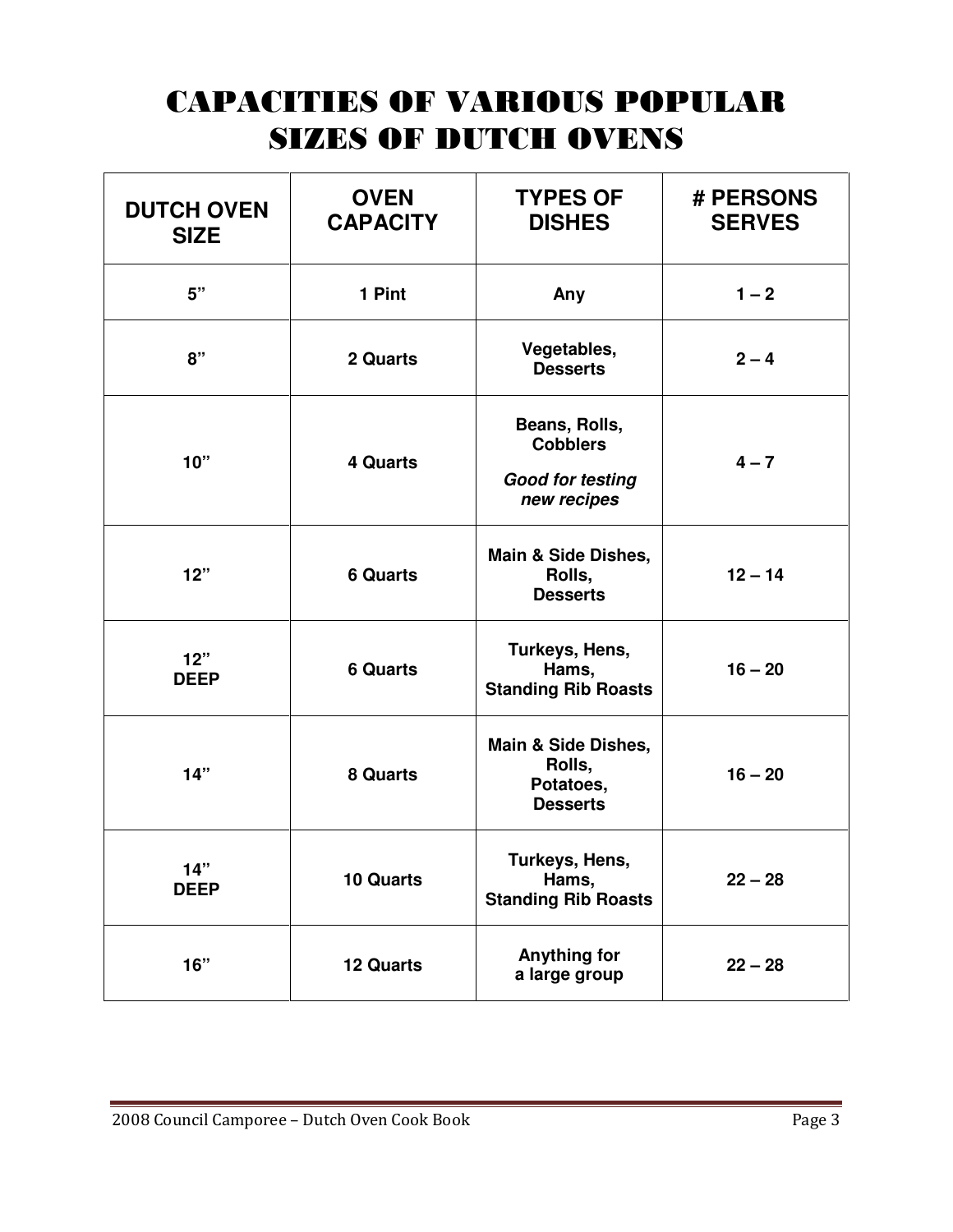## CAPACITIES OF VARIOUS POPULAR SIZES OF DUTCH OVENS

| <b>DUTCH OVEN</b><br><b>SIZE</b> | <b>OVEN</b><br><b>CAPACITY</b> | <b>TYPES OF</b><br><b>DISHES</b>                                           | # PERSONS<br><b>SERVES</b> |
|----------------------------------|--------------------------------|----------------------------------------------------------------------------|----------------------------|
| 5"                               | 1 Pint                         | Any                                                                        | $1 - 2$                    |
| 8"                               | 2 Quarts                       | Vegetables,<br><b>Desserts</b>                                             | $2 - 4$                    |
| 10"                              | <b>4 Quarts</b>                | Beans, Rolls,<br><b>Cobblers</b><br><b>Good for testing</b><br>new recipes | $4 - 7$                    |
| 12"                              | <b>6 Quarts</b>                | Main & Side Dishes,<br>Rolls,<br><b>Desserts</b>                           | $12 - 14$                  |
| 12"<br><b>DEEP</b>               | <b>6 Quarts</b>                | Turkeys, Hens,<br>Hams,<br><b>Standing Rib Roasts</b>                      | $16 - 20$                  |
| 14"                              | 8 Quarts                       | Main & Side Dishes,<br>Rolls,<br>Potatoes,<br><b>Desserts</b>              | $16 - 20$                  |
| 14"<br><b>DEEP</b>               | 10 Quarts                      | Turkeys, Hens,<br>Hams,<br><b>Standing Rib Roasts</b>                      | $22 - 28$                  |
| 16"                              | 12 Quarts                      | <b>Anything for</b><br>a large group                                       | $22 - 28$                  |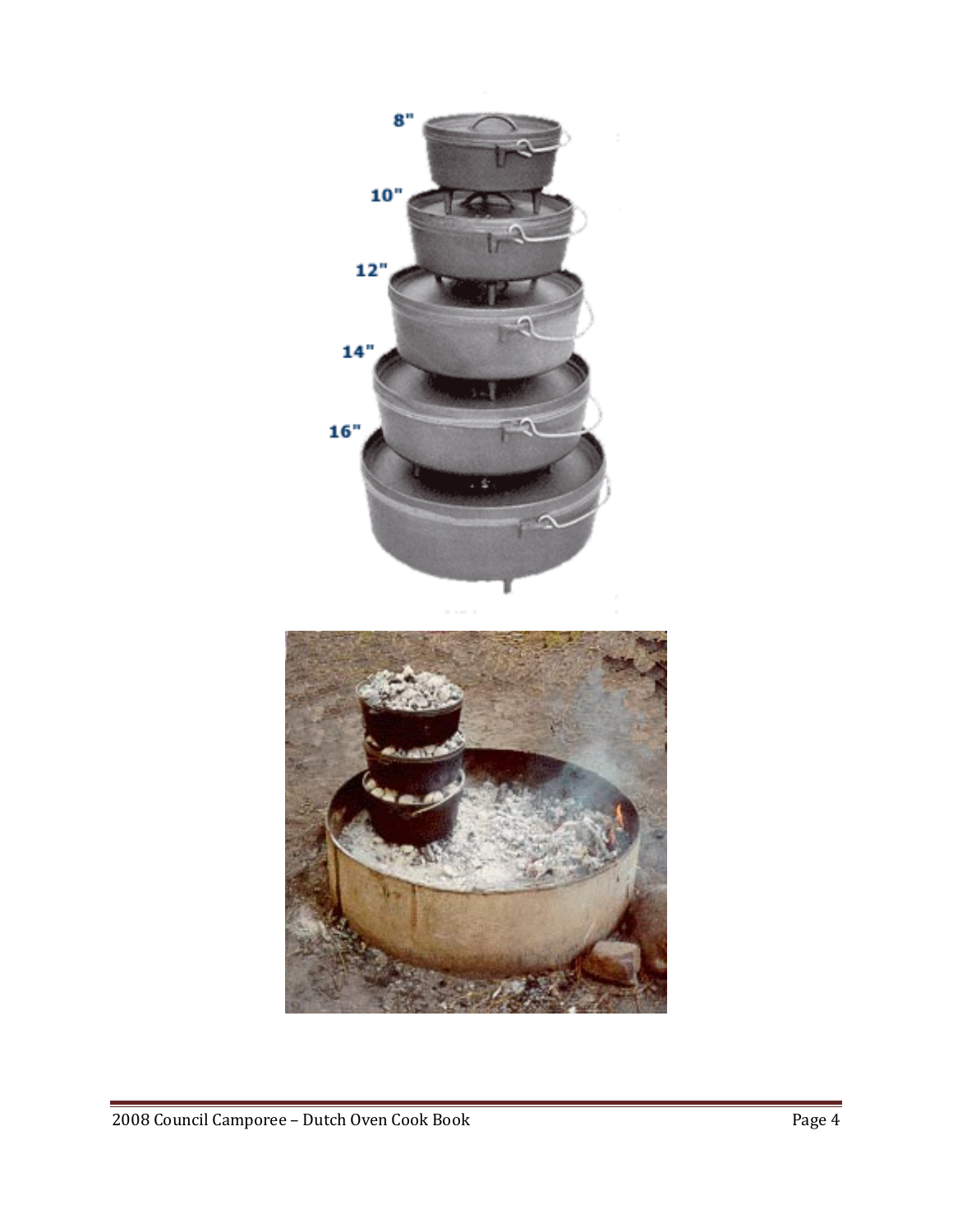

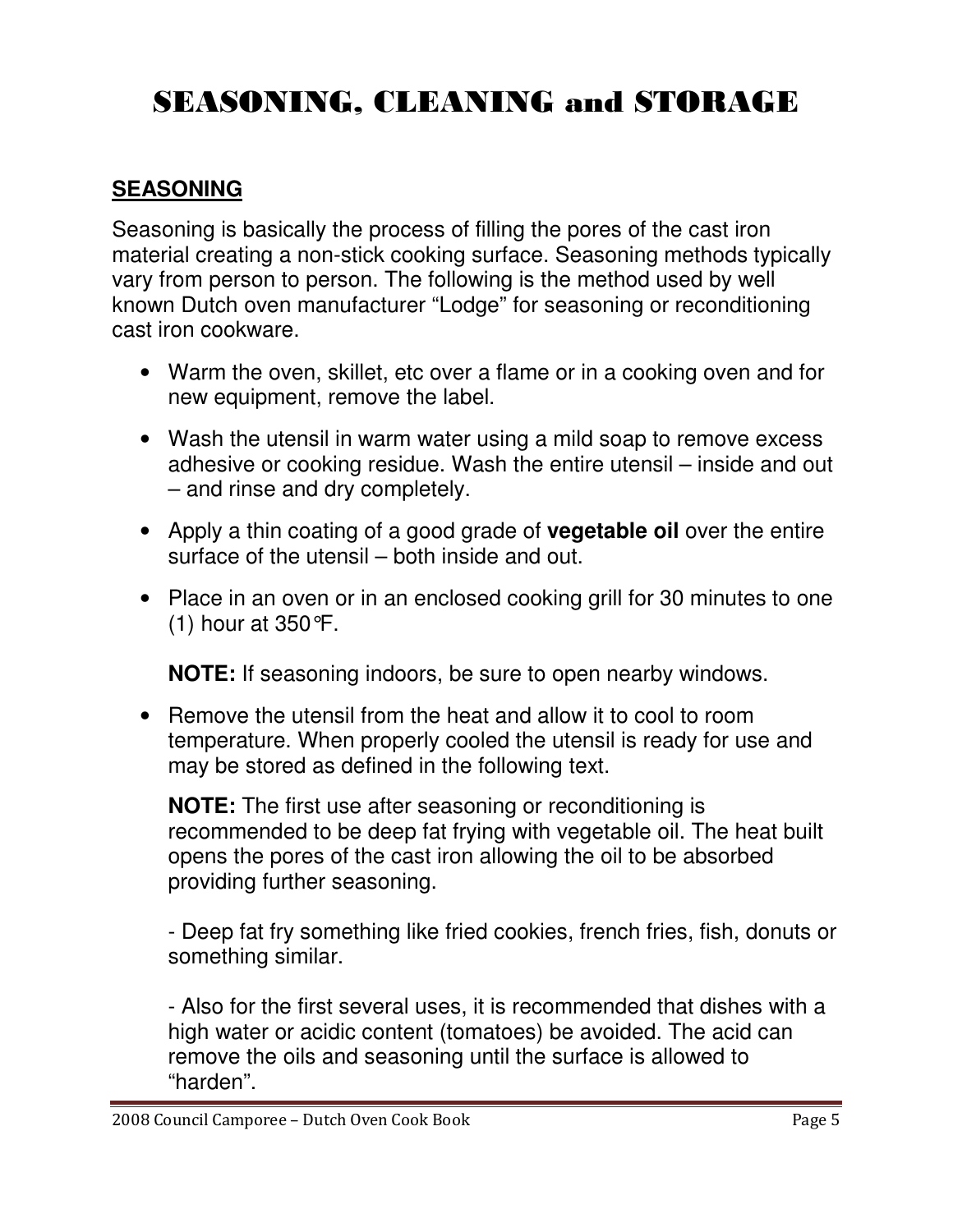## SEASONING, CLEANING and STORAGE

#### **SEASONING**

Seasoning is basically the process of filling the pores of the cast iron material creating a non-stick cooking surface. Seasoning methods typically vary from person to person. The following is the method used by well known Dutch oven manufacturer "Lodge" for seasoning or reconditioning cast iron cookware.

- Warm the oven, skillet, etc over a flame or in a cooking oven and for new equipment, remove the label.
- Wash the utensil in warm water using a mild soap to remove excess adhesive or cooking residue. Wash the entire utensil – inside and out – and rinse and dry completely.
- Apply a thin coating of a good grade of **vegetable oil** over the entire surface of the utensil – both inside and out.
- Place in an oven or in an enclosed cooking grill for 30 minutes to one (1) hour at 350°F.

**NOTE:** If seasoning indoors, be sure to open nearby windows.

• Remove the utensil from the heat and allow it to cool to room temperature. When properly cooled the utensil is ready for use and may be stored as defined in the following text.

**NOTE:** The first use after seasoning or reconditioning is recommended to be deep fat frying with vegetable oil. The heat built opens the pores of the cast iron allowing the oil to be absorbed providing further seasoning.

- Deep fat fry something like fried cookies, french fries, fish, donuts or something similar.

- Also for the first several uses, it is recommended that dishes with a high water or acidic content (tomatoes) be avoided. The acid can remove the oils and seasoning until the surface is allowed to "harden".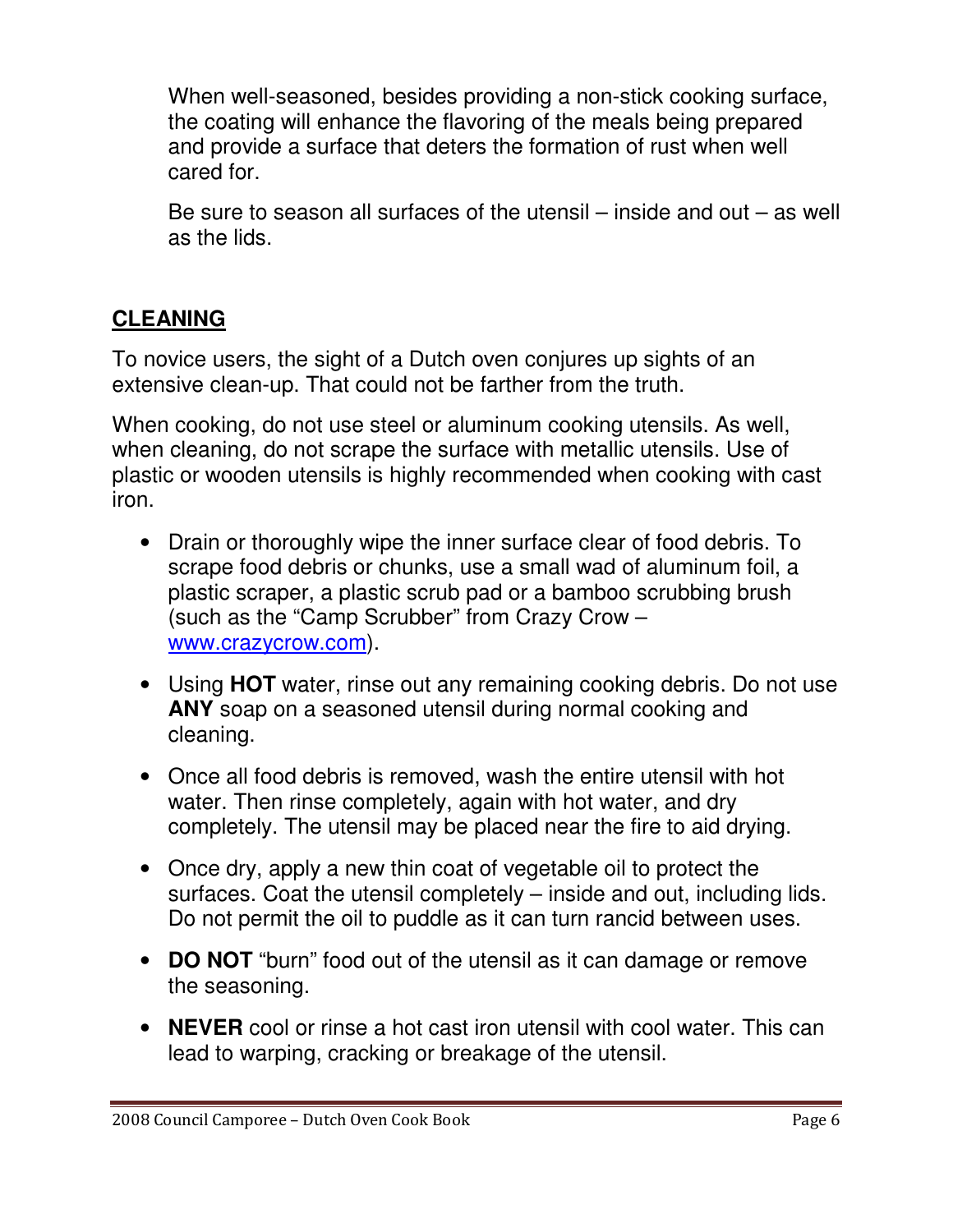When well-seasoned, besides providing a non-stick cooking surface, the coating will enhance the flavoring of the meals being prepared and provide a surface that deters the formation of rust when well cared for.

Be sure to season all surfaces of the utensil – inside and out – as well as the lids.

## **CLEANING**

To novice users, the sight of a Dutch oven conjures up sights of an extensive clean-up. That could not be farther from the truth.

When cooking, do not use steel or aluminum cooking utensils. As well, when cleaning, do not scrape the surface with metallic utensils. Use of plastic or wooden utensils is highly recommended when cooking with cast iron.

- Drain or thoroughly wipe the inner surface clear of food debris. To scrape food debris or chunks, use a small wad of aluminum foil, a plastic scraper, a plastic scrub pad or a bamboo scrubbing brush (such as the "Camp Scrubber" from Crazy Crow – www.crazycrow.com).
- Using **HOT** water, rinse out any remaining cooking debris. Do not use **ANY** soap on a seasoned utensil during normal cooking and cleaning.
- Once all food debris is removed, wash the entire utensil with hot water. Then rinse completely, again with hot water, and dry completely. The utensil may be placed near the fire to aid drying.
- Once dry, apply a new thin coat of vegetable oil to protect the surfaces. Coat the utensil completely – inside and out, including lids. Do not permit the oil to puddle as it can turn rancid between uses.
- **DO NOT** "burn" food out of the utensil as it can damage or remove the seasoning.
- **NEVER** cool or rinse a hot cast iron utensil with cool water. This can lead to warping, cracking or breakage of the utensil.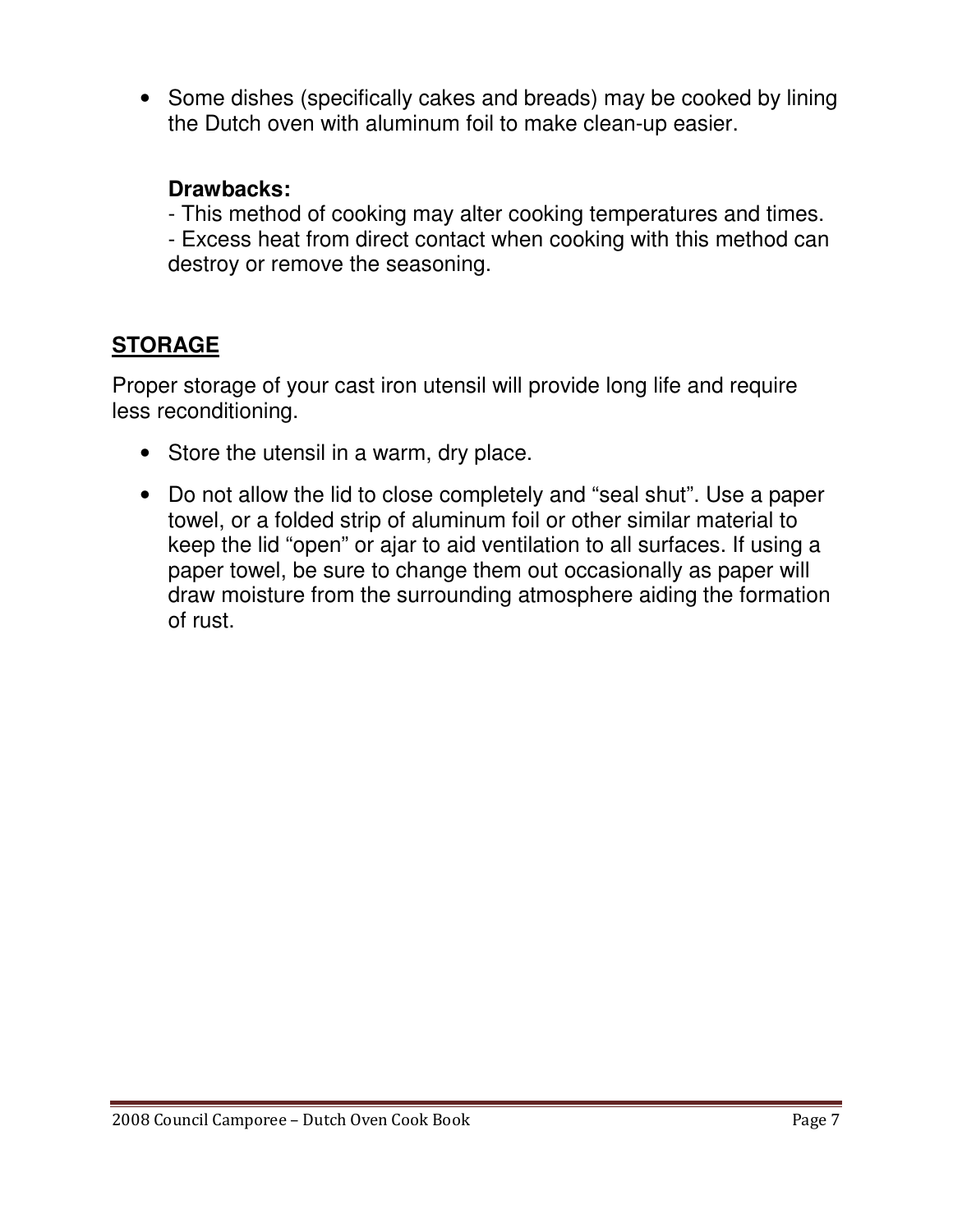• Some dishes (specifically cakes and breads) may be cooked by lining the Dutch oven with aluminum foil to make clean-up easier.

#### **Drawbacks:**

- This method of cooking may alter cooking temperatures and times.

- Excess heat from direct contact when cooking with this method can destroy or remove the seasoning.

#### **STORAGE**

Proper storage of your cast iron utensil will provide long life and require less reconditioning.

- Store the utensil in a warm, dry place.
- Do not allow the lid to close completely and "seal shut". Use a paper towel, or a folded strip of aluminum foil or other similar material to keep the lid "open" or ajar to aid ventilation to all surfaces. If using a paper towel, be sure to change them out occasionally as paper will draw moisture from the surrounding atmosphere aiding the formation of rust.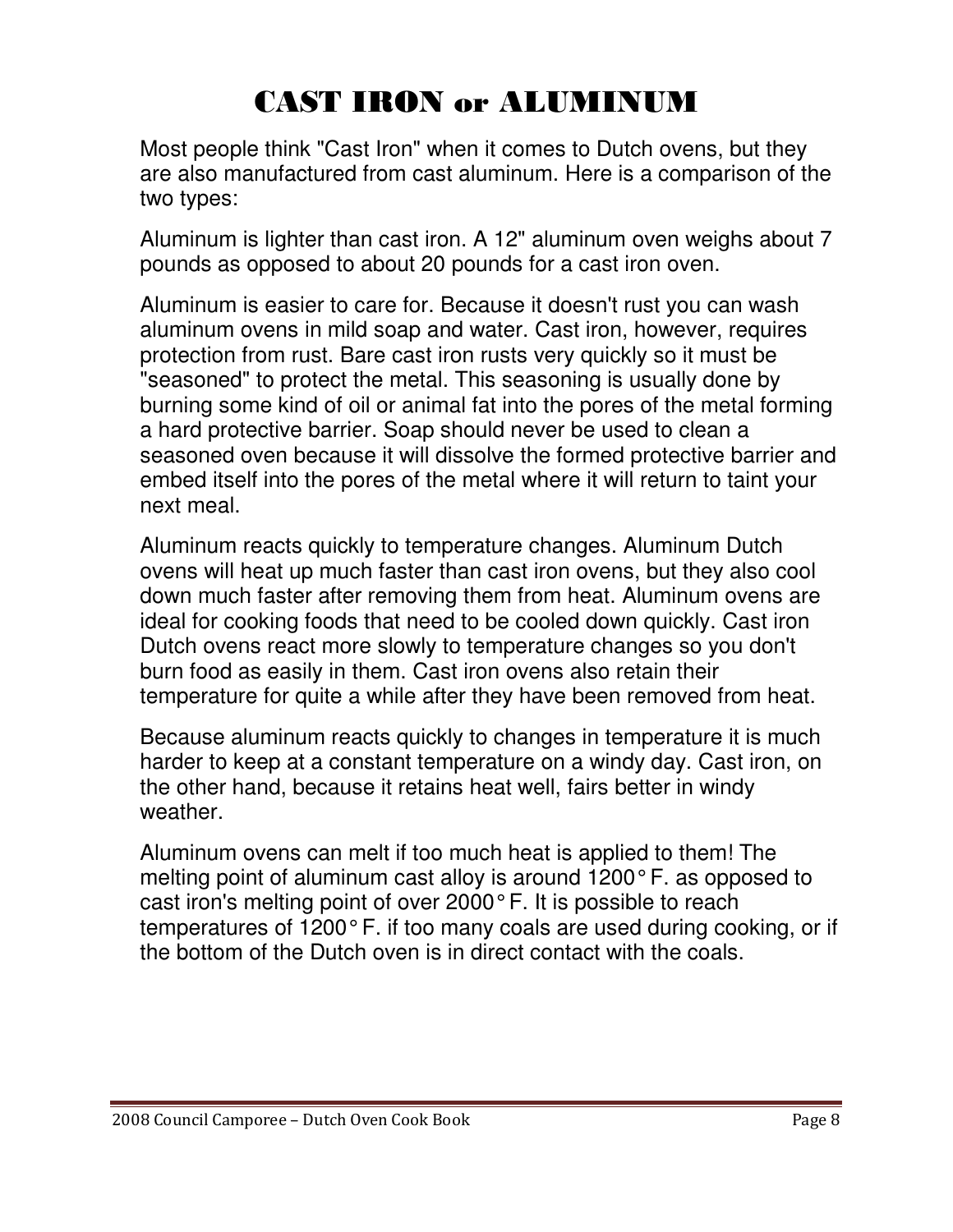## CAST IRON or ALUMINUM

Most people think "Cast Iron" when it comes to Dutch ovens, but they are also manufactured from cast aluminum. Here is a comparison of the two types:

Aluminum is lighter than cast iron. A 12" aluminum oven weighs about 7 pounds as opposed to about 20 pounds for a cast iron oven.

Aluminum is easier to care for. Because it doesn't rust you can wash aluminum ovens in mild soap and water. Cast iron, however, requires protection from rust. Bare cast iron rusts very quickly so it must be "seasoned" to protect the metal. This seasoning is usually done by burning some kind of oil or animal fat into the pores of the metal forming a hard protective barrier. Soap should never be used to clean a seasoned oven because it will dissolve the formed protective barrier and embed itself into the pores of the metal where it will return to taint your next meal.

Aluminum reacts quickly to temperature changes. Aluminum Dutch ovens will heat up much faster than cast iron ovens, but they also cool down much faster after removing them from heat. Aluminum ovens are ideal for cooking foods that need to be cooled down quickly. Cast iron Dutch ovens react more slowly to temperature changes so you don't burn food as easily in them. Cast iron ovens also retain their temperature for quite a while after they have been removed from heat.

Because aluminum reacts quickly to changes in temperature it is much harder to keep at a constant temperature on a windy day. Cast iron, on the other hand, because it retains heat well, fairs better in windy weather.

Aluminum ovens can melt if too much heat is applied to them! The melting point of aluminum cast alloy is around 1200° F. as opposed to cast iron's melting point of over 2000° F. It is possible to reach temperatures of 1200° F. if too many coals are used during cooking, or if the bottom of the Dutch oven is in direct contact with the coals.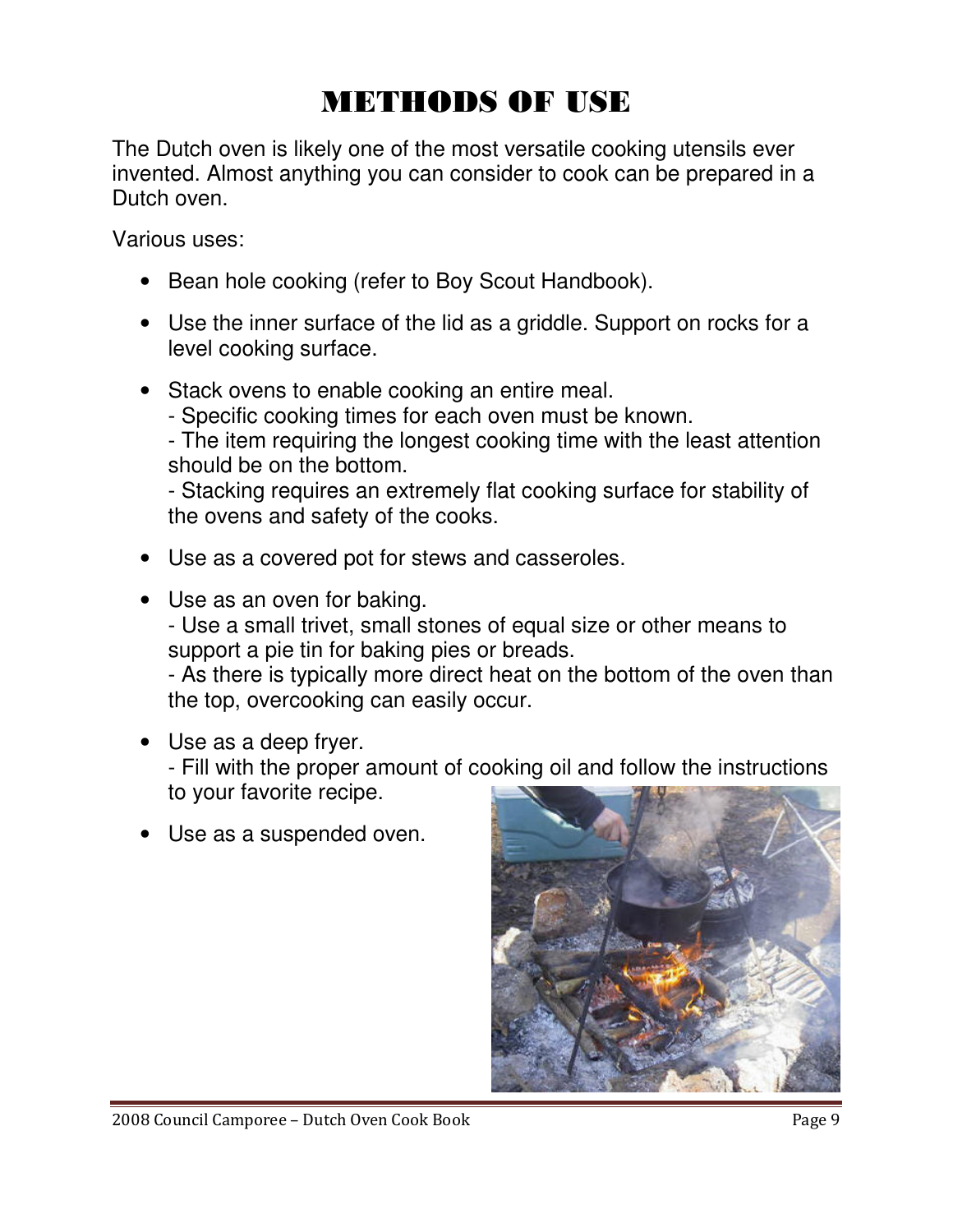## METHODS OF USE

The Dutch oven is likely one of the most versatile cooking utensils ever invented. Almost anything you can consider to cook can be prepared in a Dutch oven.

Various uses:

- Bean hole cooking (refer to Boy Scout Handbook).
- Use the inner surface of the lid as a griddle. Support on rocks for a level cooking surface.
- Stack ovens to enable cooking an entire meal.
	- Specific cooking times for each oven must be known.

- The item requiring the longest cooking time with the least attention should be on the bottom.

- Stacking requires an extremely flat cooking surface for stability of the ovens and safety of the cooks.

- Use as a covered pot for stews and casseroles.
- Use as an oven for baking.

- Use a small trivet, small stones of equal size or other means to support a pie tin for baking pies or breads.

- As there is typically more direct heat on the bottom of the oven than the top, overcooking can easily occur.

• Use as a deep fryer.

- Fill with the proper amount of cooking oil and follow the instructions to your favorite recipe.

• Use as a suspended oven.



2008 Council Camporee – Dutch Oven Cook Book Page 9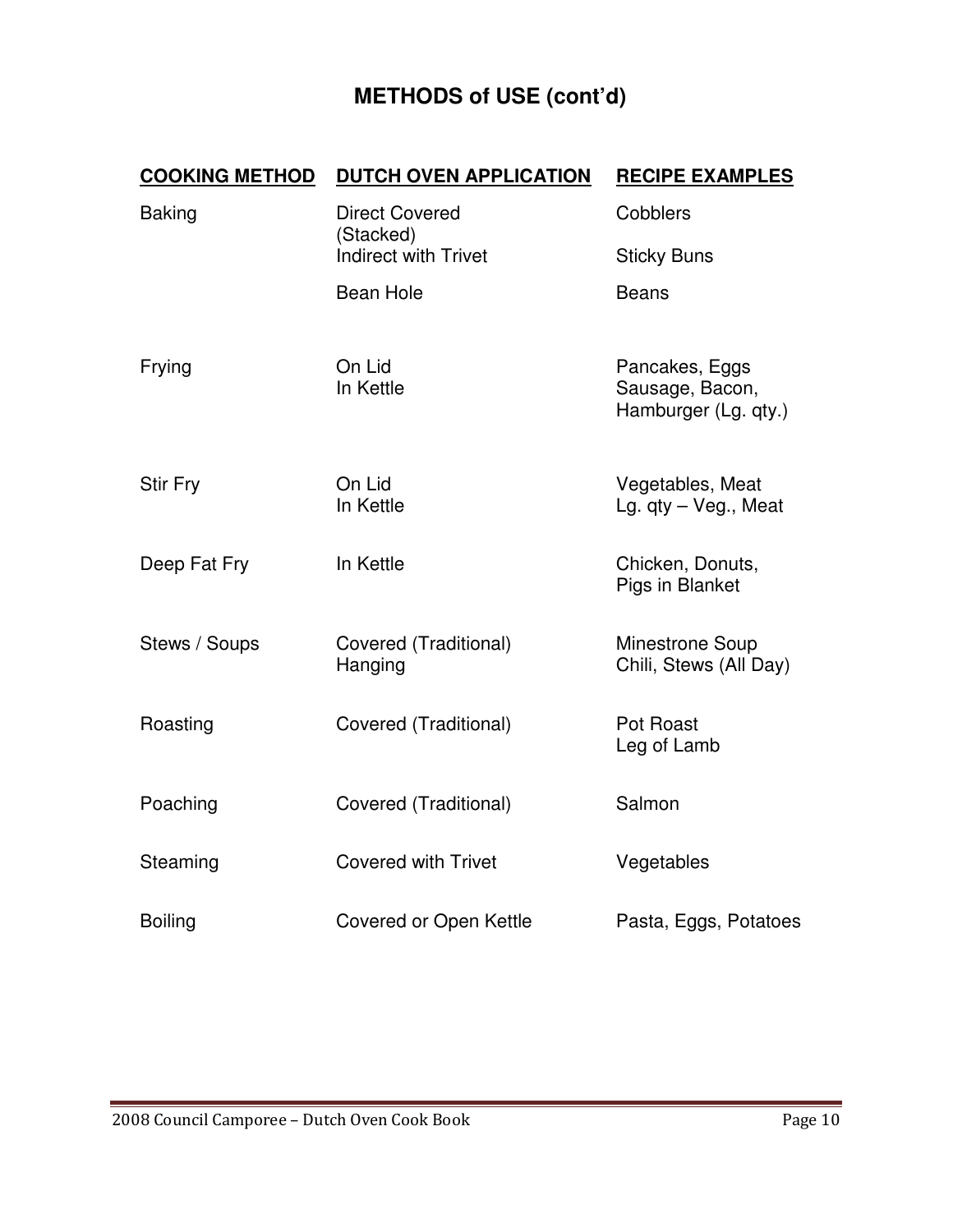## **METHODS of USE (cont'd)**

| <b>COOKING METHOD</b> | <b>DUTCH OVEN APPLICATION</b>                                     | <b>RECIPE EXAMPLES</b>                                    |
|-----------------------|-------------------------------------------------------------------|-----------------------------------------------------------|
| <b>Baking</b>         | <b>Direct Covered</b><br>(Stacked)<br><b>Indirect with Trivet</b> | Cobblers<br><b>Sticky Buns</b>                            |
|                       | <b>Bean Hole</b>                                                  | <b>Beans</b>                                              |
|                       |                                                                   |                                                           |
| Frying                | On Lid<br>In Kettle                                               | Pancakes, Eggs<br>Sausage, Bacon,<br>Hamburger (Lg. qty.) |
| <b>Stir Fry</b>       | On Lid<br>In Kettle                                               | Vegetables, Meat<br>Lg. qty - Veg., Meat                  |
| Deep Fat Fry          | In Kettle                                                         | Chicken, Donuts,<br>Pigs in Blanket                       |
| Stews / Soups         | Covered (Traditional)<br>Hanging                                  | <b>Minestrone Soup</b><br>Chili, Stews (All Day)          |
| Roasting              | Covered (Traditional)                                             | Pot Roast<br>Leg of Lamb                                  |
| Poaching              | Covered (Traditional)                                             | Salmon                                                    |
| Steaming              | <b>Covered with Trivet</b>                                        | Vegetables                                                |
| <b>Boiling</b>        | Covered or Open Kettle                                            | Pasta, Eggs, Potatoes                                     |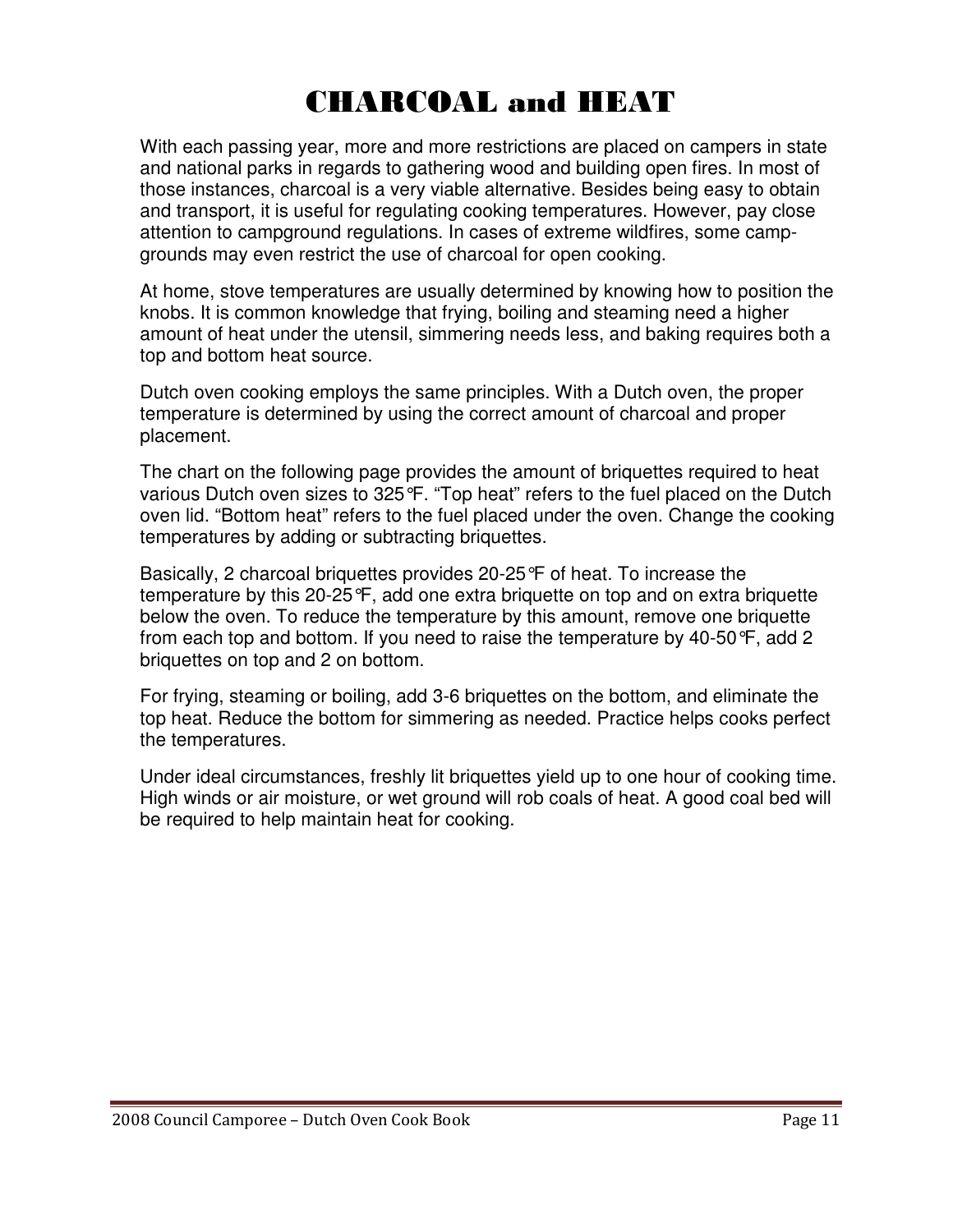## CHARCOAL and HEAT

With each passing year, more and more restrictions are placed on campers in state and national parks in regards to gathering wood and building open fires. In most of those instances, charcoal is a very viable alternative. Besides being easy to obtain and transport, it is useful for regulating cooking temperatures. However, pay close attention to campground regulations. In cases of extreme wildfires, some campgrounds may even restrict the use of charcoal for open cooking.

At home, stove temperatures are usually determined by knowing how to position the knobs. It is common knowledge that frying, boiling and steaming need a higher amount of heat under the utensil, simmering needs less, and baking requires both a top and bottom heat source.

Dutch oven cooking employs the same principles. With a Dutch oven, the proper temperature is determined by using the correct amount of charcoal and proper placement.

The chart on the following page provides the amount of briquettes required to heat various Dutch oven sizes to 325°F. "Top heat" refers to the fuel placed on the Dutch oven lid. "Bottom heat" refers to the fuel placed under the oven. Change the cooking temperatures by adding or subtracting briquettes.

Basically, 2 charcoal briquettes provides 20-25°F of heat. To increase the temperature by this 20-25°F, add one extra briquette on top and on extra briquette below the oven. To reduce the temperature by this amount, remove one briquette from each top and bottom. If you need to raise the temperature by 40-50°F, add 2 briquettes on top and 2 on bottom.

For frying, steaming or boiling, add 3-6 briquettes on the bottom, and eliminate the top heat. Reduce the bottom for simmering as needed. Practice helps cooks perfect the temperatures.

Under ideal circumstances, freshly lit briquettes yield up to one hour of cooking time. High winds or air moisture, or wet ground will rob coals of heat. A good coal bed will be required to help maintain heat for cooking.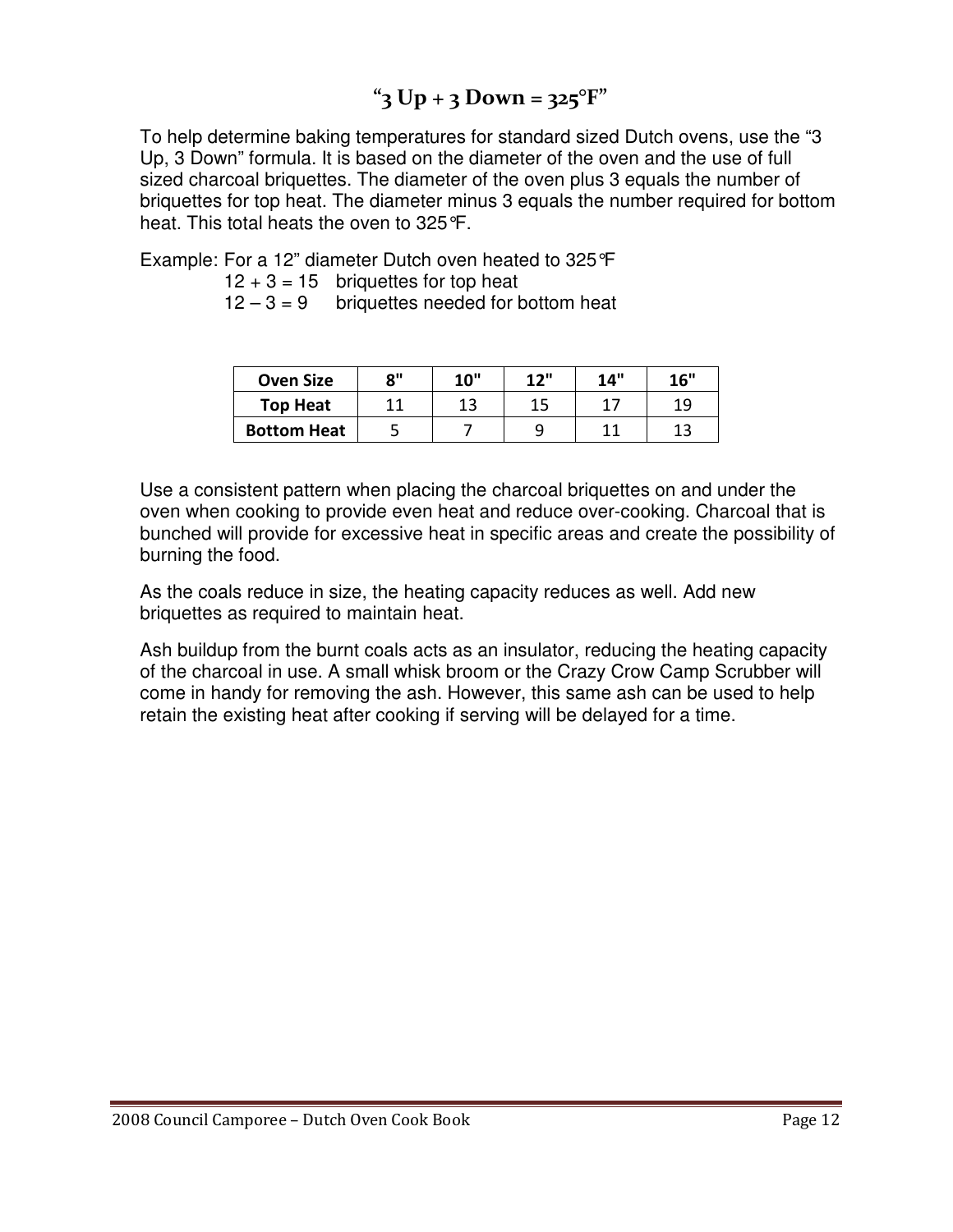### $"3 Up + 3 Down = 325$ °F"

To help determine baking temperatures for standard sized Dutch ovens, use the "3 Up, 3 Down" formula. It is based on the diameter of the oven and the use of full sized charcoal briquettes. The diameter of the oven plus 3 equals the number of briquettes for top heat. The diameter minus 3 equals the number required for bottom heat. This total heats the oven to 325°F.

Example: For a 12" diameter Dutch oven heated to 325°F

 $12 + 3 = 15$  briquettes for top heat

 $12 - 3 = 9$  briquettes needed for bottom heat

| <b>Oven Size</b>   | 0" | <b>10"</b> | 12" | 14" | 16" |
|--------------------|----|------------|-----|-----|-----|
| <b>Top Heat</b>    | 44 | 13         | 15  | 17  | 10  |
| <b>Bottom Heat</b> |    |            |     | 11  |     |

Use a consistent pattern when placing the charcoal briquettes on and under the oven when cooking to provide even heat and reduce over-cooking. Charcoal that is bunched will provide for excessive heat in specific areas and create the possibility of burning the food.

As the coals reduce in size, the heating capacity reduces as well. Add new briquettes as required to maintain heat.

Ash buildup from the burnt coals acts as an insulator, reducing the heating capacity of the charcoal in use. A small whisk broom or the Crazy Crow Camp Scrubber will come in handy for removing the ash. However, this same ash can be used to help retain the existing heat after cooking if serving will be delayed for a time.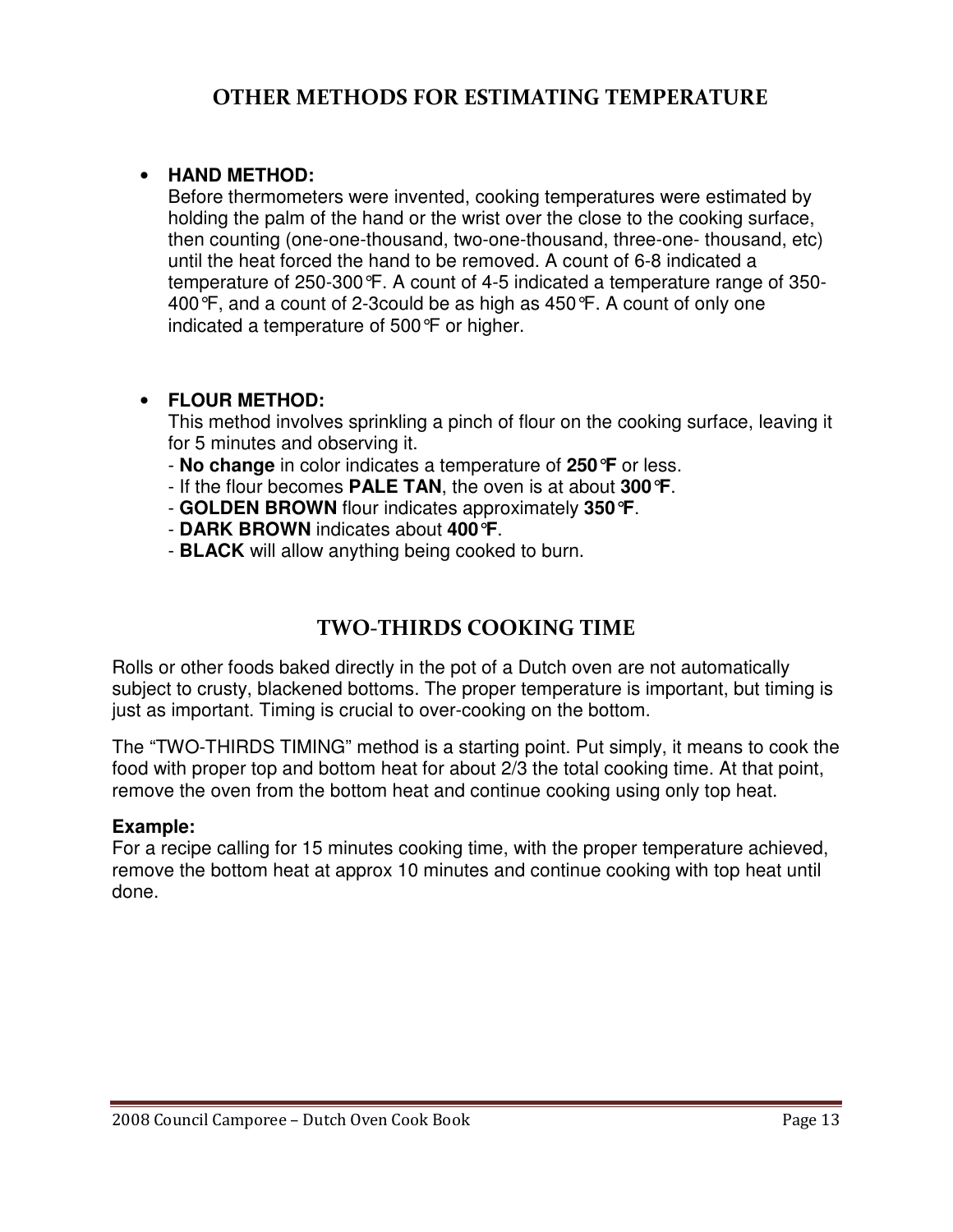#### • **HAND METHOD:**

Before thermometers were invented, cooking temperatures were estimated by holding the palm of the hand or the wrist over the close to the cooking surface, then counting (one-one-thousand, two-one-thousand, three-one- thousand, etc) until the heat forced the hand to be removed. A count of 6-8 indicated a temperature of 250-300°F. A count of 4-5 indicated a temperature range of 350- 400°F, and a count of 2-3could be as high as 450°F. A count of only one indicated a temperature of 500°F or higher.

#### • **FLOUR METHOD:**

This method involves sprinkling a pinch of flour on the cooking surface, leaving it for 5 minutes and observing it.

- **No change** in color indicates a temperature of **250°F** or less.
- If the flour becomes **PALE TAN**, the oven is at about **300°F**.
- **GOLDEN BROWN** flour indicates approximately **350°F**.
- **DARK BROWN** indicates about **400°F**.
- **BLACK** will allow anything being cooked to burn.

#### TWO-THIRDS COOKING TIME

Rolls or other foods baked directly in the pot of a Dutch oven are not automatically subject to crusty, blackened bottoms. The proper temperature is important, but timing is just as important. Timing is crucial to over-cooking on the bottom.

The "TWO-THIRDS TIMING" method is a starting point. Put simply, it means to cook the food with proper top and bottom heat for about 2/3 the total cooking time. At that point, remove the oven from the bottom heat and continue cooking using only top heat.

#### **Example:**

For a recipe calling for 15 minutes cooking time, with the proper temperature achieved, remove the bottom heat at approx 10 minutes and continue cooking with top heat until done.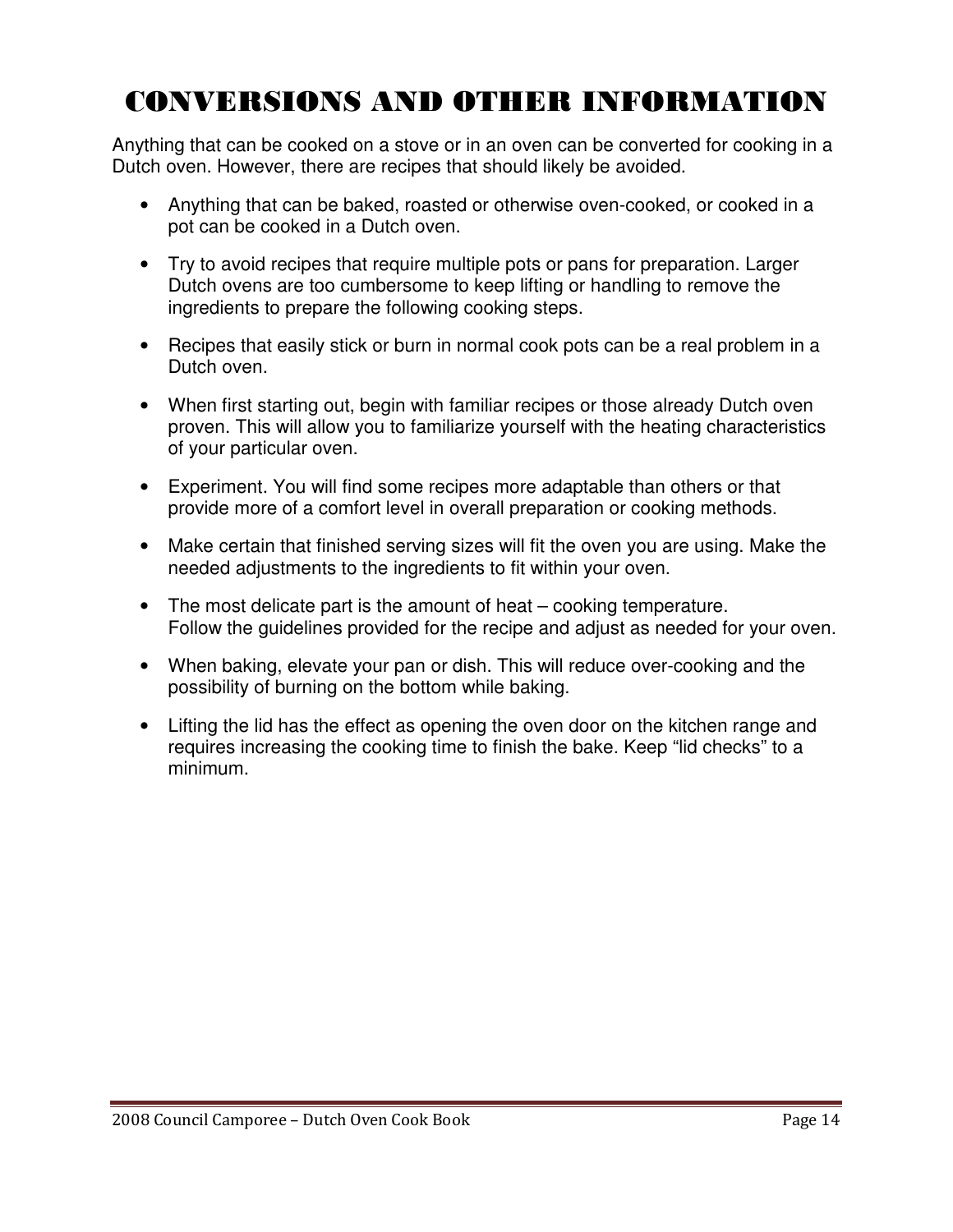## CONVERSIONS AND OTHER INFORMATION

Anything that can be cooked on a stove or in an oven can be converted for cooking in a Dutch oven. However, there are recipes that should likely be avoided.

- Anything that can be baked, roasted or otherwise oven-cooked, or cooked in a pot can be cooked in a Dutch oven.
- Try to avoid recipes that require multiple pots or pans for preparation. Larger Dutch ovens are too cumbersome to keep lifting or handling to remove the ingredients to prepare the following cooking steps.
- Recipes that easily stick or burn in normal cook pots can be a real problem in a Dutch oven.
- When first starting out, begin with familiar recipes or those already Dutch oven proven. This will allow you to familiarize yourself with the heating characteristics of your particular oven.
- Experiment. You will find some recipes more adaptable than others or that provide more of a comfort level in overall preparation or cooking methods.
- Make certain that finished serving sizes will fit the oven you are using. Make the needed adjustments to the ingredients to fit within your oven.
- The most delicate part is the amount of heat cooking temperature. Follow the guidelines provided for the recipe and adjust as needed for your oven.
- When baking, elevate your pan or dish. This will reduce over-cooking and the possibility of burning on the bottom while baking.
- Lifting the lid has the effect as opening the oven door on the kitchen range and requires increasing the cooking time to finish the bake. Keep "lid checks" to a minimum.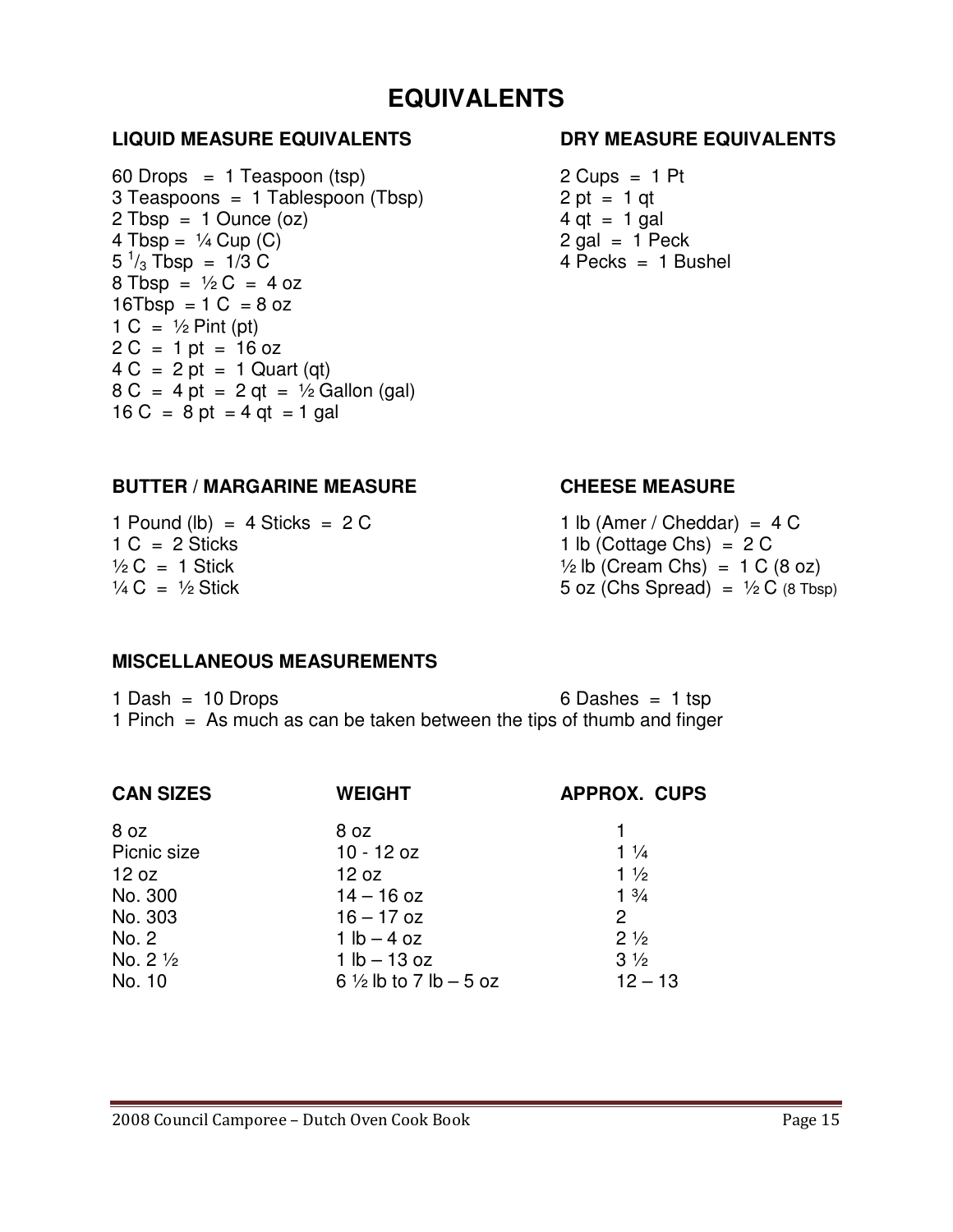### **EQUIVALENTS**

#### **LIQUID MEASURE EQUIVALENTS DRY MEASURE EQUIVALENTS**

 $60$  Drops = 1 Teaspoon (tsp) 2 Cups = 1 Pt  $3$  Teaspoons = 1 Tablespoon (Tbsp) 2 pt = 1 qt  $2 \text{ Tbsp} = 1 \text{ Ounce}(\text{oz})$  4 qt = 1 gal  $4 \text{ Tbsp} = \frac{1}{4} \text{Cup} (C)$  2 gal = 1 Peck  $5^{1}/_{3}$  Tbsp = 1/3 C  $8$  Tbsp =  $\frac{1}{2}$ C = 4 oz 16 $Tbsp = 1 C = 8 oz$ 1 C =  $\frac{1}{2}$  Pint (pt)  $2 C = 1 pt = 16 oz$  $4 C = 2 pt = 1$  Quart (qt)  $8 C = 4 pt = 2 qt = ½ Gallon (gal)$  $16 C = 8 pt = 4 qt = 1 gal$ 

 $4$  Pecks = 1 Bushel

#### **BUTTER / MARGARINE MEASURE CHEESE MEASURE**

1 Pound  $(lb) = 4$  Sticks = 2 C 1 lb (Amer / Cheddar) = 4 C 1 C = 2 Sticks 1 lb (Cottage Chs) = 2 C

 $\frac{1}{2}$  C = 1 Stick  $\frac{1}{2}$  lb (Cream Chs) = 1 C (8 oz)  $\frac{1}{4}C = \frac{1}{2}$  Stick 5 oz (Chs Spread) =  $\frac{1}{2}C$  (8 Tbsp)

#### **MISCELLANEOUS MEASUREMENTS**

1 Dash = 10 Drops 6 Dashes = 1 tsp 1 Pinch = As much as can be taken between the tips of thumb and finger

| <b>CAN SIZES</b>   | <b>WEIGHT</b>                     | <b>APPROX. CUPS</b> |
|--------------------|-----------------------------------|---------------------|
| 8 oz               | 8 oz                              |                     |
| Picnic size        | $10 - 12$ oz                      | $1\frac{1}{4}$      |
| 12 oz              | 12 oz                             | $1\frac{1}{2}$      |
| No. 300            | $14 - 16$ oz                      | $1 \frac{3}{4}$     |
| No. 303            | $16 - 17$ oz                      | $\overline{2}$      |
| No. 2              | $1 lb - 4 oz$                     | $2\frac{1}{2}$      |
| No. $2\frac{1}{2}$ | $1 lb - 13 oz$                    | $3\frac{1}{2}$      |
| No. 10             | 6 $\frac{1}{2}$ lb to 7 lb - 5 oz | $12 - 13$           |
|                    |                                   |                     |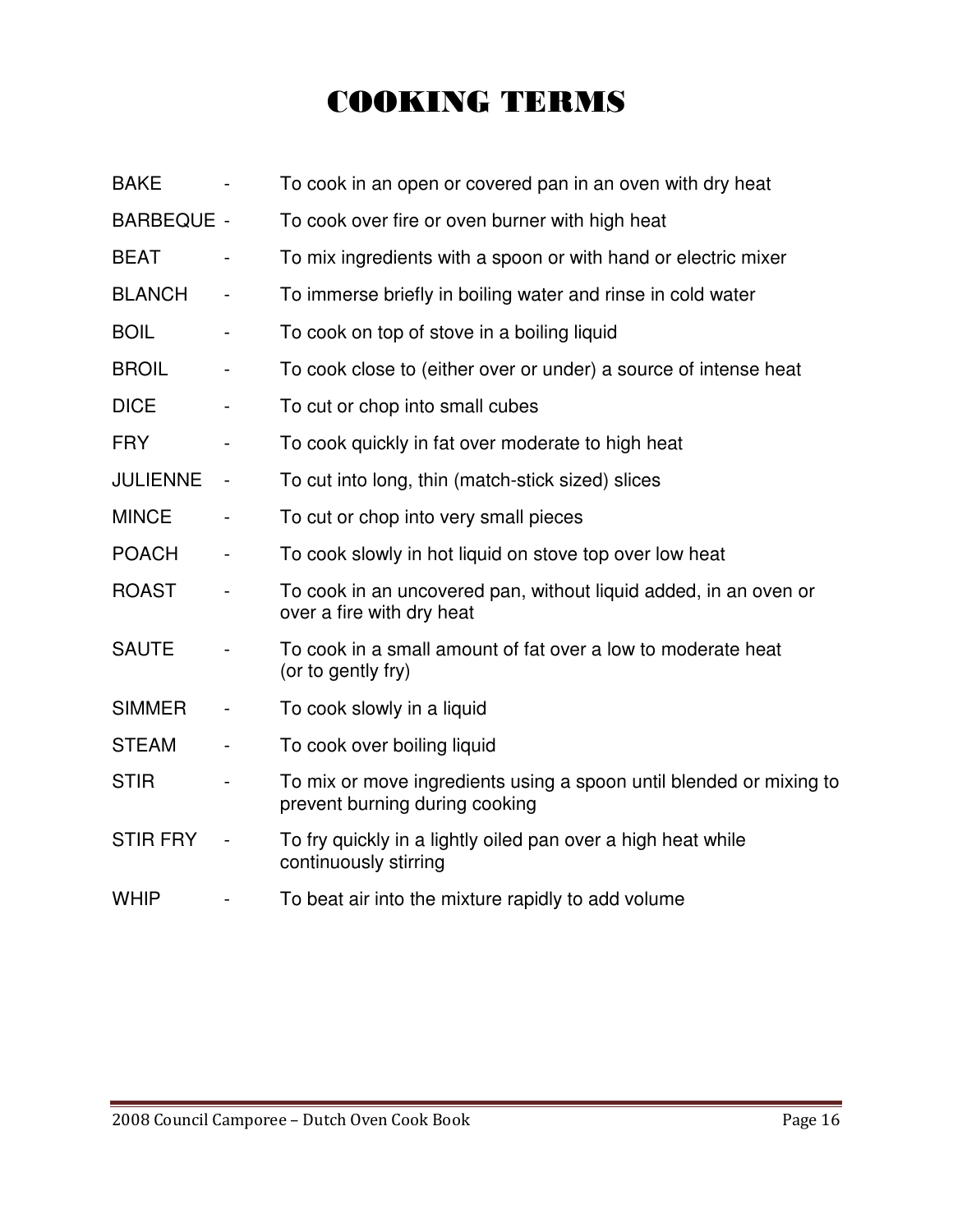## COOKING TERMS

| <b>BAKE</b>       |                              | To cook in an open or covered pan in an oven with dry heat                                            |
|-------------------|------------------------------|-------------------------------------------------------------------------------------------------------|
| <b>BARBEQUE -</b> |                              | To cook over fire or oven burner with high heat                                                       |
| <b>BEAT</b>       | $\qquad \qquad \blacksquare$ | To mix ingredients with a spoon or with hand or electric mixer                                        |
| <b>BLANCH</b>     |                              | To immerse briefly in boiling water and rinse in cold water                                           |
| <b>BOIL</b>       | $\overline{\phantom{a}}$     | To cook on top of stove in a boiling liquid                                                           |
| <b>BROIL</b>      | $\qquad \qquad \blacksquare$ | To cook close to (either over or under) a source of intense heat                                      |
| <b>DICE</b>       | $\qquad \qquad \blacksquare$ | To cut or chop into small cubes                                                                       |
| <b>FRY</b>        |                              | To cook quickly in fat over moderate to high heat                                                     |
| <b>JULIENNE</b>   | $\overline{\phantom{a}}$     | To cut into long, thin (match-stick sized) slices                                                     |
| <b>MINCE</b>      |                              | To cut or chop into very small pieces                                                                 |
| <b>POACH</b>      | $\frac{1}{2}$                | To cook slowly in hot liquid on stove top over low heat                                               |
| <b>ROAST</b>      |                              | To cook in an uncovered pan, without liquid added, in an oven or<br>over a fire with dry heat         |
| <b>SAUTE</b>      |                              | To cook in a small amount of fat over a low to moderate heat<br>(or to gently fry)                    |
| <b>SIMMER</b>     |                              | To cook slowly in a liquid                                                                            |
| <b>STEAM</b>      |                              | To cook over boiling liquid                                                                           |
| <b>STIR</b>       |                              | To mix or move ingredients using a spoon until blended or mixing to<br>prevent burning during cooking |
| <b>STIR FRY</b>   |                              | To fry quickly in a lightly oiled pan over a high heat while<br>continuously stirring                 |
| <b>WHIP</b>       |                              | To beat air into the mixture rapidly to add volume                                                    |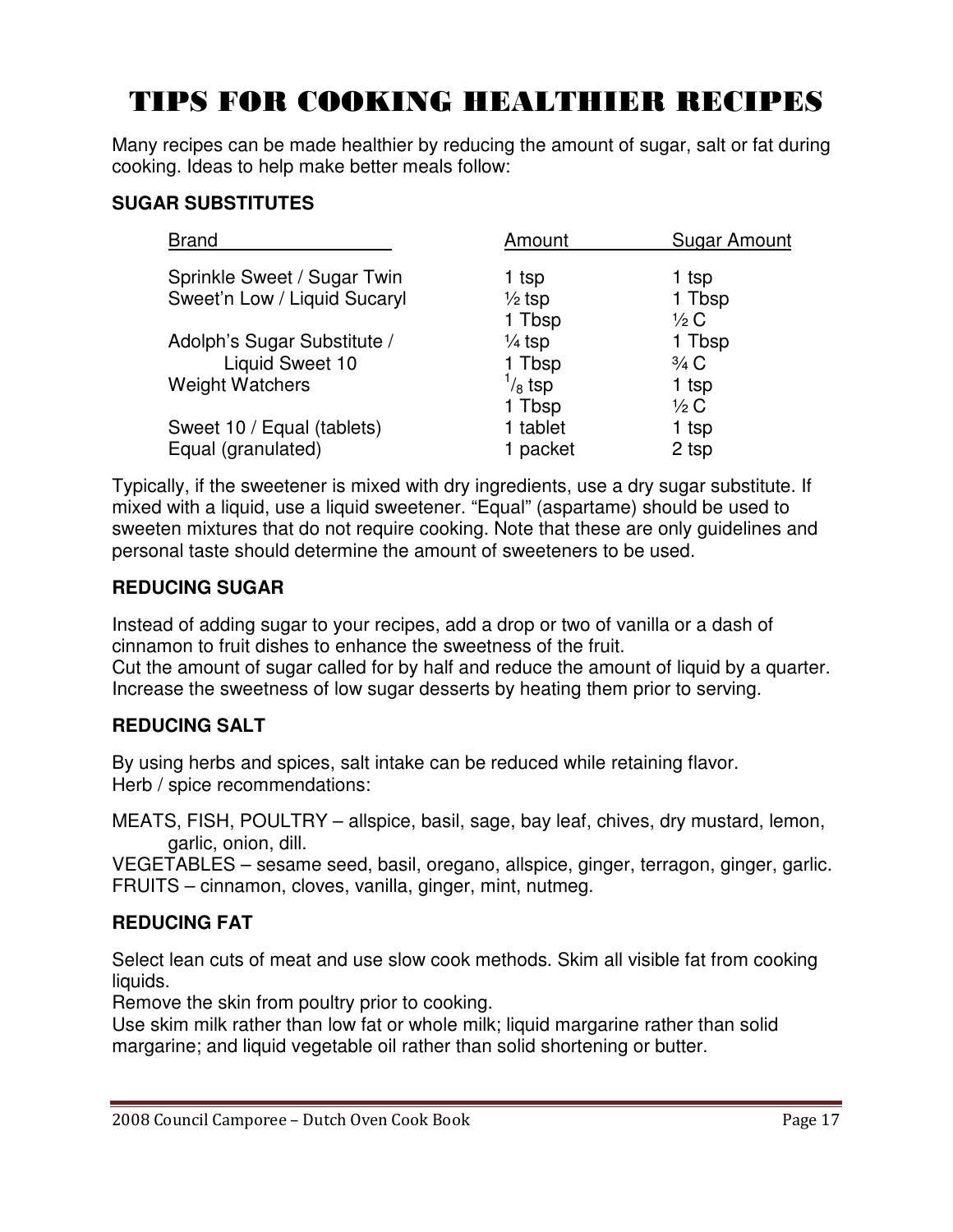## TIPS FOR COOKING HEALTHIER RECIPES

Many recipes can be made healthier by reducing the amount of sugar, salt or fat during cooking. Ideas to help make better meals follow:

#### **SUGAR SUBSTITUTES**

| <b>Brand</b>                 | Amount            | Sugar Amount    |
|------------------------------|-------------------|-----------------|
| Sprinkle Sweet / Sugar Twin  | 1 tsp             | 1 tsp           |
| Sweet'n Low / Liquid Sucaryl | $\frac{1}{2}$ tsp | 1 Tbsp          |
|                              | 1 Tbsp            | $\frac{1}{2}C$  |
| Adolph's Sugar Substitute /  | $\frac{1}{4}$ tsp | 1 Tbsp          |
| Liquid Sweet 10              | 1 Tbsp            | $\frac{3}{4}$ C |
| <b>Weight Watchers</b>       | $\frac{1}{8}$ tsp | 1 tsp           |
|                              | 1 Tbsp            | $\frac{1}{2}C$  |
| Sweet 10 / Equal (tablets)   | 1 tablet          | 1 tsp           |
| Equal (granulated)           | 1 packet          | 2 tsp           |
|                              |                   |                 |

Typically, if the sweetener is mixed with dry ingredients, use a dry sugar substitute. If mixed with a liquid, use a liquid sweetener. "Equal" (aspartame) should be used to sweeten mixtures that do not require cooking. Note that these are only guidelines and personal taste should determine the amount of sweeteners to be used.

#### **REDUCING SUGAR**

Instead of adding sugar to your recipes, add a drop or two of vanilla or a dash of cinnamon to fruit dishes to enhance the sweetness of the fruit. Cut the amount of sugar called for by half and reduce the amount of liquid by a quarter. Increase the sweetness of low sugar desserts by heating them prior to serving.

#### **REDUCING SALT**

By using herbs and spices, salt intake can be reduced while retaining flavor. Herb / spice recommendations:

MEATS, FISH, POULTRY – allspice, basil, sage, bay leaf, chives, dry mustard, lemon, garlic, onion, dill.

VEGETABLES – sesame seed, basil, oregano, allspice, ginger, terragon, ginger, garlic. FRUITS – cinnamon, cloves, vanilla, ginger, mint, nutmeg.

#### **REDUCING FAT**

Select lean cuts of meat and use slow cook methods. Skim all visible fat from cooking liquids.

Remove the skin from poultry prior to cooking.

Use skim milk rather than low fat or whole milk; liquid margarine rather than solid margarine; and liquid vegetable oil rather than solid shortening or butter.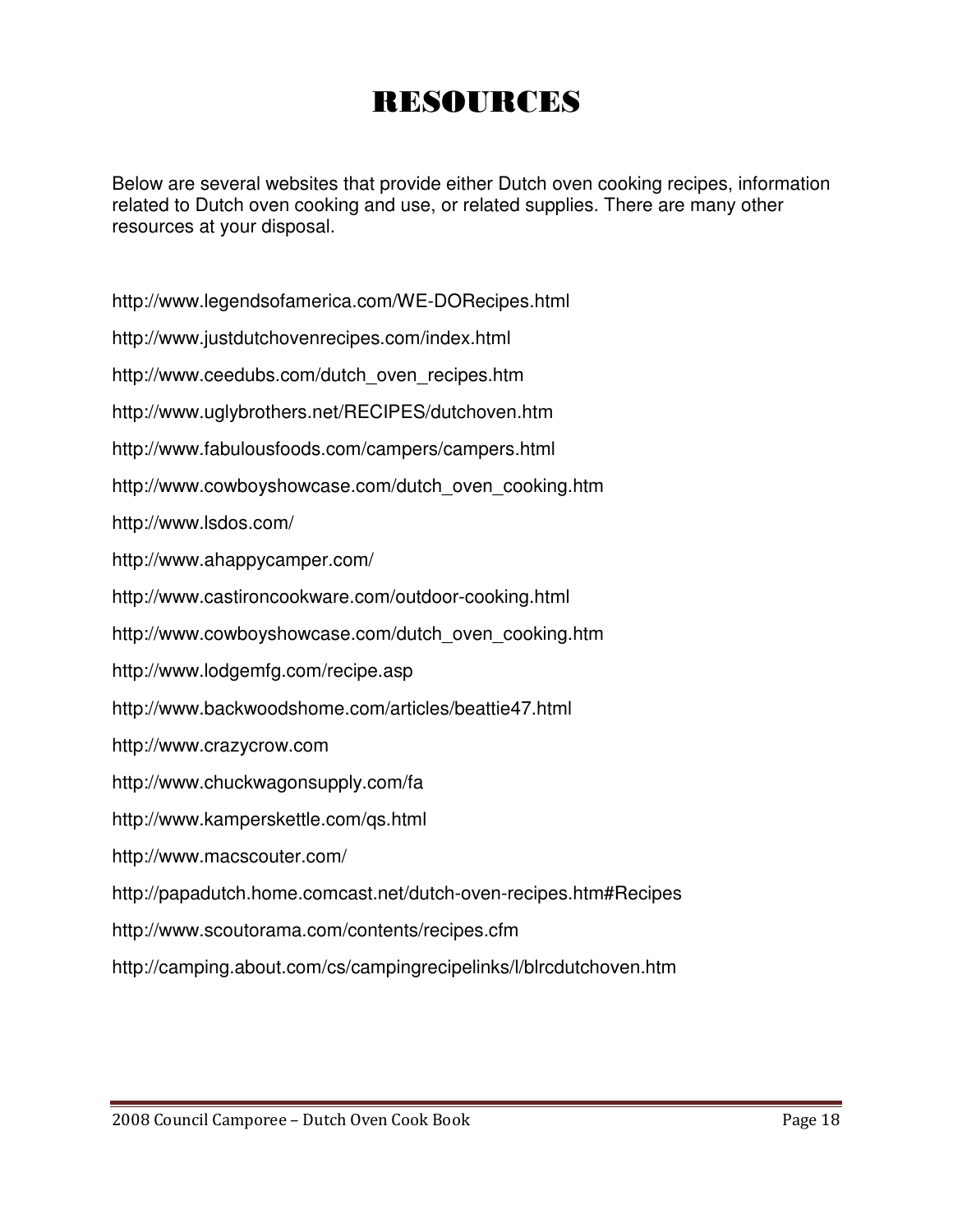## RESOURCES

Below are several websites that provide either Dutch oven cooking recipes, information related to Dutch oven cooking and use, or related supplies. There are many other resources at your disposal.

http://www.legendsofamerica.com/WE-DORecipes.html

http://www.justdutchovenrecipes.com/index.html

http://www.ceedubs.com/dutch\_oven\_recipes.htm

http://www.uglybrothers.net/RECIPES/dutchoven.htm

http://www.fabulousfoods.com/campers/campers.html

http://www.cowboyshowcase.com/dutch\_oven\_cooking.htm

http://www.lsdos.com/

http://www.ahappycamper.com/

http://www.castironcookware.com/outdoor-cooking.html

http://www.cowboyshowcase.com/dutch\_oven\_cooking.htm

http://www.lodgemfg.com/recipe.asp

http://www.backwoodshome.com/articles/beattie47.html

http://www.crazycrow.com

http://www.chuckwagonsupply.com/fa

http://www.kamperskettle.com/qs.html

http://www.macscouter.com/

http://papadutch.home.comcast.net/dutch-oven-recipes.htm#Recipes

http://www.scoutorama.com/contents/recipes.cfm

http://camping.about.com/cs/campingrecipelinks/l/blrcdutchoven.htm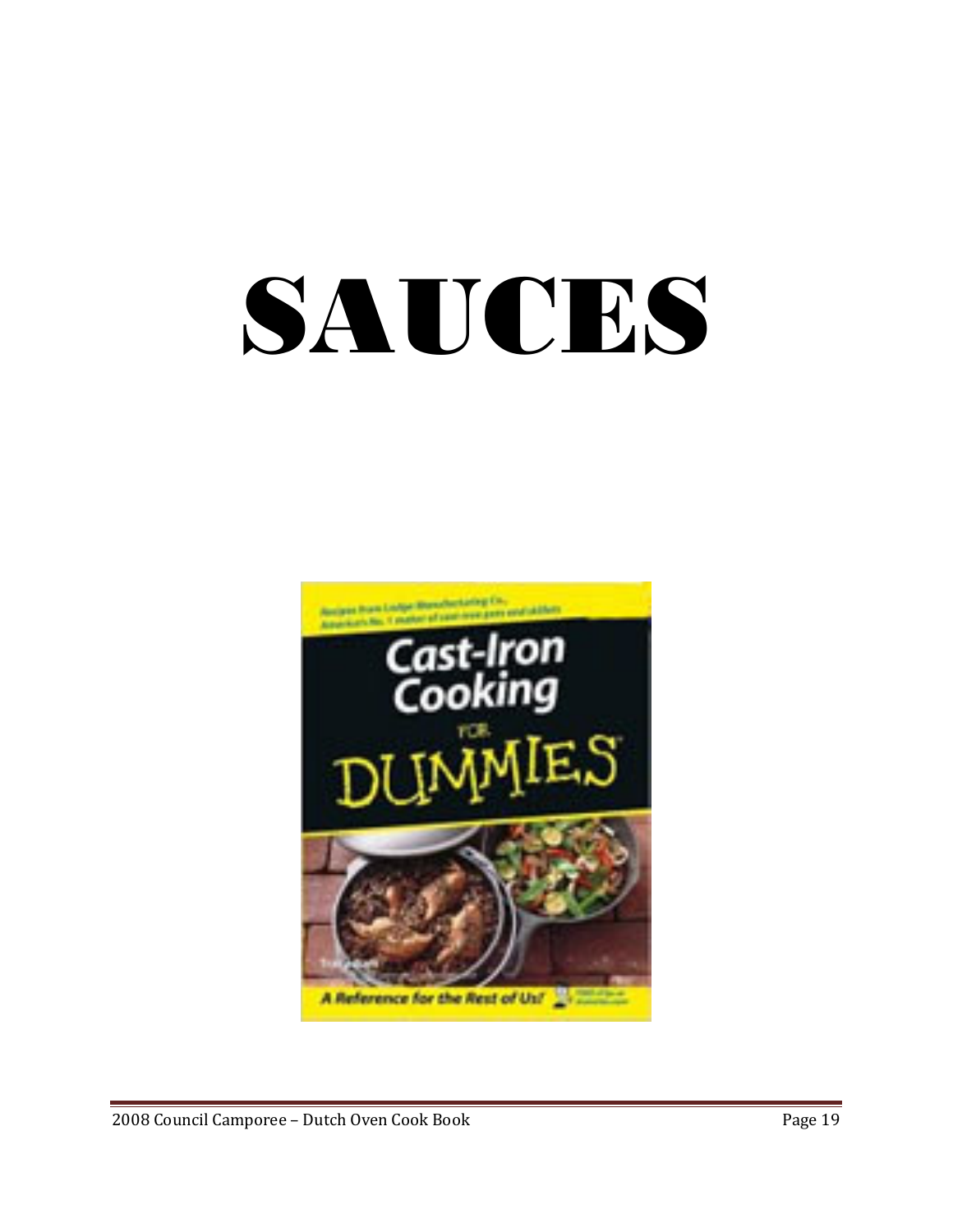# SAUCES

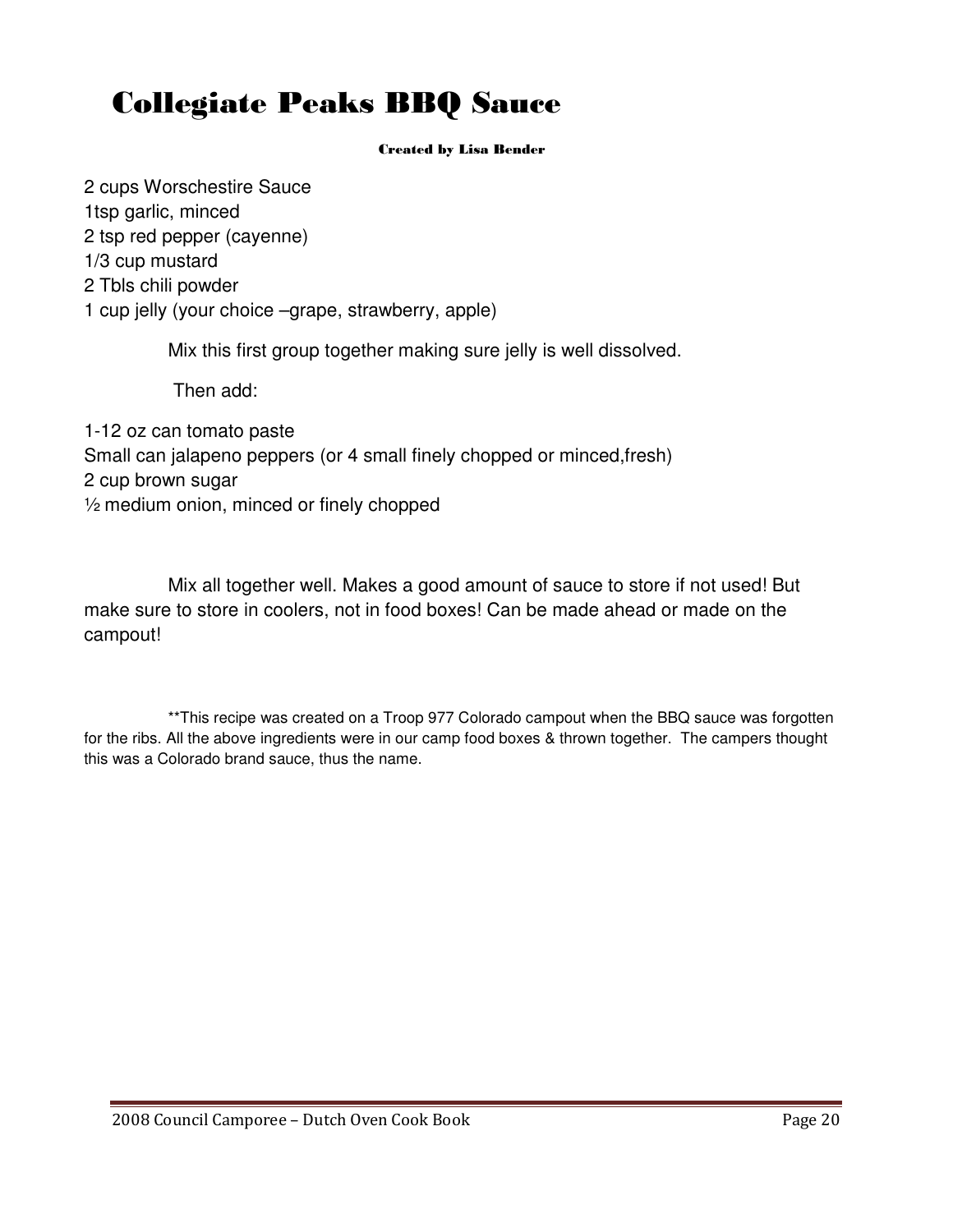## Collegiate Peaks BBQ Sauce

#### Created by Lisa Bender

2 cups Worschestire Sauce 1tsp garlic, minced 2 tsp red pepper (cayenne) 1/3 cup mustard 2 Tbls chili powder 1 cup jelly (your choice –grape, strawberry, apple)

Mix this first group together making sure jelly is well dissolved.

Then add:

1-12 oz can tomato paste Small can jalapeno peppers (or 4 small finely chopped or minced,fresh) 2 cup brown sugar ½ medium onion, minced or finely chopped

Mix all together well. Makes a good amount of sauce to store if not used! But make sure to store in coolers, not in food boxes! Can be made ahead or made on the campout!

\*\*This recipe was created on a Troop 977 Colorado campout when the BBQ sauce was forgotten for the ribs. All the above ingredients were in our camp food boxes & thrown together. The campers thought this was a Colorado brand sauce, thus the name.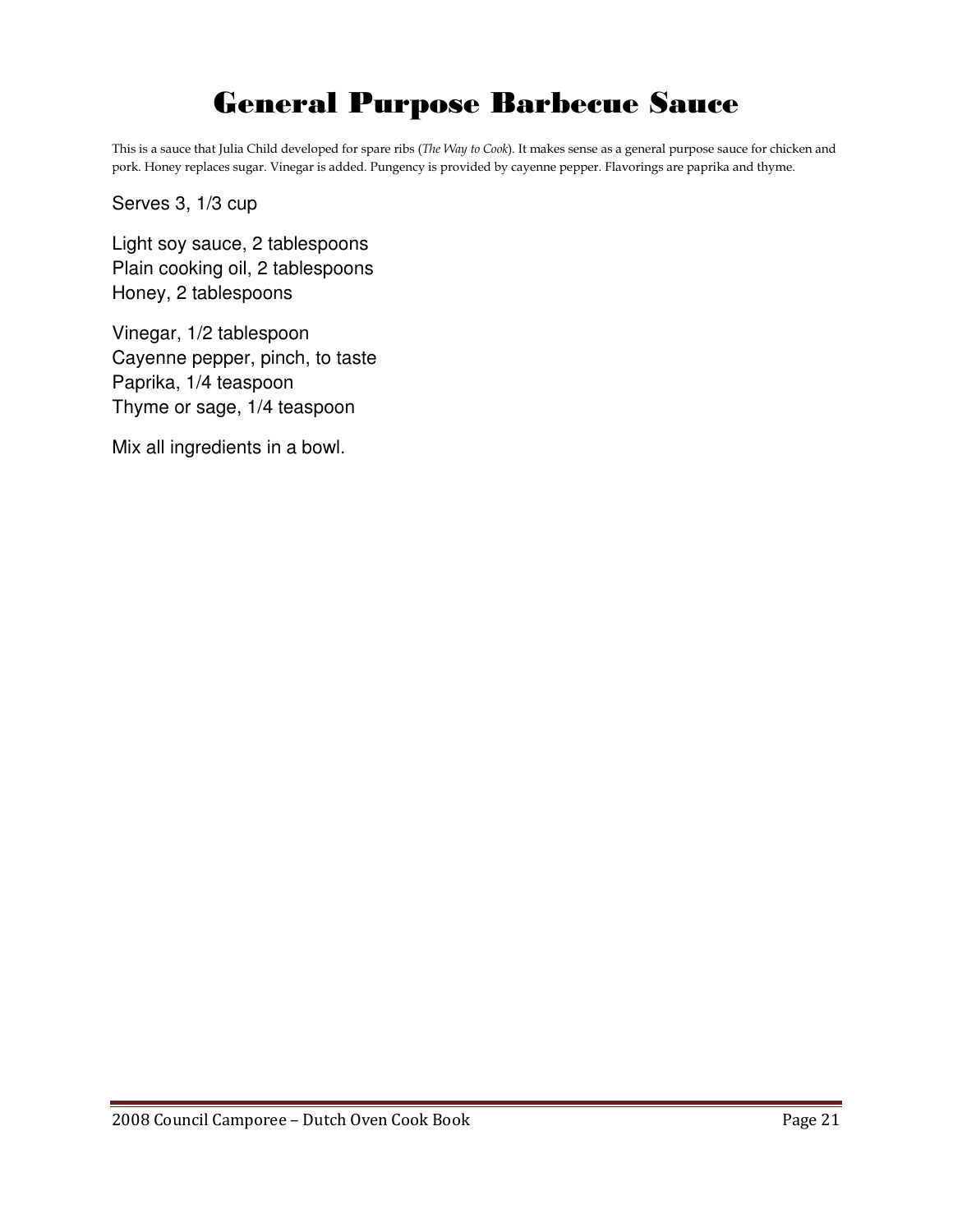## General Purpose Barbecue Sauce

This is a sauce that Julia Child developed for spare ribs (The Way to Cook). It makes sense as a general purpose sauce for chicken and pork. Honey replaces sugar. Vinegar is added. Pungency is provided by cayenne pepper. Flavorings are paprika and thyme.

Serves 3, 1/3 cup

Light soy sauce, 2 tablespoons Plain cooking oil, 2 tablespoons Honey, 2 tablespoons

Vinegar, 1/2 tablespoon Cayenne pepper, pinch, to taste Paprika, 1/4 teaspoon Thyme or sage, 1/4 teaspoon

Mix all ingredients in a bowl.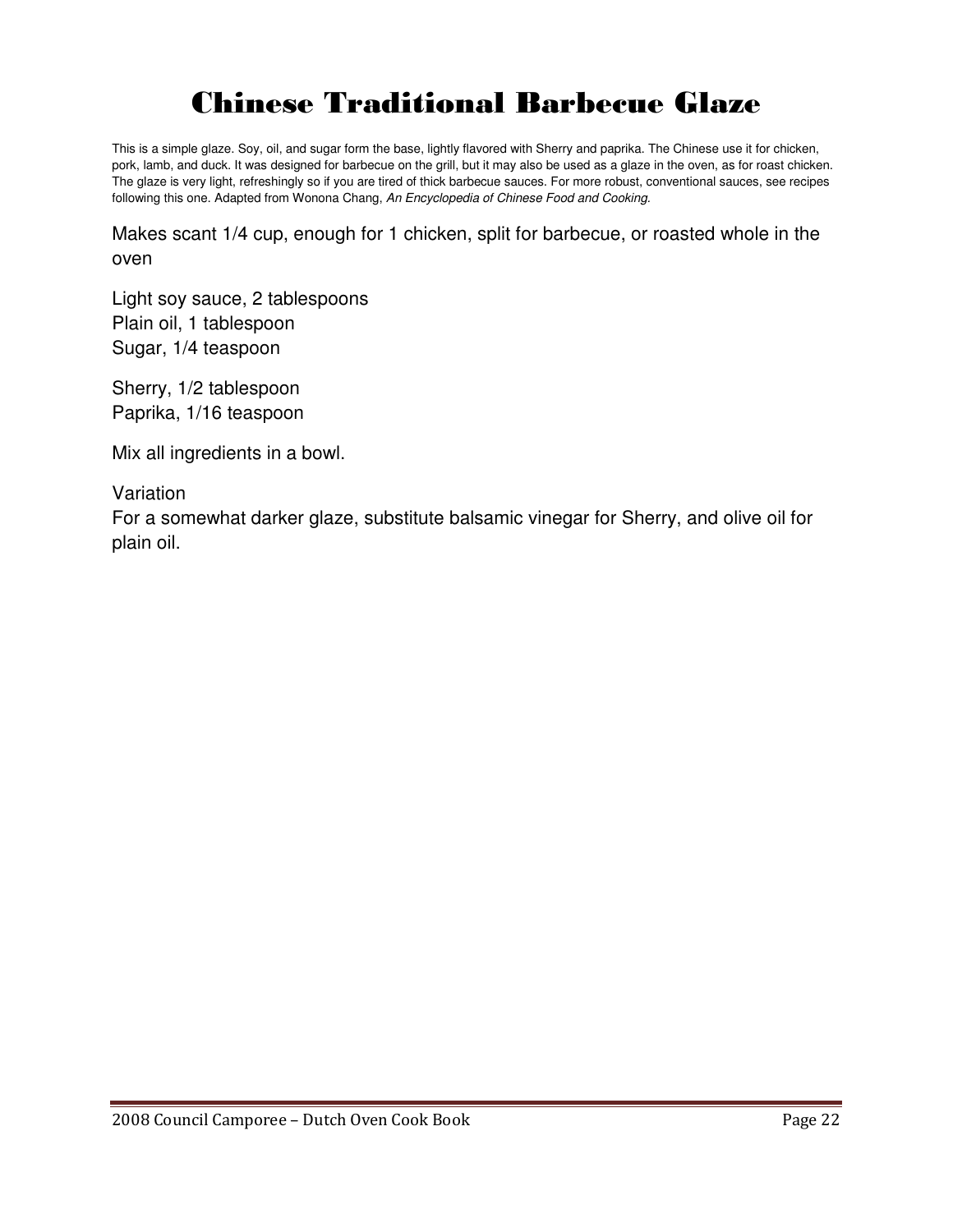## Chinese Traditional Barbecue Glaze

This is a simple glaze. Soy, oil, and sugar form the base, lightly flavored with Sherry and paprika. The Chinese use it for chicken, pork, lamb, and duck. It was designed for barbecue on the grill, but it may also be used as a glaze in the oven, as for roast chicken. The glaze is very light, refreshingly so if you are tired of thick barbecue sauces. For more robust, conventional sauces, see recipes following this one. Adapted from Wonona Chang, An Encyclopedia of Chinese Food and Cooking.

Makes scant 1/4 cup, enough for 1 chicken, split for barbecue, or roasted whole in the oven

Light soy sauce, 2 tablespoons Plain oil, 1 tablespoon Sugar, 1/4 teaspoon

Sherry, 1/2 tablespoon Paprika, 1/16 teaspoon

Mix all ingredients in a bowl.

Variation

For a somewhat darker glaze, substitute balsamic vinegar for Sherry, and olive oil for plain oil.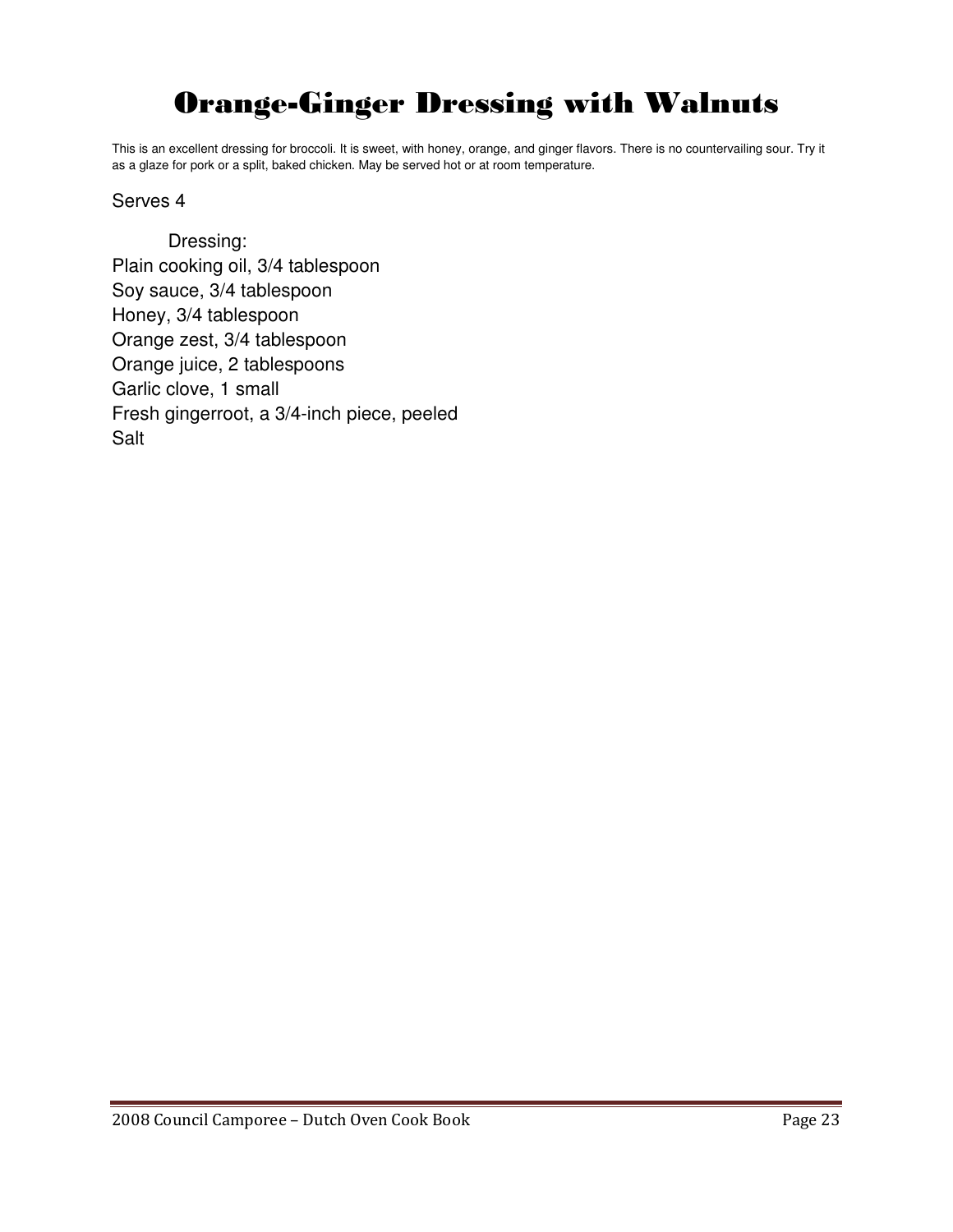## Orange-Ginger Dressing with Walnuts

This is an excellent dressing for broccoli. It is sweet, with honey, orange, and ginger flavors. There is no countervailing sour. Try it as a glaze for pork or a split, baked chicken. May be served hot or at room temperature.

#### Serves 4

Dressing: Plain cooking oil, 3/4 tablespoon Soy sauce, 3/4 tablespoon Honey, 3/4 tablespoon Orange zest, 3/4 tablespoon Orange juice, 2 tablespoons Garlic clove, 1 small Fresh gingerroot, a 3/4-inch piece, peeled Salt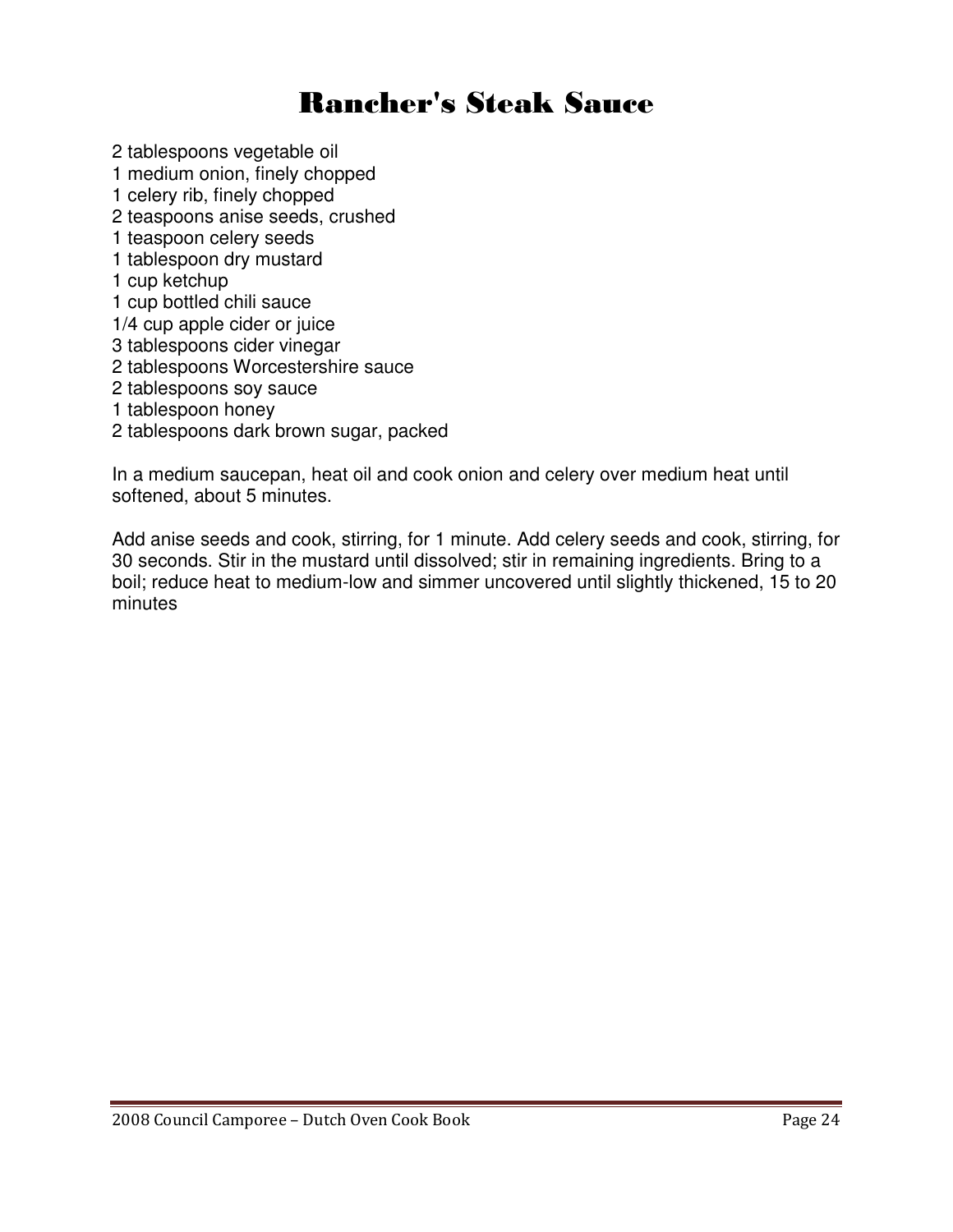## Rancher's Steak Sauce

2 tablespoons vegetable oil

- 1 medium onion, finely chopped
- 1 celery rib, finely chopped
- 2 teaspoons anise seeds, crushed
- 1 teaspoon celery seeds
- 1 tablespoon dry mustard
- 1 cup ketchup
- 1 cup bottled chili sauce
- 1/4 cup apple cider or juice
- 3 tablespoons cider vinegar
- 2 tablespoons Worcestershire sauce
- 2 tablespoons soy sauce
- 1 tablespoon honey
- 2 tablespoons dark brown sugar, packed

In a medium saucepan, heat oil and cook onion and celery over medium heat until softened, about 5 minutes.

Add anise seeds and cook, stirring, for 1 minute. Add celery seeds and cook, stirring, for 30 seconds. Stir in the mustard until dissolved; stir in remaining ingredients. Bring to a boil; reduce heat to medium-low and simmer uncovered until slightly thickened, 15 to 20 minutes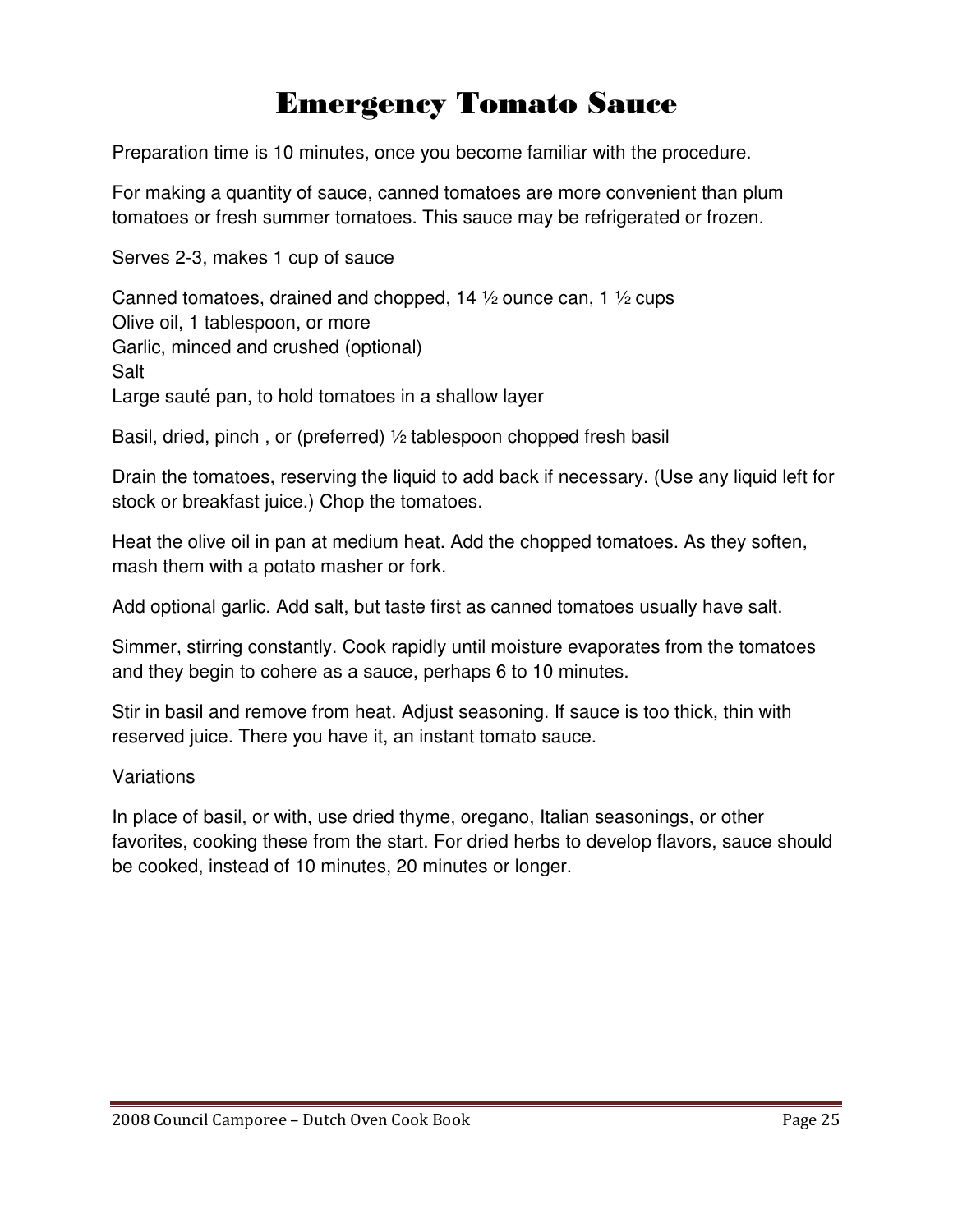## Emergency Tomato Sauce

Preparation time is 10 minutes, once you become familiar with the procedure.

For making a quantity of sauce, canned tomatoes are more convenient than plum tomatoes or fresh summer tomatoes. This sauce may be refrigerated or frozen.

Serves 2-3, makes 1 cup of sauce

Canned tomatoes, drained and chopped, 14 ½ ounce can, 1 ½ cups Olive oil, 1 tablespoon, or more Garlic, minced and crushed (optional) Salt Large sauté pan, to hold tomatoes in a shallow layer

Basil, dried, pinch , or (preferred) ½ tablespoon chopped fresh basil

Drain the tomatoes, reserving the liquid to add back if necessary. (Use any liquid left for stock or breakfast juice.) Chop the tomatoes.

Heat the olive oil in pan at medium heat. Add the chopped tomatoes. As they soften, mash them with a potato masher or fork.

Add optional garlic. Add salt, but taste first as canned tomatoes usually have salt.

Simmer, stirring constantly. Cook rapidly until moisture evaporates from the tomatoes and they begin to cohere as a sauce, perhaps 6 to 10 minutes.

Stir in basil and remove from heat. Adjust seasoning. If sauce is too thick, thin with reserved juice. There you have it, an instant tomato sauce.

#### Variations

In place of basil, or with, use dried thyme, oregano, Italian seasonings, or other favorites, cooking these from the start. For dried herbs to develop flavors, sauce should be cooked, instead of 10 minutes, 20 minutes or longer.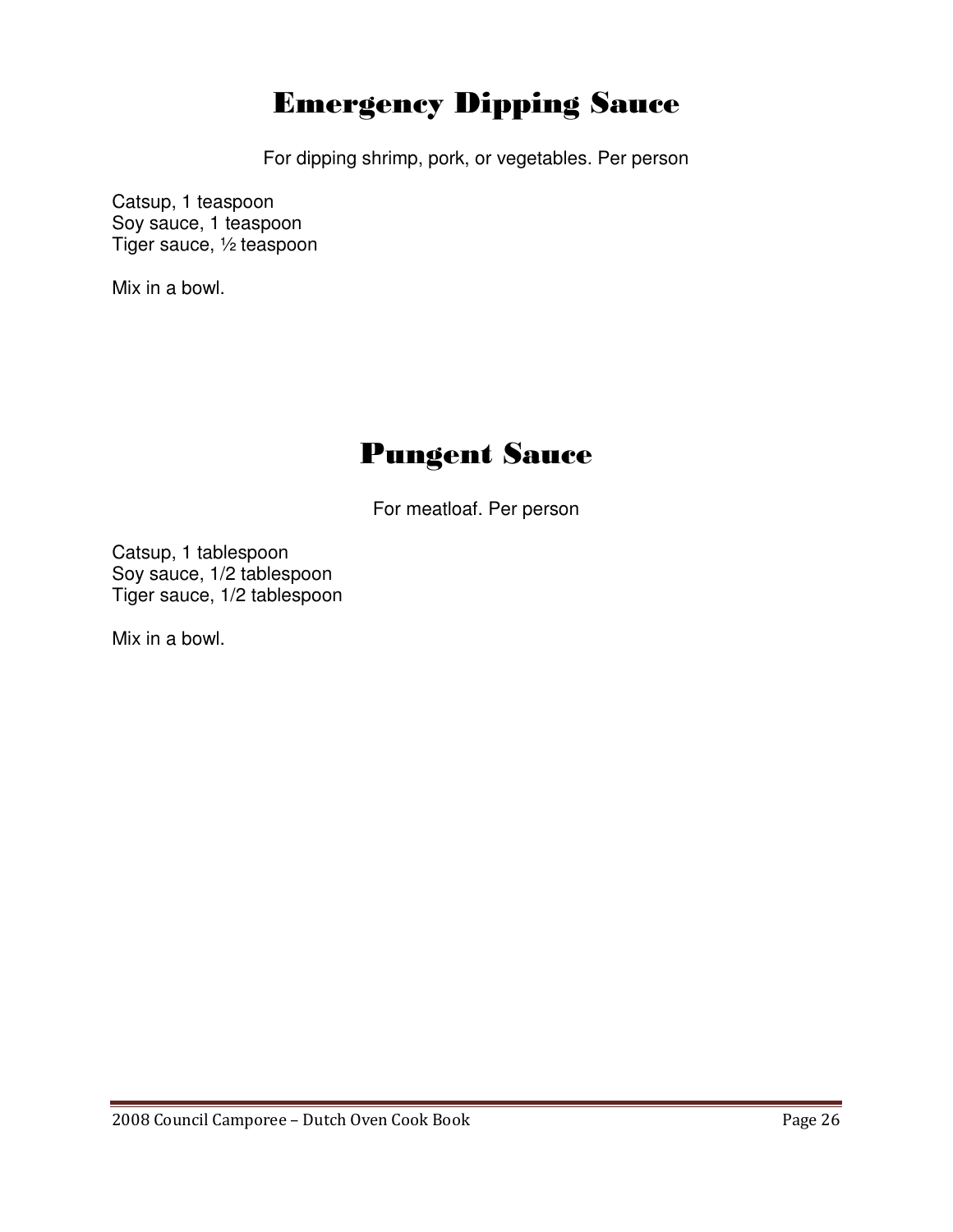## Emergency Dipping Sauce

For dipping shrimp, pork, or vegetables. Per person

Catsup, 1 teaspoon Soy sauce, 1 teaspoon Tiger sauce, ½ teaspoon

Mix in a bowl.

## Pungent Sauce

For meatloaf. Per person

Catsup, 1 tablespoon Soy sauce, 1/2 tablespoon Tiger sauce, 1/2 tablespoon

Mix in a bowl.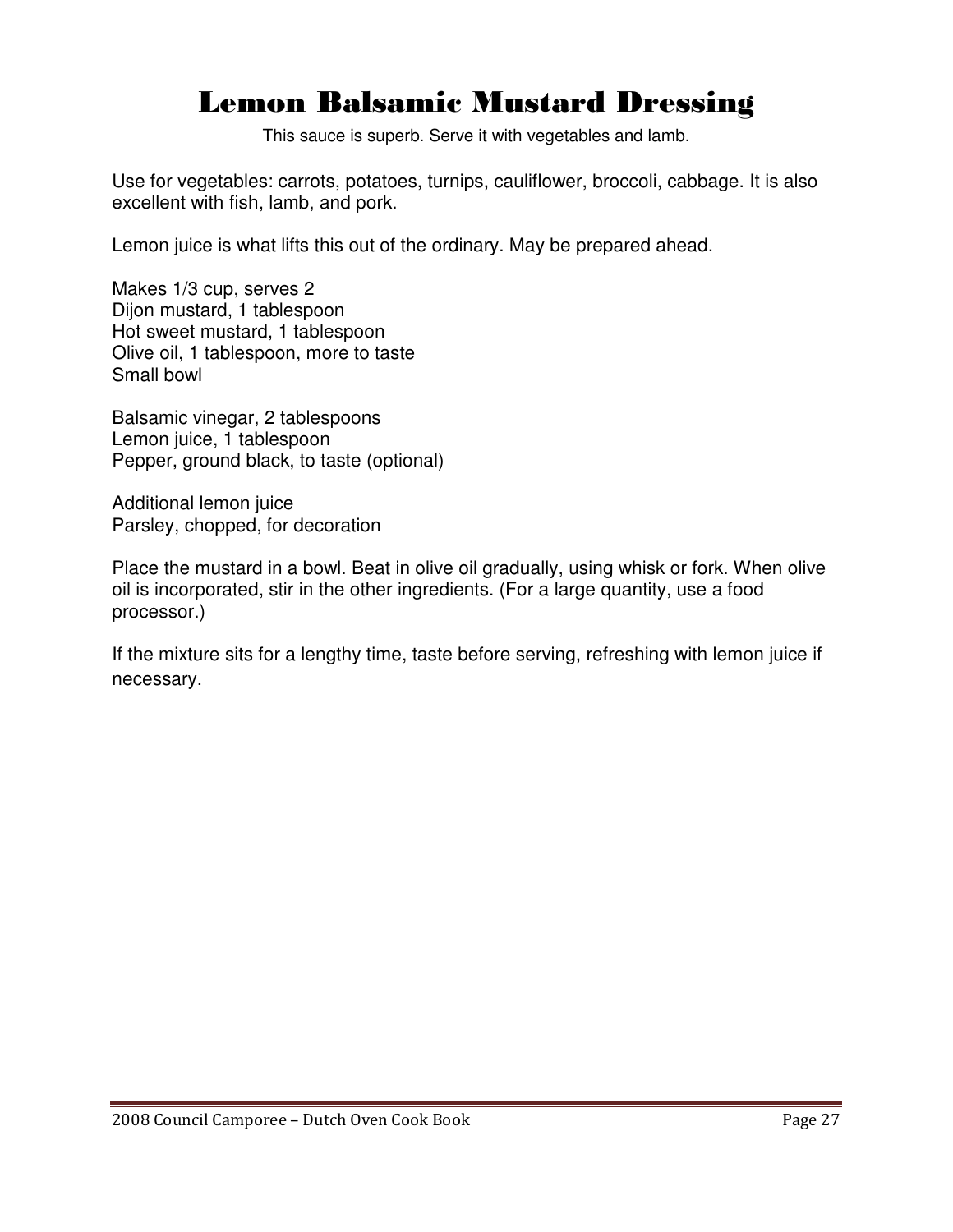## Lemon Balsamic Mustard Dressing

This sauce is superb. Serve it with vegetables and lamb.

Use for vegetables: carrots, potatoes, turnips, cauliflower, broccoli, cabbage. It is also excellent with fish, lamb, and pork.

Lemon juice is what lifts this out of the ordinary. May be prepared ahead.

Makes 1/3 cup, serves 2 Dijon mustard, 1 tablespoon Hot sweet mustard, 1 tablespoon Olive oil, 1 tablespoon, more to taste Small bowl

Balsamic vinegar, 2 tablespoons Lemon juice, 1 tablespoon Pepper, ground black, to taste (optional)

Additional lemon juice Parsley, chopped, for decoration

Place the mustard in a bowl. Beat in olive oil gradually, using whisk or fork. When olive oil is incorporated, stir in the other ingredients. (For a large quantity, use a food processor.)

If the mixture sits for a lengthy time, taste before serving, refreshing with lemon juice if necessary.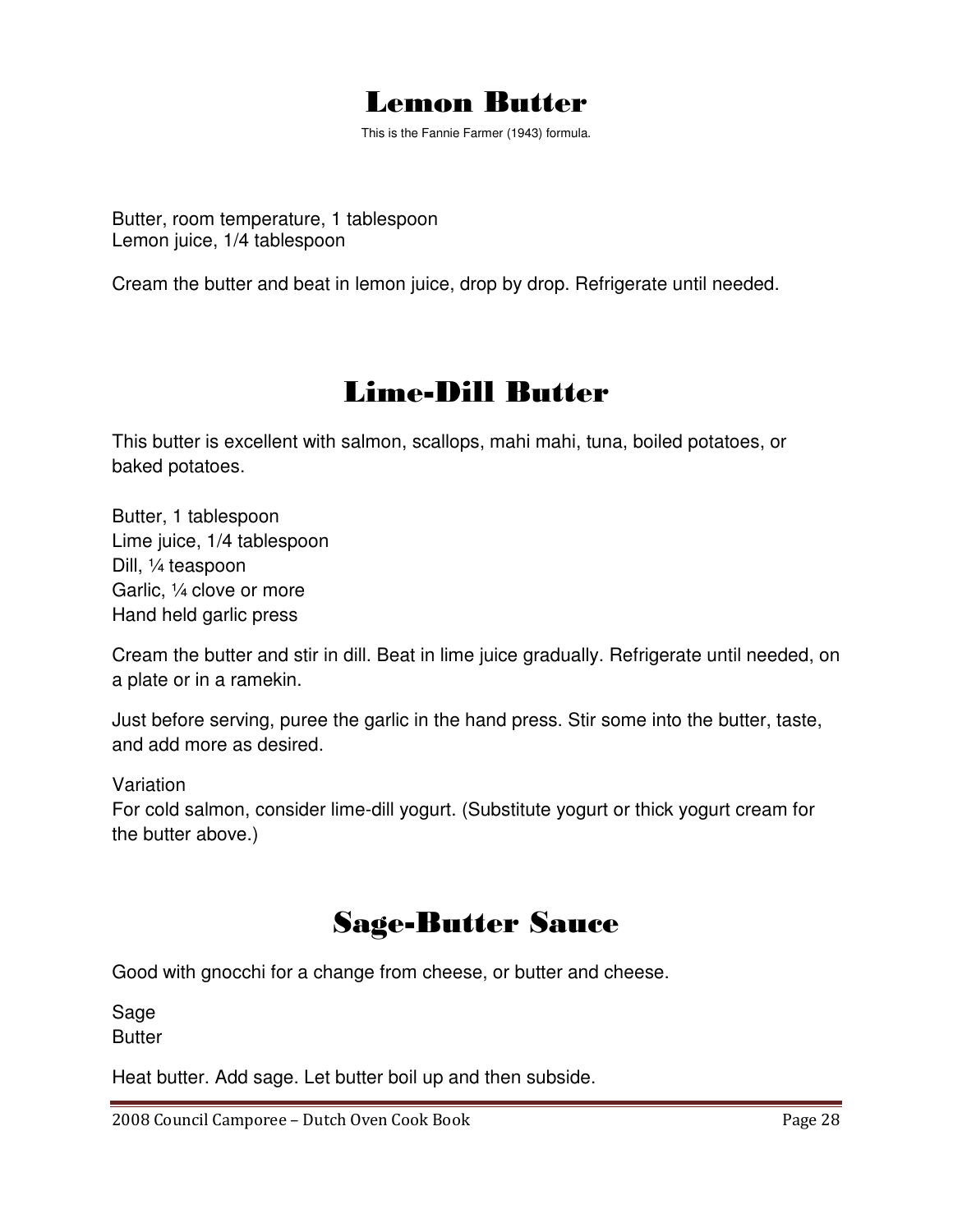

This is the Fannie Farmer (1943) formula.

Butter, room temperature, 1 tablespoon Lemon juice, 1/4 tablespoon

Cream the butter and beat in lemon juice, drop by drop. Refrigerate until needed.

## Lime-Dill Butter

This butter is excellent with salmon, scallops, mahi mahi, tuna, boiled potatoes, or baked potatoes.

Butter, 1 tablespoon Lime juice, 1/4 tablespoon Dill, ¼ teaspoon Garlic, ¼ clove or more Hand held garlic press

Cream the butter and stir in dill. Beat in lime juice gradually. Refrigerate until needed, on a plate or in a ramekin.

Just before serving, puree the garlic in the hand press. Stir some into the butter, taste, and add more as desired.

Variation

For cold salmon, consider lime-dill yogurt. (Substitute yogurt or thick yogurt cream for the butter above.)

## Sage-Butter Sauce

Good with gnocchi for a change from cheese, or butter and cheese.

Sage **Butter** 

Heat butter. Add sage. Let butter boil up and then subside.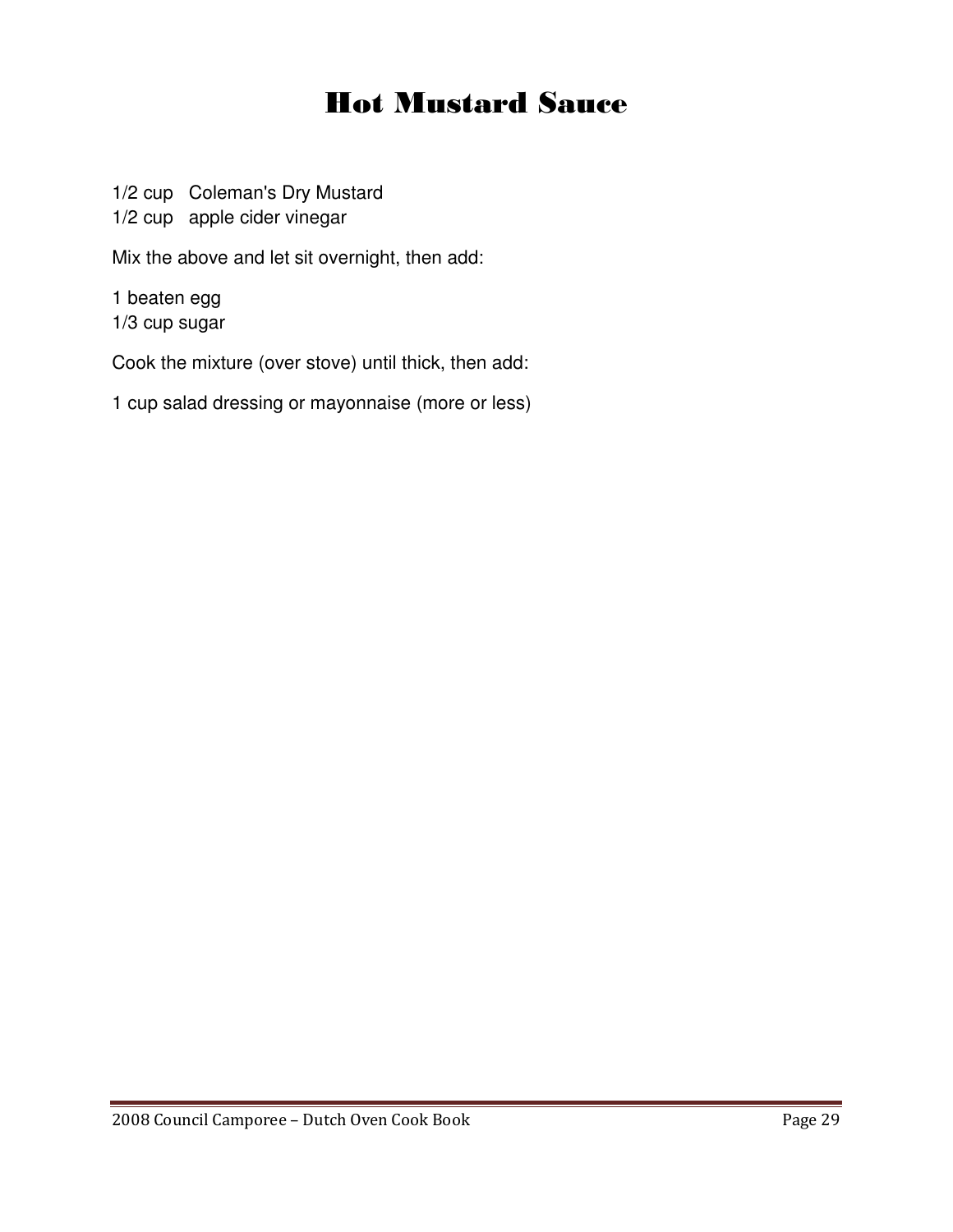## Hot Mustard Sauce

1/2 cup Coleman's Dry Mustard

1/2 cup apple cider vinegar

Mix the above and let sit overnight, then add:

1 beaten egg 1/3 cup sugar

Cook the mixture (over stove) until thick, then add:

1 cup salad dressing or mayonnaise (more or less)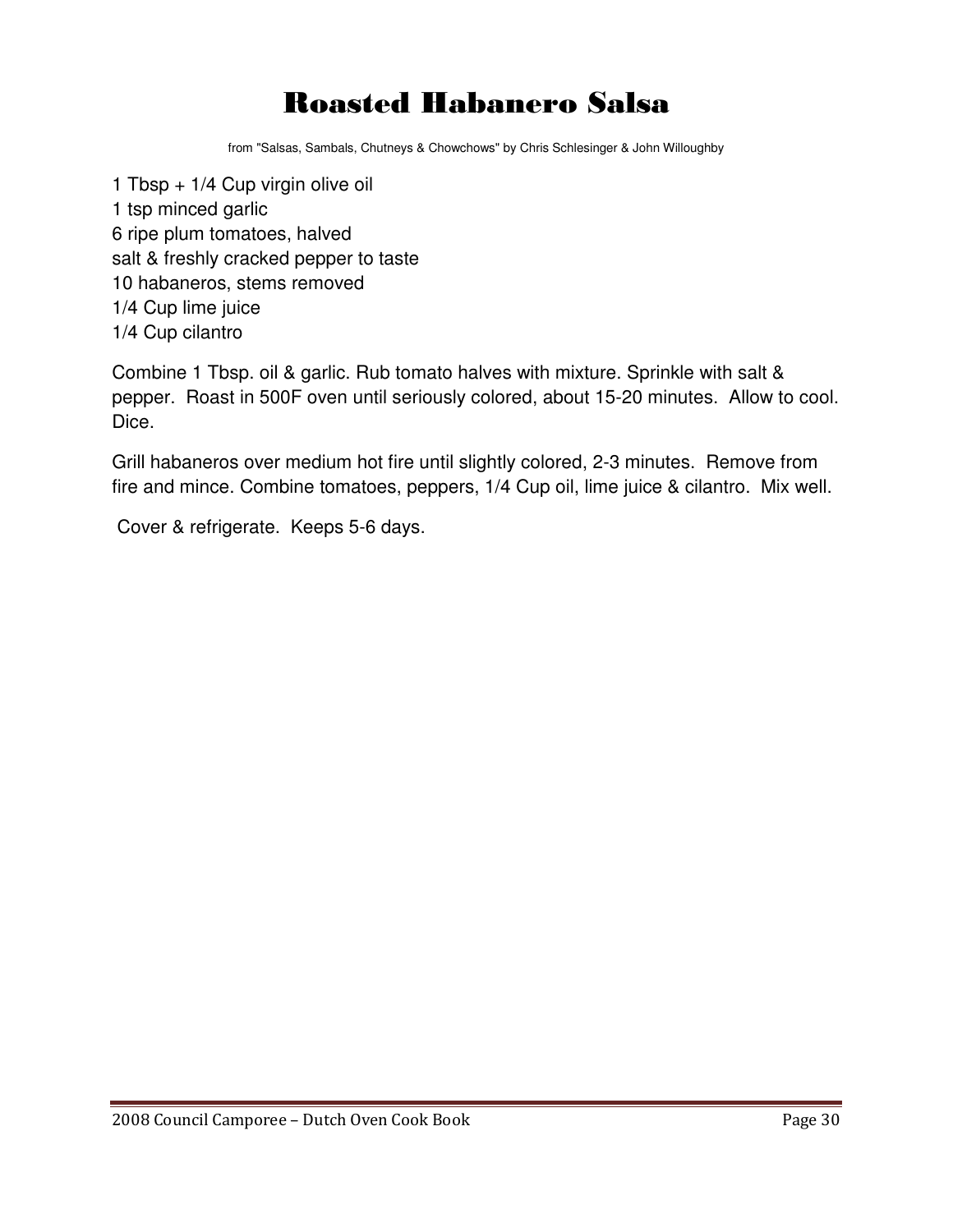## Roasted Habanero Salsa

from "Salsas, Sambals, Chutneys & Chowchows" by Chris Schlesinger & John Willoughby

1 Tbsp + 1/4 Cup virgin olive oil 1 tsp minced garlic 6 ripe plum tomatoes, halved salt & freshly cracked pepper to taste 10 habaneros, stems removed 1/4 Cup lime juice 1/4 Cup cilantro

Combine 1 Tbsp. oil & garlic. Rub tomato halves with mixture. Sprinkle with salt & pepper. Roast in 500F oven until seriously colored, about 15-20 minutes. Allow to cool. Dice.

Grill habaneros over medium hot fire until slightly colored, 2-3 minutes. Remove from fire and mince. Combine tomatoes, peppers, 1/4 Cup oil, lime juice & cilantro. Mix well.

Cover & refrigerate. Keeps 5-6 days.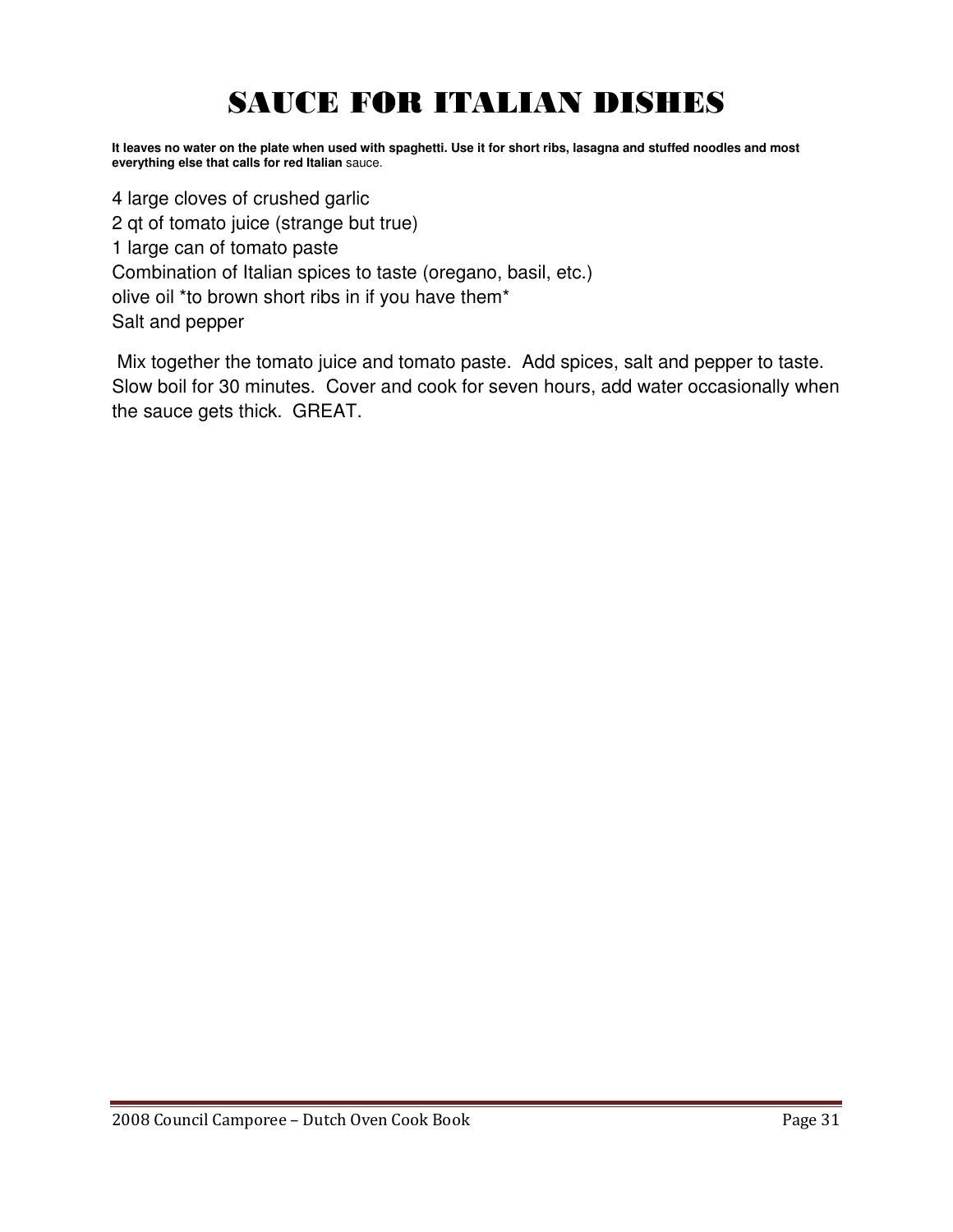## SAUCE FOR ITALIAN DISHES

**It leaves no water on the plate when used with spaghetti. Use it for short ribs, lasagna and stuffed noodles and most everything else that calls for red Italian** sauce.

4 large cloves of crushed garlic 2 qt of tomato juice (strange but true) 1 large can of tomato paste Combination of Italian spices to taste (oregano, basil, etc.) olive oil \*to brown short ribs in if you have them\* Salt and pepper

 Mix together the tomato juice and tomato paste. Add spices, salt and pepper to taste. Slow boil for 30 minutes. Cover and cook for seven hours, add water occasionally when the sauce gets thick. GREAT.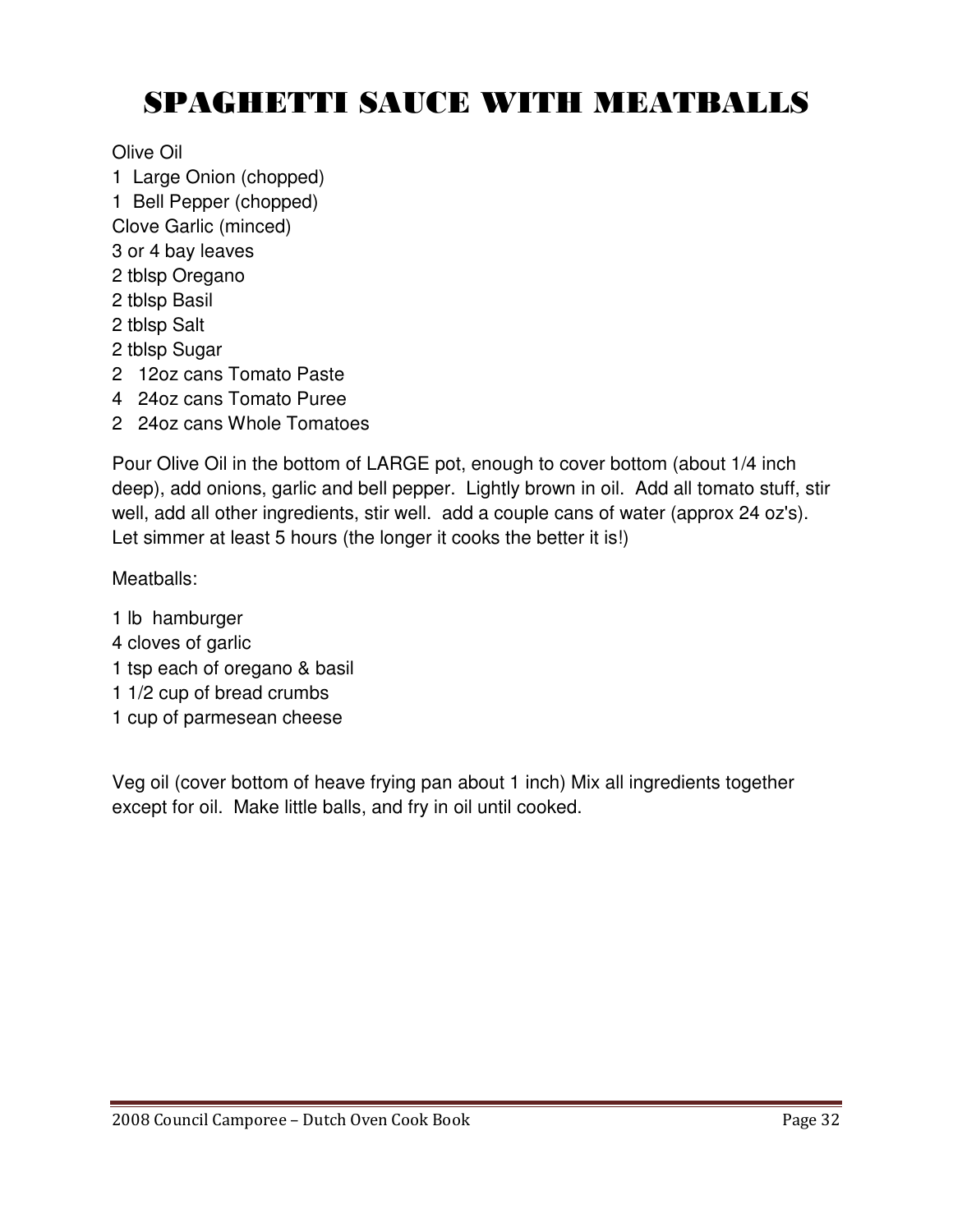## SPAGHETTI SAUCE WITH MEATBALLS

Olive Oil

- 1 Large Onion (chopped)
- 1 Bell Pepper (chopped)
- Clove Garlic (minced)
- 3 or 4 bay leaves
- 2 tblsp Oregano
- 2 tblsp Basil
- 2 tblsp Salt
- 2 tblsp Sugar
- 2 12oz cans Tomato Paste
- 4 24oz cans Tomato Puree
- 2 24oz cans Whole Tomatoes

Pour Olive Oil in the bottom of LARGE pot, enough to cover bottom (about 1/4 inch deep), add onions, garlic and bell pepper. Lightly brown in oil. Add all tomato stuff, stir well, add all other ingredients, stir well. add a couple cans of water (approx 24 oz's). Let simmer at least 5 hours (the longer it cooks the better it is!)

Meatballs:

- 1 lb hamburger
- 4 cloves of garlic
- 1 tsp each of oregano & basil
- 1 1/2 cup of bread crumbs
- 1 cup of parmesean cheese

Veg oil (cover bottom of heave frying pan about 1 inch) Mix all ingredients together except for oil. Make little balls, and fry in oil until cooked.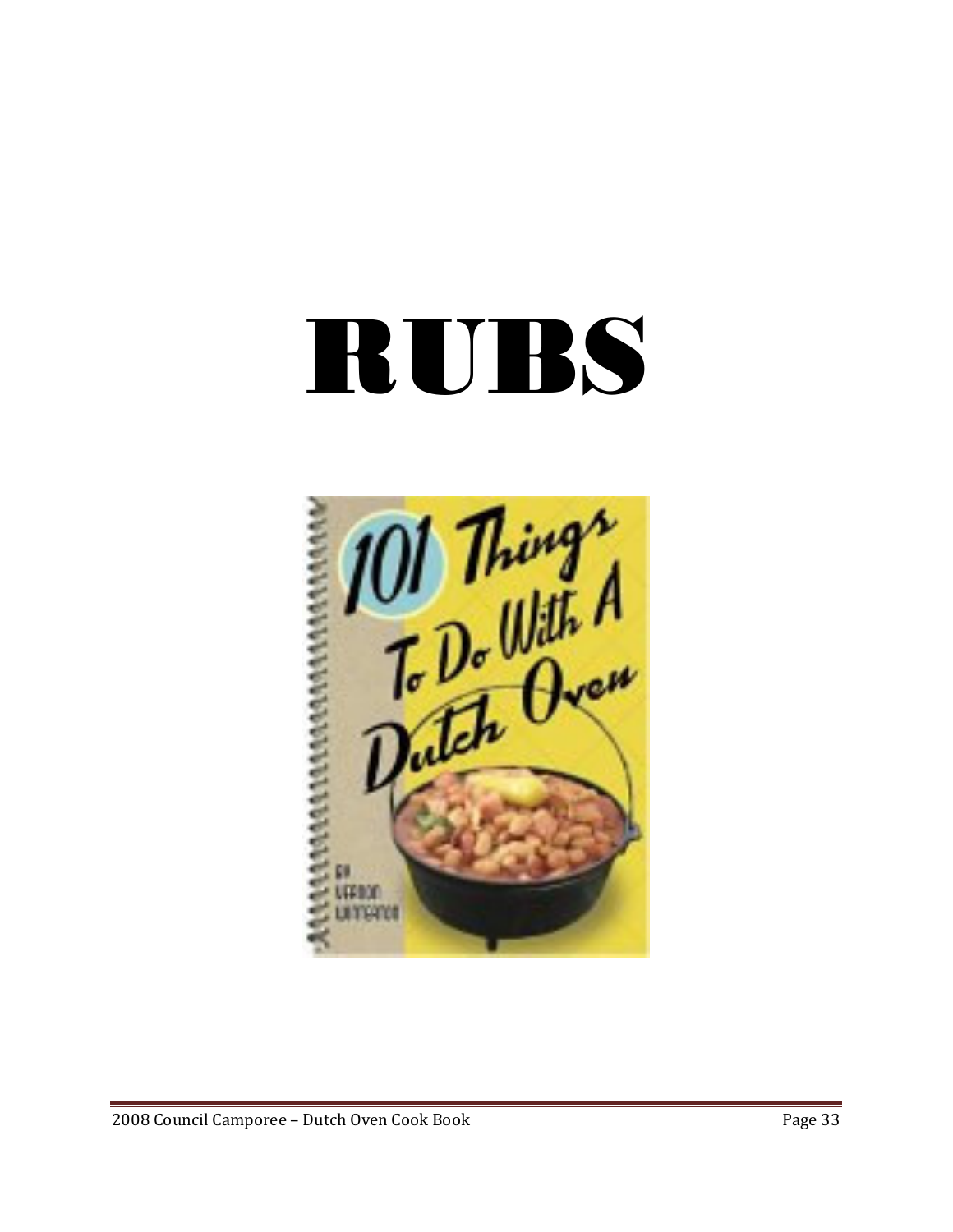# RUBS

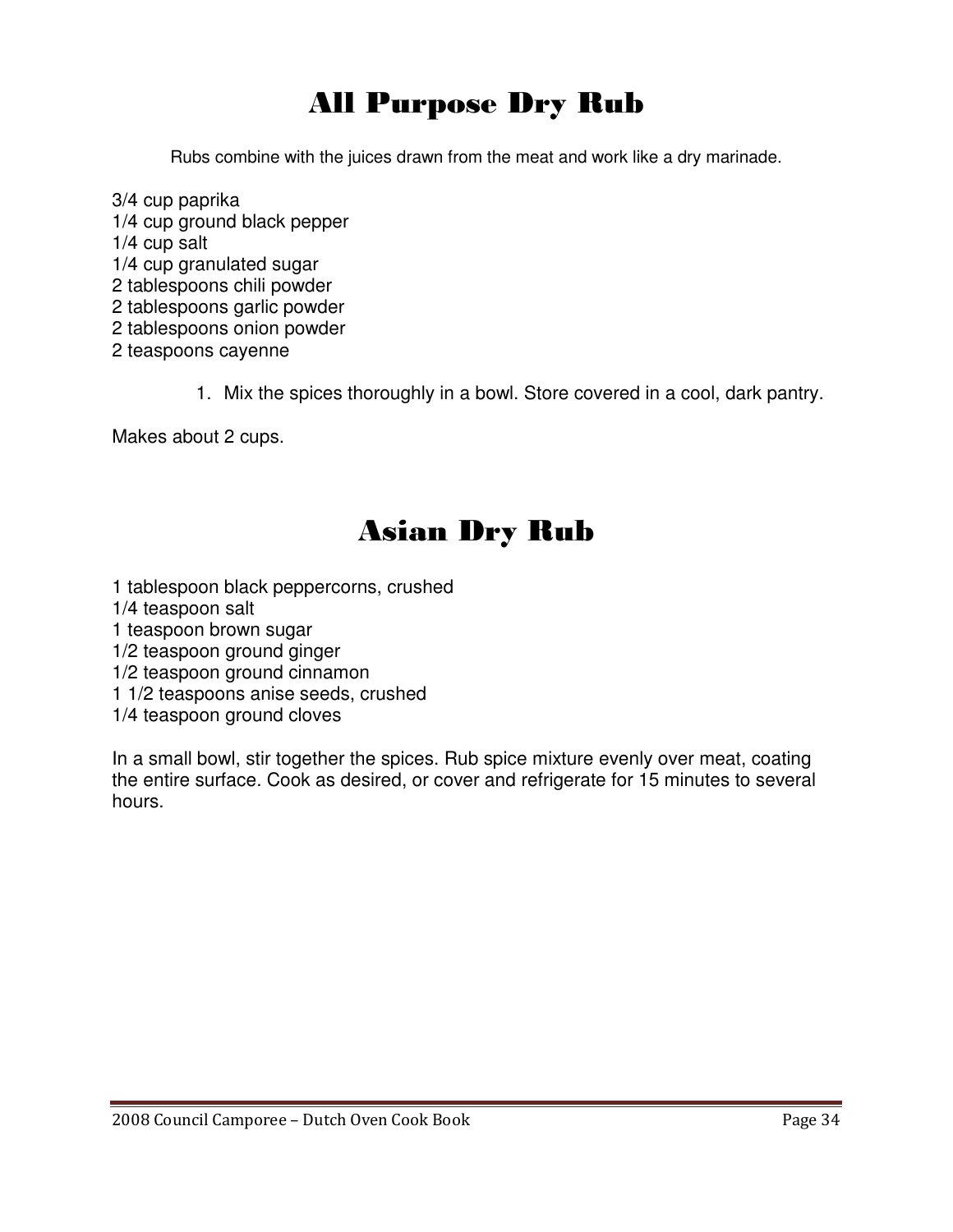## All Purpose Dry Rub

Rubs combine with the juices drawn from the meat and work like a dry marinade.

- 3/4 cup paprika 1/4 cup ground black pepper 1/4 cup salt 1/4 cup granulated sugar 2 tablespoons chili powder 2 tablespoons garlic powder 2 tablespoons onion powder 2 teaspoons cayenne
	- 1. Mix the spices thoroughly in a bowl. Store covered in a cool, dark pantry.

Makes about 2 cups.

## Asian Dry Rub

- 1 tablespoon black peppercorns, crushed
- 1/4 teaspoon salt
- 1 teaspoon brown sugar
- 1/2 teaspoon ground ginger
- 1/2 teaspoon ground cinnamon
- 1 1/2 teaspoons anise seeds, crushed
- 1/4 teaspoon ground cloves

In a small bowl, stir together the spices. Rub spice mixture evenly over meat, coating the entire surface. Cook as desired, or cover and refrigerate for 15 minutes to several hours.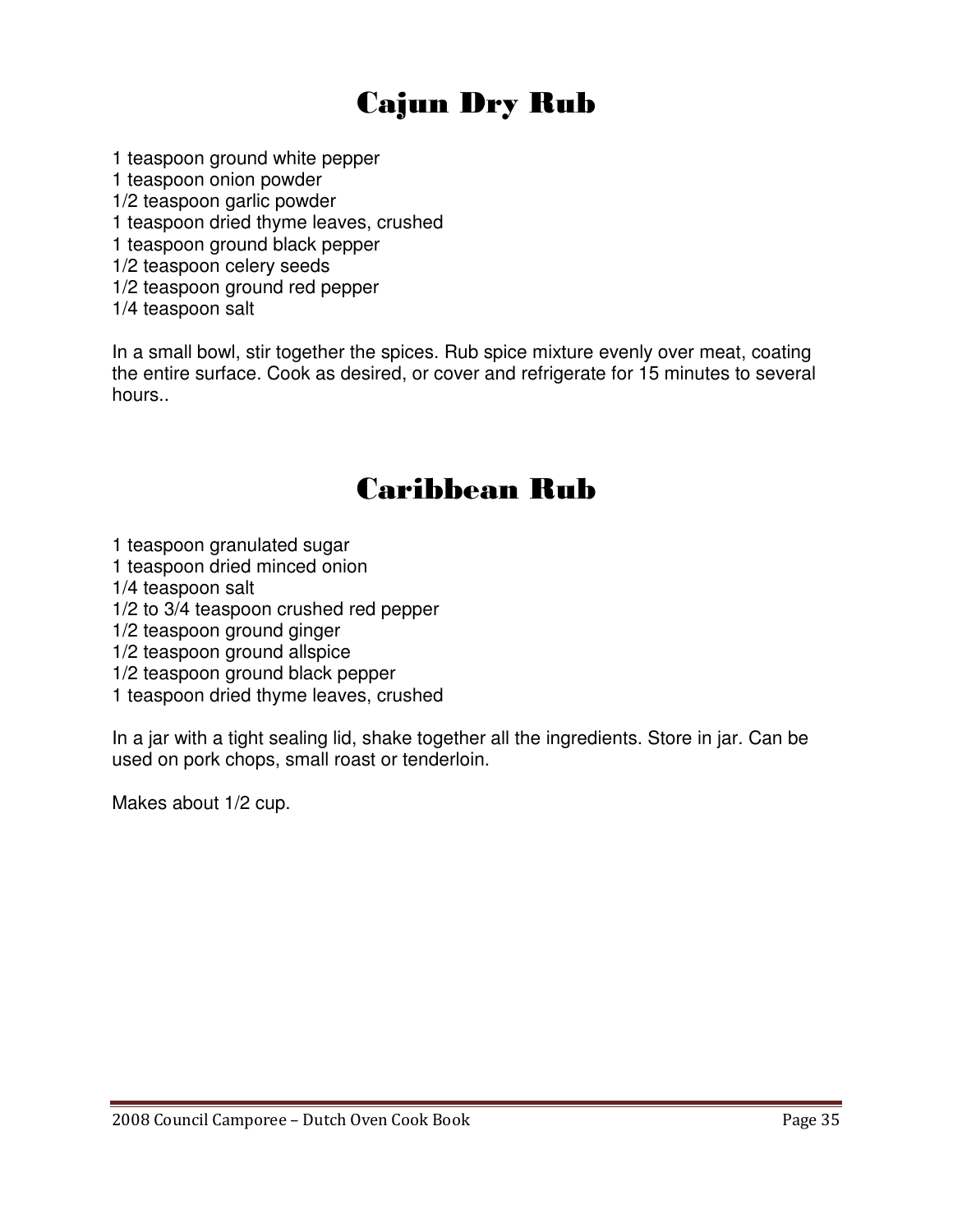## Cajun Dry Rub

- 1 teaspoon ground white pepper
- 1 teaspoon onion powder
- 1/2 teaspoon garlic powder
- 1 teaspoon dried thyme leaves, crushed
- 1 teaspoon ground black pepper
- 1/2 teaspoon celery seeds
- 1/2 teaspoon ground red pepper
- 1/4 teaspoon salt

In a small bowl, stir together the spices. Rub spice mixture evenly over meat, coating the entire surface. Cook as desired, or cover and refrigerate for 15 minutes to several hours..

## Caribbean Rub

- 1 teaspoon granulated sugar
- 1 teaspoon dried minced onion
- 1/4 teaspoon salt
- 1/2 to 3/4 teaspoon crushed red pepper
- 1/2 teaspoon ground ginger
- 1/2 teaspoon ground allspice
- 1/2 teaspoon ground black pepper
- 1 teaspoon dried thyme leaves, crushed

In a jar with a tight sealing lid, shake together all the ingredients. Store in jar. Can be used on pork chops, small roast or tenderloin.

Makes about 1/2 cup.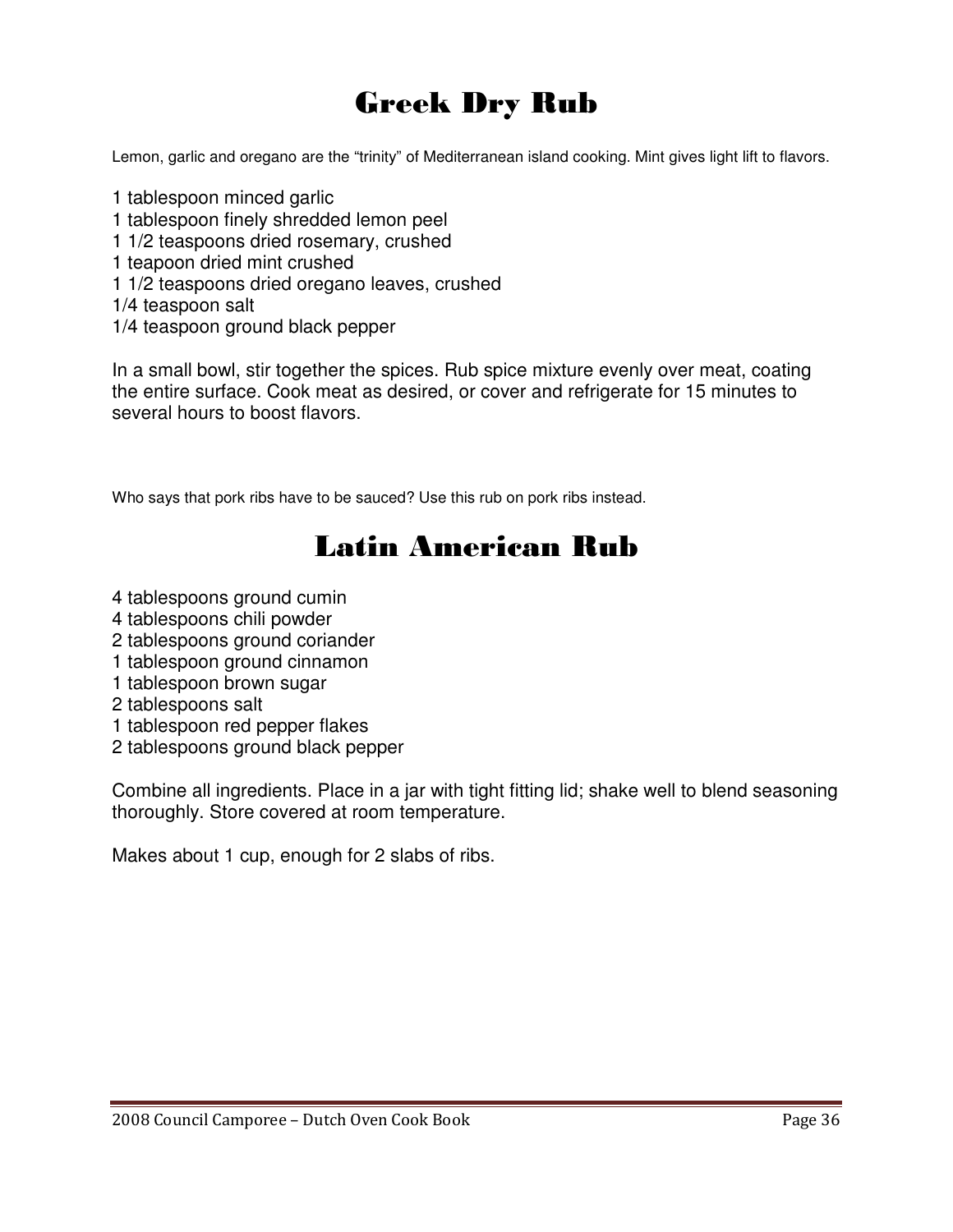## Greek Dry Rub

Lemon, garlic and oregano are the "trinity" of Mediterranean island cooking. Mint gives light lift to flavors.

1 tablespoon minced garlic 1 tablespoon finely shredded lemon peel 1 1/2 teaspoons dried rosemary, crushed 1 teapoon dried mint crushed 1 1/2 teaspoons dried oregano leaves, crushed 1/4 teaspoon salt 1/4 teaspoon ground black pepper

In a small bowl, stir together the spices. Rub spice mixture evenly over meat, coating the entire surface. Cook meat as desired, or cover and refrigerate for 15 minutes to several hours to boost flavors.

Who says that pork ribs have to be sauced? Use this rub on pork ribs instead.

## Latin American Rub

- 4 tablespoons ground cumin
- 4 tablespoons chili powder
- 2 tablespoons ground coriander
- 1 tablespoon ground cinnamon
- 1 tablespoon brown sugar
- 2 tablespoons salt
- 1 tablespoon red pepper flakes
- 2 tablespoons ground black pepper

Combine all ingredients. Place in a jar with tight fitting lid; shake well to blend seasoning thoroughly. Store covered at room temperature.

Makes about 1 cup, enough for 2 slabs of ribs.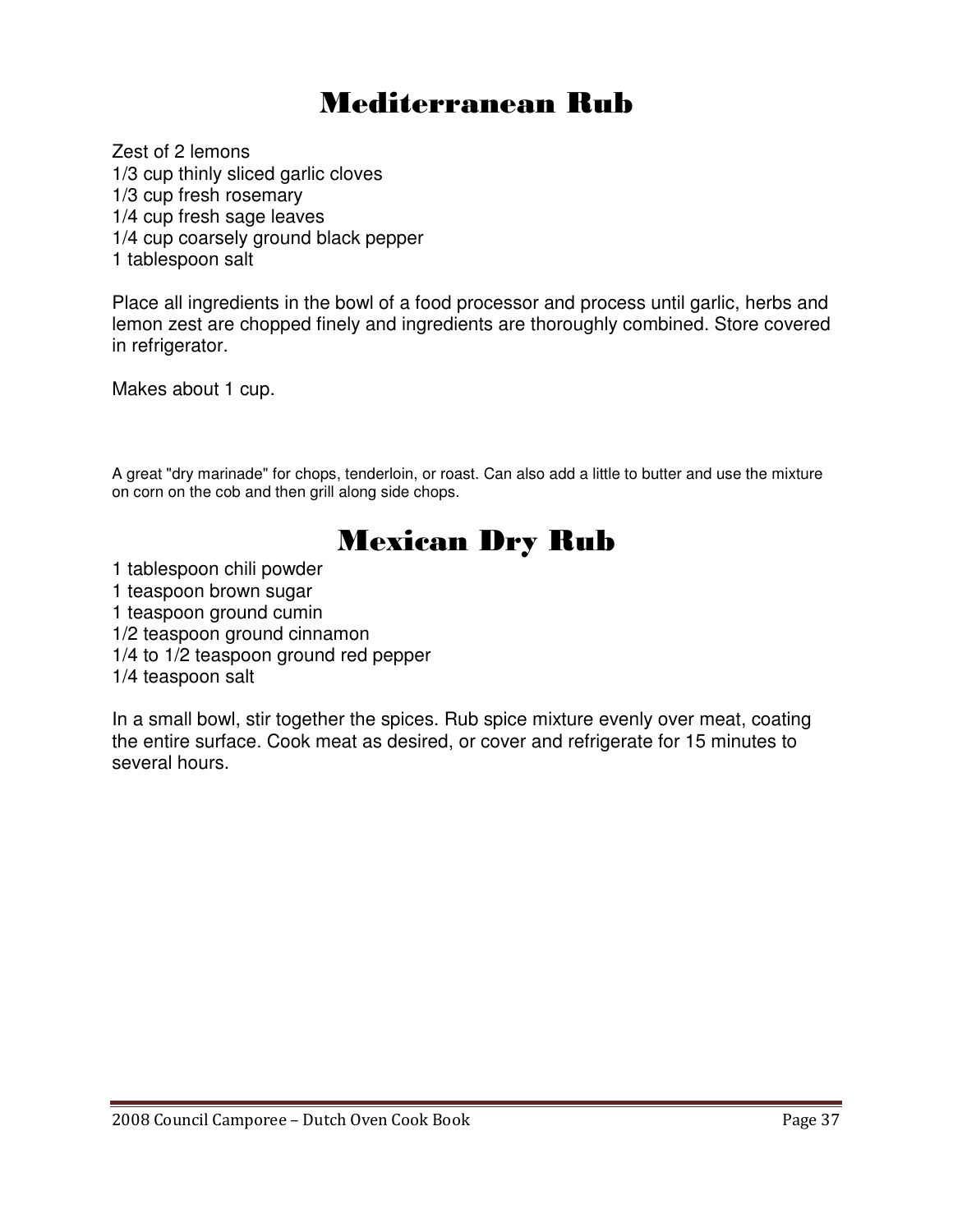### Mediterranean Rub

Zest of 2 lemons 1/3 cup thinly sliced garlic cloves 1/3 cup fresh rosemary 1/4 cup fresh sage leaves 1/4 cup coarsely ground black pepper 1 tablespoon salt

Place all ingredients in the bowl of a food processor and process until garlic, herbs and lemon zest are chopped finely and ingredients are thoroughly combined. Store covered in refrigerator.

Makes about 1 cup.

A great "dry marinade" for chops, tenderloin, or roast. Can also add a little to butter and use the mixture on corn on the cob and then grill along side chops.

### Mexican Dry Rub

1 tablespoon chili powder

1 teaspoon brown sugar

1 teaspoon ground cumin

- 1/2 teaspoon ground cinnamon
- 1/4 to 1/2 teaspoon ground red pepper

1/4 teaspoon salt

In a small bowl, stir together the spices. Rub spice mixture evenly over meat, coating the entire surface. Cook meat as desired, or cover and refrigerate for 15 minutes to several hours.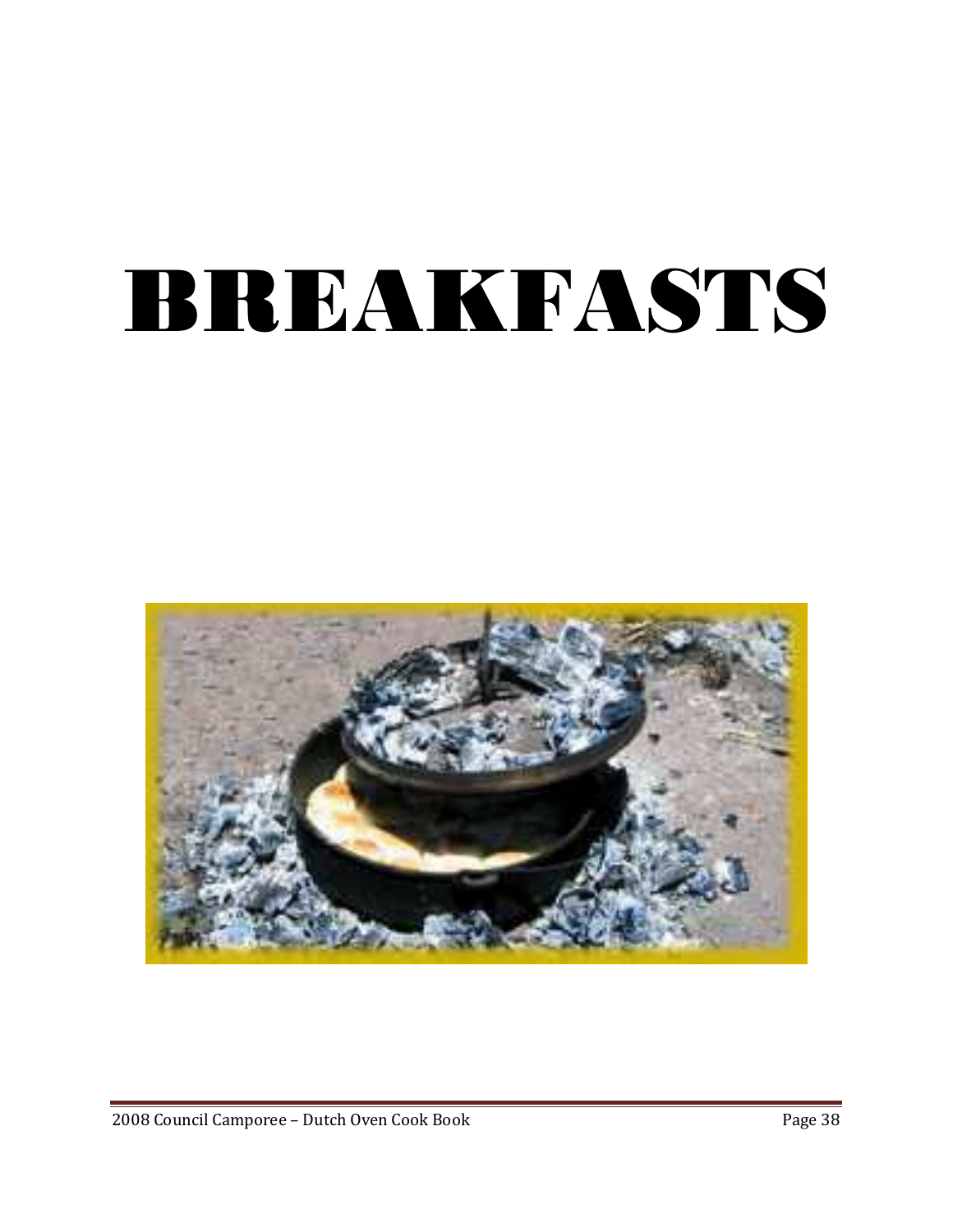# BREAKFASTS

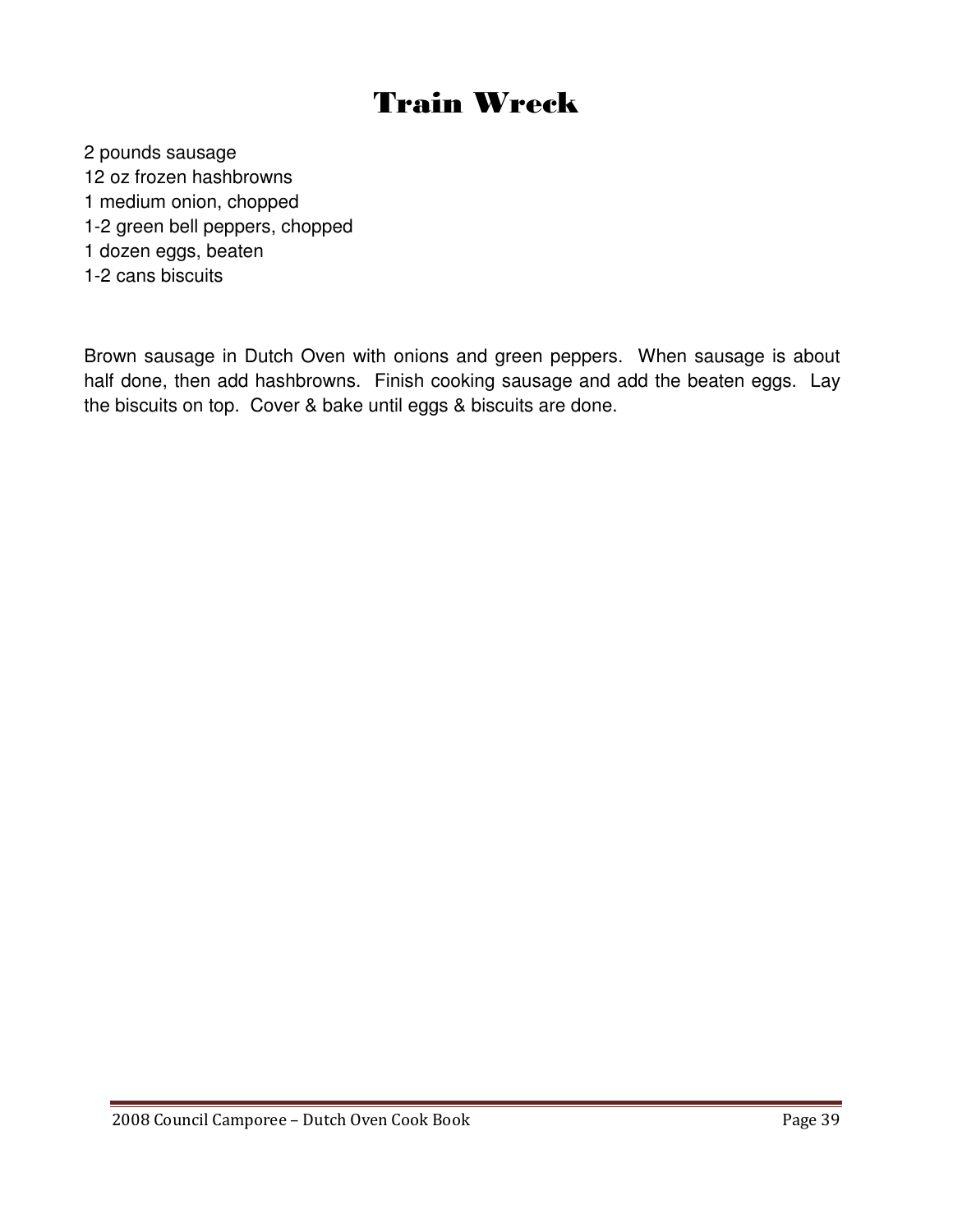## Train Wreck

2 pounds sausage

- 12 oz frozen hashbrowns
- 1 medium onion, chopped
- 1-2 green bell peppers, chopped
- 1 dozen eggs, beaten
- 1-2 cans biscuits

Brown sausage in Dutch Oven with onions and green peppers. When sausage is about half done, then add hashbrowns. Finish cooking sausage and add the beaten eggs. Lay the biscuits on top. Cover & bake until eggs & biscuits are done.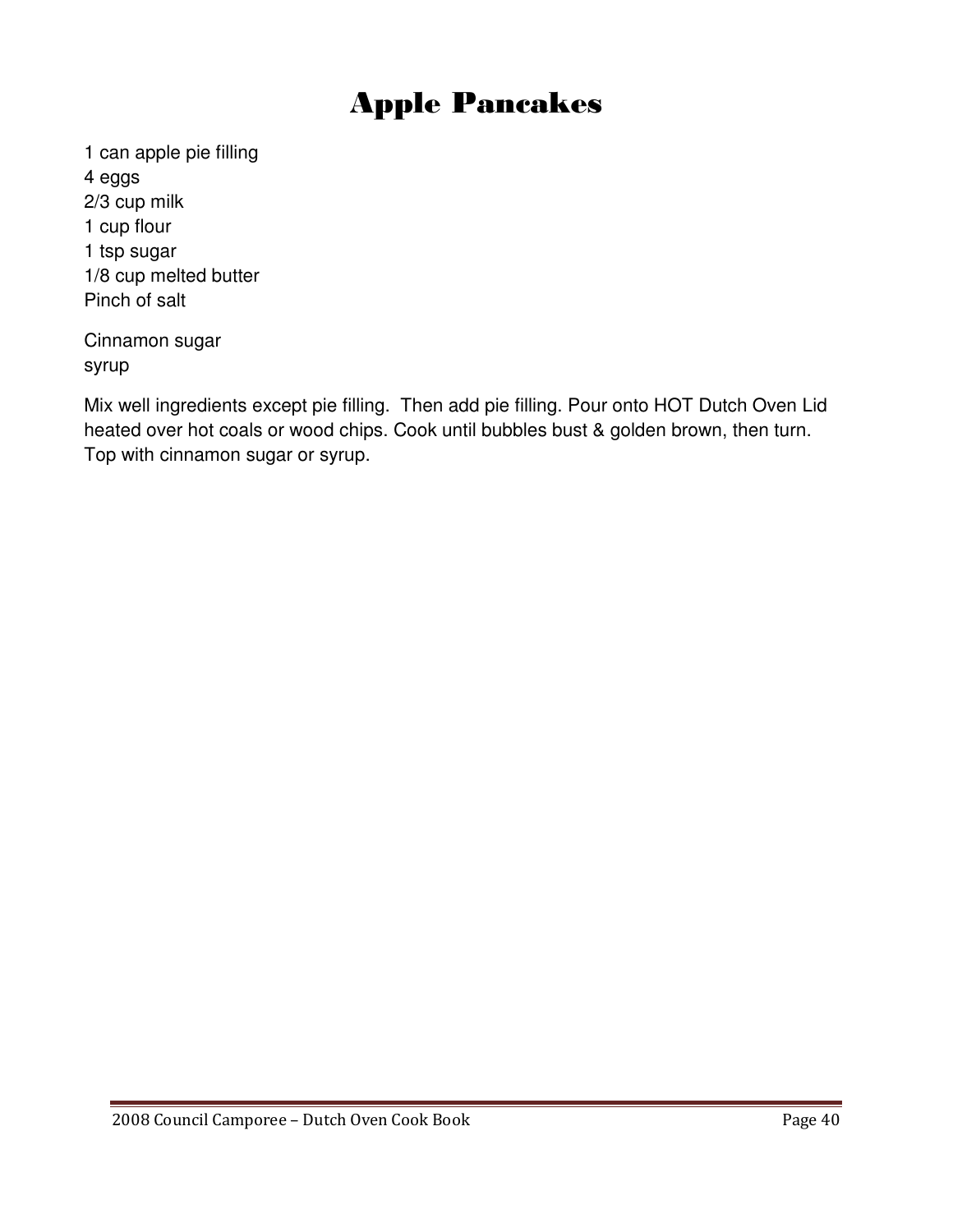### Apple Pancakes

1 can apple pie filling 4 eggs 2/3 cup milk 1 cup flour 1 tsp sugar 1/8 cup melted butter Pinch of salt

Cinnamon sugar syrup

Mix well ingredients except pie filling. Then add pie filling. Pour onto HOT Dutch Oven Lid heated over hot coals or wood chips. Cook until bubbles bust & golden brown, then turn. Top with cinnamon sugar or syrup.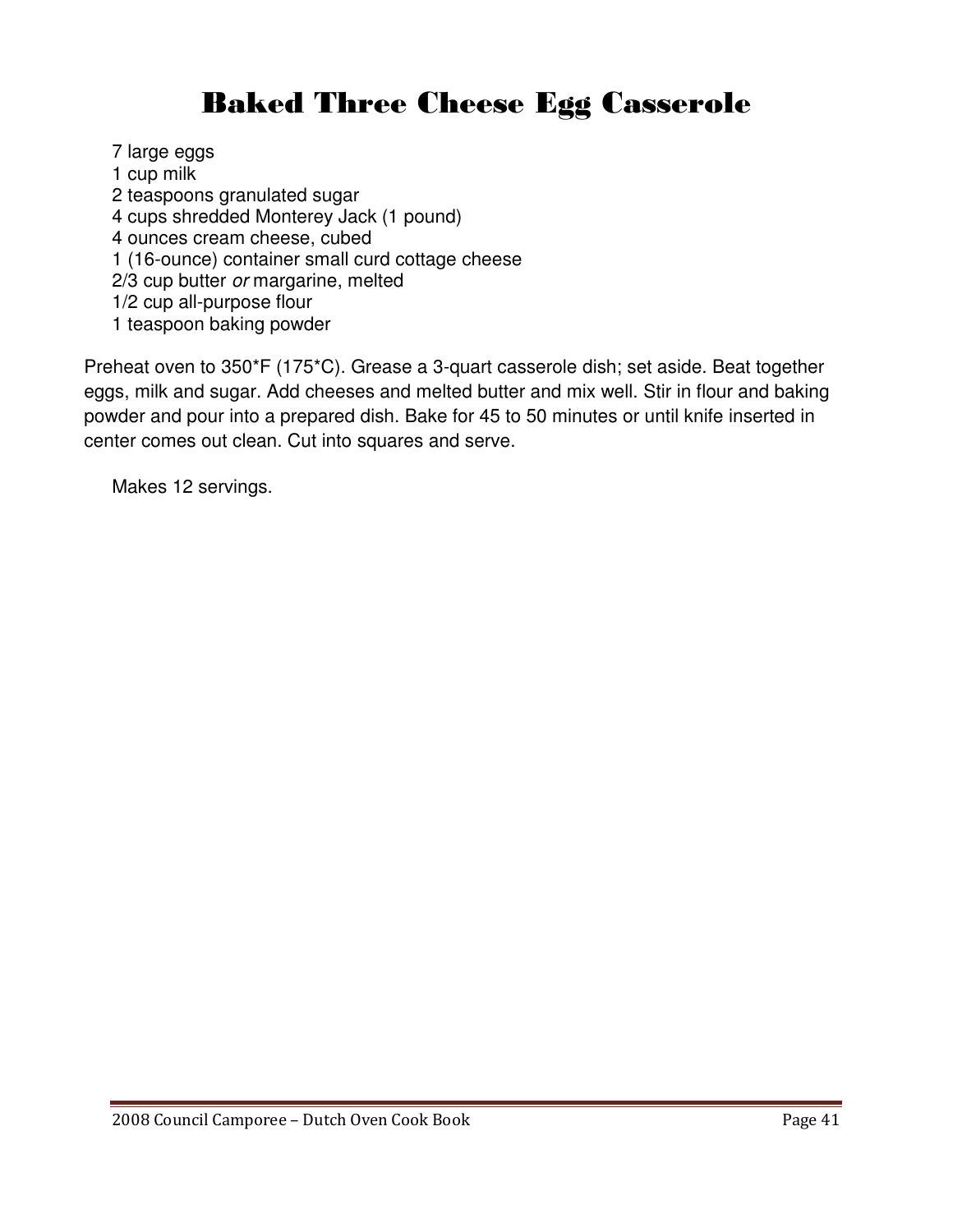## Baked Three Cheese Egg Casserole

7 large eggs 1 cup milk 2 teaspoons granulated sugar 4 cups shredded Monterey Jack (1 pound) 4 ounces cream cheese, cubed 1 (16-ounce) container small curd cottage cheese 2/3 cup butter or margarine, melted 1/2 cup all-purpose flour 1 teaspoon baking powder

Preheat oven to 350\*F (175\*C). Grease a 3-quart casserole dish; set aside. Beat together eggs, milk and sugar. Add cheeses and melted butter and mix well. Stir in flour and baking powder and pour into a prepared dish. Bake for 45 to 50 minutes or until knife inserted in center comes out clean. Cut into squares and serve.

Makes 12 servings.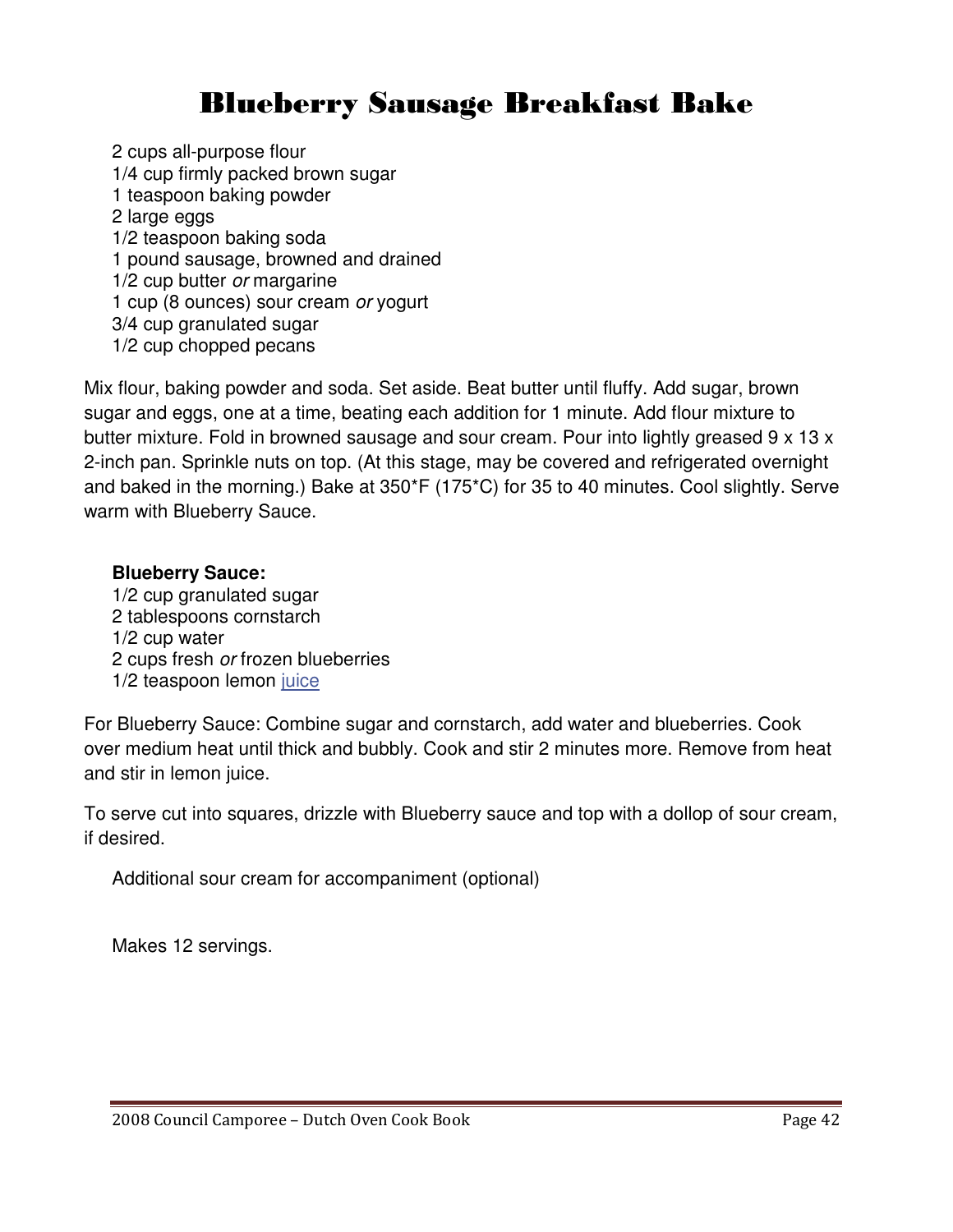### Blueberry Sausage Breakfast Bake

2 cups all-purpose flour 1/4 cup firmly packed brown sugar 1 teaspoon baking powder 2 large eggs 1/2 teaspoon baking soda 1 pound sausage, browned and drained 1/2 cup butter or margarine 1 cup (8 ounces) sour cream or yogurt 3/4 cup granulated sugar 1/2 cup chopped pecans

Mix flour, baking powder and soda. Set aside. Beat butter until fluffy. Add sugar, brown sugar and eggs, one at a time, beating each addition for 1 minute. Add flour mixture to butter mixture. Fold in browned sausage and sour cream. Pour into lightly greased 9 x 13 x 2-inch pan. Sprinkle nuts on top. (At this stage, may be covered and refrigerated overnight and baked in the morning.) Bake at 350\*F (175\*C) for 35 to 40 minutes. Cool slightly. Serve warm with Blueberry Sauce.

### **Blueberry Sauce:**

1/2 cup granulated sugar 2 tablespoons cornstarch 1/2 cup water 2 cups fresh or frozen blueberries 1/2 teaspoon lemon juice

For Blueberry Sauce: Combine sugar and cornstarch, add water and blueberries. Cook over medium heat until thick and bubbly. Cook and stir 2 minutes more. Remove from heat and stir in lemon juice.

To serve cut into squares, drizzle with Blueberry sauce and top with a dollop of sour cream, if desired.

Additional sour cream for accompaniment (optional)

Makes 12 servings.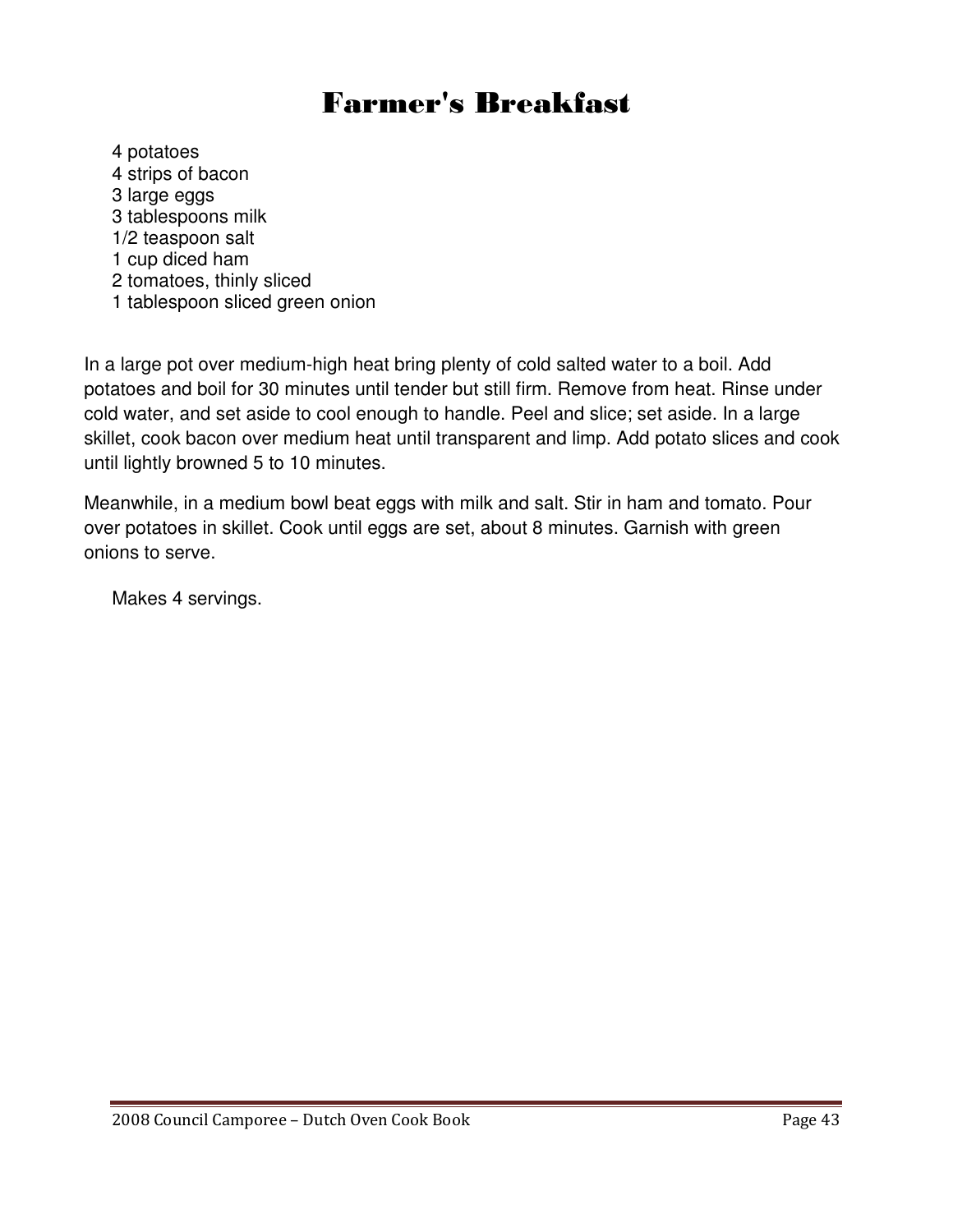### Farmer's Breakfast

4 potatoes 4 strips of bacon 3 large eggs 3 tablespoons milk 1/2 teaspoon salt 1 cup diced ham 2 tomatoes, thinly sliced 1 tablespoon sliced green onion

In a large pot over medium-high heat bring plenty of cold salted water to a boil. Add potatoes and boil for 30 minutes until tender but still firm. Remove from heat. Rinse under cold water, and set aside to cool enough to handle. Peel and slice; set aside. In a large skillet, cook bacon over medium heat until transparent and limp. Add potato slices and cook until lightly browned 5 to 10 minutes.

Meanwhile, in a medium bowl beat eggs with milk and salt. Stir in ham and tomato. Pour over potatoes in skillet. Cook until eggs are set, about 8 minutes. Garnish with green onions to serve.

Makes 4 servings.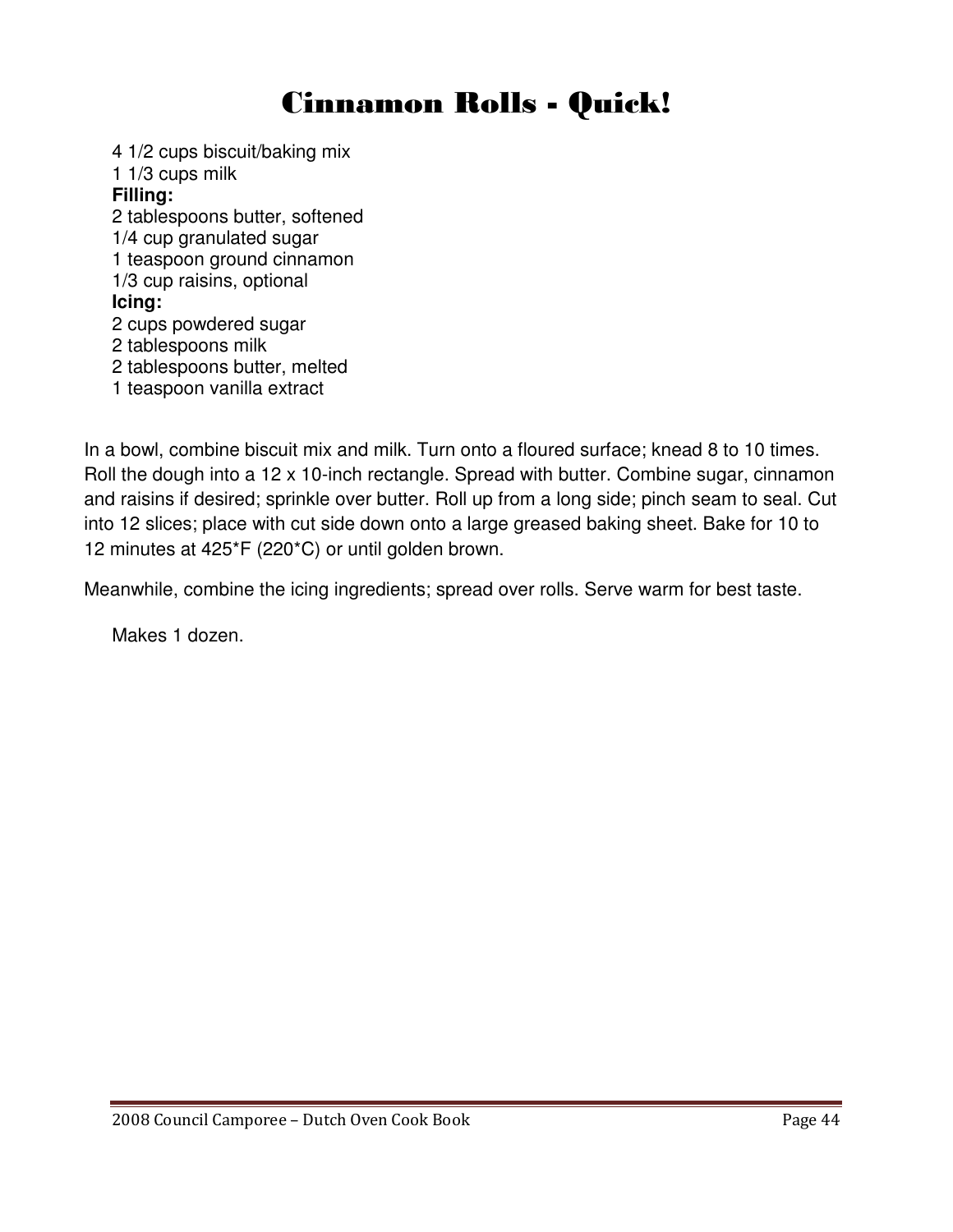### Cinnamon Rolls - Quick!

4 1/2 cups biscuit/baking mix 1 1/3 cups milk **Filling:** 2 tablespoons butter, softened 1/4 cup granulated sugar 1 teaspoon ground cinnamon 1/3 cup raisins, optional **Icing:** 2 cups powdered sugar 2 tablespoons milk 2 tablespoons butter, melted 1 teaspoon vanilla extract

In a bowl, combine biscuit mix and milk. Turn onto a floured surface; knead 8 to 10 times. Roll the dough into a 12 x 10-inch rectangle. Spread with butter. Combine sugar, cinnamon and raisins if desired; sprinkle over butter. Roll up from a long side; pinch seam to seal. Cut into 12 slices; place with cut side down onto a large greased baking sheet. Bake for 10 to 12 minutes at 425\*F (220\*C) or until golden brown.

Meanwhile, combine the icing ingredients; spread over rolls. Serve warm for best taste.

Makes 1 dozen.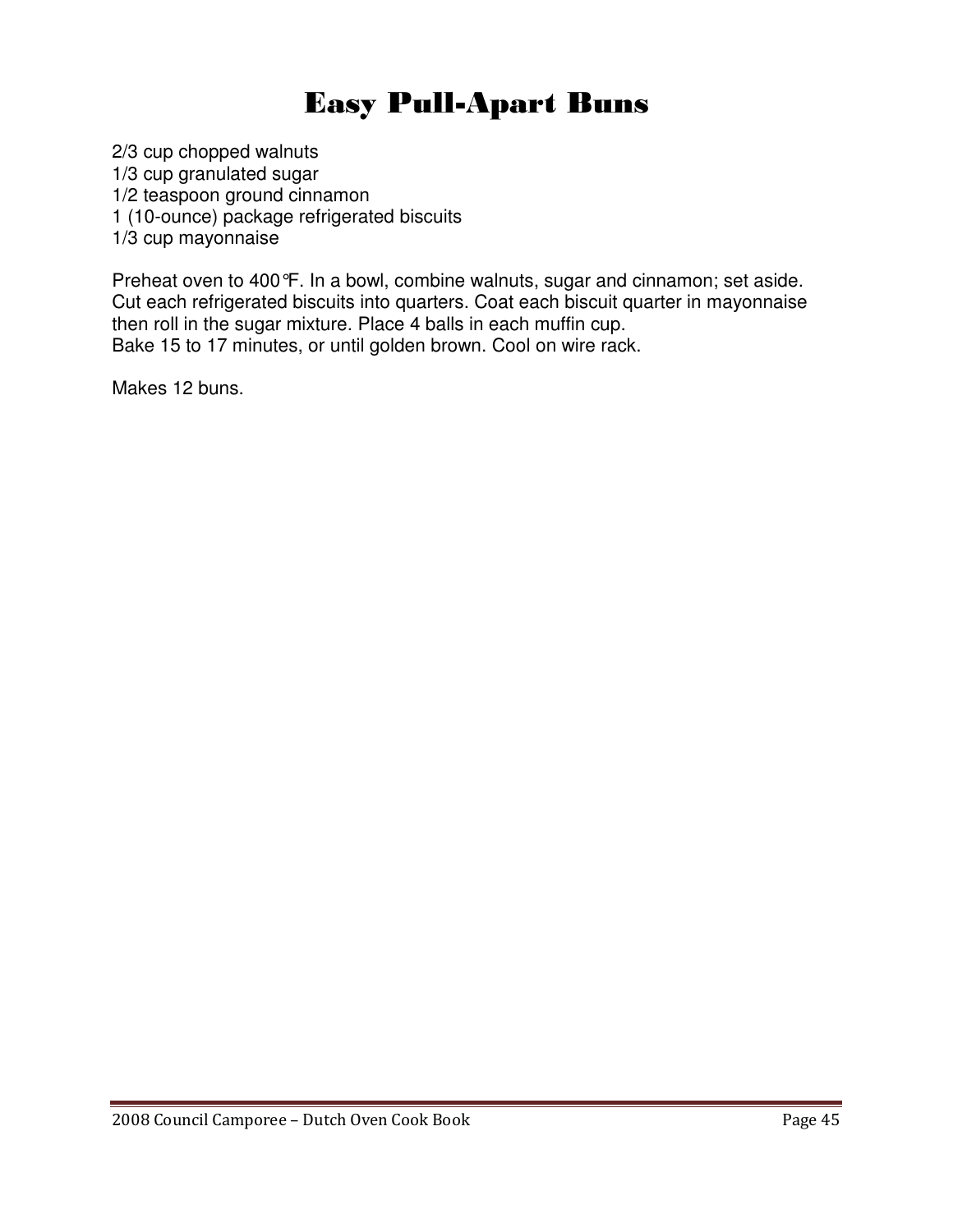### Easy Pull-Apart Buns

2/3 cup chopped walnuts 1/3 cup granulated sugar 1/2 teaspoon ground cinnamon 1 (10-ounce) package refrigerated biscuits 1/3 cup mayonnaise

Preheat oven to 400°F. In a bowl, combine walnuts, sugar and cinnamon; set aside. Cut each refrigerated biscuits into quarters. Coat each biscuit quarter in mayonnaise then roll in the sugar mixture. Place 4 balls in each muffin cup. Bake 15 to 17 minutes, or until golden brown. Cool on wire rack.

Makes 12 buns.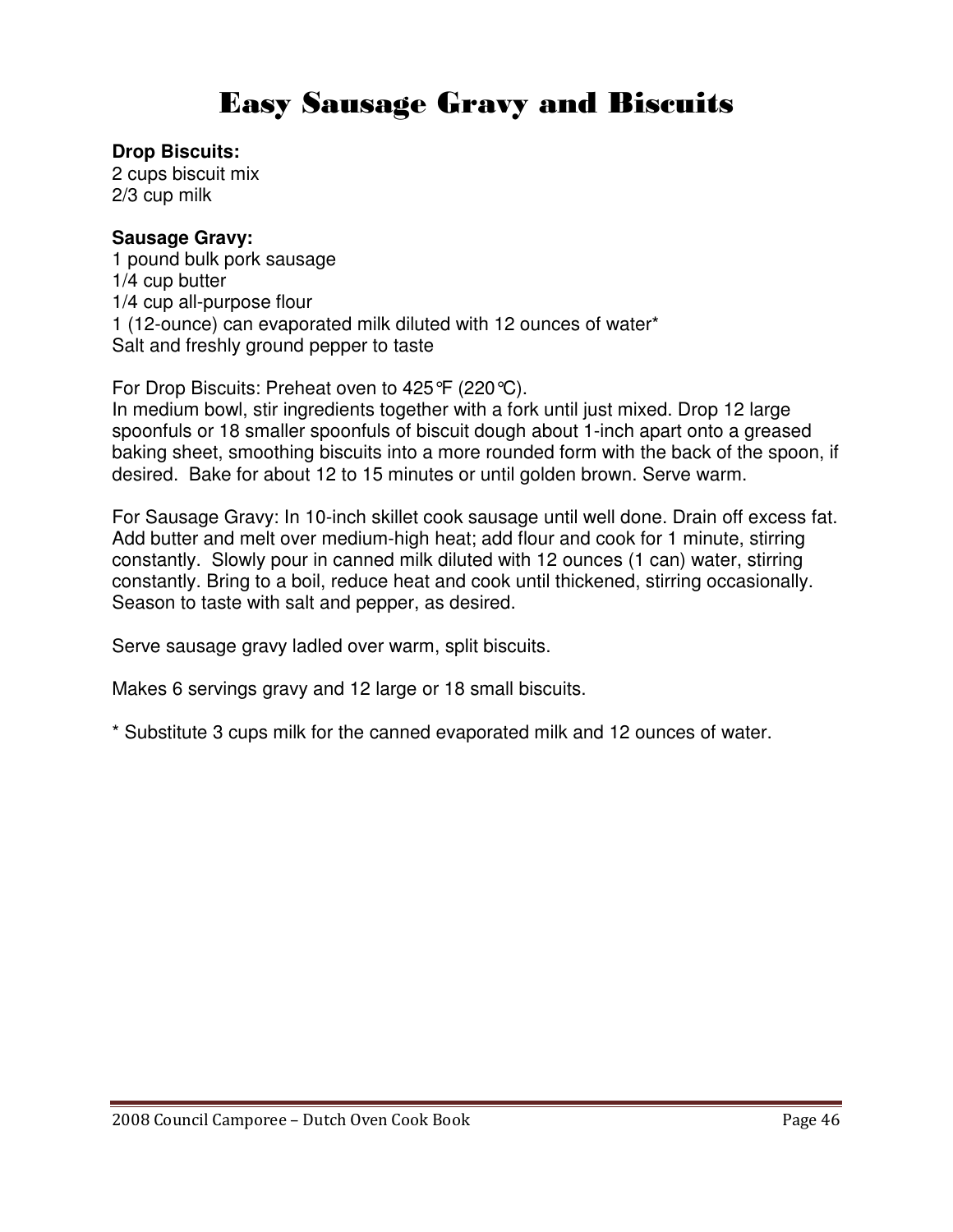### Easy Sausage Gravy and Biscuits

### **Drop Biscuits:**

2 cups biscuit mix 2/3 cup milk

### **Sausage Gravy:**

1 pound bulk pork sausage 1/4 cup butter 1/4 cup all-purpose flour 1 (12-ounce) can evaporated milk diluted with 12 ounces of water\* Salt and freshly ground pepper to taste

For Drop Biscuits: Preheat oven to 425°F (220°C).

In medium bowl, stir ingredients together with a fork until just mixed. Drop 12 large spoonfuls or 18 smaller spoonfuls of biscuit dough about 1-inch apart onto a greased baking sheet, smoothing biscuits into a more rounded form with the back of the spoon, if desired. Bake for about 12 to 15 minutes or until golden brown. Serve warm.

For Sausage Gravy: In 10-inch skillet cook sausage until well done. Drain off excess fat. Add butter and melt over medium-high heat; add flour and cook for 1 minute, stirring constantly. Slowly pour in canned milk diluted with 12 ounces (1 can) water, stirring constantly. Bring to a boil, reduce heat and cook until thickened, stirring occasionally. Season to taste with salt and pepper, as desired.

Serve sausage gravy ladled over warm, split biscuits.

Makes 6 servings gravy and 12 large or 18 small biscuits.

\* Substitute 3 cups milk for the canned evaporated milk and 12 ounces of water.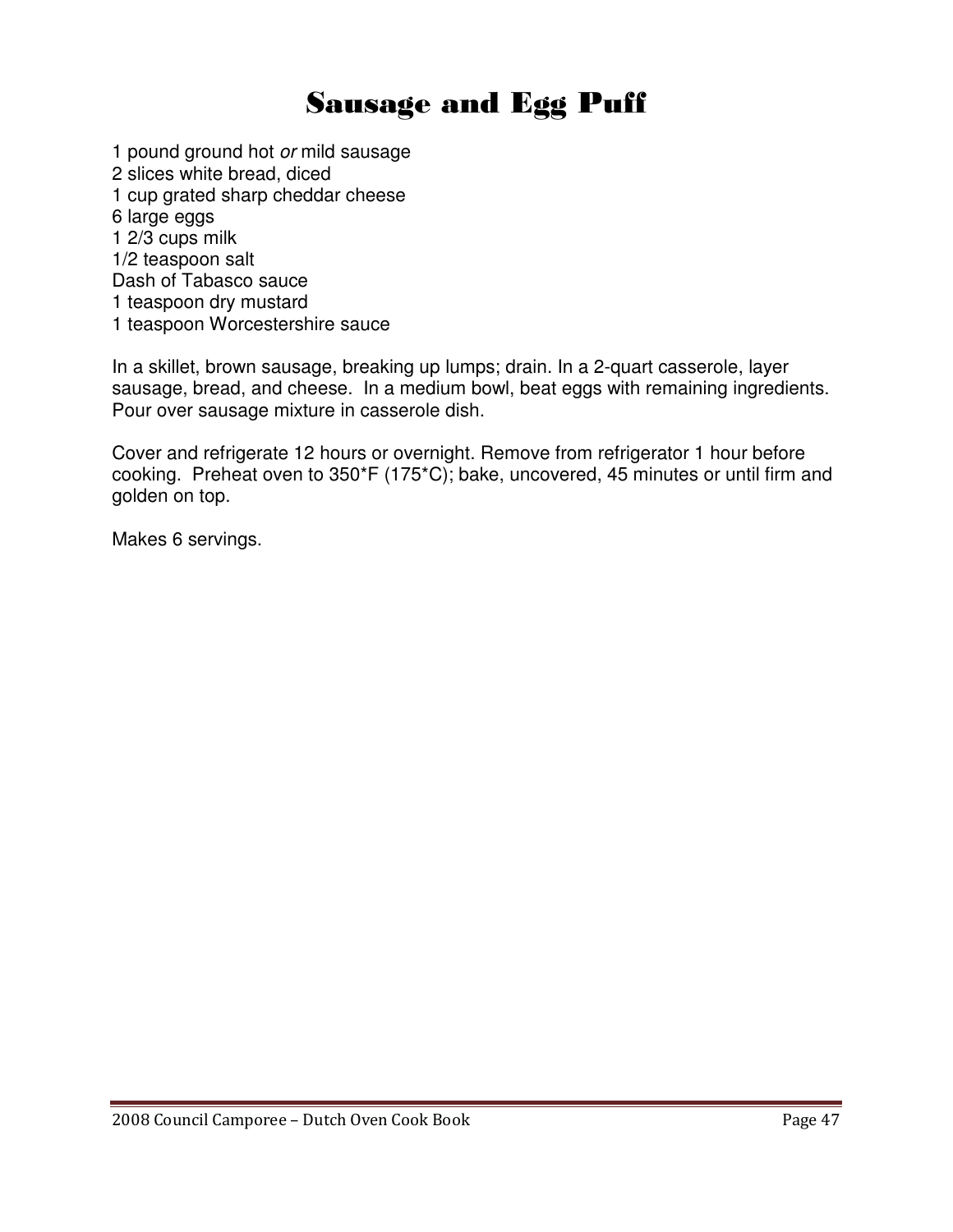### Sausage and Egg Puff

1 pound ground hot or mild sausage

- 2 slices white bread, diced
- 1 cup grated sharp cheddar cheese
- 6 large eggs
- 1 2/3 cups milk
- 1/2 teaspoon salt
- Dash of Tabasco sauce
- 1 teaspoon dry mustard
- 1 teaspoon Worcestershire sauce

In a skillet, brown sausage, breaking up lumps; drain. In a 2-quart casserole, layer sausage, bread, and cheese. In a medium bowl, beat eggs with remaining ingredients. Pour over sausage mixture in casserole dish.

Cover and refrigerate 12 hours or overnight. Remove from refrigerator 1 hour before cooking. Preheat oven to 350\*F (175\*C); bake, uncovered, 45 minutes or until firm and golden on top.

Makes 6 servings.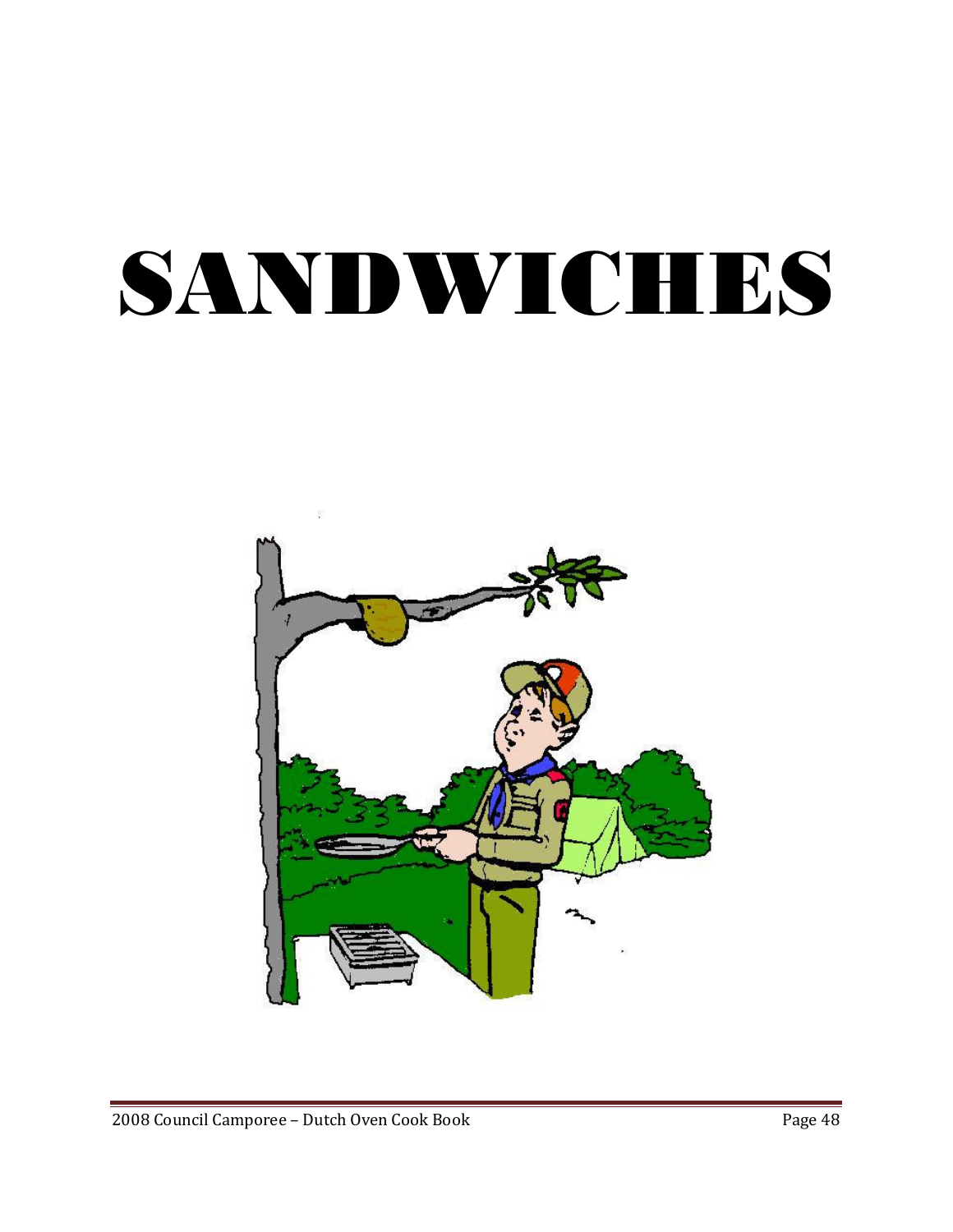# SANDWICHES

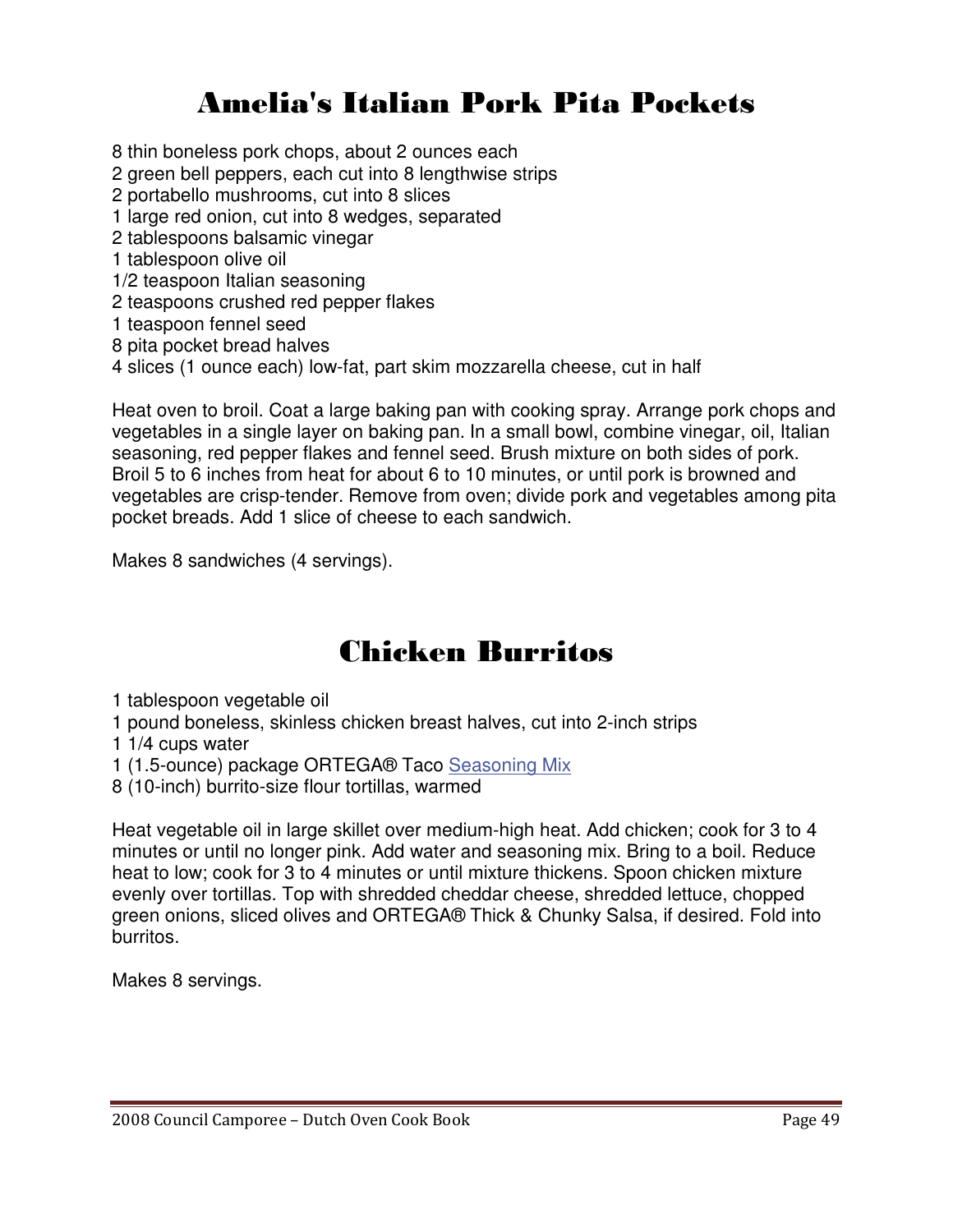## Amelia's Italian Pork Pita Pockets

8 thin boneless pork chops, about 2 ounces each

- 2 green bell peppers, each cut into 8 lengthwise strips
- 2 portabello mushrooms, cut into 8 slices
- 1 large red onion, cut into 8 wedges, separated
- 2 tablespoons balsamic vinegar
- 1 tablespoon olive oil
- 1/2 teaspoon Italian seasoning
- 2 teaspoons crushed red pepper flakes
- 1 teaspoon fennel seed
- 8 pita pocket bread halves
- 4 slices (1 ounce each) low-fat, part skim mozzarella cheese, cut in half

Heat oven to broil. Coat a large baking pan with cooking spray. Arrange pork chops and vegetables in a single layer on baking pan. In a small bowl, combine vinegar, oil, Italian seasoning, red pepper flakes and fennel seed. Brush mixture on both sides of pork. Broil 5 to 6 inches from heat for about 6 to 10 minutes, or until pork is browned and vegetables are crisp-tender. Remove from oven; divide pork and vegetables among pita pocket breads. Add 1 slice of cheese to each sandwich.

Makes 8 sandwiches (4 servings).

### Chicken Burritos

1 tablespoon vegetable oil

- 1 pound boneless, skinless chicken breast halves, cut into 2-inch strips
- 1 1/4 cups water
- 1 (1.5-ounce) package ORTEGA® Taco Seasoning Mix
- 8 (10-inch) burrito-size flour tortillas, warmed

Heat vegetable oil in large skillet over medium-high heat. Add chicken; cook for 3 to 4 minutes or until no longer pink. Add water and seasoning mix. Bring to a boil. Reduce heat to low; cook for 3 to 4 minutes or until mixture thickens. Spoon chicken mixture evenly over tortillas. Top with shredded cheddar cheese, shredded lettuce, chopped green onions, sliced olives and ORTEGA® Thick & Chunky Salsa, if desired. Fold into burritos.

Makes 8 servings.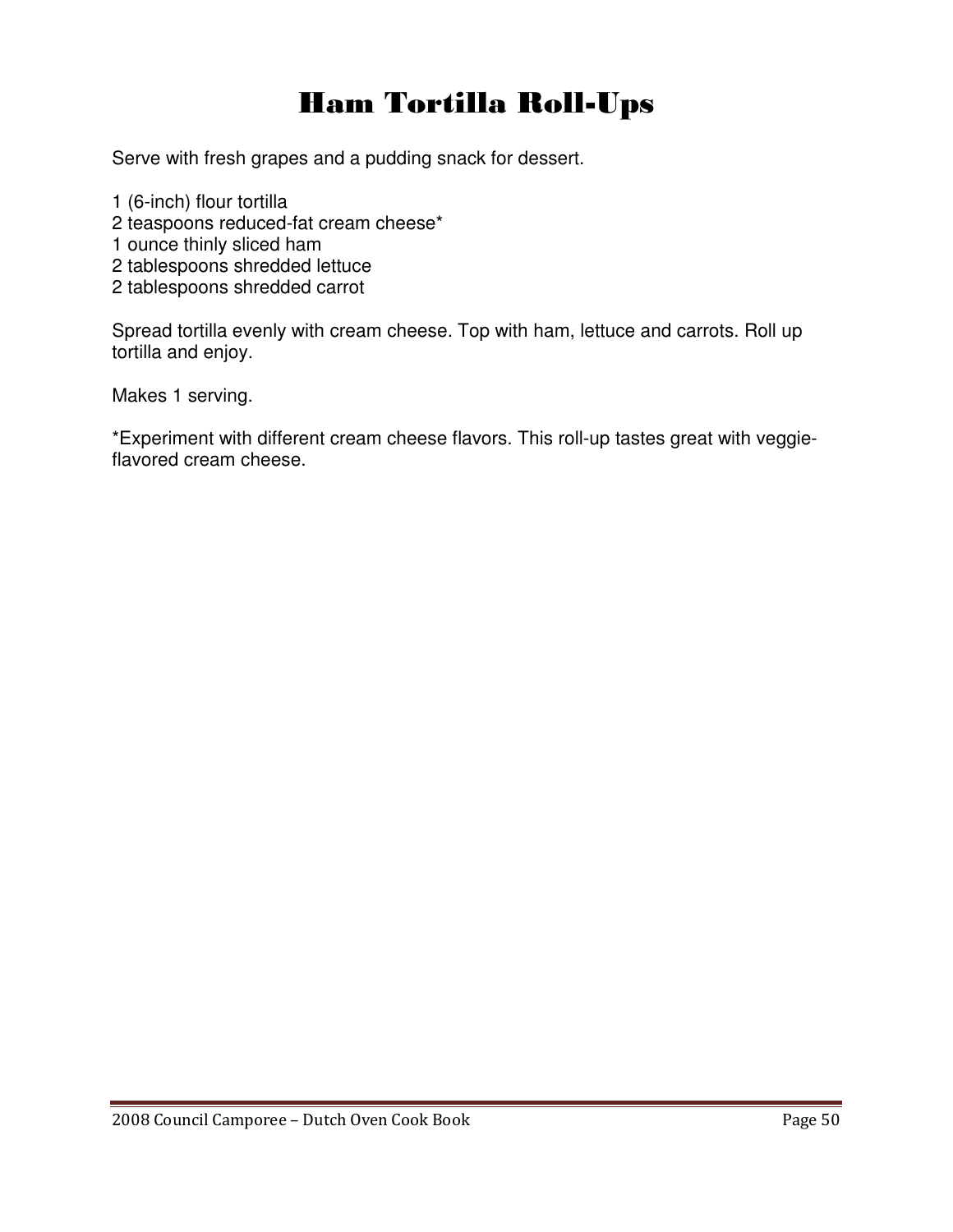## Ham Tortilla Roll-Ups

Serve with fresh grapes and a pudding snack for dessert.

- 1 (6-inch) flour tortilla
- 2 teaspoons reduced-fat cream cheese\*
- 1 ounce thinly sliced ham
- 2 tablespoons shredded lettuce
- 2 tablespoons shredded carrot

Spread tortilla evenly with cream cheese. Top with ham, lettuce and carrots. Roll up tortilla and enjoy.

Makes 1 serving.

\*Experiment with different cream cheese flavors. This roll-up tastes great with veggieflavored cream cheese.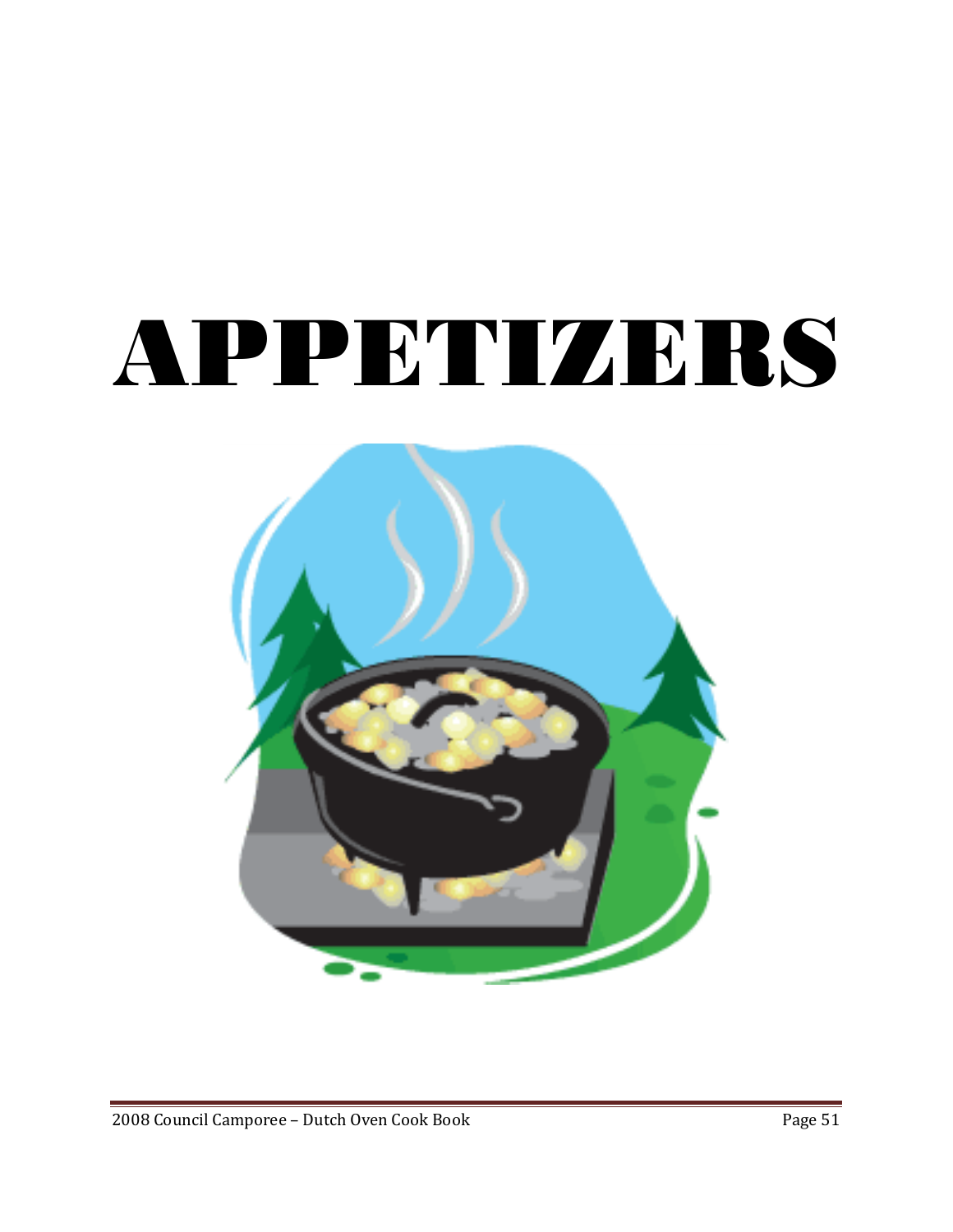# APPETIZERS

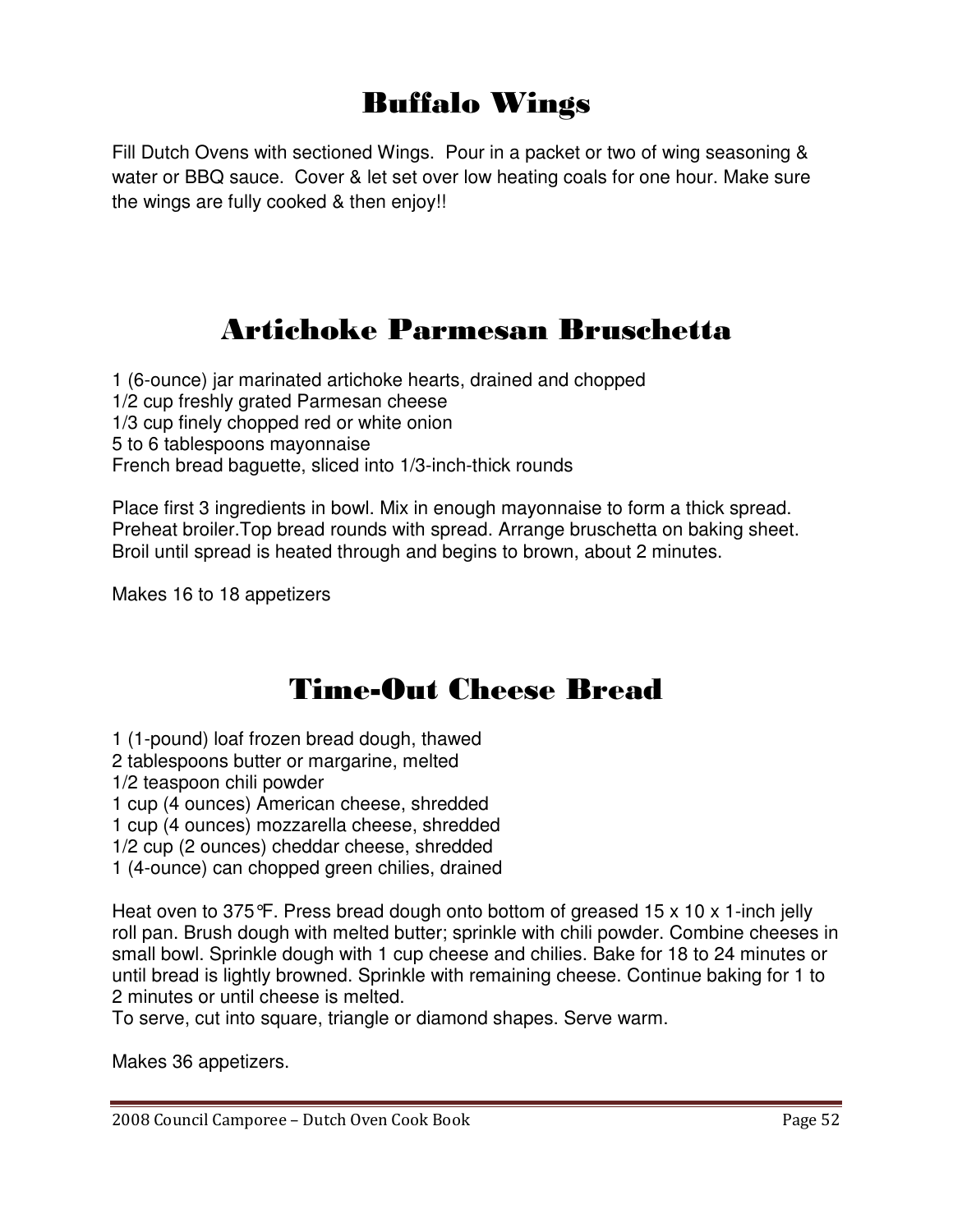### Buffalo Wings

Fill Dutch Ovens with sectioned Wings. Pour in a packet or two of wing seasoning & water or BBQ sauce. Cover & let set over low heating coals for one hour. Make sure the wings are fully cooked & then enjoy!!

### Artichoke Parmesan Bruschetta

1 (6-ounce) jar marinated artichoke hearts, drained and chopped 1/2 cup freshly grated Parmesan cheese 1/3 cup finely chopped red or white onion 5 to 6 tablespoons mayonnaise French bread baguette, sliced into 1/3-inch-thick rounds

Place first 3 ingredients in bowl. Mix in enough mayonnaise to form a thick spread. Preheat broiler.Top bread rounds with spread. Arrange bruschetta on baking sheet. Broil until spread is heated through and begins to brown, about 2 minutes.

Makes 16 to 18 appetizers

### Time-Out Cheese Bread

1 (1-pound) loaf frozen bread dough, thawed

- 2 tablespoons butter or margarine, melted
- 1/2 teaspoon chili powder

1 cup (4 ounces) American cheese, shredded

1 cup (4 ounces) mozzarella cheese, shredded

1/2 cup (2 ounces) cheddar cheese, shredded

1 (4-ounce) can chopped green chilies, drained

Heat oven to 375 $\mathcal{F}$ . Press bread dough onto bottom of greased 15 x 10 x 1-inch jelly roll pan. Brush dough with melted butter; sprinkle with chili powder. Combine cheeses in small bowl. Sprinkle dough with 1 cup cheese and chilies. Bake for 18 to 24 minutes or until bread is lightly browned. Sprinkle with remaining cheese. Continue baking for 1 to 2 minutes or until cheese is melted.

To serve, cut into square, triangle or diamond shapes. Serve warm.

Makes 36 appetizers.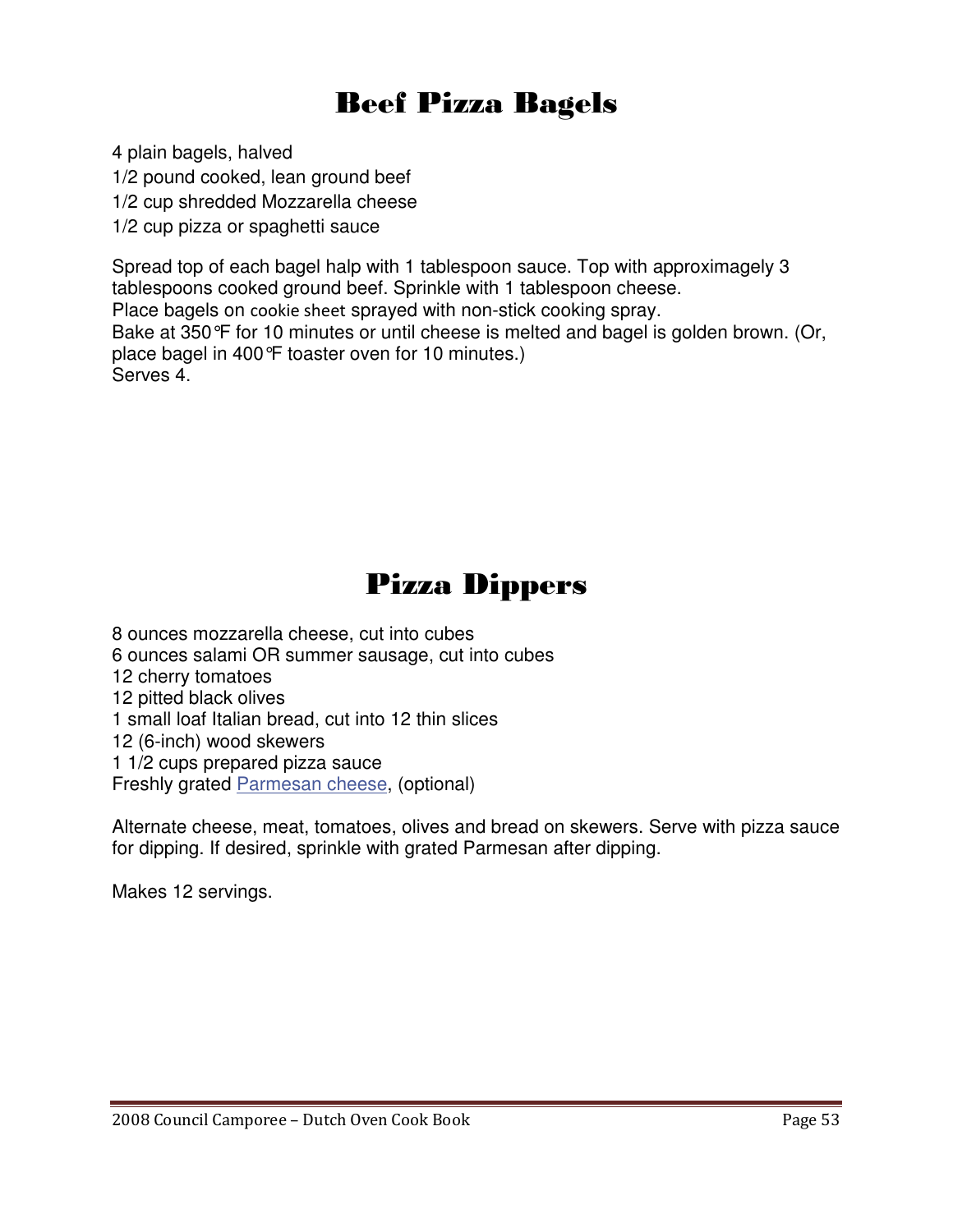### Beef Pizza Bagels

4 plain bagels, halved

1/2 pound cooked, lean ground beef

1/2 cup shredded Mozzarella cheese

1/2 cup pizza or spaghetti sauce

Spread top of each bagel halp with 1 tablespoon sauce. Top with approximagely 3 tablespoons cooked ground beef. Sprinkle with 1 tablespoon cheese. Place bagels on cookie sheet sprayed with non-stick cooking spray. Bake at 350°F for 10 minutes or until cheese is melted and bagel is golden brown. (Or, place bagel in 400°F toaster oven for 10 minutes.) Serves 4.

### Pizza Dippers

8 ounces mozzarella cheese, cut into cubes 6 ounces salami OR summer sausage, cut into cubes 12 cherry tomatoes 12 pitted black olives 1 small loaf Italian bread, cut into 12 thin slices 12 (6-inch) wood skewers 1 1/2 cups prepared pizza sauce Freshly grated Parmesan cheese, (optional)

Alternate cheese, meat, tomatoes, olives and bread on skewers. Serve with pizza sauce for dipping. If desired, sprinkle with grated Parmesan after dipping.

Makes 12 servings.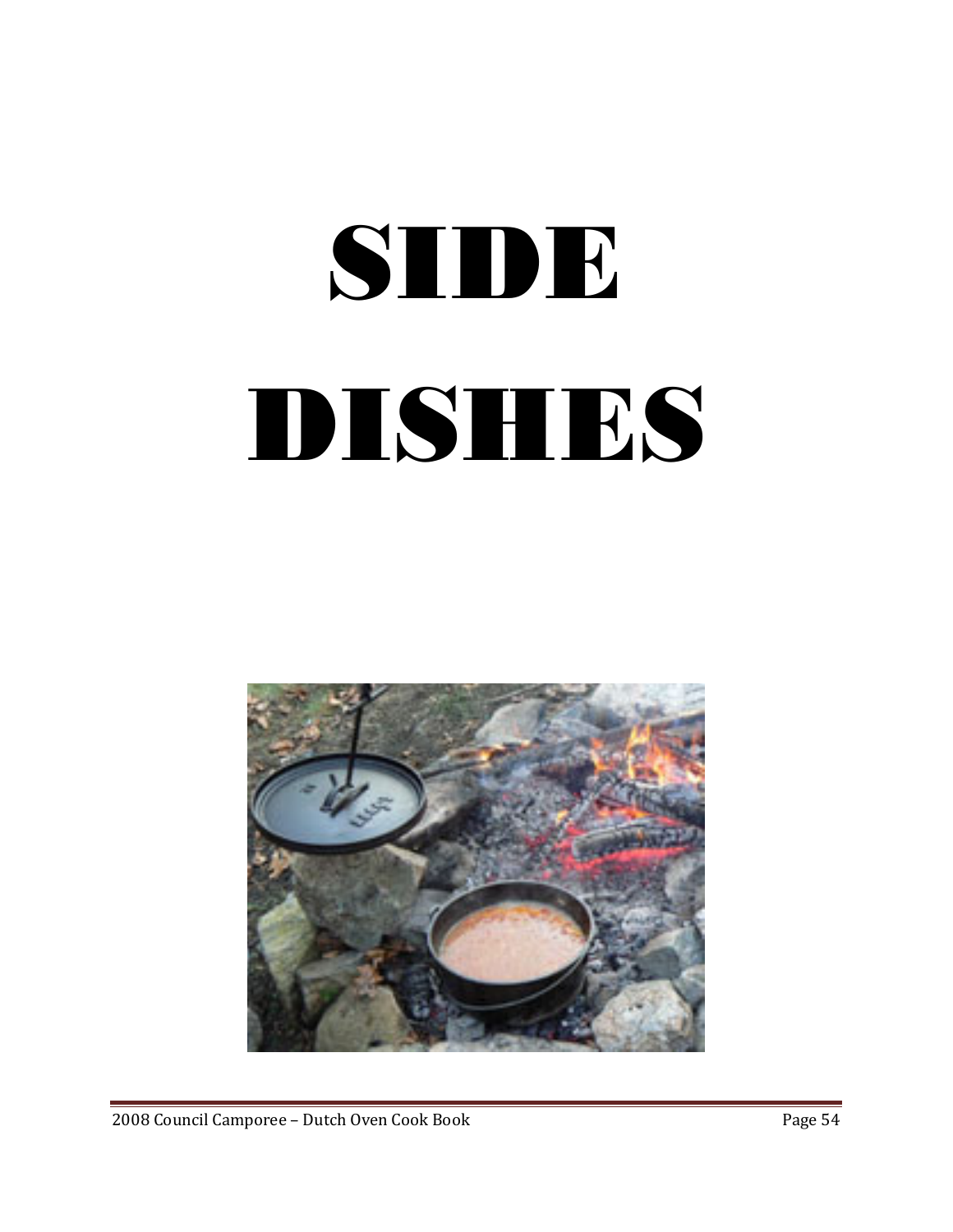# SIDE DISHES



2008 Council Camporee – Dutch Oven Cook Book Page 54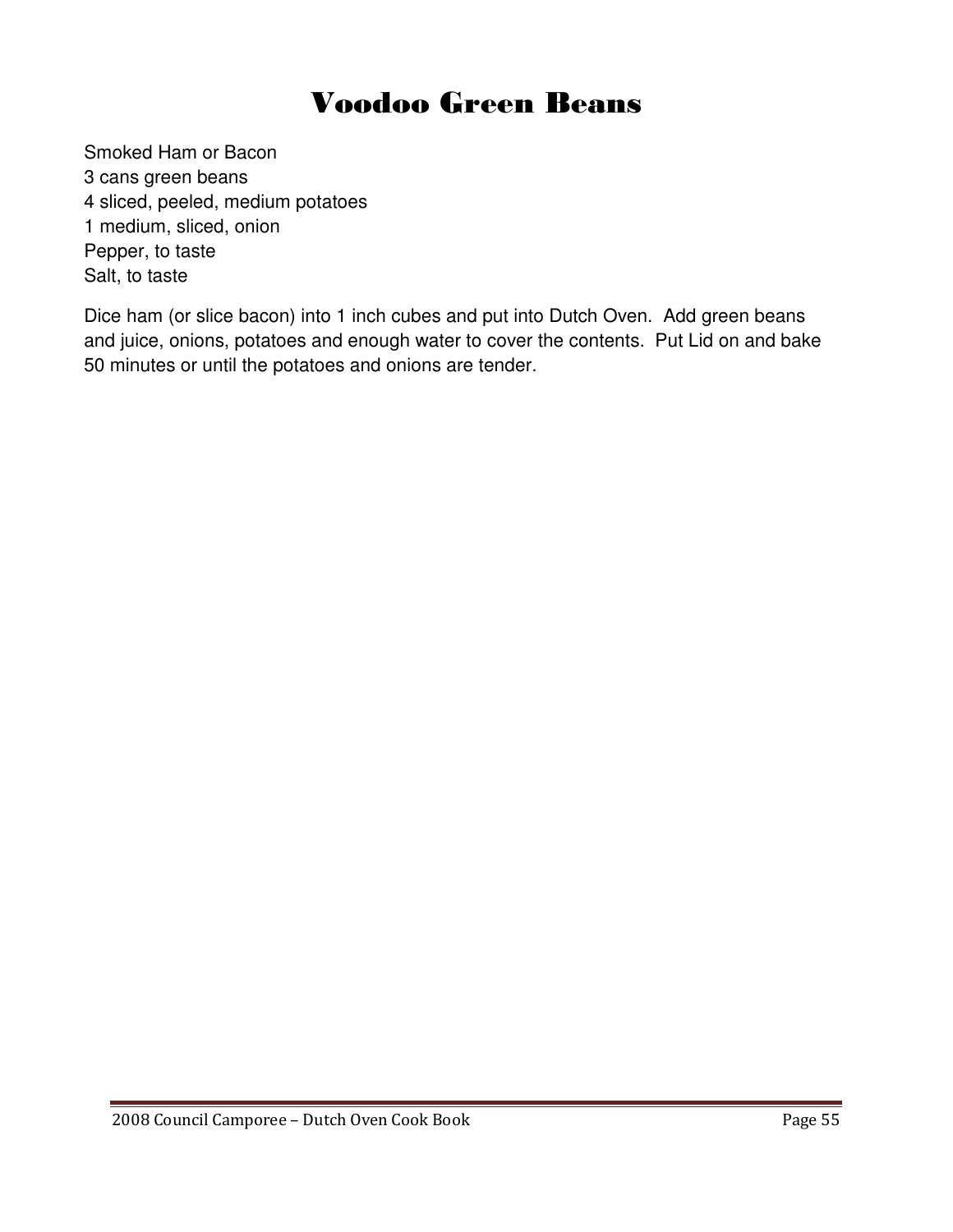### Voodoo Green Beans

Smoked Ham or Bacon 3 cans green beans 4 sliced, peeled, medium potatoes 1 medium, sliced, onion Pepper, to taste Salt, to taste

Dice ham (or slice bacon) into 1 inch cubes and put into Dutch Oven. Add green beans and juice, onions, potatoes and enough water to cover the contents. Put Lid on and bake 50 minutes or until the potatoes and onions are tender.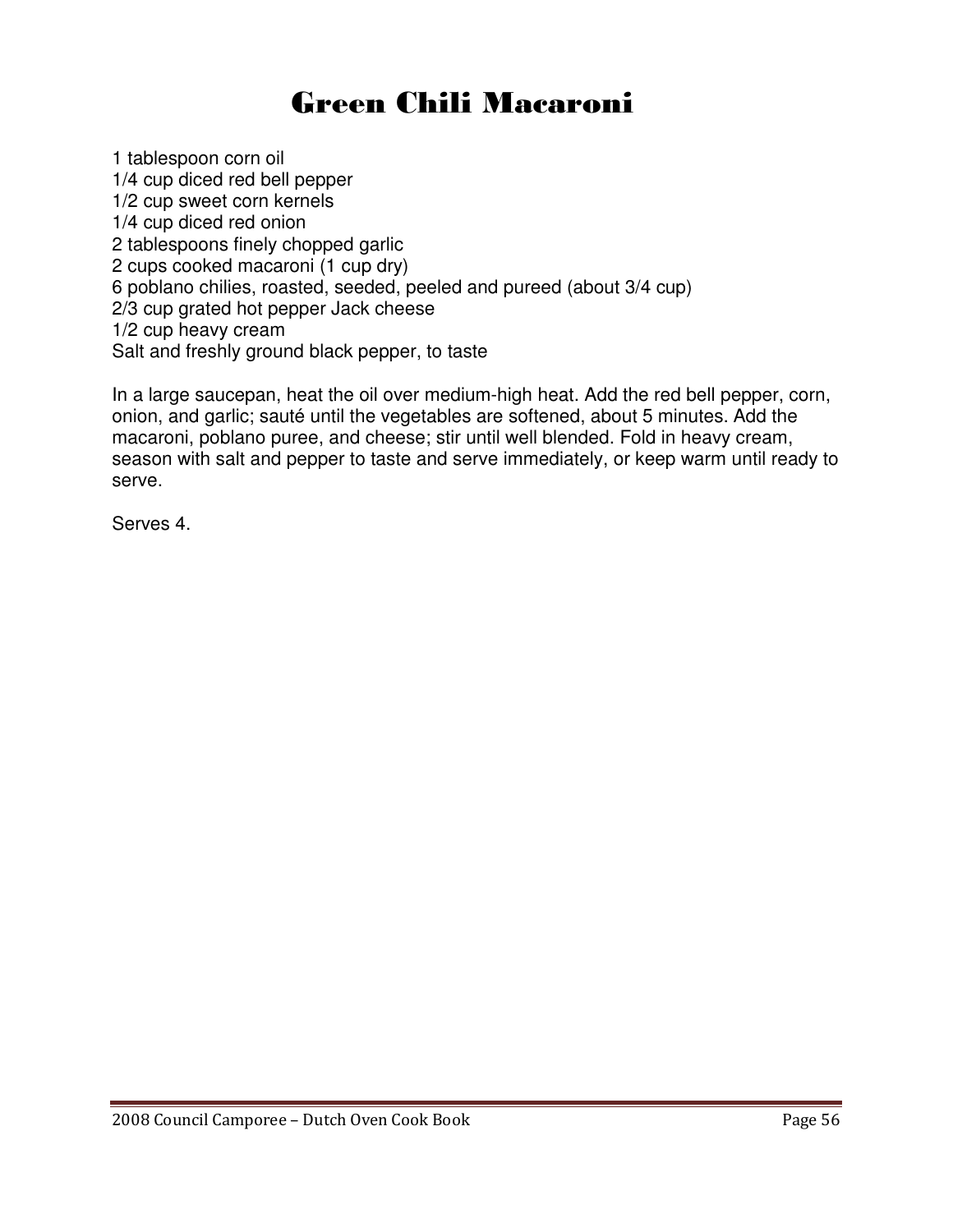## Green Chili Macaroni

1 tablespoon corn oil 1/4 cup diced red bell pepper 1/2 cup sweet corn kernels 1/4 cup diced red onion 2 tablespoons finely chopped garlic 2 cups cooked macaroni (1 cup dry) 6 poblano chilies, roasted, seeded, peeled and pureed (about 3/4 cup) 2/3 cup grated hot pepper Jack cheese 1/2 cup heavy cream Salt and freshly ground black pepper, to taste

In a large saucepan, heat the oil over medium-high heat. Add the red bell pepper, corn, onion, and garlic; sauté until the vegetables are softened, about 5 minutes. Add the macaroni, poblano puree, and cheese; stir until well blended. Fold in heavy cream, season with salt and pepper to taste and serve immediately, or keep warm until ready to serve.

Serves 4.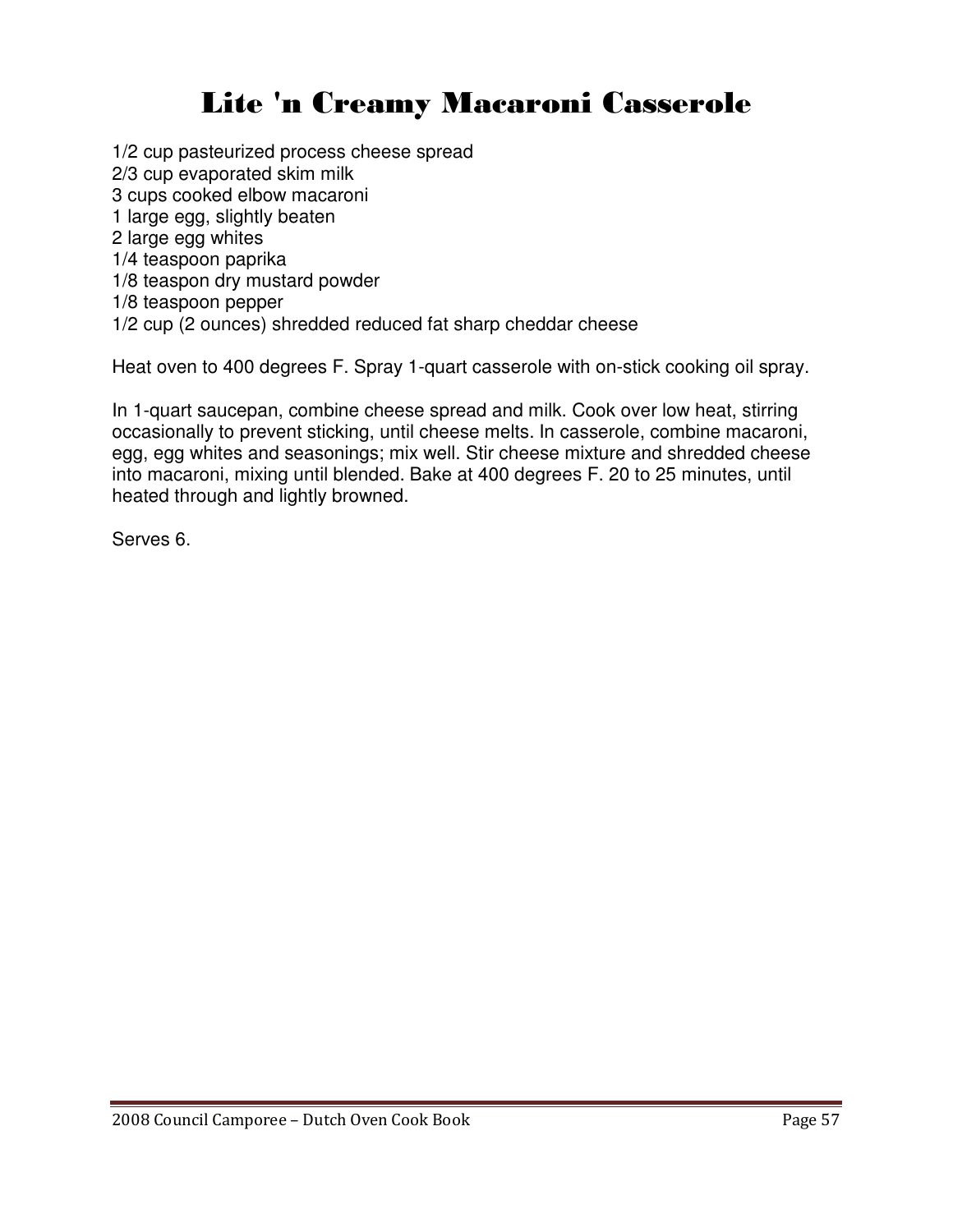## Lite 'n Creamy Macaroni Casserole

1/2 cup pasteurized process cheese spread

2/3 cup evaporated skim milk

3 cups cooked elbow macaroni

1 large egg, slightly beaten

2 large egg whites

1/4 teaspoon paprika

1/8 teaspon dry mustard powder

1/8 teaspoon pepper

1/2 cup (2 ounces) shredded reduced fat sharp cheddar cheese

Heat oven to 400 degrees F. Spray 1-quart casserole with on-stick cooking oil spray.

In 1-quart saucepan, combine cheese spread and milk. Cook over low heat, stirring occasionally to prevent sticking, until cheese melts. In casserole, combine macaroni, egg, egg whites and seasonings; mix well. Stir cheese mixture and shredded cheese into macaroni, mixing until blended. Bake at 400 degrees F. 20 to 25 minutes, until heated through and lightly browned.

Serves 6.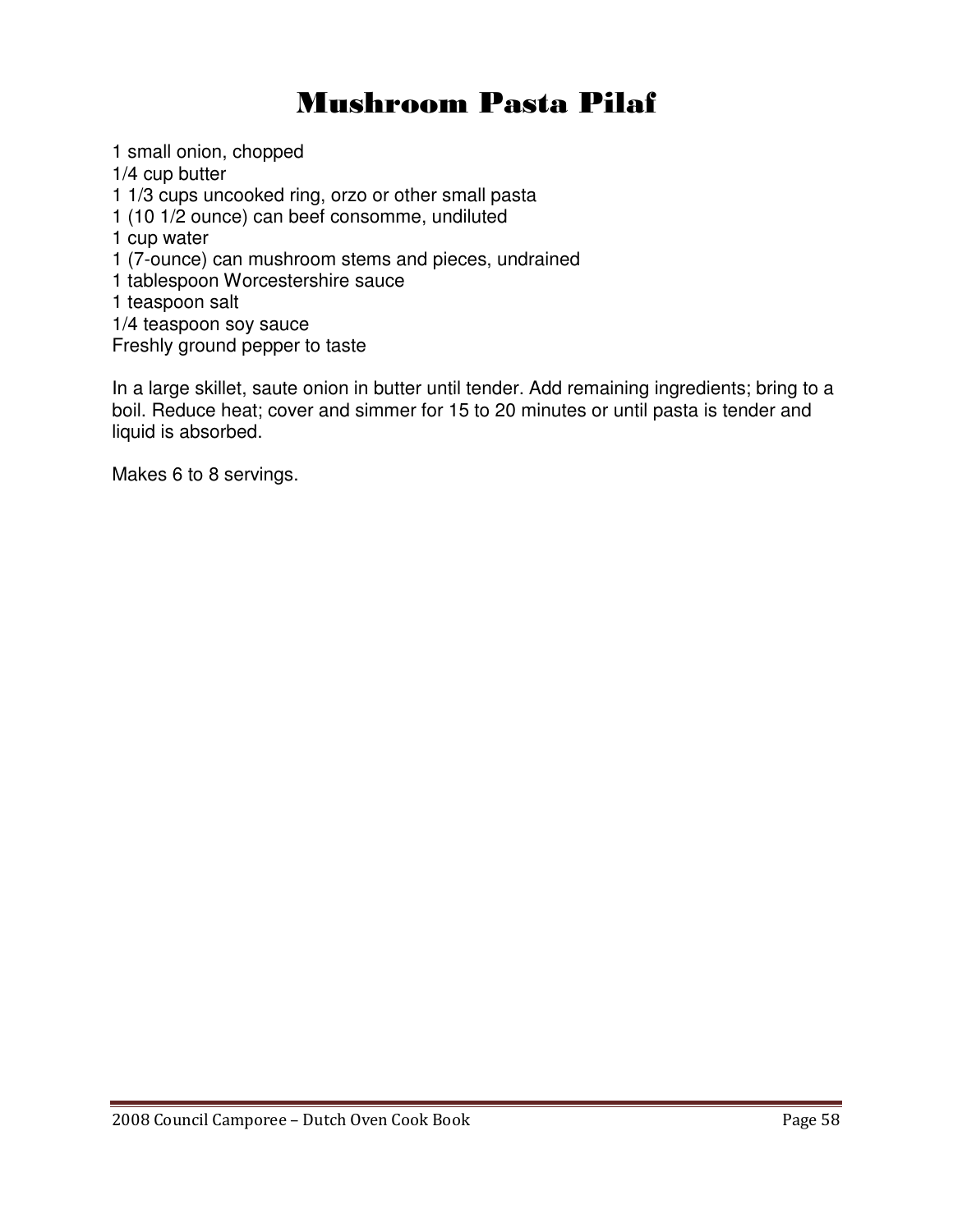### Mushroom Pasta Pilaf

1 small onion, chopped 1/4 cup butter 1 1/3 cups uncooked ring, orzo or other small pasta 1 (10 1/2 ounce) can beef consomme, undiluted 1 cup water 1 (7-ounce) can mushroom stems and pieces, undrained 1 tablespoon Worcestershire sauce 1 teaspoon salt 1/4 teaspoon soy sauce Freshly ground pepper to taste

In a large skillet, saute onion in butter until tender. Add remaining ingredients; bring to a boil. Reduce heat; cover and simmer for 15 to 20 minutes or until pasta is tender and liquid is absorbed.

Makes 6 to 8 servings.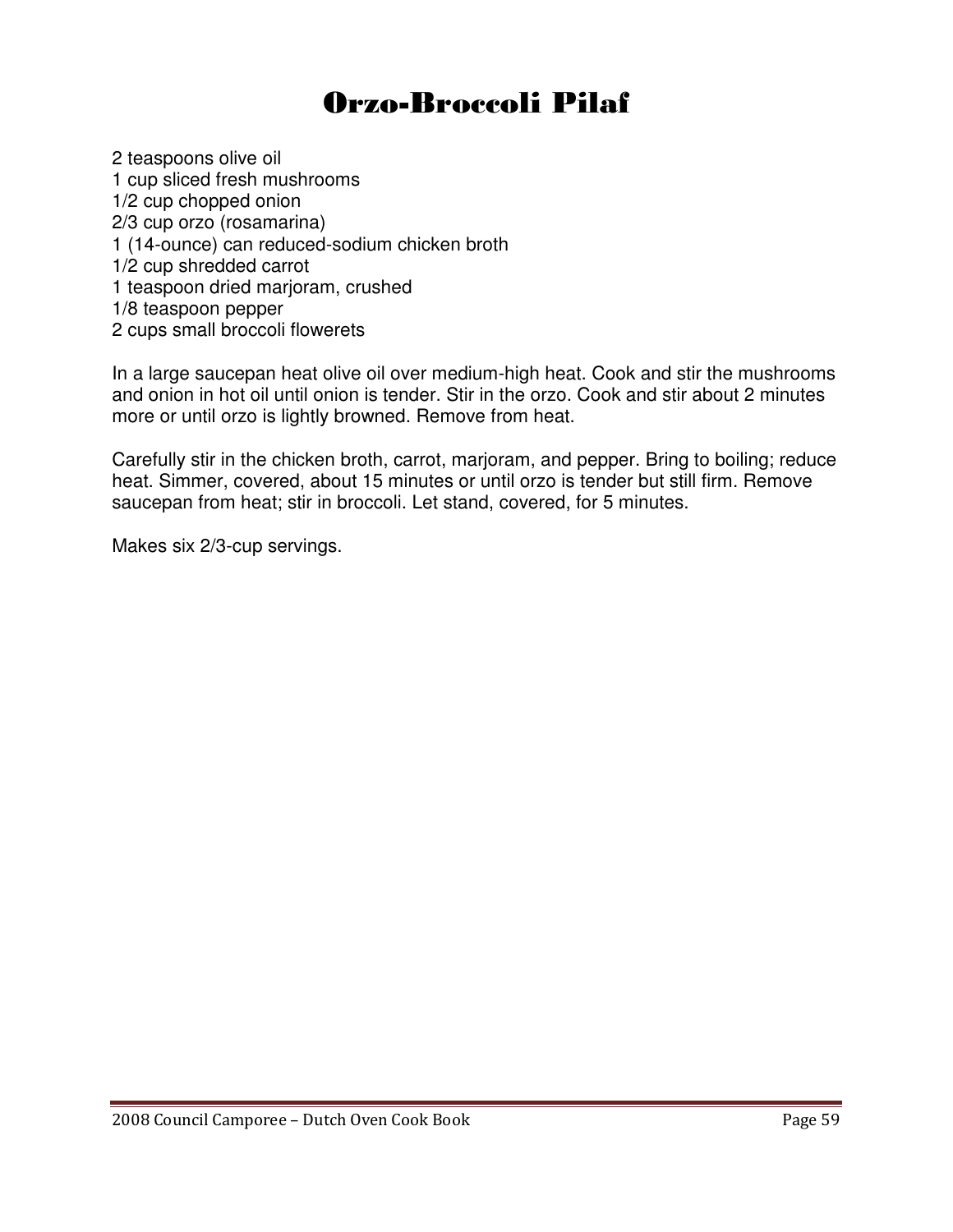### Orzo-Broccoli Pilaf

2 teaspoons olive oil 1 cup sliced fresh mushrooms 1/2 cup chopped onion 2/3 cup orzo (rosamarina) 1 (14-ounce) can reduced-sodium chicken broth 1/2 cup shredded carrot 1 teaspoon dried marjoram, crushed 1/8 teaspoon pepper 2 cups small broccoli flowerets

In a large saucepan heat olive oil over medium-high heat. Cook and stir the mushrooms and onion in hot oil until onion is tender. Stir in the orzo. Cook and stir about 2 minutes more or until orzo is lightly browned. Remove from heat.

Carefully stir in the chicken broth, carrot, marjoram, and pepper. Bring to boiling; reduce heat. Simmer, covered, about 15 minutes or until orzo is tender but still firm. Remove saucepan from heat; stir in broccoli. Let stand, covered, for 5 minutes.

Makes six 2/3-cup servings.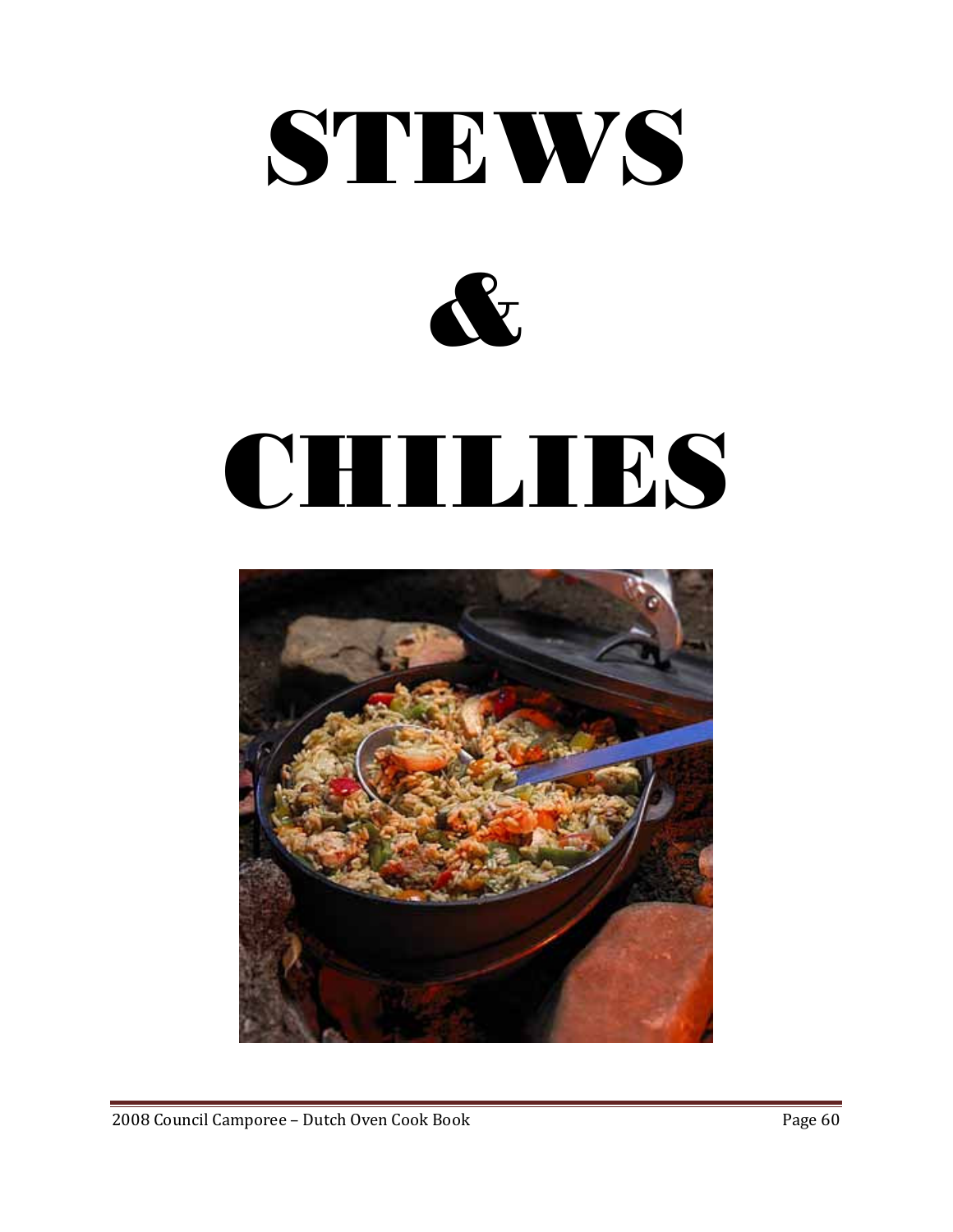



# CHILIES



2008 Council Camporee – Dutch Oven Cook Book Page 60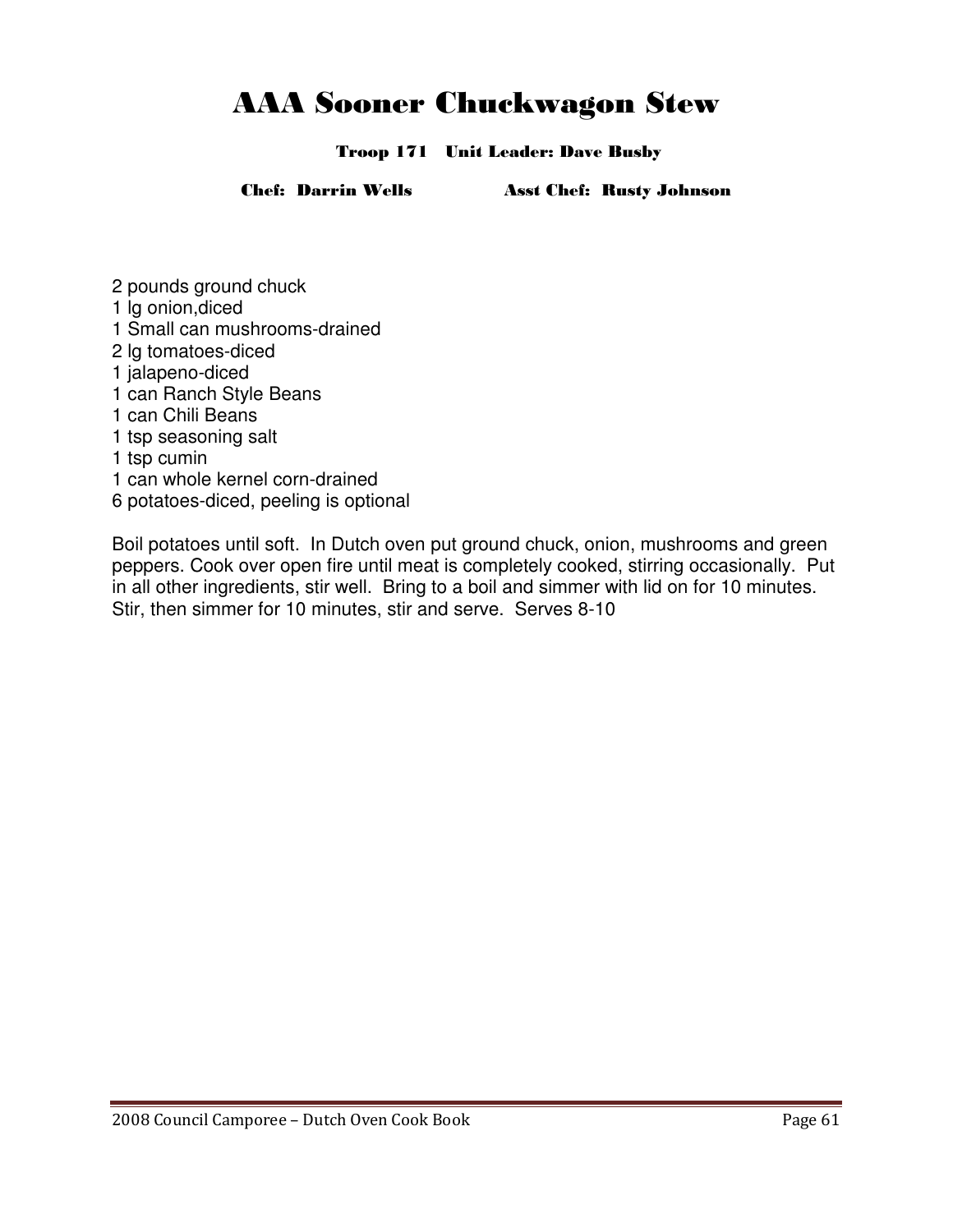### AAA Sooner Chuckwagon Stew

Troop 171 Unit Leader: Dave Busby

Chef: Darrin Wells Asst Chef: Rusty Johnson

- 2 pounds ground chuck
- 1 lg onion,diced
- 1 Small can mushrooms-drained
- 2 lg tomatoes-diced
- 1 jalapeno-diced
- 1 can Ranch Style Beans
- 1 can Chili Beans
- 1 tsp seasoning salt
- 1 tsp cumin
- 1 can whole kernel corn-drained
- 6 potatoes-diced, peeling is optional

Boil potatoes until soft. In Dutch oven put ground chuck, onion, mushrooms and green peppers. Cook over open fire until meat is completely cooked, stirring occasionally. Put in all other ingredients, stir well. Bring to a boil and simmer with lid on for 10 minutes. Stir, then simmer for 10 minutes, stir and serve. Serves 8-10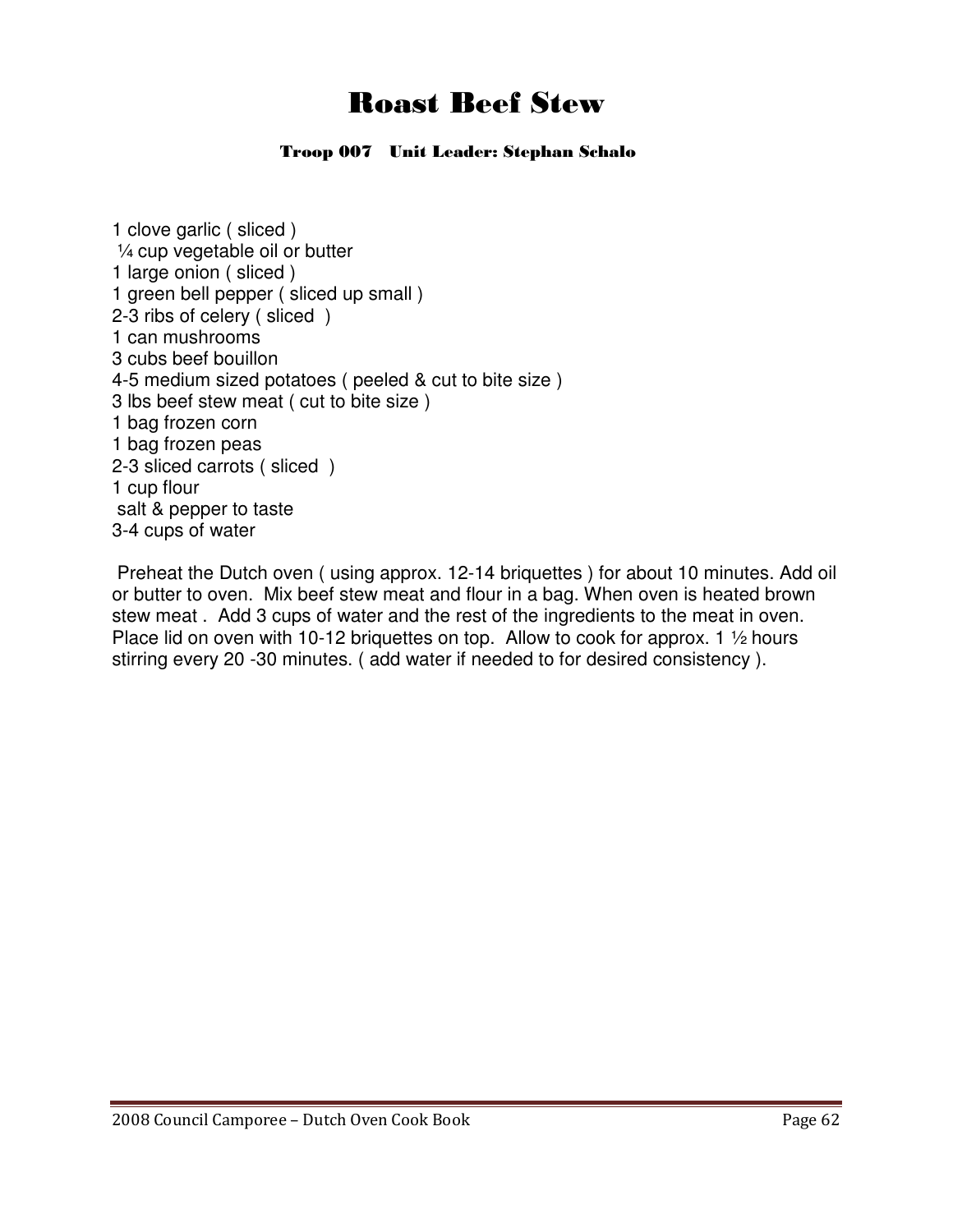### Roast Beef Stew

### Troop 007 Unit Leader: Stephan Schalo

1 clove garlic ( sliced ) ¼ cup vegetable oil or butter 1 large onion ( sliced ) 1 green bell pepper ( sliced up small ) 2-3 ribs of celery ( sliced ) 1 can mushrooms 3 cubs beef bouillon 4-5 medium sized potatoes ( peeled & cut to bite size ) 3 lbs beef stew meat ( cut to bite size ) 1 bag frozen corn 1 bag frozen peas 2-3 sliced carrots ( sliced ) 1 cup flour salt & pepper to taste 3-4 cups of water

 Preheat the Dutch oven ( using approx. 12-14 briquettes ) for about 10 minutes. Add oil or butter to oven. Mix beef stew meat and flour in a bag. When oven is heated brown stew meat . Add 3 cups of water and the rest of the ingredients to the meat in oven. Place lid on oven with 10-12 briquettes on top. Allow to cook for approx. 1 1/2 hours stirring every 20 -30 minutes. ( add water if needed to for desired consistency ).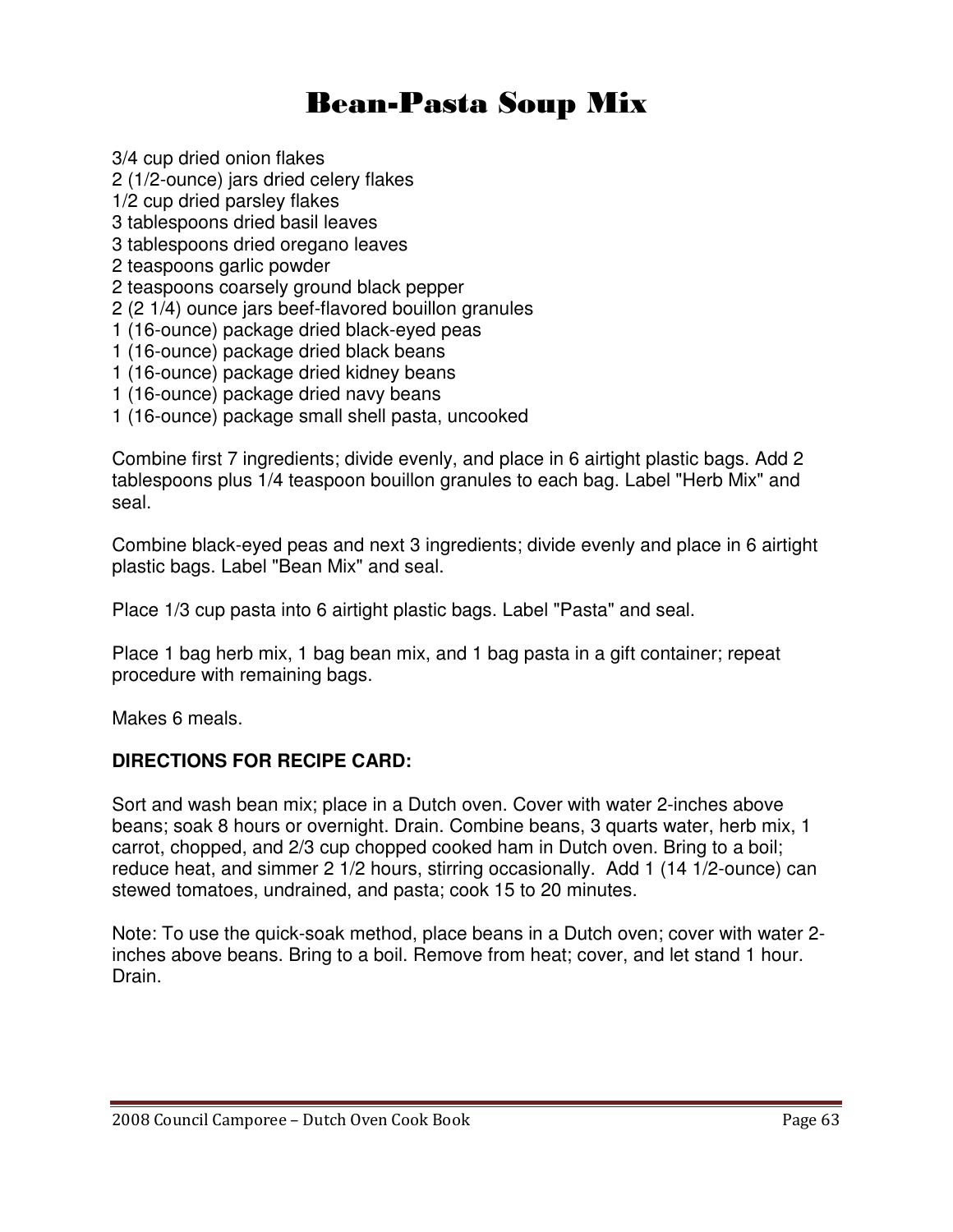### Bean-Pasta Soup Mix

3/4 cup dried onion flakes 2 (1/2-ounce) jars dried celery flakes

1/2 cup dried parsley flakes

3 tablespoons dried basil leaves

3 tablespoons dried oregano leaves

2 teaspoons garlic powder

2 teaspoons coarsely ground black pepper

2 (2 1/4) ounce jars beef-flavored bouillon granules

- 1 (16-ounce) package dried black-eyed peas
- 1 (16-ounce) package dried black beans
- 1 (16-ounce) package dried kidney beans
- 1 (16-ounce) package dried navy beans
- 1 (16-ounce) package small shell pasta, uncooked

Combine first 7 ingredients; divide evenly, and place in 6 airtight plastic bags. Add 2 tablespoons plus 1/4 teaspoon bouillon granules to each bag. Label "Herb Mix" and seal.

Combine black-eyed peas and next 3 ingredients; divide evenly and place in 6 airtight plastic bags. Label "Bean Mix" and seal.

Place 1/3 cup pasta into 6 airtight plastic bags. Label "Pasta" and seal.

Place 1 bag herb mix, 1 bag bean mix, and 1 bag pasta in a gift container; repeat procedure with remaining bags.

Makes 6 meals.

### **DIRECTIONS FOR RECIPE CARD:**

Sort and wash bean mix; place in a Dutch oven. Cover with water 2-inches above beans; soak 8 hours or overnight. Drain. Combine beans, 3 quarts water, herb mix, 1 carrot, chopped, and 2/3 cup chopped cooked ham in Dutch oven. Bring to a boil; reduce heat, and simmer 2 1/2 hours, stirring occasionally. Add 1 (14 1/2-ounce) can stewed tomatoes, undrained, and pasta; cook 15 to 20 minutes.

Note: To use the quick-soak method, place beans in a Dutch oven; cover with water 2 inches above beans. Bring to a boil. Remove from heat; cover, and let stand 1 hour. Drain.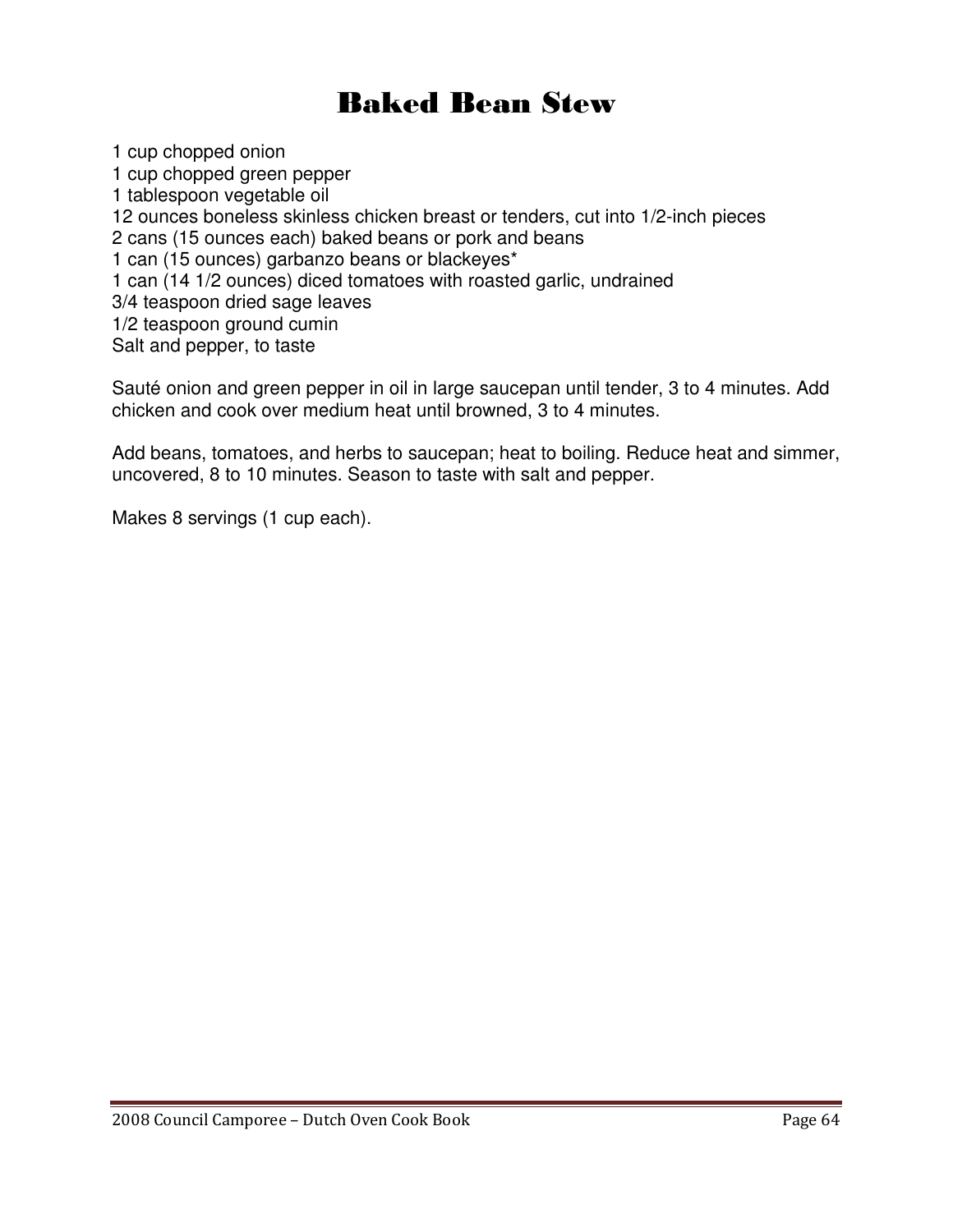### Baked Bean Stew

1 cup chopped onion 1 cup chopped green pepper 1 tablespoon vegetable oil 12 ounces boneless skinless chicken breast or tenders, cut into 1/2-inch pieces 2 cans (15 ounces each) baked beans or pork and beans 1 can (15 ounces) garbanzo beans or blackeyes\* 1 can (14 1/2 ounces) diced tomatoes with roasted garlic, undrained 3/4 teaspoon dried sage leaves 1/2 teaspoon ground cumin Salt and pepper, to taste

Sauté onion and green pepper in oil in large saucepan until tender, 3 to 4 minutes. Add chicken and cook over medium heat until browned, 3 to 4 minutes.

Add beans, tomatoes, and herbs to saucepan; heat to boiling. Reduce heat and simmer, uncovered, 8 to 10 minutes. Season to taste with salt and pepper.

Makes 8 servings (1 cup each).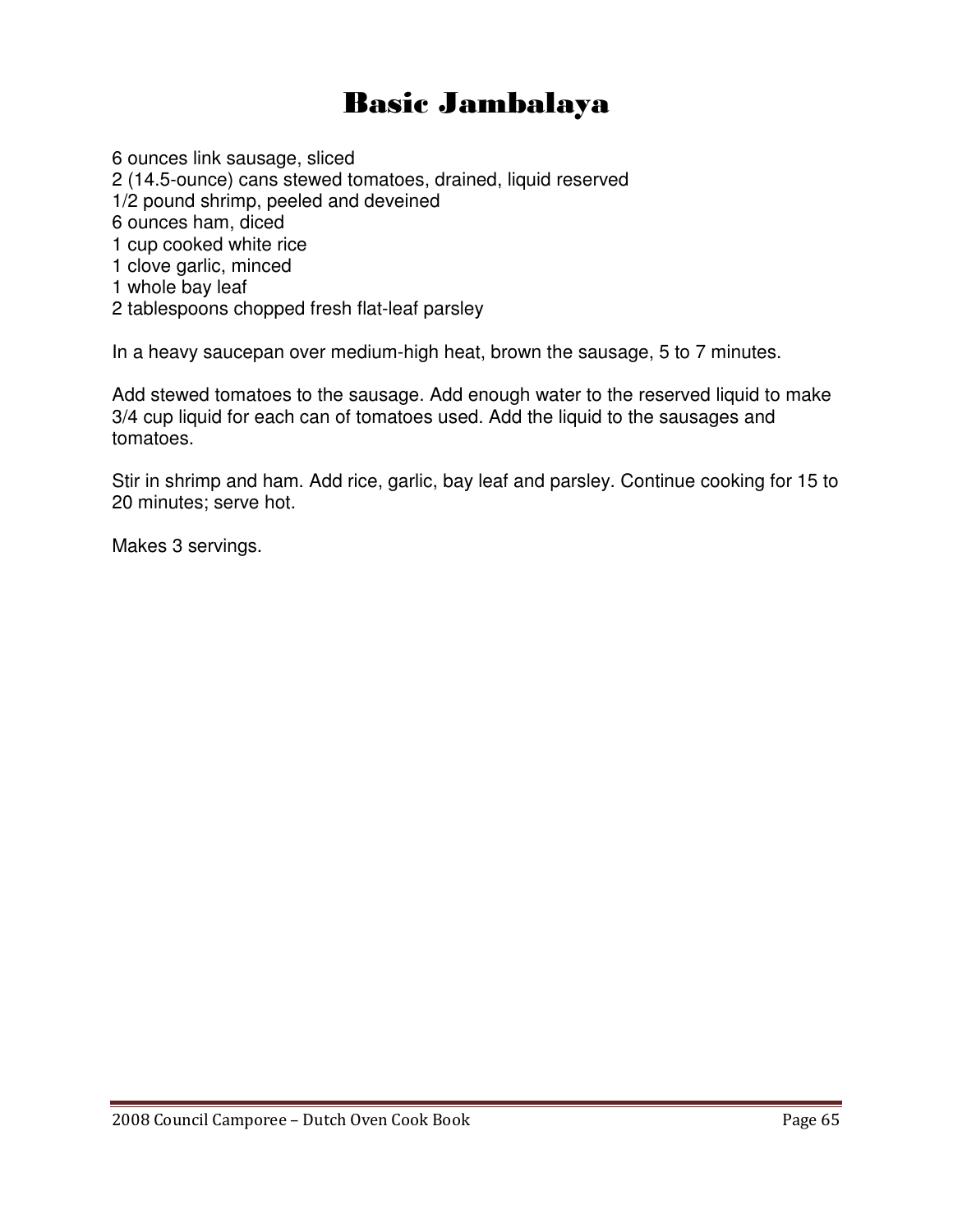### Basic Jambalaya

6 ounces link sausage, sliced 2 (14.5-ounce) cans stewed tomatoes, drained, liquid reserved 1/2 pound shrimp, peeled and deveined 6 ounces ham, diced 1 cup cooked white rice 1 clove garlic, minced 1 whole bay leaf 2 tablespoons chopped fresh flat-leaf parsley

In a heavy saucepan over medium-high heat, brown the sausage, 5 to 7 minutes.

Add stewed tomatoes to the sausage. Add enough water to the reserved liquid to make 3/4 cup liquid for each can of tomatoes used. Add the liquid to the sausages and tomatoes.

Stir in shrimp and ham. Add rice, garlic, bay leaf and parsley. Continue cooking for 15 to 20 minutes; serve hot.

Makes 3 servings.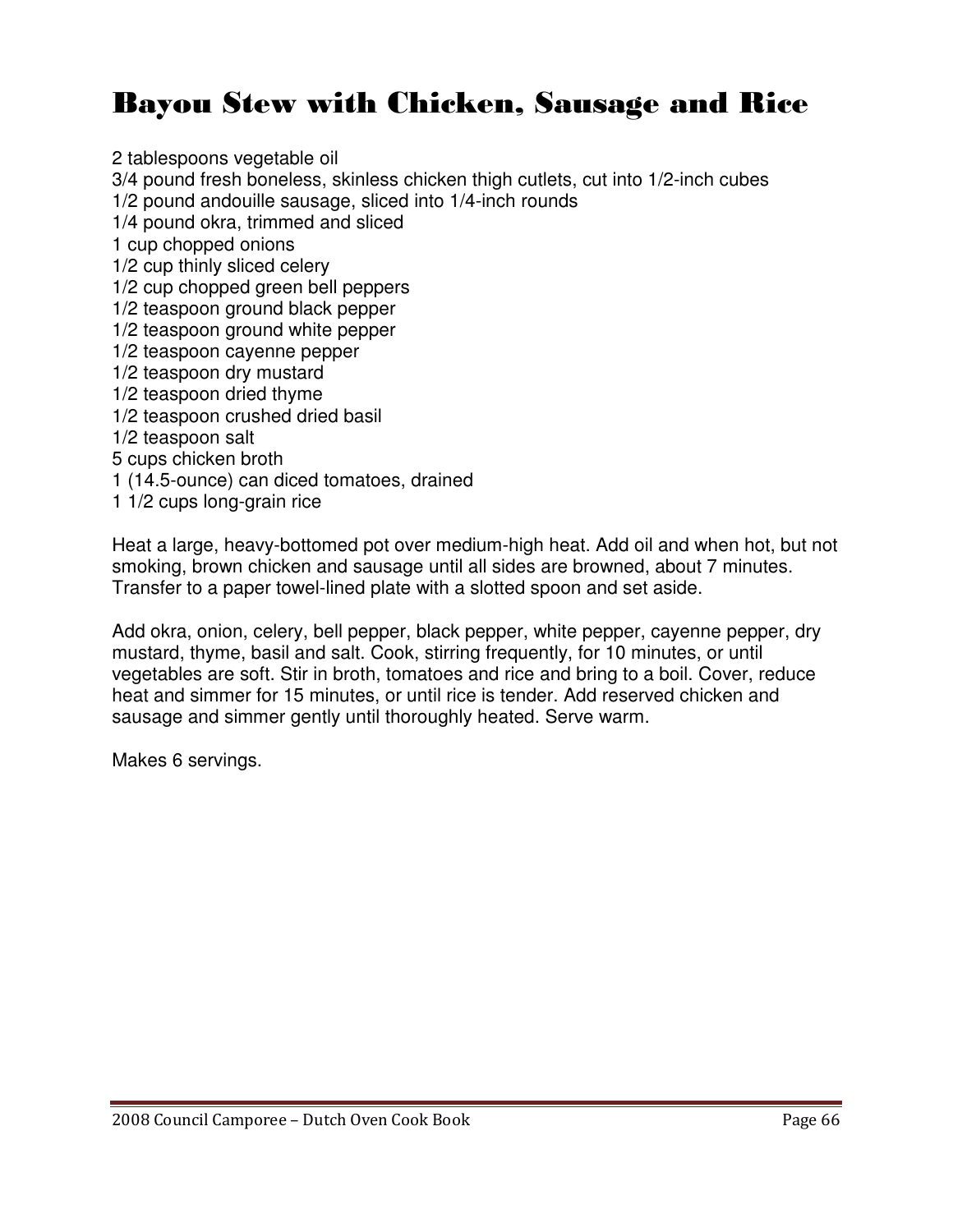### Bayou Stew with Chicken, Sausage and Rice

2 tablespoons vegetable oil 3/4 pound fresh boneless, skinless chicken thigh cutlets, cut into 1/2-inch cubes 1/2 pound andouille sausage, sliced into 1/4-inch rounds 1/4 pound okra, trimmed and sliced 1 cup chopped onions 1/2 cup thinly sliced celery 1/2 cup chopped green bell peppers 1/2 teaspoon ground black pepper 1/2 teaspoon ground white pepper 1/2 teaspoon cayenne pepper 1/2 teaspoon dry mustard 1/2 teaspoon dried thyme 1/2 teaspoon crushed dried basil 1/2 teaspoon salt 5 cups chicken broth 1 (14.5-ounce) can diced tomatoes, drained 1 1/2 cups long-grain rice

Heat a large, heavy-bottomed pot over medium-high heat. Add oil and when hot, but not smoking, brown chicken and sausage until all sides are browned, about 7 minutes. Transfer to a paper towel-lined plate with a slotted spoon and set aside.

Add okra, onion, celery, bell pepper, black pepper, white pepper, cayenne pepper, dry mustard, thyme, basil and salt. Cook, stirring frequently, for 10 minutes, or until vegetables are soft. Stir in broth, tomatoes and rice and bring to a boil. Cover, reduce heat and simmer for 15 minutes, or until rice is tender. Add reserved chicken and sausage and simmer gently until thoroughly heated. Serve warm.

Makes 6 servings.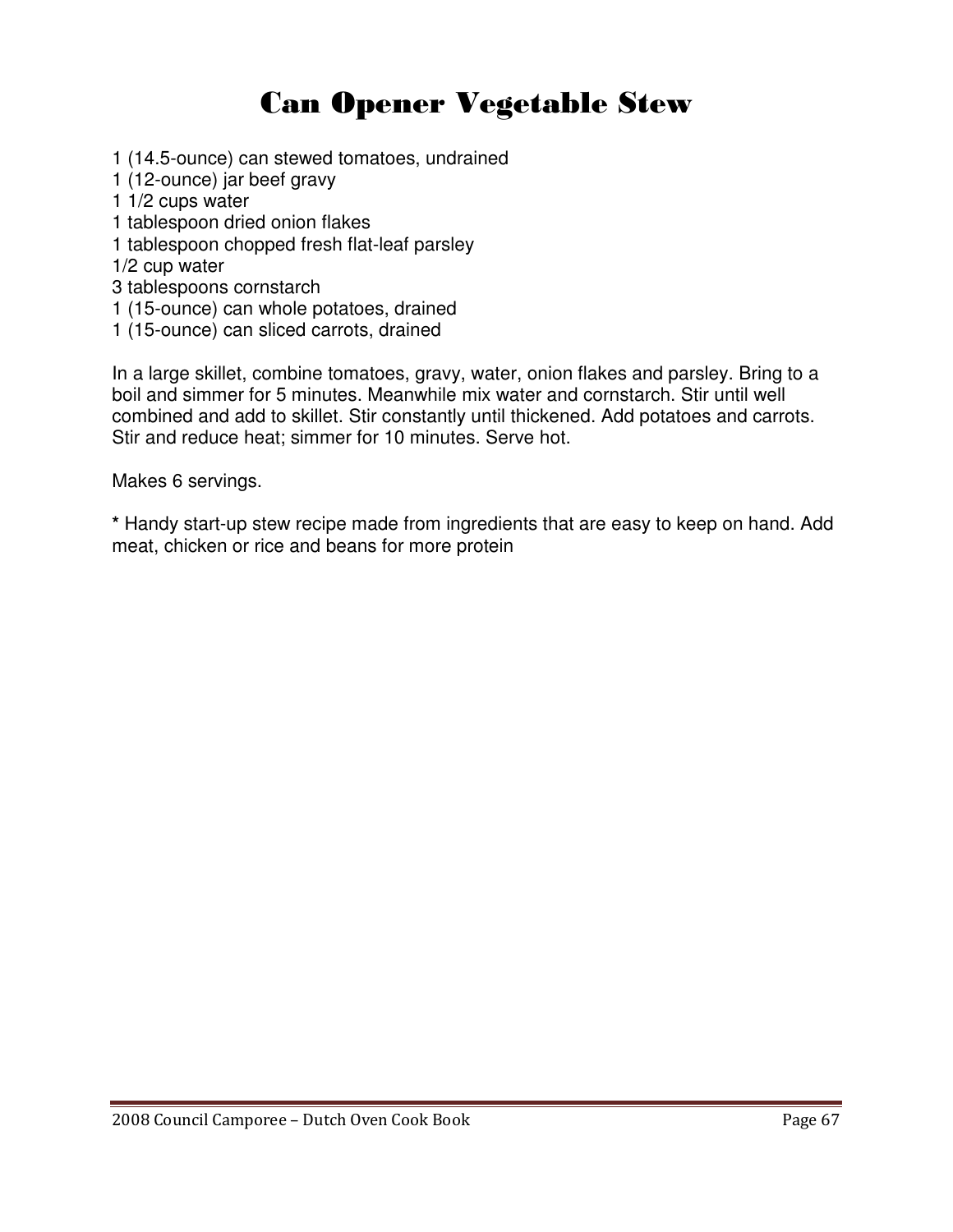## Can Opener Vegetable Stew

1 (14.5-ounce) can stewed tomatoes, undrained

- 1 (12-ounce) jar beef gravy
- 1 1/2 cups water
- 1 tablespoon dried onion flakes
- 1 tablespoon chopped fresh flat-leaf parsley

1/2 cup water

- 3 tablespoons cornstarch
- 1 (15-ounce) can whole potatoes, drained
- 1 (15-ounce) can sliced carrots, drained

In a large skillet, combine tomatoes, gravy, water, onion flakes and parsley. Bring to a boil and simmer for 5 minutes. Meanwhile mix water and cornstarch. Stir until well combined and add to skillet. Stir constantly until thickened. Add potatoes and carrots. Stir and reduce heat; simmer for 10 minutes. Serve hot.

Makes 6 servings.

**\*** Handy start-up stew recipe made from ingredients that are easy to keep on hand. Add meat, chicken or rice and beans for more protein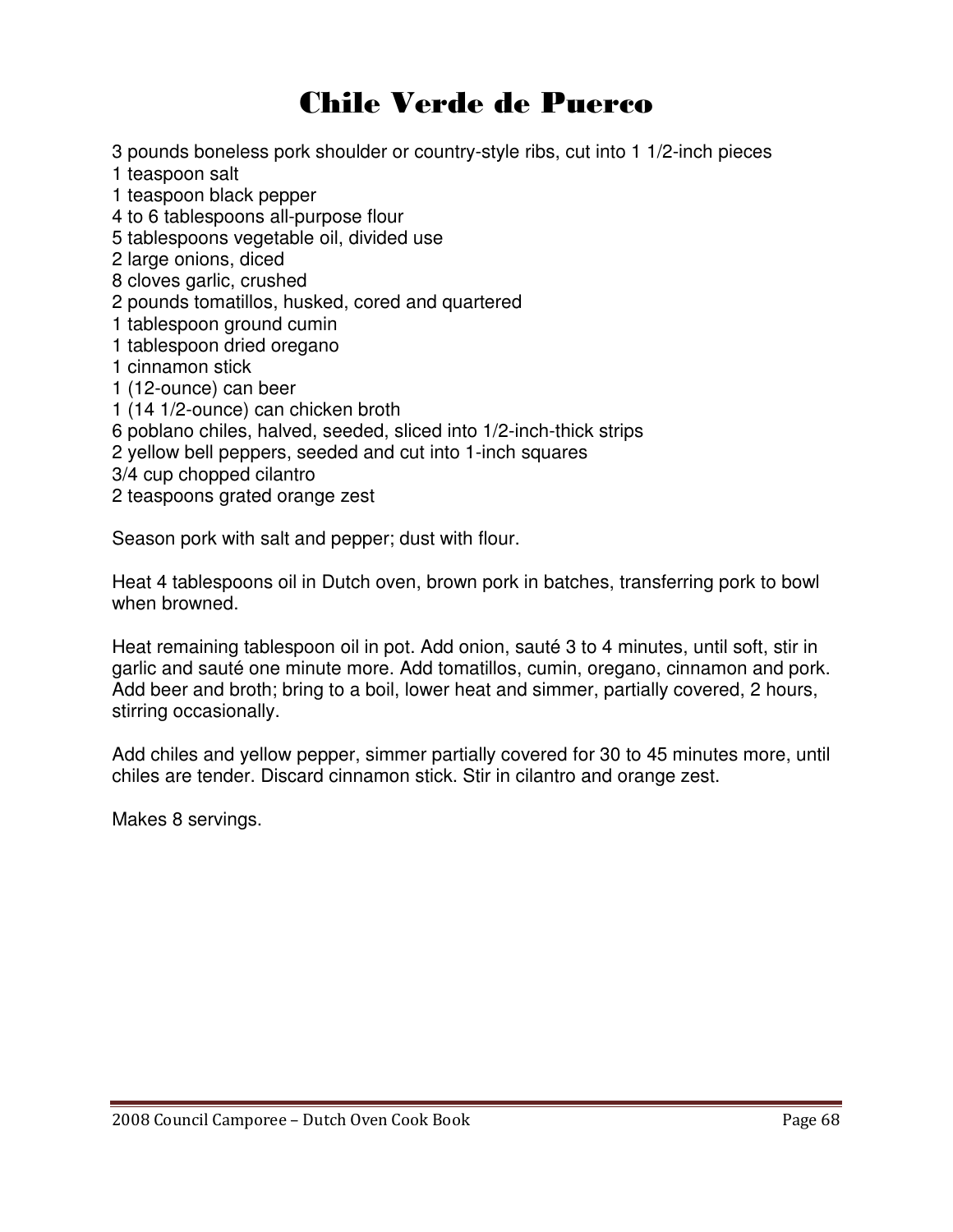### Chile Verde de Puerco

3 pounds boneless pork shoulder or country-style ribs, cut into 1 1/2-inch pieces

- 1 teaspoon salt
- 1 teaspoon black pepper
- 4 to 6 tablespoons all-purpose flour
- 5 tablespoons vegetable oil, divided use
- 2 large onions, diced
- 8 cloves garlic, crushed
- 2 pounds tomatillos, husked, cored and quartered
- 1 tablespoon ground cumin
- 1 tablespoon dried oregano
- 1 cinnamon stick
- 1 (12-ounce) can beer
- 1 (14 1/2-ounce) can chicken broth
- 6 poblano chiles, halved, seeded, sliced into 1/2-inch-thick strips
- 2 yellow bell peppers, seeded and cut into 1-inch squares
- 3/4 cup chopped cilantro
- 2 teaspoons grated orange zest

Season pork with salt and pepper; dust with flour.

Heat 4 tablespoons oil in Dutch oven, brown pork in batches, transferring pork to bowl when browned.

Heat remaining tablespoon oil in pot. Add onion, sauté 3 to 4 minutes, until soft, stir in garlic and sauté one minute more. Add tomatillos, cumin, oregano, cinnamon and pork. Add beer and broth; bring to a boil, lower heat and simmer, partially covered, 2 hours, stirring occasionally.

Add chiles and yellow pepper, simmer partially covered for 30 to 45 minutes more, until chiles are tender. Discard cinnamon stick. Stir in cilantro and orange zest.

Makes 8 servings.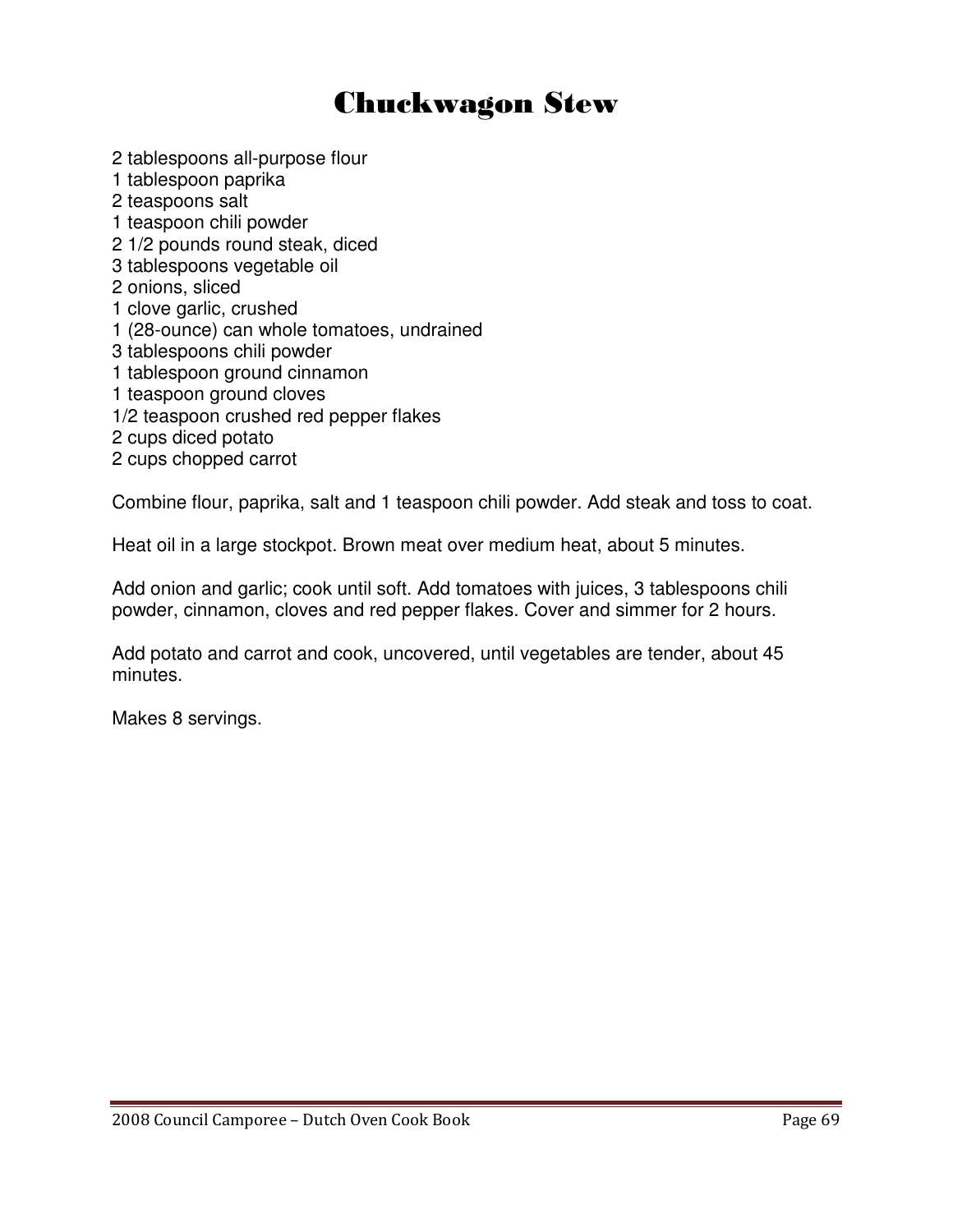### Chuckwagon Stew

- 2 tablespoons all-purpose flour
- 1 tablespoon paprika
- 2 teaspoons salt
- 1 teaspoon chili powder
- 2 1/2 pounds round steak, diced
- 3 tablespoons vegetable oil
- 2 onions, sliced
- 1 clove garlic, crushed
- 1 (28-ounce) can whole tomatoes, undrained
- 3 tablespoons chili powder
- 1 tablespoon ground cinnamon
- 1 teaspoon ground cloves
- 1/2 teaspoon crushed red pepper flakes
- 2 cups diced potato
- 2 cups chopped carrot

Combine flour, paprika, salt and 1 teaspoon chili powder. Add steak and toss to coat.

Heat oil in a large stockpot. Brown meat over medium heat, about 5 minutes.

Add onion and garlic; cook until soft. Add tomatoes with juices, 3 tablespoons chili powder, cinnamon, cloves and red pepper flakes. Cover and simmer for 2 hours.

Add potato and carrot and cook, uncovered, until vegetables are tender, about 45 minutes.

Makes 8 servings.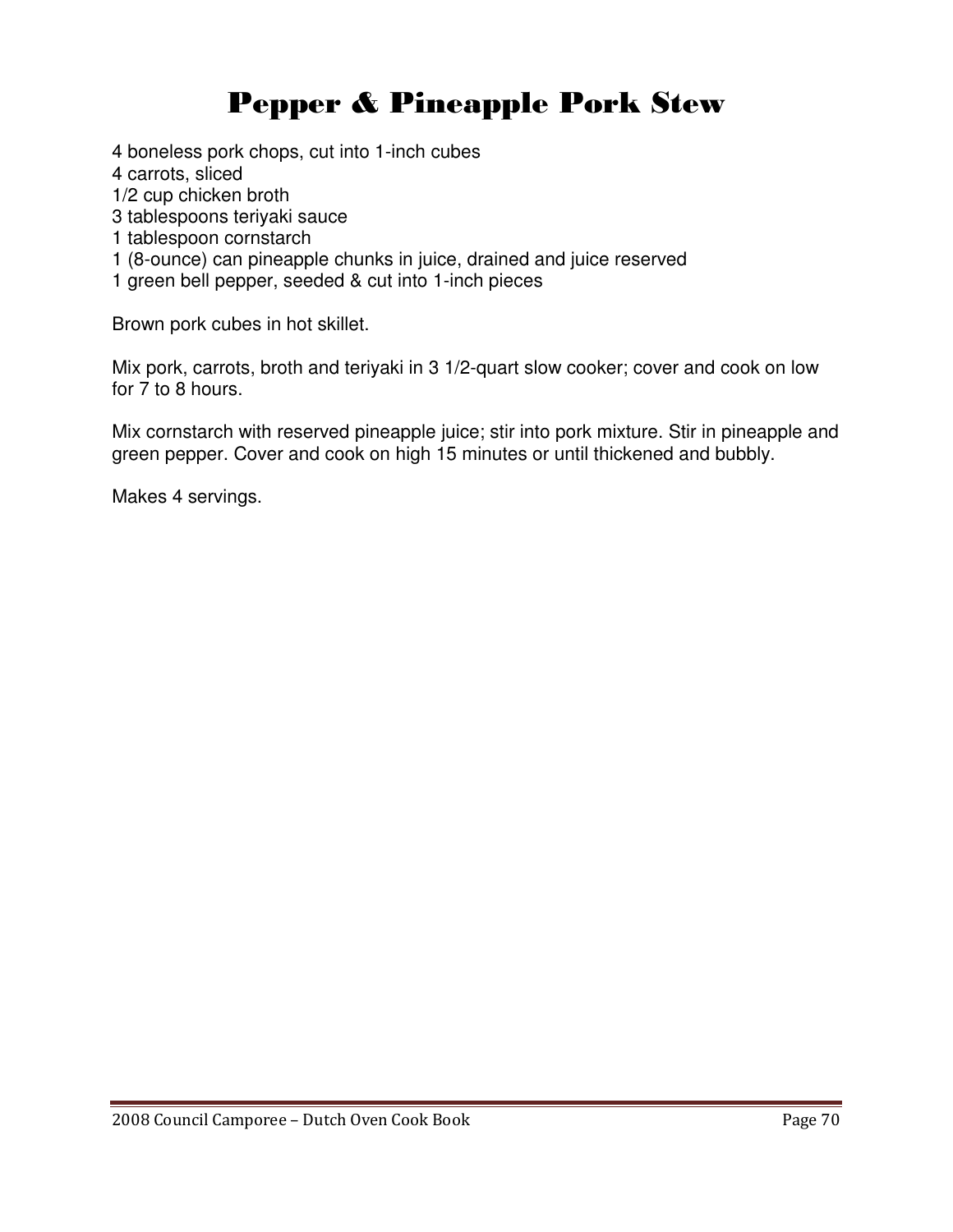## Pepper & Pineapple Pork Stew

4 boneless pork chops, cut into 1-inch cubes

- 4 carrots, sliced
- 1/2 cup chicken broth
- 3 tablespoons teriyaki sauce
- 1 tablespoon cornstarch
- 1 (8-ounce) can pineapple chunks in juice, drained and juice reserved
- 1 green bell pepper, seeded & cut into 1-inch pieces

Brown pork cubes in hot skillet.

Mix pork, carrots, broth and teriyaki in 3 1/2-quart slow cooker; cover and cook on low for 7 to 8 hours.

Mix cornstarch with reserved pineapple juice; stir into pork mixture. Stir in pineapple and green pepper. Cover and cook on high 15 minutes or until thickened and bubbly.

Makes 4 servings.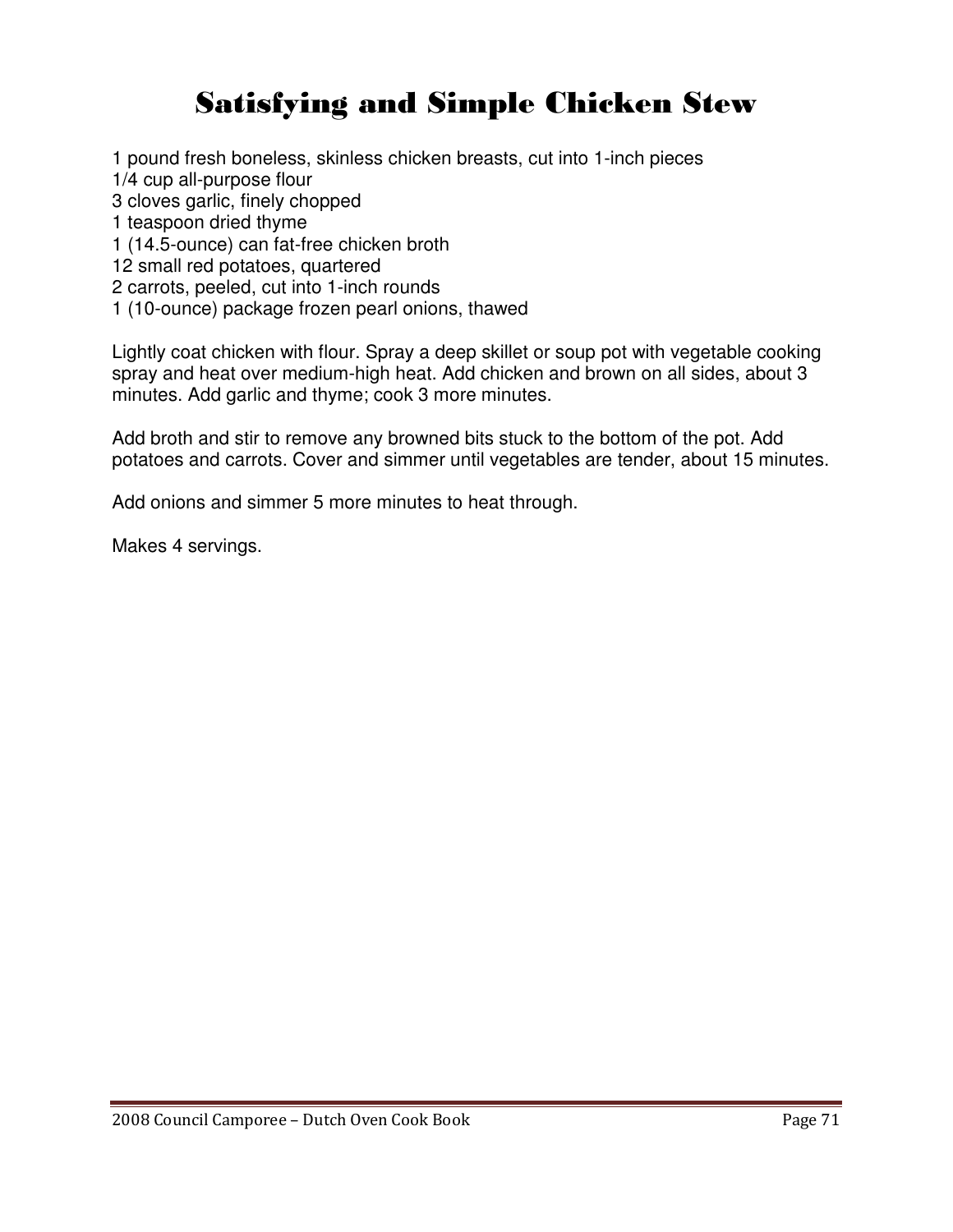## Satisfying and Simple Chicken Stew

1 pound fresh boneless, skinless chicken breasts, cut into 1-inch pieces

1/4 cup all-purpose flour

3 cloves garlic, finely chopped

1 teaspoon dried thyme

1 (14.5-ounce) can fat-free chicken broth

12 small red potatoes, quartered

2 carrots, peeled, cut into 1-inch rounds

1 (10-ounce) package frozen pearl onions, thawed

Lightly coat chicken with flour. Spray a deep skillet or soup pot with vegetable cooking spray and heat over medium-high heat. Add chicken and brown on all sides, about 3 minutes. Add garlic and thyme; cook 3 more minutes.

Add broth and stir to remove any browned bits stuck to the bottom of the pot. Add potatoes and carrots. Cover and simmer until vegetables are tender, about 15 minutes.

Add onions and simmer 5 more minutes to heat through.

Makes 4 servings.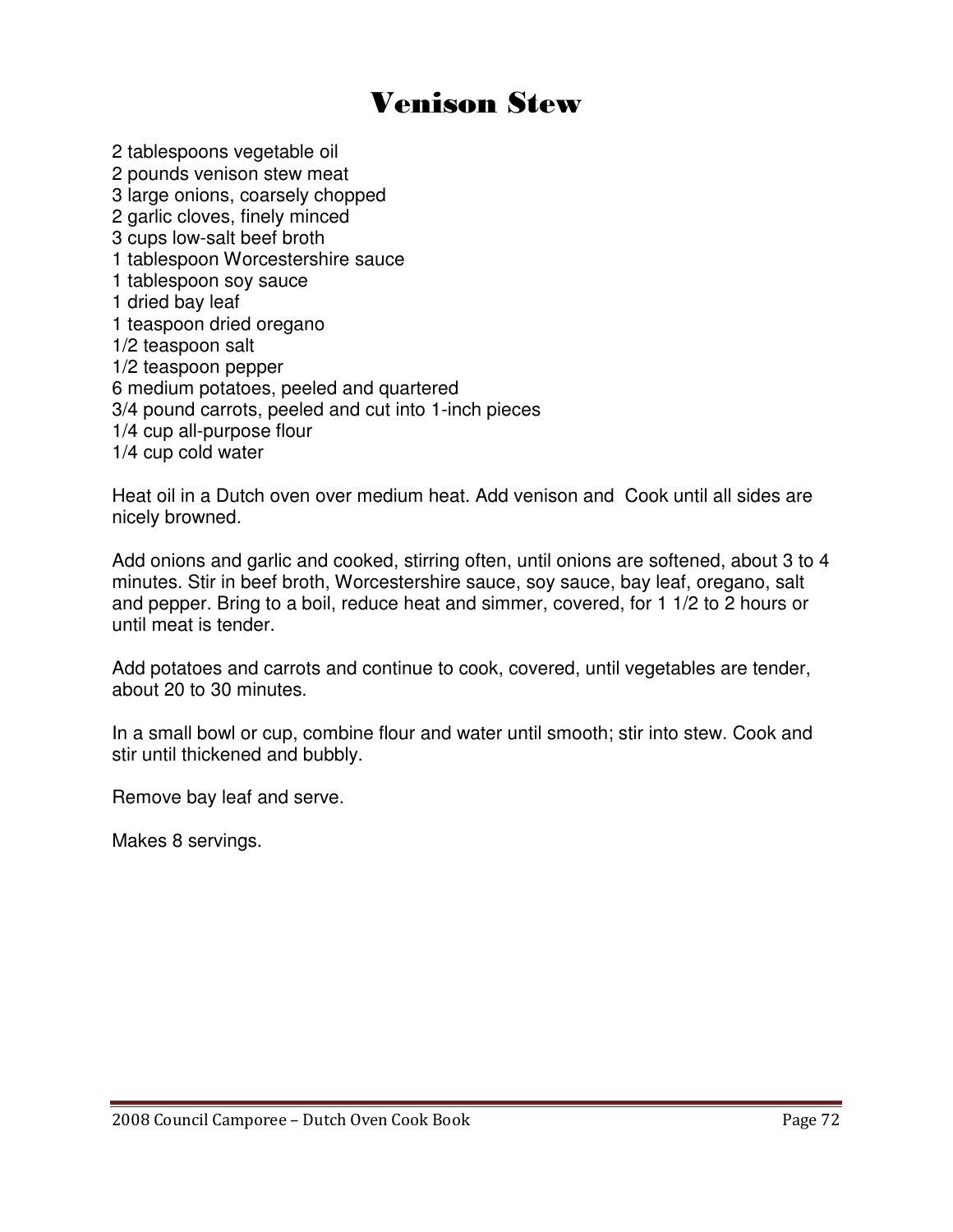### Venison Stew

2 tablespoons vegetable oil 2 pounds venison stew meat 3 large onions, coarsely chopped 2 garlic cloves, finely minced 3 cups low-salt beef broth 1 tablespoon Worcestershire sauce 1 tablespoon soy sauce 1 dried bay leaf 1 teaspoon dried oregano 1/2 teaspoon salt 1/2 teaspoon pepper 6 medium potatoes, peeled and quartered 3/4 pound carrots, peeled and cut into 1-inch pieces 1/4 cup all-purpose flour 1/4 cup cold water

Heat oil in a Dutch oven over medium heat. Add venison and Cook until all sides are nicely browned.

Add onions and garlic and cooked, stirring often, until onions are softened, about 3 to 4 minutes. Stir in beef broth, Worcestershire sauce, soy sauce, bay leaf, oregano, salt and pepper. Bring to a boil, reduce heat and simmer, covered, for 1 1/2 to 2 hours or until meat is tender.

Add potatoes and carrots and continue to cook, covered, until vegetables are tender, about 20 to 30 minutes.

In a small bowl or cup, combine flour and water until smooth; stir into stew. Cook and stir until thickened and bubbly.

Remove bay leaf and serve.

Makes 8 servings.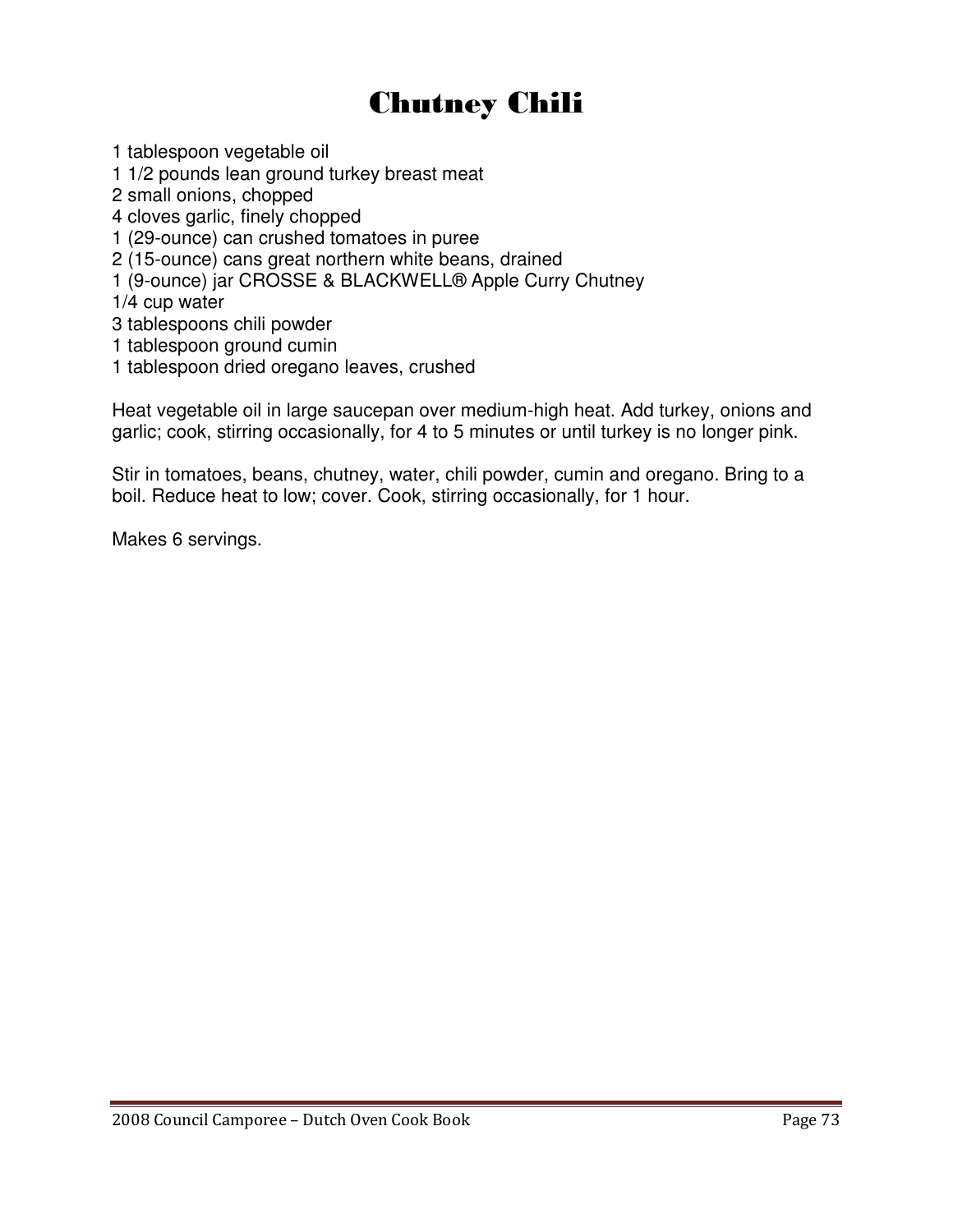# Chutney Chili

1 tablespoon vegetable oil

1 1/2 pounds lean ground turkey breast meat

2 small onions, chopped

4 cloves garlic, finely chopped

1 (29-ounce) can crushed tomatoes in puree

2 (15-ounce) cans great northern white beans, drained

1 (9-ounce) jar CROSSE & BLACKWELL® Apple Curry Chutney

1/4 cup water

3 tablespoons chili powder

1 tablespoon ground cumin

1 tablespoon dried oregano leaves, crushed

Heat vegetable oil in large saucepan over medium-high heat. Add turkey, onions and garlic; cook, stirring occasionally, for 4 to 5 minutes or until turkey is no longer pink.

Stir in tomatoes, beans, chutney, water, chili powder, cumin and oregano. Bring to a boil. Reduce heat to low; cover. Cook, stirring occasionally, for 1 hour.

Makes 6 servings.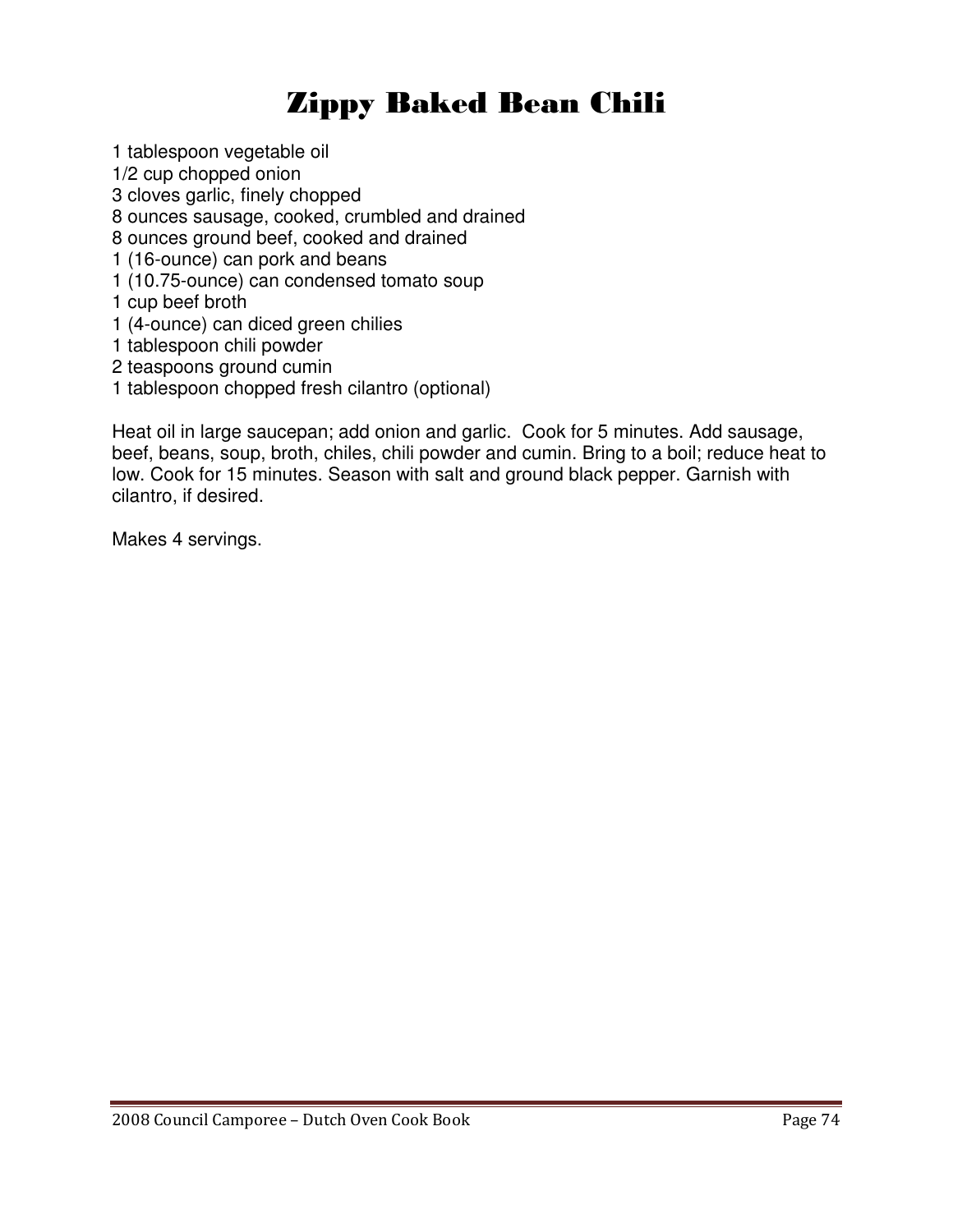# Zippy Baked Bean Chili

1 tablespoon vegetable oil 1/2 cup chopped onion 3 cloves garlic, finely chopped 8 ounces sausage, cooked, crumbled and drained 8 ounces ground beef, cooked and drained 1 (16-ounce) can pork and beans 1 (10.75-ounce) can condensed tomato soup 1 cup beef broth 1 (4-ounce) can diced green chilies 1 tablespoon chili powder

- 2 teaspoons ground cumin
- 1 tablespoon chopped fresh cilantro (optional)

Heat oil in large saucepan; add onion and garlic. Cook for 5 minutes. Add sausage, beef, beans, soup, broth, chiles, chili powder and cumin. Bring to a boil; reduce heat to low. Cook for 15 minutes. Season with salt and ground black pepper. Garnish with cilantro, if desired.

Makes 4 servings.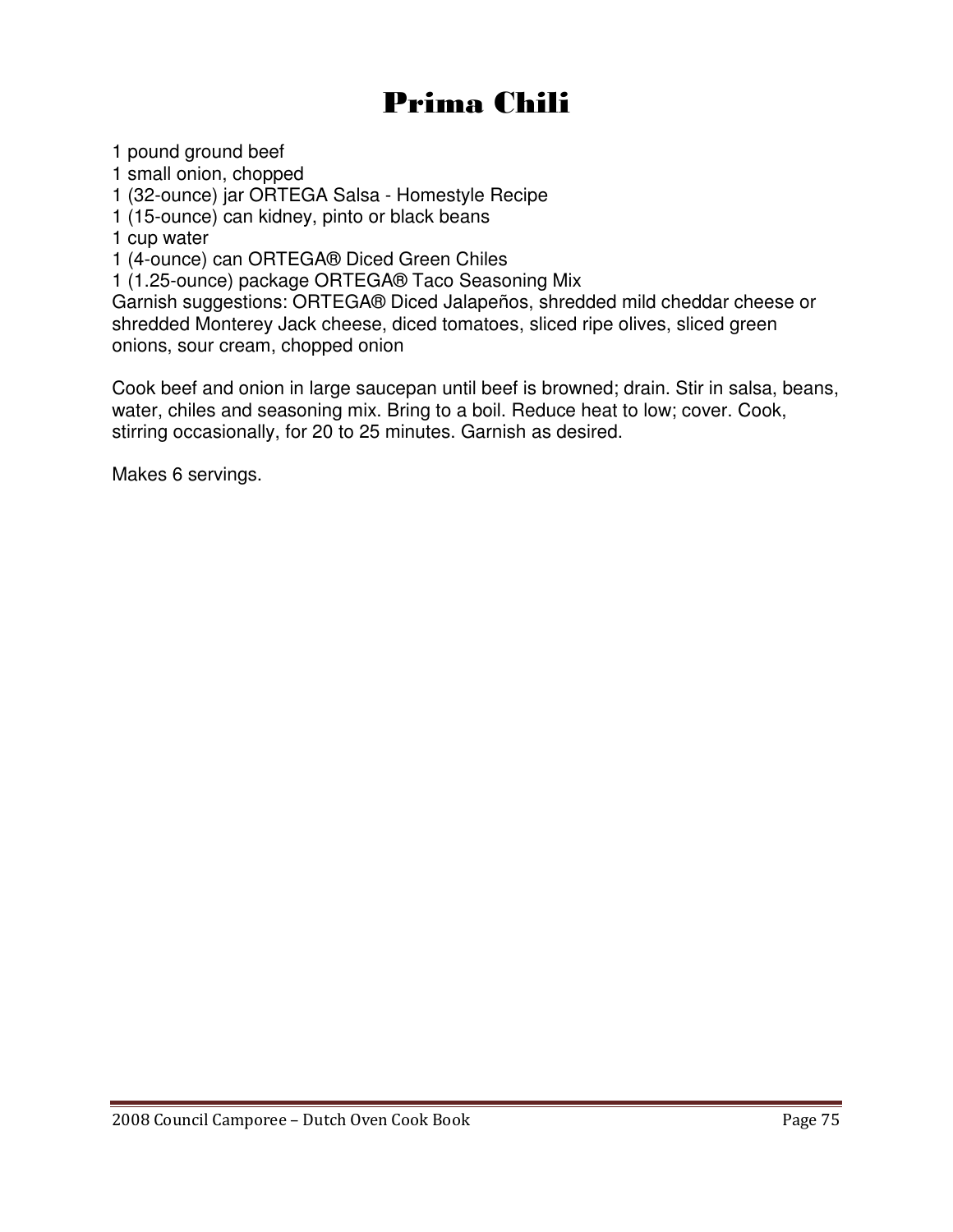# Prima Chili

1 pound ground beef

1 small onion, chopped

1 (32-ounce) jar ORTEGA Salsa - Homestyle Recipe

1 (15-ounce) can kidney, pinto or black beans

1 cup water

1 (4-ounce) can ORTEGA® Diced Green Chiles

1 (1.25-ounce) package ORTEGA® Taco Seasoning Mix

Garnish suggestions: ORTEGA® Diced Jalapeños, shredded mild cheddar cheese or shredded Monterey Jack cheese, diced tomatoes, sliced ripe olives, sliced green onions, sour cream, chopped onion

Cook beef and onion in large saucepan until beef is browned; drain. Stir in salsa, beans, water, chiles and seasoning mix. Bring to a boil. Reduce heat to low; cover. Cook, stirring occasionally, for 20 to 25 minutes. Garnish as desired.

Makes 6 servings.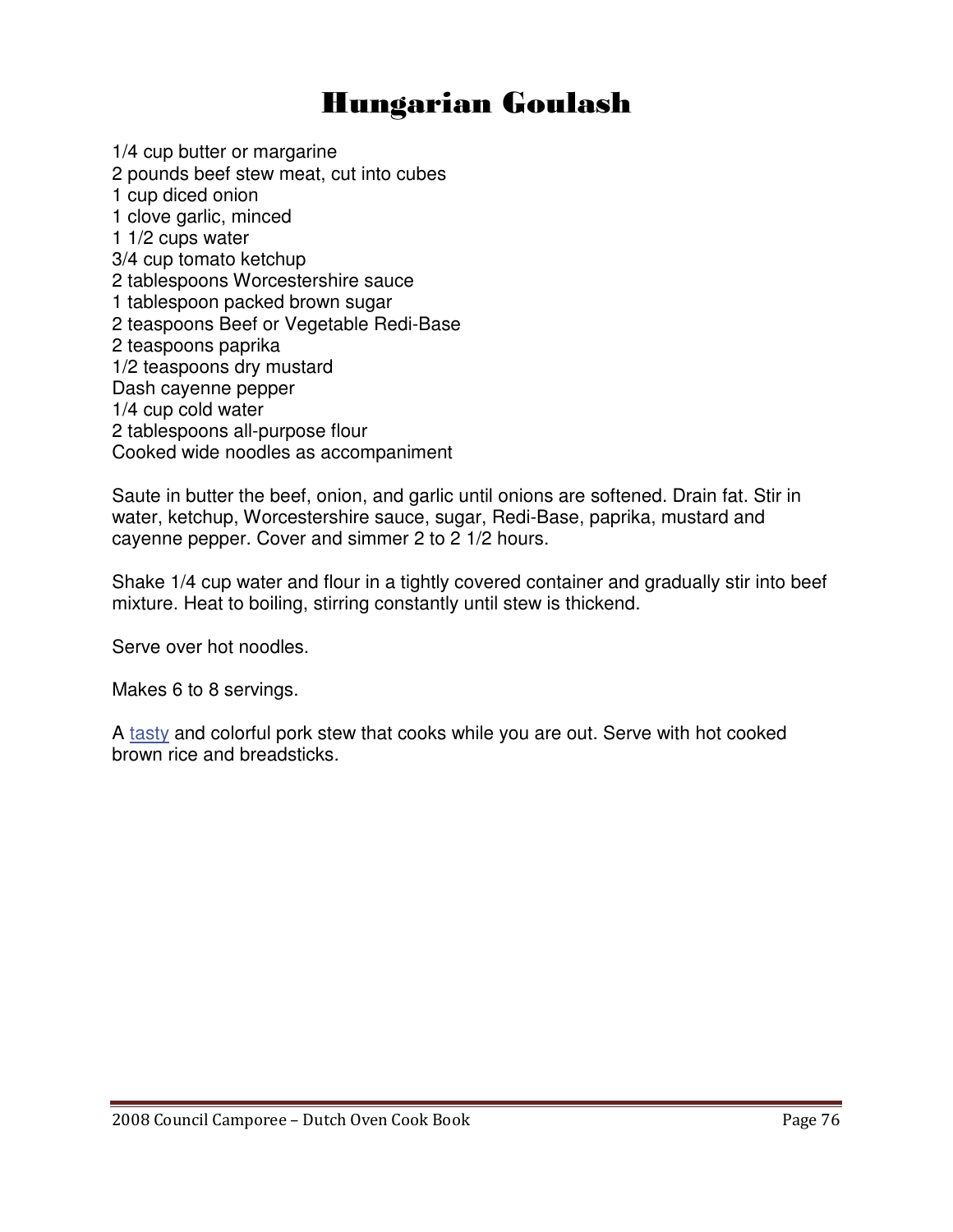## Hungarian Goulash

1/4 cup butter or margarine 2 pounds beef stew meat, cut into cubes 1 cup diced onion 1 clove garlic, minced 1 1/2 cups water 3/4 cup tomato ketchup 2 tablespoons Worcestershire sauce 1 tablespoon packed brown sugar 2 teaspoons Beef or Vegetable Redi-Base 2 teaspoons paprika 1/2 teaspoons dry mustard Dash cayenne pepper 1/4 cup cold water 2 tablespoons all-purpose flour Cooked wide noodles as accompaniment

Saute in butter the beef, onion, and garlic until onions are softened. Drain fat. Stir in water, ketchup, Worcestershire sauce, sugar, Redi-Base, paprika, mustard and cayenne pepper. Cover and simmer 2 to 2 1/2 hours.

Shake 1/4 cup water and flour in a tightly covered container and gradually stir into beef mixture. Heat to boiling, stirring constantly until stew is thickend.

Serve over hot noodles.

Makes 6 to 8 servings.

A tasty and colorful pork stew that cooks while you are out. Serve with hot cooked brown rice and breadsticks.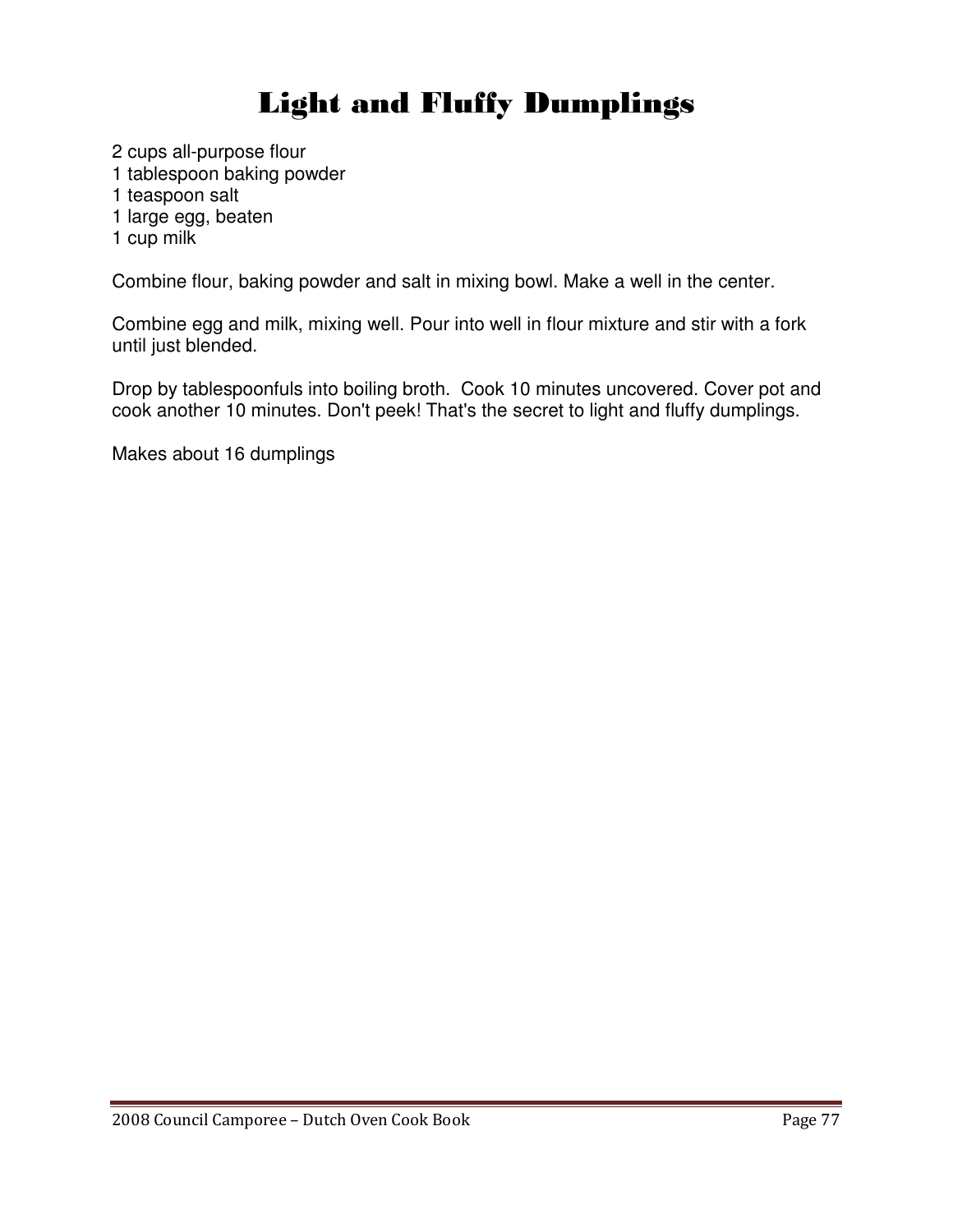# Light and Fluffy Dumplings

2 cups all-purpose flour 1 tablespoon baking powder

1 teaspoon salt

1 large egg, beaten

1 cup milk

Combine flour, baking powder and salt in mixing bowl. Make a well in the center.

Combine egg and milk, mixing well. Pour into well in flour mixture and stir with a fork until just blended.

Drop by tablespoonfuls into boiling broth. Cook 10 minutes uncovered. Cover pot and cook another 10 minutes. Don't peek! That's the secret to light and fluffy dumplings.

Makes about 16 dumplings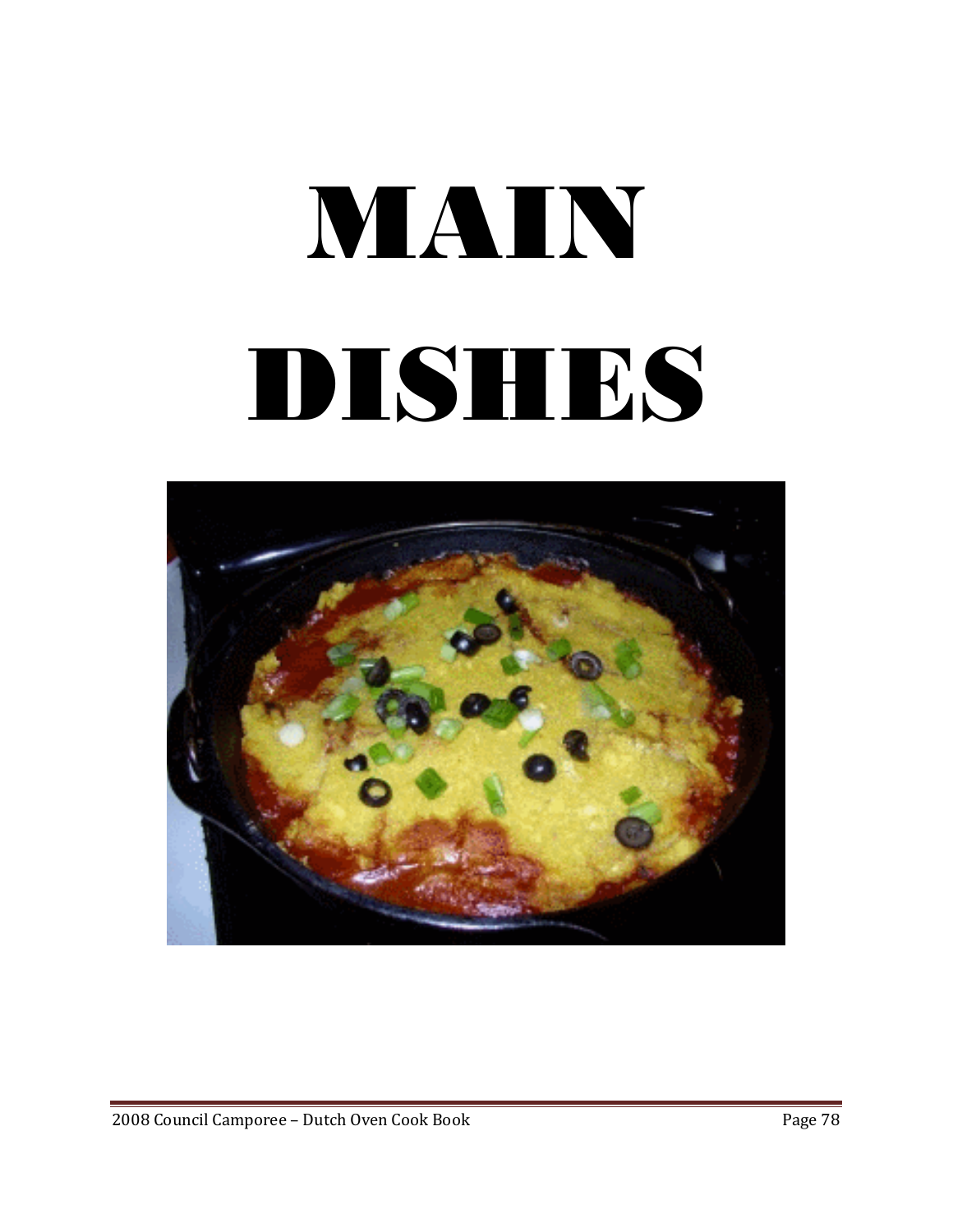# MAIN DISHES

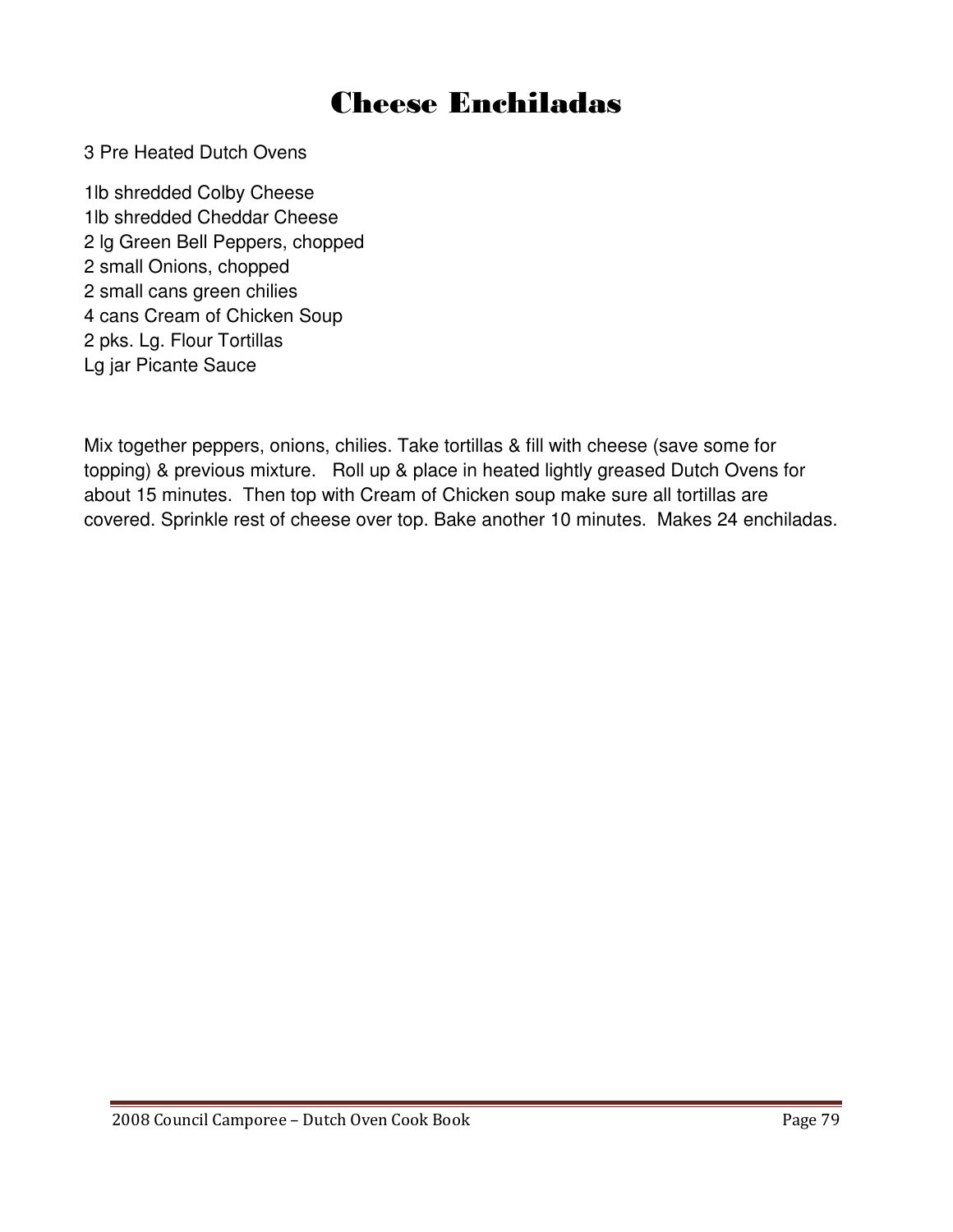## Cheese Enchiladas

3 Pre Heated Dutch Ovens

1lb shredded Colby Cheese 1lb shredded Cheddar Cheese 2 lg Green Bell Peppers, chopped 2 small Onions, chopped 2 small cans green chilies 4 cans Cream of Chicken Soup 2 pks. Lg. Flour Tortillas Lg jar Picante Sauce

Mix together peppers, onions, chilies. Take tortillas & fill with cheese (save some for topping) & previous mixture. Roll up & place in heated lightly greased Dutch Ovens for about 15 minutes. Then top with Cream of Chicken soup make sure all tortillas are covered. Sprinkle rest of cheese over top. Bake another 10 minutes. Makes 24 enchiladas.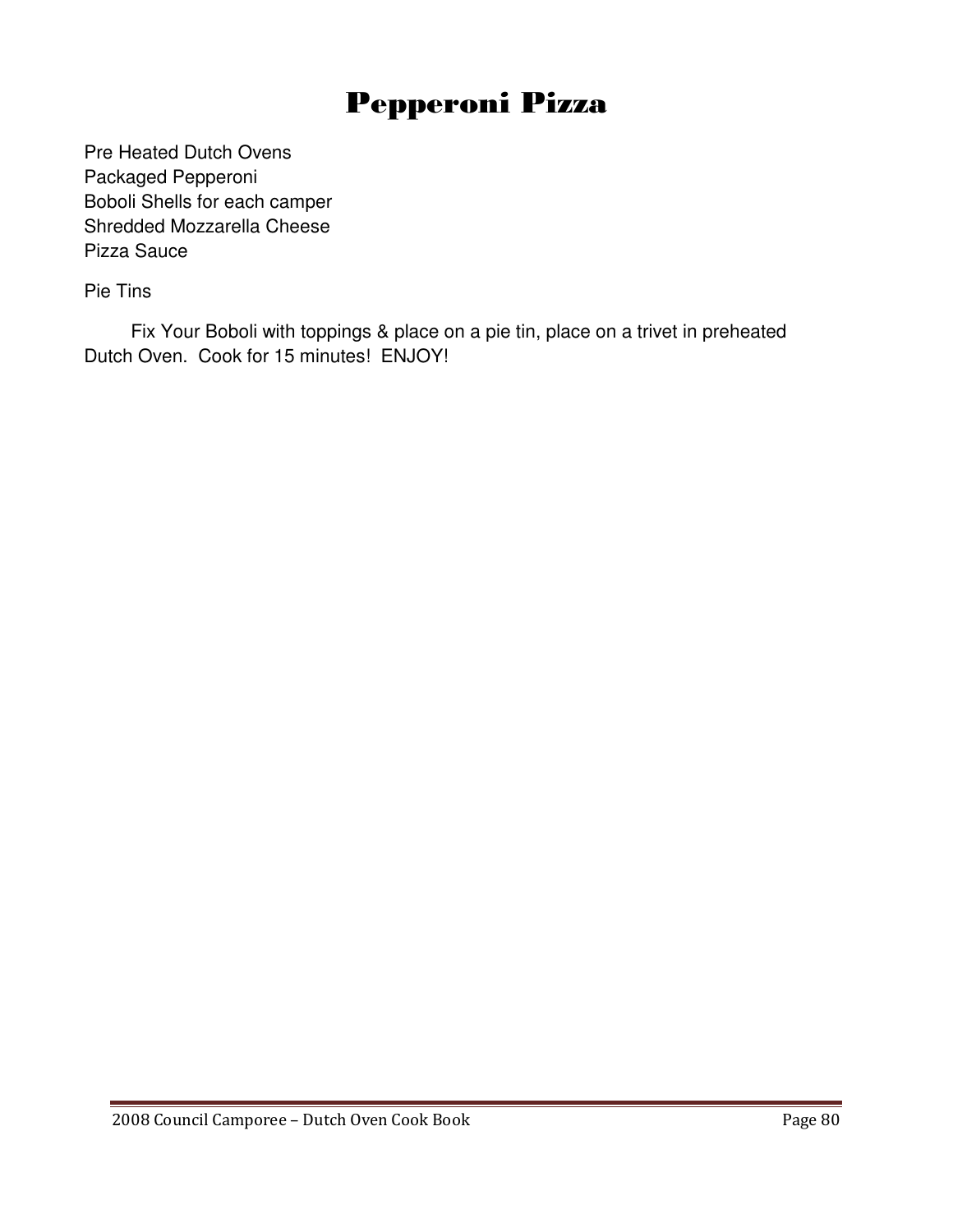# Pepperoni Pizza

Pre Heated Dutch Ovens Packaged Pepperoni Boboli Shells for each camper Shredded Mozzarella Cheese Pizza Sauce

Pie Tins

 Fix Your Boboli with toppings & place on a pie tin, place on a trivet in preheated Dutch Oven. Cook for 15 minutes! ENJOY!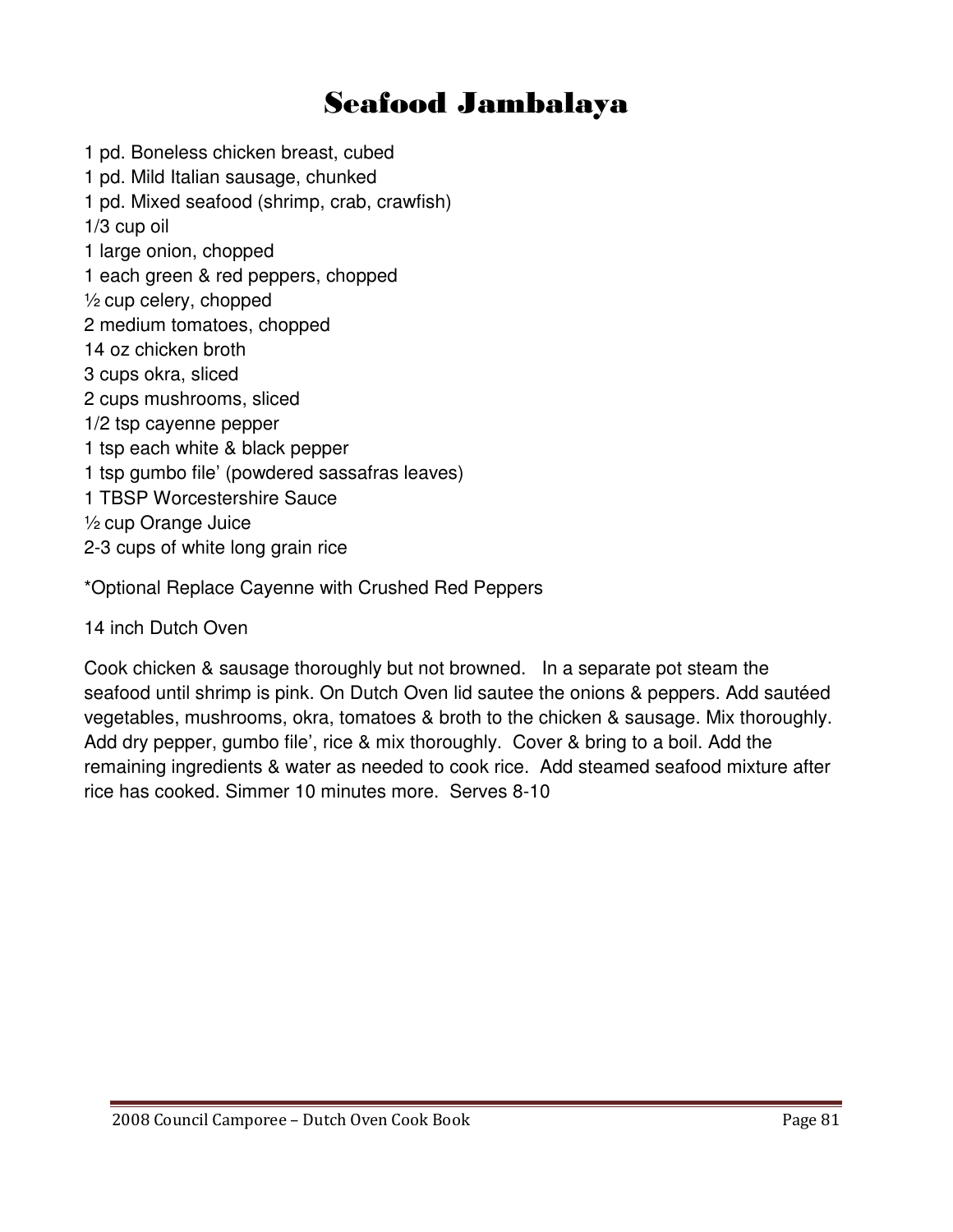# Seafood Jambalaya

1 pd. Boneless chicken breast, cubed 1 pd. Mild Italian sausage, chunked 1 pd. Mixed seafood (shrimp, crab, crawfish) 1/3 cup oil 1 large onion, chopped 1 each green & red peppers, chopped  $\frac{1}{2}$  cup celery, chopped 2 medium tomatoes, chopped 14 oz chicken broth 3 cups okra, sliced 2 cups mushrooms, sliced 1/2 tsp cayenne pepper 1 tsp each white & black pepper 1 tsp gumbo file' (powdered sassafras leaves) 1 TBSP Worcestershire Sauce ½ cup Orange Juice 2-3 cups of white long grain rice

\*Optional Replace Cayenne with Crushed Red Peppers

14 inch Dutch Oven

Cook chicken & sausage thoroughly but not browned. In a separate pot steam the seafood until shrimp is pink. On Dutch Oven lid sautee the onions & peppers. Add sautéed vegetables, mushrooms, okra, tomatoes & broth to the chicken & sausage. Mix thoroughly. Add dry pepper, gumbo file', rice & mix thoroughly. Cover & bring to a boil. Add the remaining ingredients & water as needed to cook rice. Add steamed seafood mixture after rice has cooked. Simmer 10 minutes more. Serves 8-10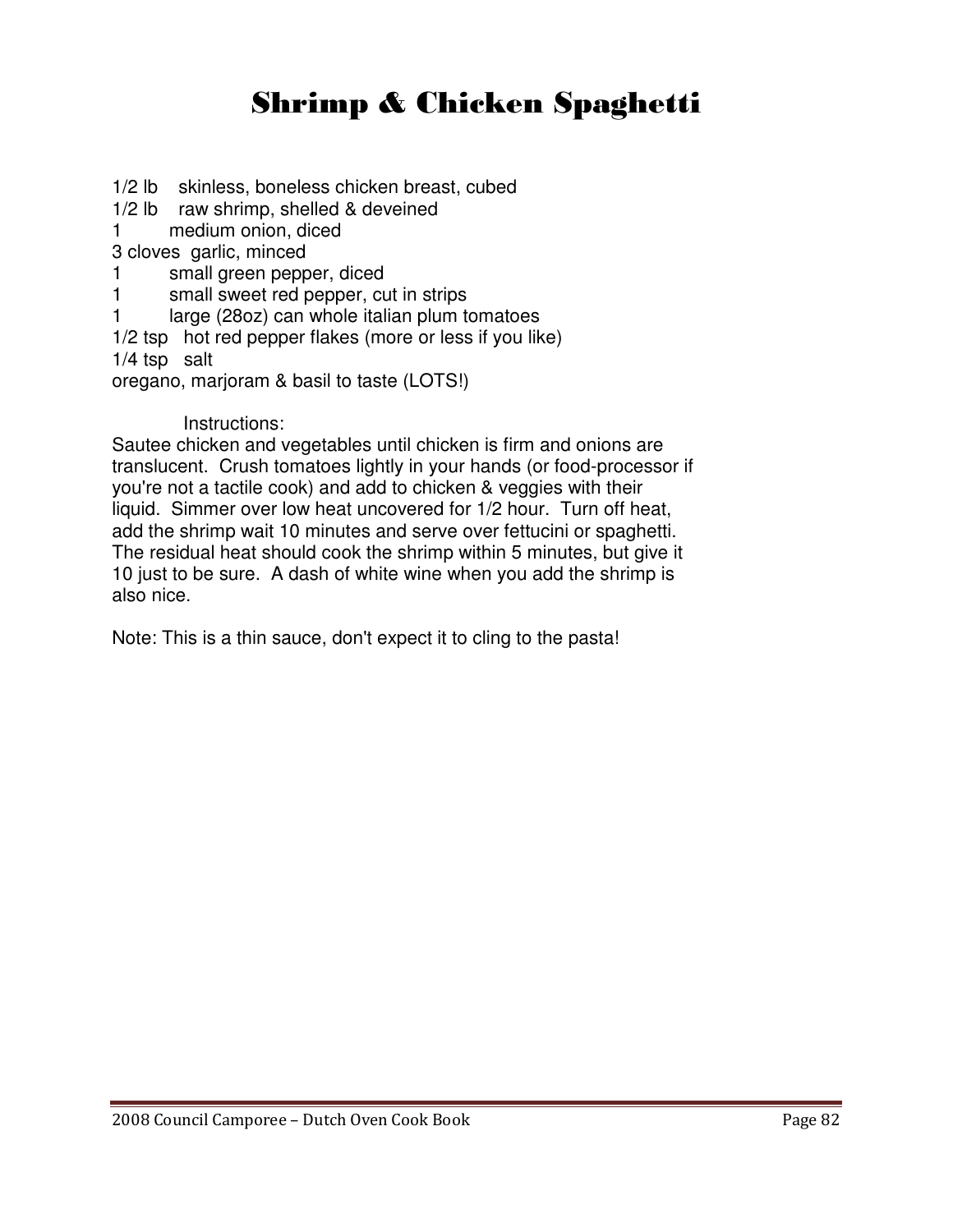# Shrimp & Chicken Spaghetti

1/2 lb skinless, boneless chicken breast, cubed 1/2 lb raw shrimp, shelled & deveined 1 medium onion, diced 3 cloves garlic, minced 1 small green pepper, diced 1 small sweet red pepper, cut in strips 1 large (28oz) can whole italian plum tomatoes 1/2 tsp hot red pepper flakes (more or less if you like) 1/4 tsp salt oregano, marjoram & basil to taste (LOTS!)

#### Instructions:

Sautee chicken and vegetables until chicken is firm and onions are translucent. Crush tomatoes lightly in your hands (or food-processor if you're not a tactile cook) and add to chicken & veggies with their liquid. Simmer over low heat uncovered for 1/2 hour. Turn off heat, add the shrimp wait 10 minutes and serve over fettucini or spaghetti. The residual heat should cook the shrimp within 5 minutes, but give it 10 just to be sure. A dash of white wine when you add the shrimp is also nice.

Note: This is a thin sauce, don't expect it to cling to the pasta!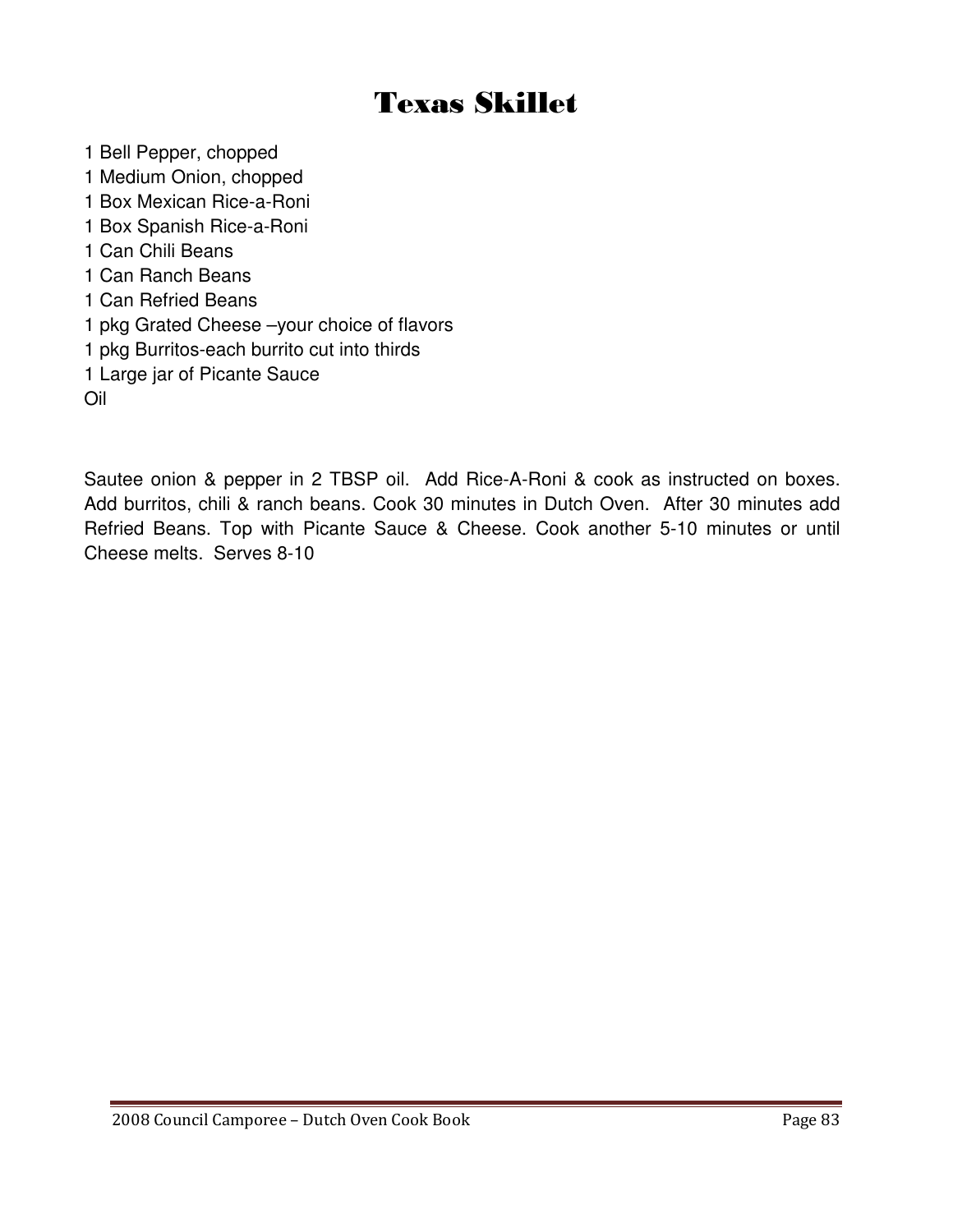# Texas Skillet

- 1 Bell Pepper, chopped
- 1 Medium Onion, chopped
- 1 Box Mexican Rice-a-Roni
- 1 Box Spanish Rice-a-Roni
- 1 Can Chili Beans
- 1 Can Ranch Beans
- 1 Can Refried Beans
- 1 pkg Grated Cheese –your choice of flavors
- 1 pkg Burritos-each burrito cut into thirds
- 1 Large jar of Picante Sauce

Oil

Sautee onion & pepper in 2 TBSP oil. Add Rice-A-Roni & cook as instructed on boxes. Add burritos, chili & ranch beans. Cook 30 minutes in Dutch Oven. After 30 minutes add Refried Beans. Top with Picante Sauce & Cheese. Cook another 5-10 minutes or until Cheese melts. Serves 8-10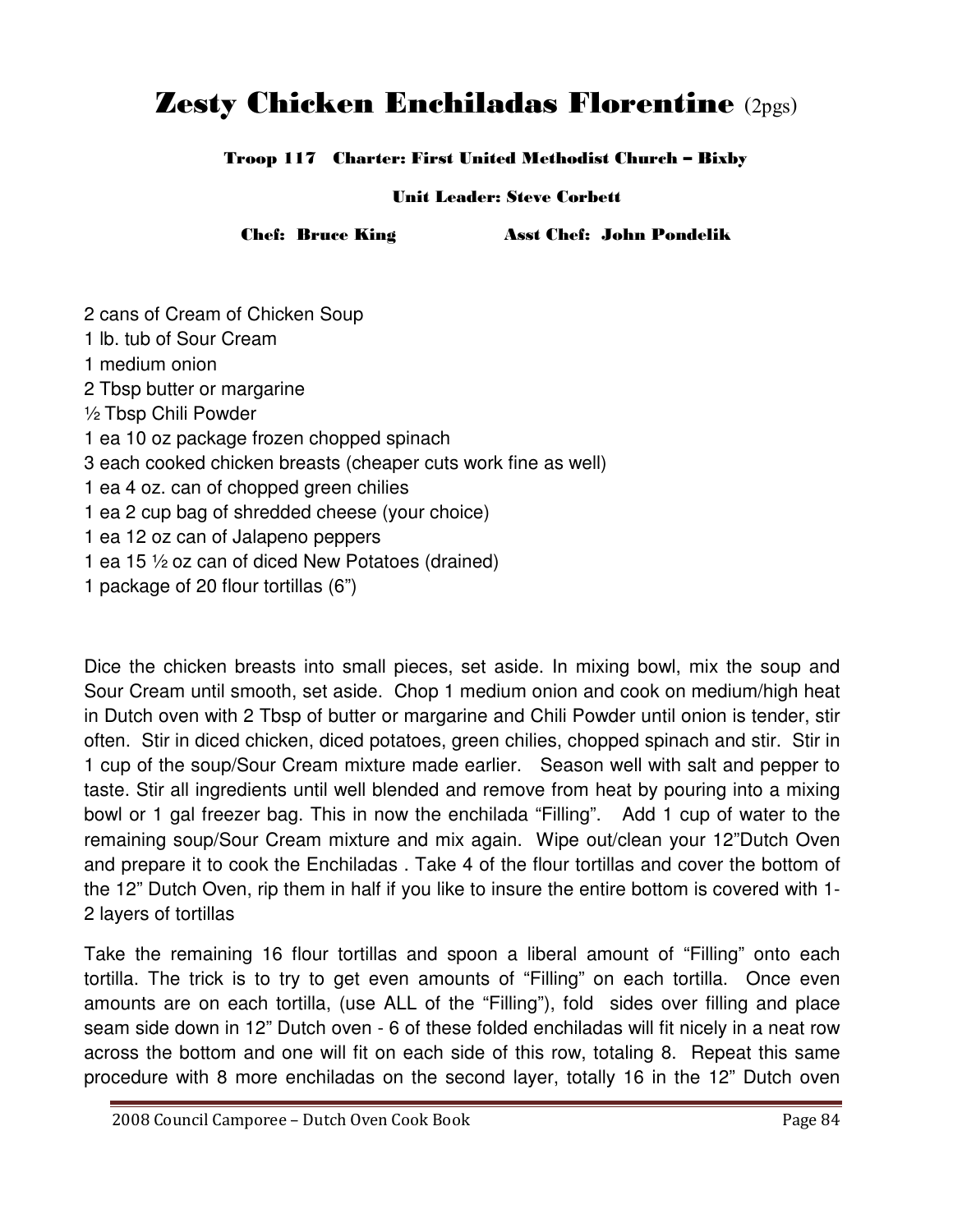## Zesty Chicken Enchiladas Florentine (2pgs)

Troop 117 Charter: First United Methodist Church – Bixby

Unit Leader: Steve Corbett

Chef: Bruce King Asst Chef: John Pondelik

2 cans of Cream of Chicken Soup 1 lb. tub of Sour Cream 1 medium onion 2 Tbsp butter or margarine ½ Tbsp Chili Powder 1 ea 10 oz package frozen chopped spinach 3 each cooked chicken breasts (cheaper cuts work fine as well) 1 ea 4 oz. can of chopped green chilies 1 ea 2 cup bag of shredded cheese (your choice) 1 ea 12 oz can of Jalapeno peppers 1 ea 15 ½ oz can of diced New Potatoes (drained) 1 package of 20 flour tortillas (6")

Dice the chicken breasts into small pieces, set aside. In mixing bowl, mix the soup and Sour Cream until smooth, set aside. Chop 1 medium onion and cook on medium/high heat in Dutch oven with 2 Tbsp of butter or margarine and Chili Powder until onion is tender, stir often. Stir in diced chicken, diced potatoes, green chilies, chopped spinach and stir. Stir in 1 cup of the soup/Sour Cream mixture made earlier. Season well with salt and pepper to taste. Stir all ingredients until well blended and remove from heat by pouring into a mixing bowl or 1 gal freezer bag. This in now the enchilada "Filling". Add 1 cup of water to the remaining soup/Sour Cream mixture and mix again. Wipe out/clean your 12"Dutch Oven and prepare it to cook the Enchiladas . Take 4 of the flour tortillas and cover the bottom of the 12" Dutch Oven, rip them in half if you like to insure the entire bottom is covered with 1- 2 layers of tortillas

Take the remaining 16 flour tortillas and spoon a liberal amount of "Filling" onto each tortilla. The trick is to try to get even amounts of "Filling" on each tortilla. Once even amounts are on each tortilla, (use ALL of the "Filling"), fold sides over filling and place seam side down in 12" Dutch oven - 6 of these folded enchiladas will fit nicely in a neat row across the bottom and one will fit on each side of this row, totaling 8. Repeat this same procedure with 8 more enchiladas on the second layer, totally 16 in the 12" Dutch oven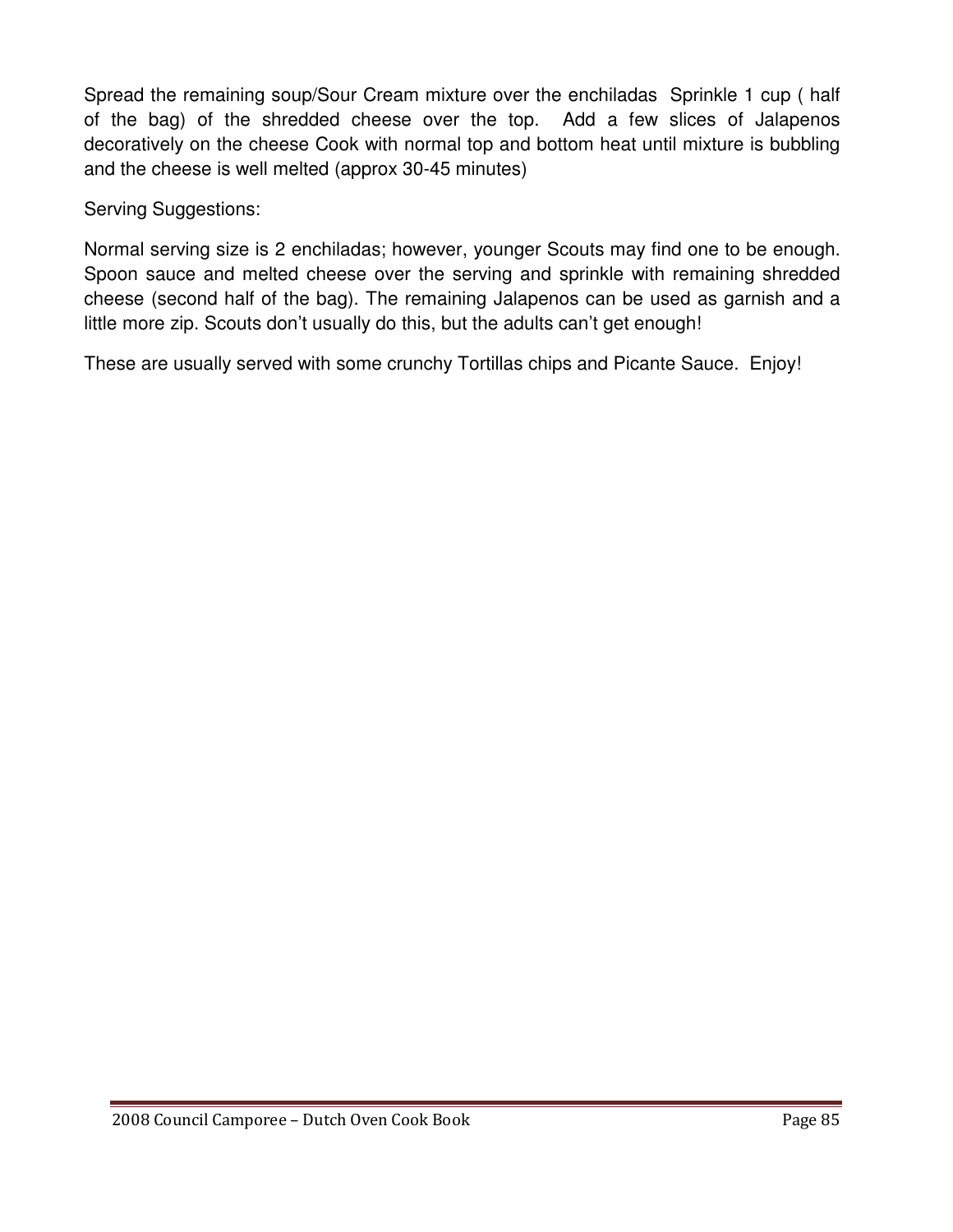Spread the remaining soup/Sour Cream mixture over the enchiladas Sprinkle 1 cup ( half of the bag) of the shredded cheese over the top. Add a few slices of Jalapenos decoratively on the cheese Cook with normal top and bottom heat until mixture is bubbling and the cheese is well melted (approx 30-45 minutes)

Serving Suggestions:

Normal serving size is 2 enchiladas; however, younger Scouts may find one to be enough. Spoon sauce and melted cheese over the serving and sprinkle with remaining shredded cheese (second half of the bag). The remaining Jalapenos can be used as garnish and a little more zip. Scouts don't usually do this, but the adults can't get enough!

These are usually served with some crunchy Tortillas chips and Picante Sauce. Enjoy!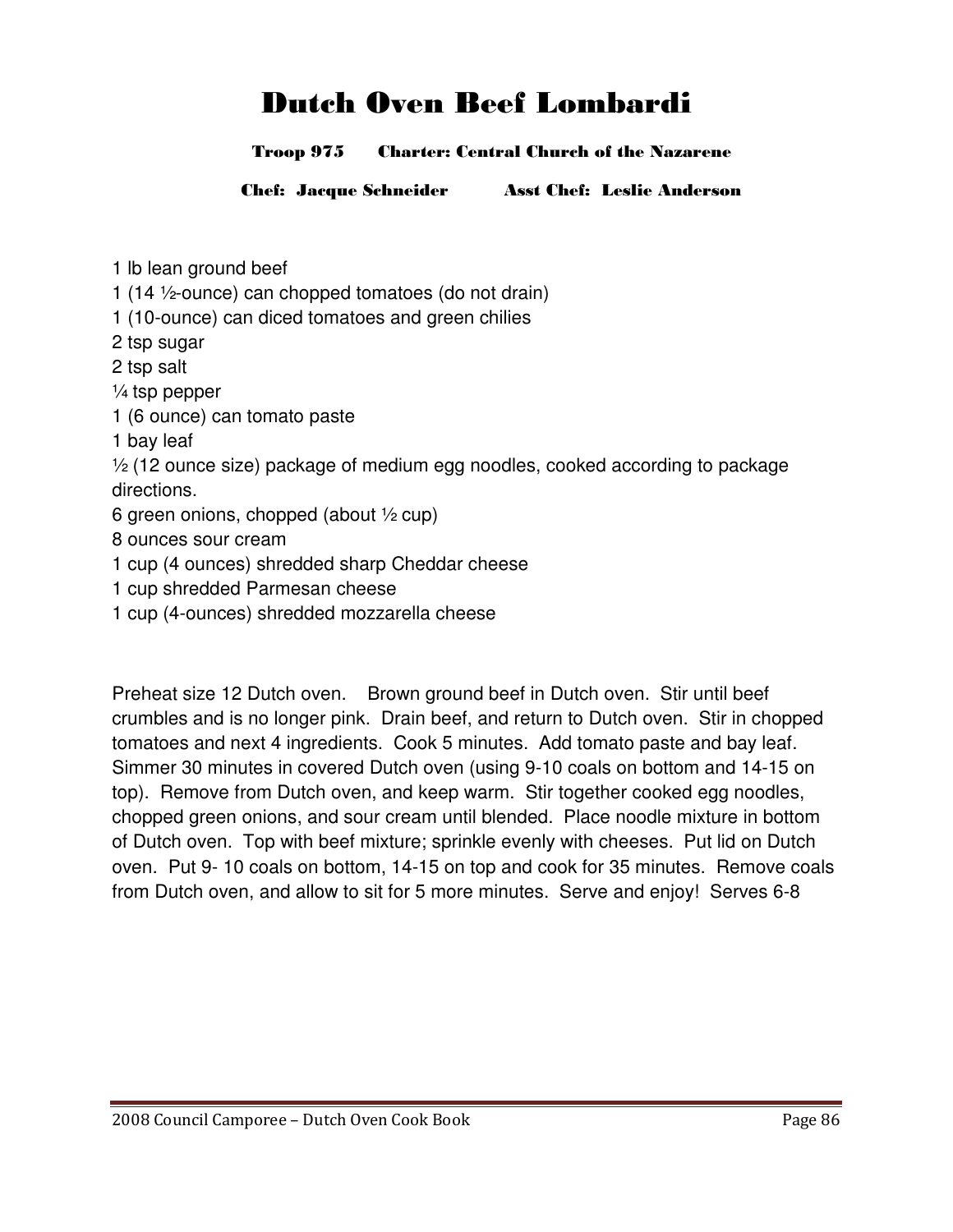# Dutch Oven Beef Lombardi

#### Troop 975 Charter: Central Church of the Nazarene

Chef: Jacque Schneider Asst Chef: Leslie Anderson

- 1 lb lean ground beef
- 1 (14 ½-ounce) can chopped tomatoes (do not drain)
- 1 (10-ounce) can diced tomatoes and green chilies
- 2 tsp sugar
- 2 tsp salt
- $\frac{1}{4}$  tsp pepper
- 1 (6 ounce) can tomato paste
- 1 bay leaf
- ½ (12 ounce size) package of medium egg noodles, cooked according to package directions.
- 6 green onions, chopped (about  $\frac{1}{2}$  cup)
- 8 ounces sour cream
- 1 cup (4 ounces) shredded sharp Cheddar cheese
- 1 cup shredded Parmesan cheese
- 1 cup (4-ounces) shredded mozzarella cheese

Preheat size 12 Dutch oven. Brown ground beef in Dutch oven. Stir until beef crumbles and is no longer pink. Drain beef, and return to Dutch oven. Stir in chopped tomatoes and next 4 ingredients. Cook 5 minutes. Add tomato paste and bay leaf. Simmer 30 minutes in covered Dutch oven (using 9-10 coals on bottom and 14-15 on top). Remove from Dutch oven, and keep warm. Stir together cooked egg noodles, chopped green onions, and sour cream until blended. Place noodle mixture in bottom of Dutch oven. Top with beef mixture; sprinkle evenly with cheeses. Put lid on Dutch oven. Put 9- 10 coals on bottom, 14-15 on top and cook for 35 minutes. Remove coals from Dutch oven, and allow to sit for 5 more minutes. Serve and enjoy! Serves 6-8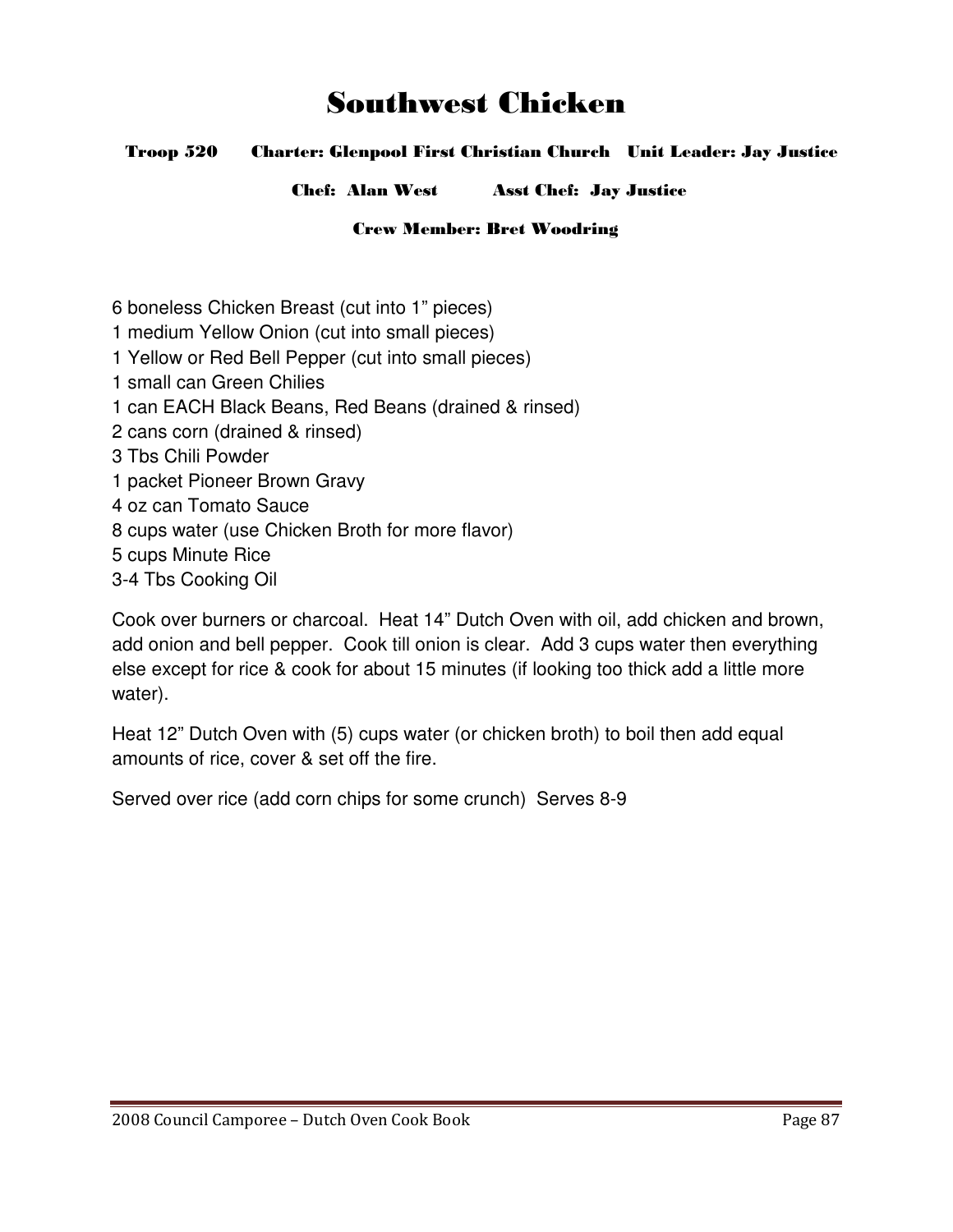## Southwest Chicken

#### Troop 520 Charter: Glenpool First Christian Church Unit Leader: Jay Justice

Chef: Alan West Asst Chef: Jay Justice

#### Crew Member: Bret Woodring

- 6 boneless Chicken Breast (cut into 1" pieces)
- 1 medium Yellow Onion (cut into small pieces)
- 1 Yellow or Red Bell Pepper (cut into small pieces)
- 1 small can Green Chilies
- 1 can EACH Black Beans, Red Beans (drained & rinsed)
- 2 cans corn (drained & rinsed)
- 3 Tbs Chili Powder
- 1 packet Pioneer Brown Gravy
- 4 oz can Tomato Sauce
- 8 cups water (use Chicken Broth for more flavor)
- 5 cups Minute Rice
- 3-4 Tbs Cooking Oil

Cook over burners or charcoal. Heat 14" Dutch Oven with oil, add chicken and brown, add onion and bell pepper. Cook till onion is clear. Add 3 cups water then everything else except for rice & cook for about 15 minutes (if looking too thick add a little more water).

Heat 12" Dutch Oven with (5) cups water (or chicken broth) to boil then add equal amounts of rice, cover & set off the fire.

Served over rice (add corn chips for some crunch) Serves 8-9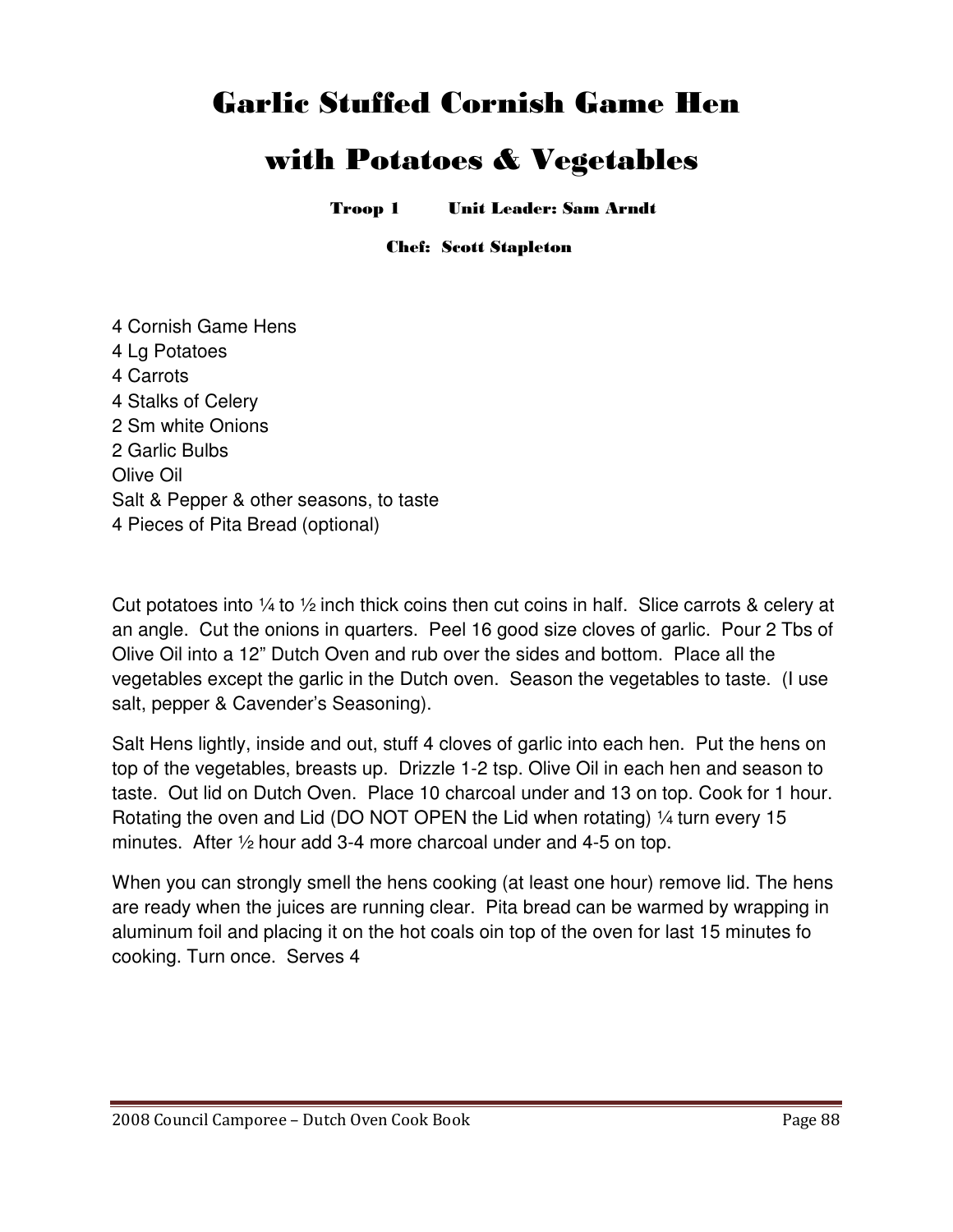## Garlic Stuffed Cornish Game Hen

## with Potatoes & Vegetables

Troop 1 Unit Leader: Sam Arndt

Chef: Scott Stapleton

4 Cornish Game Hens 4 Lg Potatoes 4 Carrots 4 Stalks of Celery 2 Sm white Onions 2 Garlic Bulbs Olive Oil Salt & Pepper & other seasons, to taste 4 Pieces of Pita Bread (optional)

Cut potatoes into  $\frac{1}{4}$  to  $\frac{1}{2}$  inch thick coins then cut coins in half. Slice carrots & celery at an angle. Cut the onions in quarters. Peel 16 good size cloves of garlic. Pour 2 Tbs of Olive Oil into a 12" Dutch Oven and rub over the sides and bottom. Place all the vegetables except the garlic in the Dutch oven. Season the vegetables to taste. (I use salt, pepper & Cavender's Seasoning).

Salt Hens lightly, inside and out, stuff 4 cloves of garlic into each hen. Put the hens on top of the vegetables, breasts up. Drizzle 1-2 tsp. Olive Oil in each hen and season to taste. Out lid on Dutch Oven. Place 10 charcoal under and 13 on top. Cook for 1 hour. Rotating the oven and Lid (DO NOT OPEN the Lid when rotating) 1/4 turn every 15 minutes. After ½ hour add 3-4 more charcoal under and 4-5 on top.

When you can strongly smell the hens cooking (at least one hour) remove lid. The hens are ready when the juices are running clear. Pita bread can be warmed by wrapping in aluminum foil and placing it on the hot coals oin top of the oven for last 15 minutes fo cooking. Turn once. Serves 4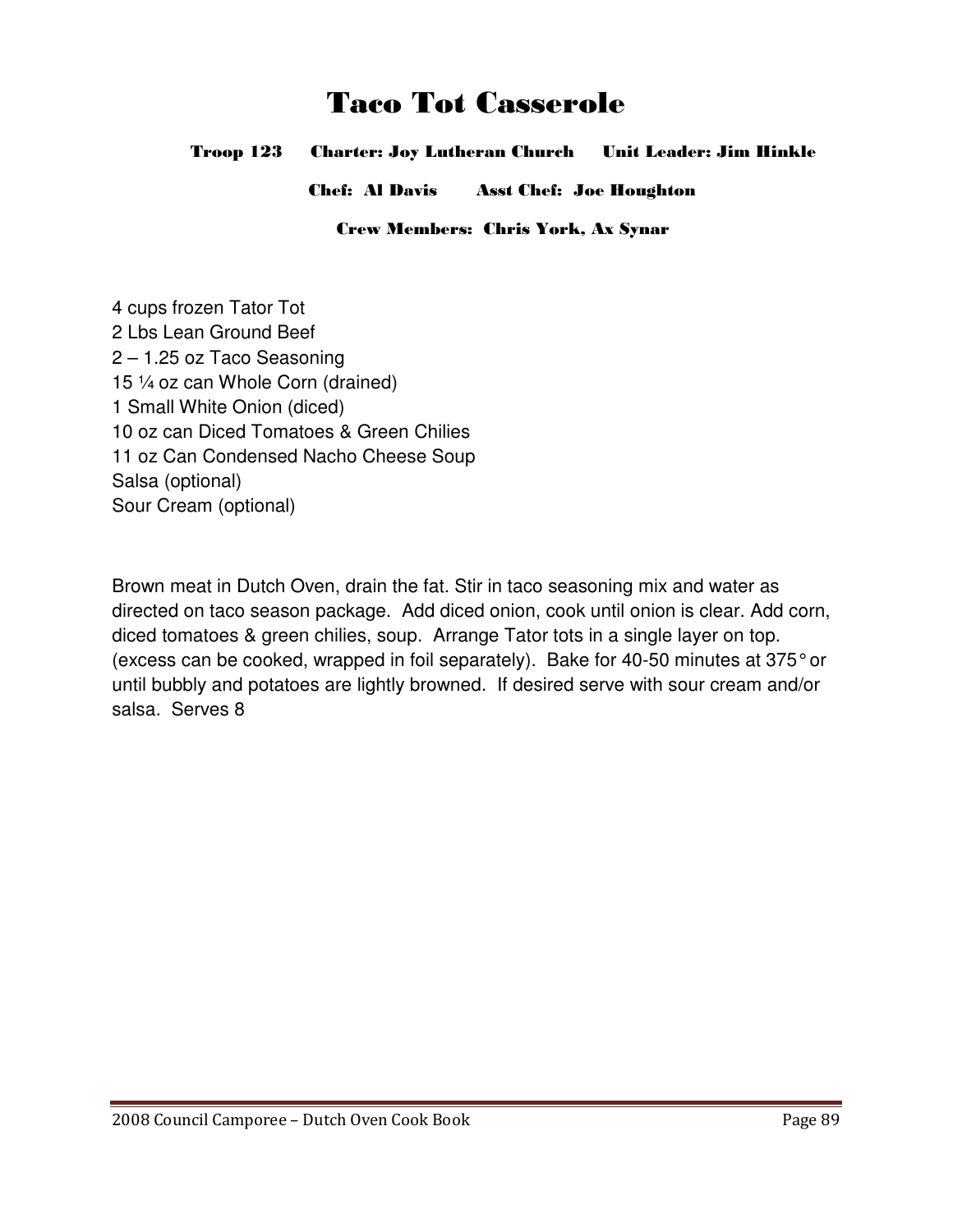## Taco Tot Casserole

Troop 123 Charter: Joy Lutheran Church Unit Leader: Jim Hinkle

Chef: Al Davis Asst Chef: Joe Houghton

Crew Members: Chris York, Ax Synar

4 cups frozen Tator Tot 2 Lbs Lean Ground Beef 2 – 1.25 oz Taco Seasoning 15 ¼ oz can Whole Corn (drained) 1 Small White Onion (diced) 10 oz can Diced Tomatoes & Green Chilies 11 oz Can Condensed Nacho Cheese Soup Salsa (optional) Sour Cream (optional)

Brown meat in Dutch Oven, drain the fat. Stir in taco seasoning mix and water as directed on taco season package. Add diced onion, cook until onion is clear. Add corn, diced tomatoes & green chilies, soup. Arrange Tator tots in a single layer on top. (excess can be cooked, wrapped in foil separately). Bake for 40-50 minutes at 375° or until bubbly and potatoes are lightly browned. If desired serve with sour cream and/or salsa. Serves 8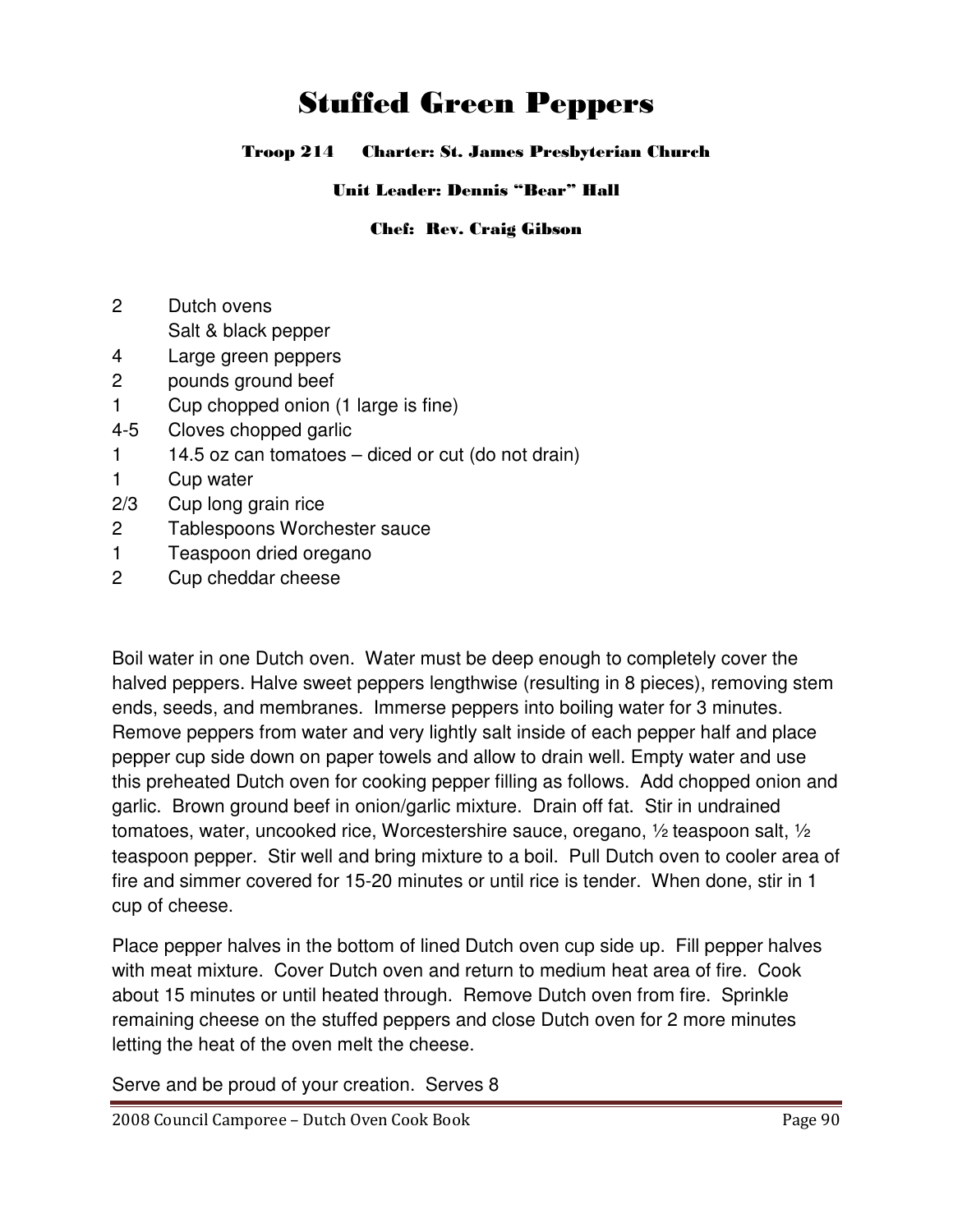# Stuffed Green Peppers

#### Troop 214 Charter: St. James Presbyterian Church

#### Unit Leader: Dennis "Bear" Hall

#### Chef: Rev. Craig Gibson

- 2 Dutch ovens
	- Salt & black pepper
- 4 Large green peppers
- 2 pounds ground beef
- 1 Cup chopped onion (1 large is fine)
- 4-5 Cloves chopped garlic
- $1$  14.5 oz can tomatoes diced or cut (do not drain)
- 1 Cup water
- 2/3 Cup long grain rice
- 2 Tablespoons Worchester sauce
- 1 Teaspoon dried oregano
- 2 Cup cheddar cheese

Boil water in one Dutch oven. Water must be deep enough to completely cover the halved peppers. Halve sweet peppers lengthwise (resulting in 8 pieces), removing stem ends, seeds, and membranes. Immerse peppers into boiling water for 3 minutes. Remove peppers from water and very lightly salt inside of each pepper half and place pepper cup side down on paper towels and allow to drain well. Empty water and use this preheated Dutch oven for cooking pepper filling as follows. Add chopped onion and garlic. Brown ground beef in onion/garlic mixture. Drain off fat. Stir in undrained tomatoes, water, uncooked rice, Worcestershire sauce, oregano, ½ teaspoon salt, ½ teaspoon pepper. Stir well and bring mixture to a boil. Pull Dutch oven to cooler area of fire and simmer covered for 15-20 minutes or until rice is tender. When done, stir in 1 cup of cheese.

Place pepper halves in the bottom of lined Dutch oven cup side up. Fill pepper halves with meat mixture. Cover Dutch oven and return to medium heat area of fire. Cook about 15 minutes or until heated through. Remove Dutch oven from fire. Sprinkle remaining cheese on the stuffed peppers and close Dutch oven for 2 more minutes letting the heat of the oven melt the cheese.

Serve and be proud of your creation. Serves 8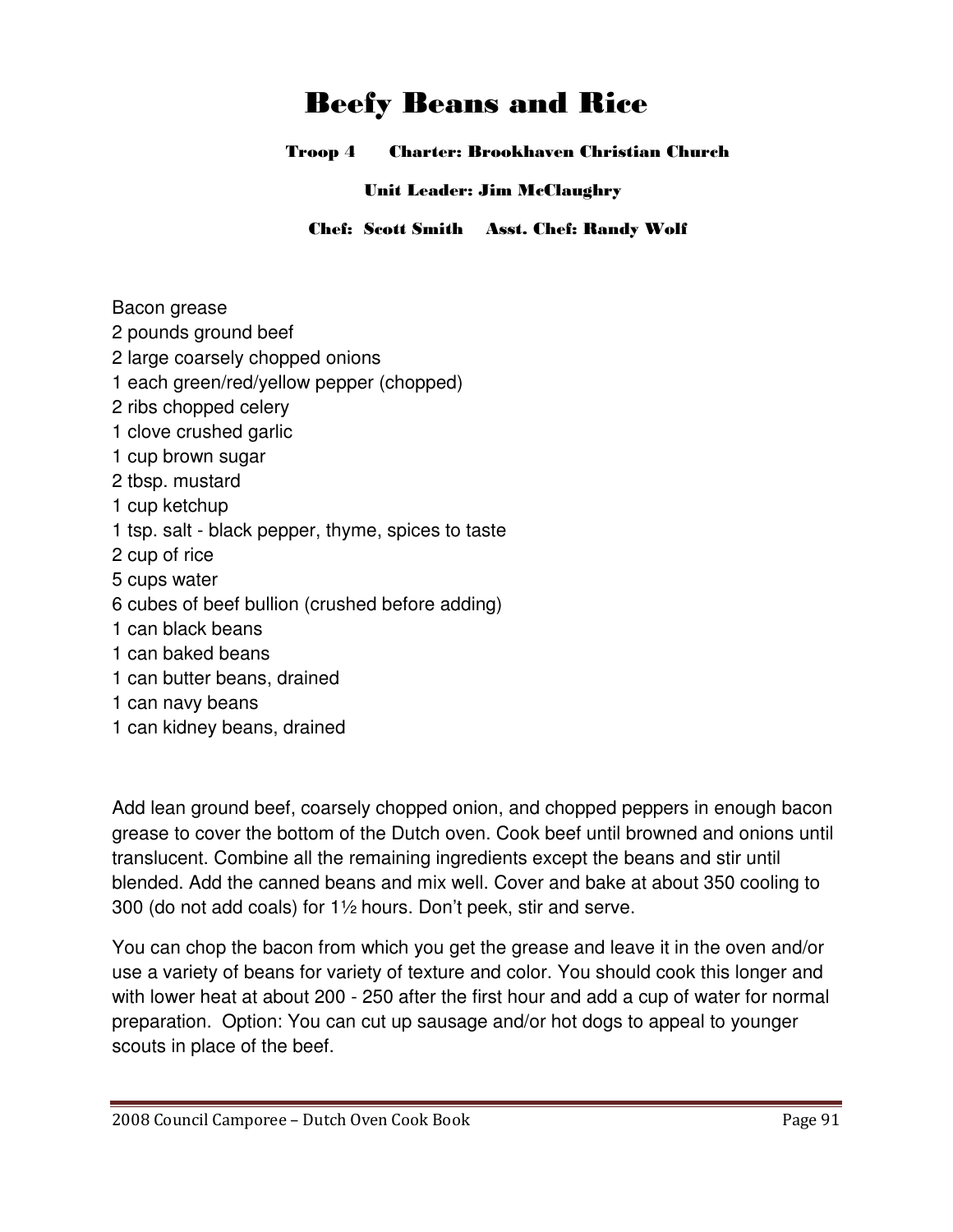# Beefy Beans and Rice

Troop 4 Charter: Brookhaven Christian Church

Unit Leader: Jim McClaughry

Chef: Scott Smith Asst. Chef: Randy Wolf

Bacon grease

- 2 pounds ground beef
- 2 large coarsely chopped onions
- 1 each green/red/yellow pepper (chopped)
- 2 ribs chopped celery
- 1 clove crushed garlic
- 1 cup brown sugar
- 2 tbsp. mustard
- 1 cup ketchup
- 1 tsp. salt black pepper, thyme, spices to taste
- 2 cup of rice
- 5 cups water
- 6 cubes of beef bullion (crushed before adding)
- 1 can black beans
- 1 can baked beans
- 1 can butter beans, drained
- 1 can navy beans
- 1 can kidney beans, drained

Add lean ground beef, coarsely chopped onion, and chopped peppers in enough bacon grease to cover the bottom of the Dutch oven. Cook beef until browned and onions until translucent. Combine all the remaining ingredients except the beans and stir until blended. Add the canned beans and mix well. Cover and bake at about 350 cooling to 300 (do not add coals) for 1½ hours. Don't peek, stir and serve.

You can chop the bacon from which you get the grease and leave it in the oven and/or use a variety of beans for variety of texture and color. You should cook this longer and with lower heat at about 200 - 250 after the first hour and add a cup of water for normal preparation. Option: You can cut up sausage and/or hot dogs to appeal to younger scouts in place of the beef.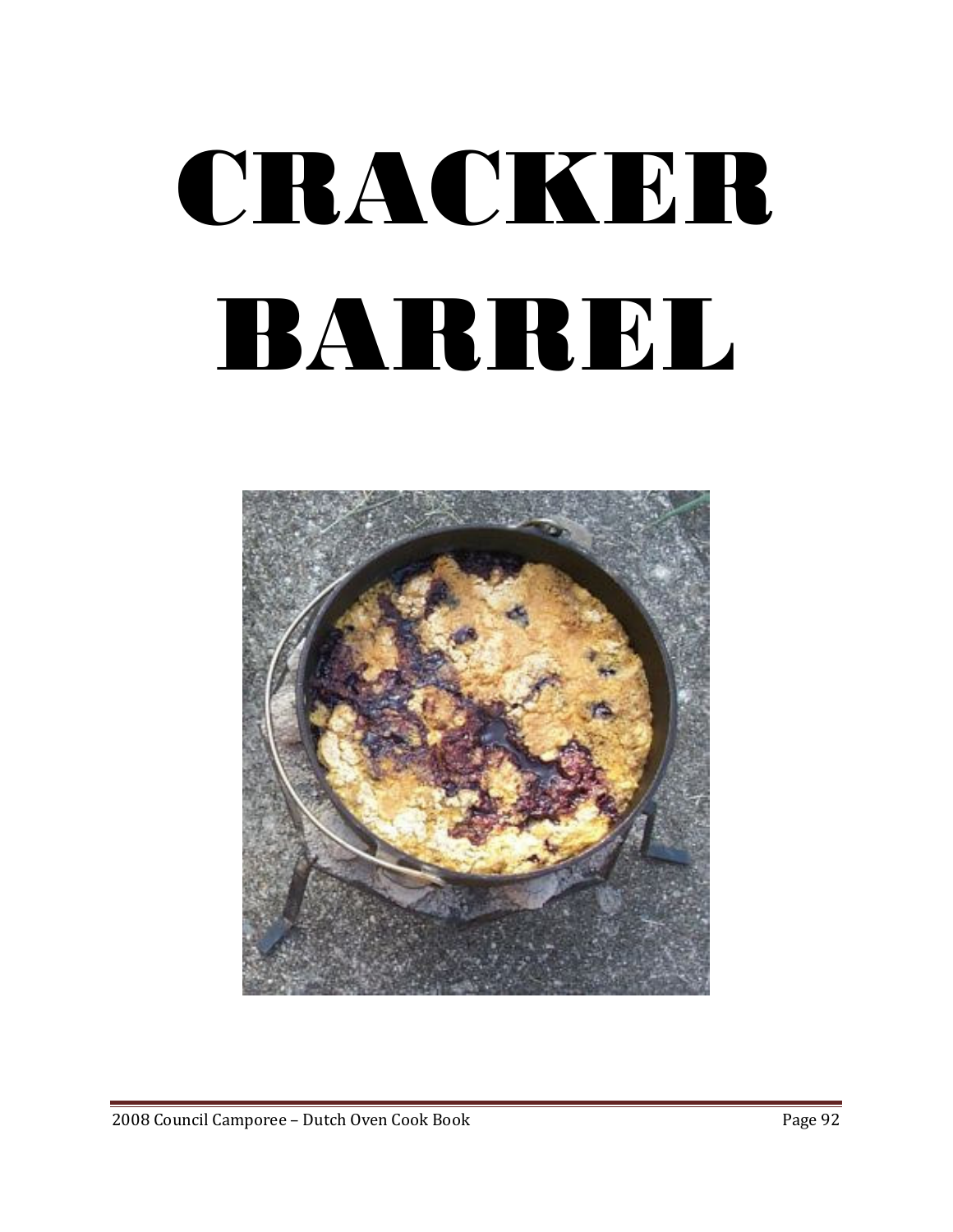# CRACKER BARREL

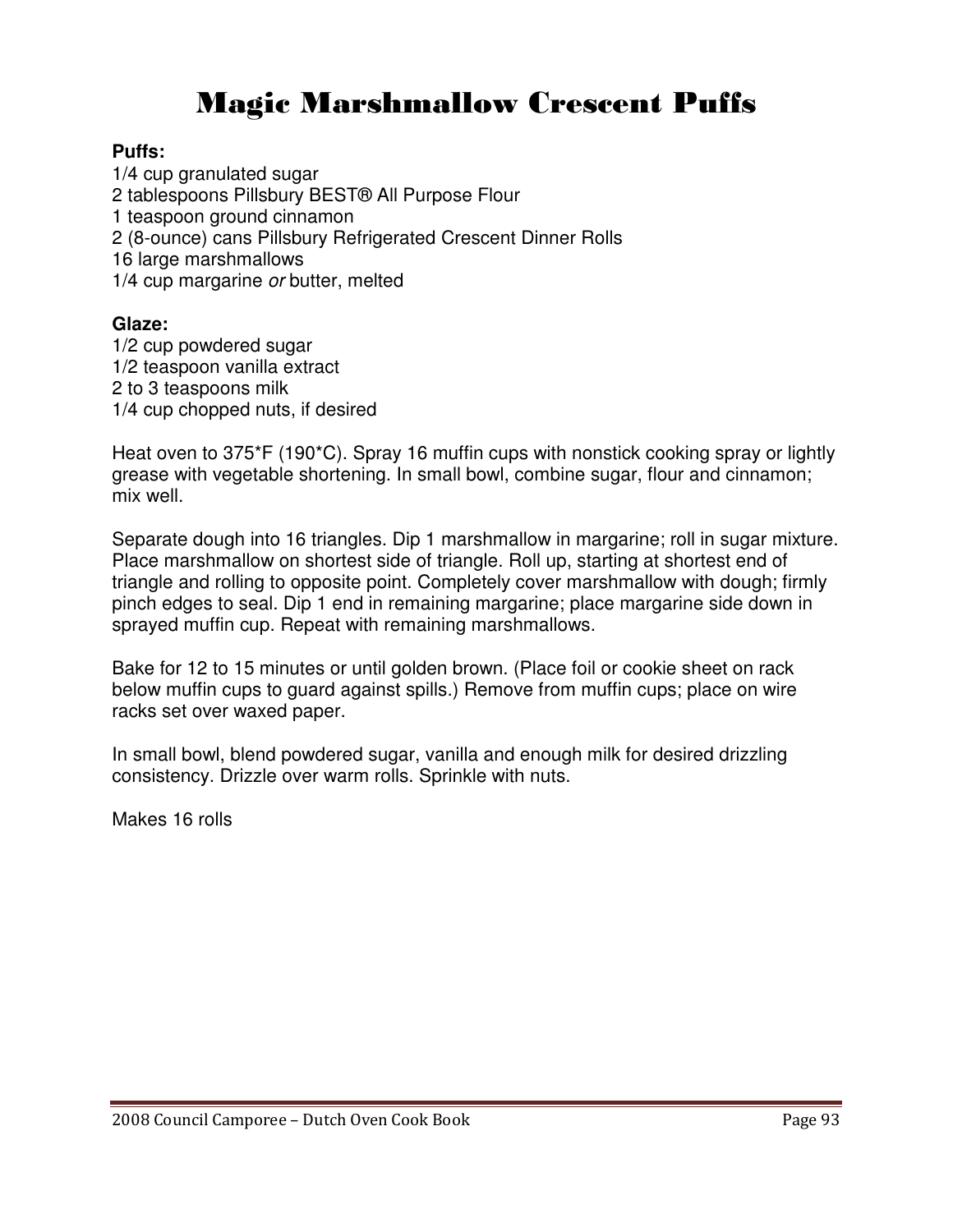# Magic Marshmallow Crescent Puffs

#### **Puffs:**

1/4 cup granulated sugar 2 tablespoons Pillsbury BEST® All Purpose Flour 1 teaspoon ground cinnamon 2 (8-ounce) cans Pillsbury Refrigerated Crescent Dinner Rolls 16 large marshmallows 1/4 cup margarine or butter, melted

### **Glaze:**

1/2 cup powdered sugar 1/2 teaspoon vanilla extract 2 to 3 teaspoons milk 1/4 cup chopped nuts, if desired

Heat oven to 375\*F (190\*C). Spray 16 muffin cups with nonstick cooking spray or lightly grease with vegetable shortening. In small bowl, combine sugar, flour and cinnamon; mix well.

Separate dough into 16 triangles. Dip 1 marshmallow in margarine; roll in sugar mixture. Place marshmallow on shortest side of triangle. Roll up, starting at shortest end of triangle and rolling to opposite point. Completely cover marshmallow with dough; firmly pinch edges to seal. Dip 1 end in remaining margarine; place margarine side down in sprayed muffin cup. Repeat with remaining marshmallows.

Bake for 12 to 15 minutes or until golden brown. (Place foil or cookie sheet on rack below muffin cups to guard against spills.) Remove from muffin cups; place on wire racks set over waxed paper.

In small bowl, blend powdered sugar, vanilla and enough milk for desired drizzling consistency. Drizzle over warm rolls. Sprinkle with nuts.

Makes 16 rolls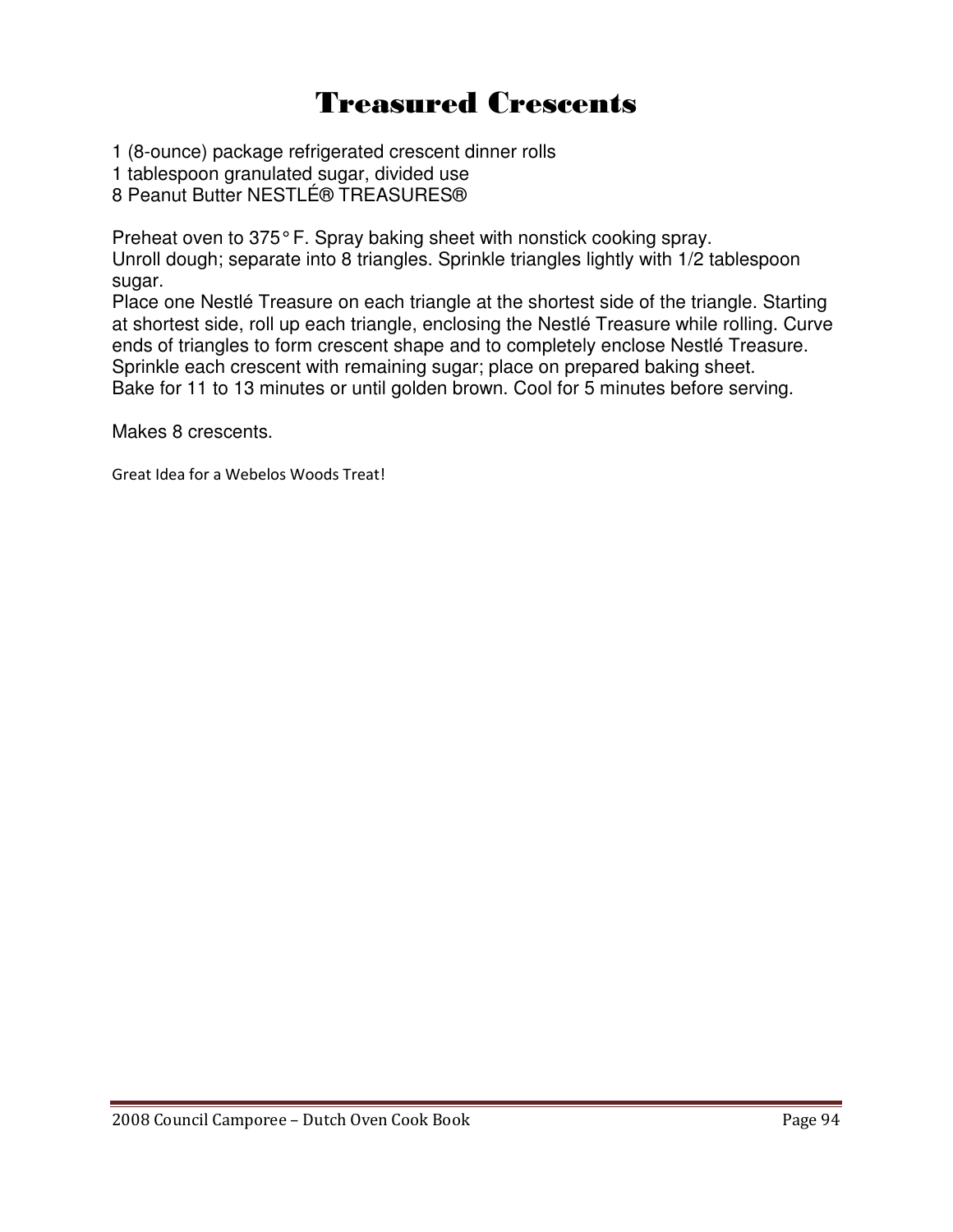# Treasured Crescents

- 1 (8-ounce) package refrigerated crescent dinner rolls
- 1 tablespoon granulated sugar, divided use
- 8 Peanut Butter NESTLÉ® TREASURES®

Preheat oven to 375° F. Spray baking sheet with nonstick cooking spray.

Unroll dough; separate into 8 triangles. Sprinkle triangles lightly with 1/2 tablespoon sugar.

Place one Nestlé Treasure on each triangle at the shortest side of the triangle. Starting at shortest side, roll up each triangle, enclosing the Nestlé Treasure while rolling. Curve ends of triangles to form crescent shape and to completely enclose Nestlé Treasure. Sprinkle each crescent with remaining sugar; place on prepared baking sheet. Bake for 11 to 13 minutes or until golden brown. Cool for 5 minutes before serving.

Makes 8 crescents.

Great Idea for a Webelos Woods Treat!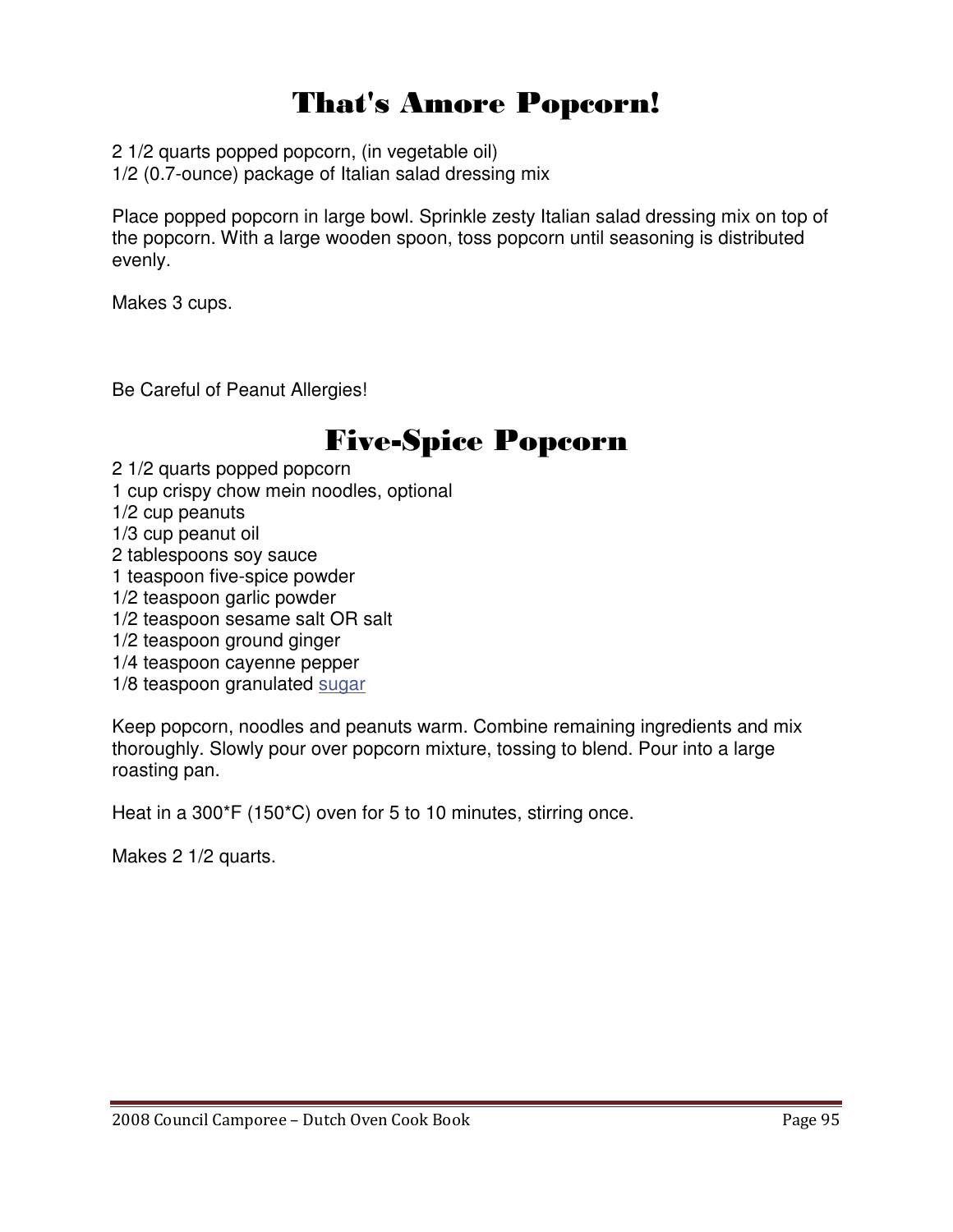# That's Amore Popcorn!

2 1/2 quarts popped popcorn, (in vegetable oil)

1/2 (0.7-ounce) package of Italian salad dressing mix

Place popped popcorn in large bowl. Sprinkle zesty Italian salad dressing mix on top of the popcorn. With a large wooden spoon, toss popcorn until seasoning is distributed evenly.

Makes 3 cups.

Be Careful of Peanut Allergies!

## Five-Spice Popcorn

2 1/2 quarts popped popcorn 1 cup crispy chow mein noodles, optional

- 1/2 cup peanuts
- 1/3 cup peanut oil
- 2 tablespoons soy sauce
- 1 teaspoon five-spice powder
- 1/2 teaspoon garlic powder
- 1/2 teaspoon sesame salt OR salt
- 1/2 teaspoon ground ginger
- 1/4 teaspoon cayenne pepper
- 1/8 teaspoon granulated sugar

Keep popcorn, noodles and peanuts warm. Combine remaining ingredients and mix thoroughly. Slowly pour over popcorn mixture, tossing to blend. Pour into a large roasting pan.

Heat in a 300\*F (150\*C) oven for 5 to 10 minutes, stirring once.

Makes 2 1/2 quarts.